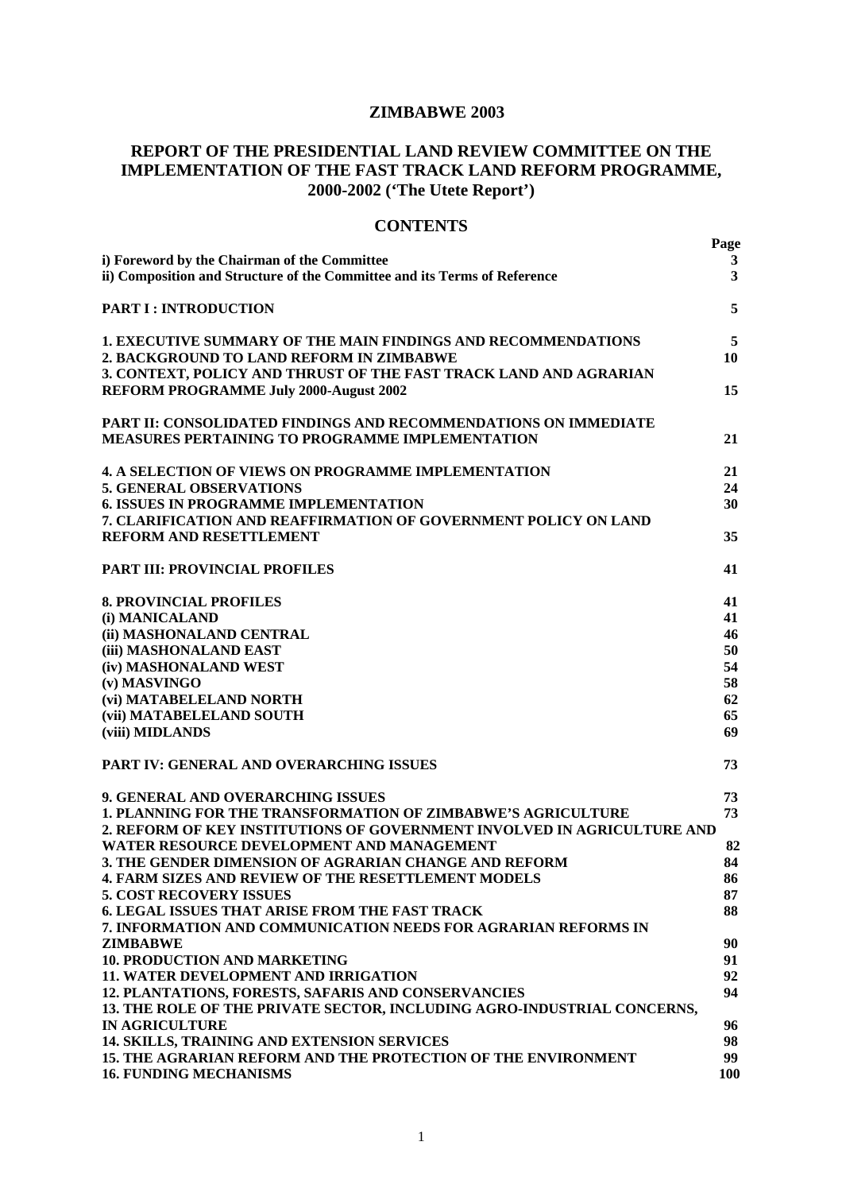# **ZIMBABWE 2003**

# **REPORT OF THE PRESIDENTIAL LAND REVIEW COMMITTEE ON THE IMPLEMENTATION OF THE FAST TRACK LAND REFORM PROGRAMME, 2000-2002 ('The Utete Report')**

# **CONTENTS**

|                                                                                                                                | Page                    |
|--------------------------------------------------------------------------------------------------------------------------------|-------------------------|
| i) Foreword by the Chairman of the Committee                                                                                   | 3                       |
| ii) Composition and Structure of the Committee and its Terms of Reference                                                      | $\overline{\mathbf{3}}$ |
| <b>PART I: INTRODUCTION</b>                                                                                                    | 5                       |
| 1. EXECUTIVE SUMMARY OF THE MAIN FINDINGS AND RECOMMENDATIONS                                                                  | 5                       |
| 2. BACKGROUND TO LAND REFORM IN ZIMBABWE                                                                                       | 10                      |
| 3. CONTEXT, POLICY AND THRUST OF THE FAST TRACK LAND AND AGRARIAN                                                              |                         |
| <b>REFORM PROGRAMME July 2000-August 2002</b>                                                                                  | 15                      |
| PART II: CONSOLIDATED FINDINGS AND RECOMMENDATIONS ON IMMEDIATE                                                                |                         |
| <b>MEASURES PERTAINING TO PROGRAMME IMPLEMENTATION</b>                                                                         | 21                      |
| <b>4. A SELECTION OF VIEWS ON PROGRAMME IMPLEMENTATION</b>                                                                     | 21                      |
| <b>5. GENERAL OBSERVATIONS</b>                                                                                                 | 24                      |
| <b>6. ISSUES IN PROGRAMME IMPLEMENTATION</b>                                                                                   | 30                      |
| 7. CLARIFICATION AND REAFFIRMATION OF GOVERNMENT POLICY ON LAND                                                                |                         |
| <b>REFORM AND RESETTLEMENT</b>                                                                                                 | 35                      |
| <b>PART III: PROVINCIAL PROFILES</b>                                                                                           | 41                      |
| <b>8. PROVINCIAL PROFILES</b>                                                                                                  | 41                      |
| (i) MANICALAND                                                                                                                 | 41                      |
| (ii) MASHONALAND CENTRAL                                                                                                       | 46                      |
| (iii) MASHONALAND EAST                                                                                                         | 50                      |
| (iv) MASHONALAND WEST                                                                                                          | 54                      |
| (v) MASVINGO                                                                                                                   | 58                      |
| (vi) MATABELELAND NORTH                                                                                                        | 62                      |
| (vii) MATABELELAND SOUTH                                                                                                       | 65                      |
| (viii) MIDLANDS                                                                                                                | 69                      |
| PART IV: GENERAL AND OVERARCHING ISSUES                                                                                        | 73                      |
| 9. GENERAL AND OVERARCHING ISSUES                                                                                              | 73                      |
| 1. PLANNING FOR THE TRANSFORMATION OF ZIMBABWE'S AGRICULTURE                                                                   | 73                      |
| 2. REFORM OF KEY INSTITUTIONS OF GOVERNMENT INVOLVED IN AGRICULTURE AND                                                        |                         |
| WATER RESOURCE DEVELOPMENT AND MANAGEMENT                                                                                      | 82                      |
| 3. THE GENDER DIMENSION OF AGRARIAN CHANGE AND REFORM                                                                          | 84                      |
| 4. FARM SIZES AND REVIEW OF THE RESETTLEMENT MODELS                                                                            | 86                      |
| <b>5. COST RECOVERY ISSUES</b>                                                                                                 | 87                      |
| <b>6. LEGAL ISSUES THAT ARISE FROM THE FAST TRACK</b>                                                                          | 88                      |
| 7. INFORMATION AND COMMUNICATION NEEDS FOR AGRARIAN REFORMS IN                                                                 |                         |
| <b>ZIMBABWE</b>                                                                                                                | 90                      |
| <b>10. PRODUCTION AND MARKETING</b>                                                                                            | 91                      |
| <b>11. WATER DEVELOPMENT AND IRRIGATION</b>                                                                                    | 92                      |
| 12. PLANTATIONS, FORESTS, SAFARIS AND CONSERVANCIES<br>13. THE ROLE OF THE PRIVATE SECTOR, INCLUDING AGRO-INDUSTRIAL CONCERNS, | 94                      |
| <b>IN AGRICULTURE</b>                                                                                                          | 96                      |
| 14. SKILLS, TRAINING AND EXTENSION SERVICES                                                                                    | 98                      |
| <b>15. THE AGRARIAN REFORM AND THE PROTECTION OF THE ENVIRONMENT</b>                                                           | 99                      |
| <b>16. FUNDING MECHANISMS</b>                                                                                                  | <b>100</b>              |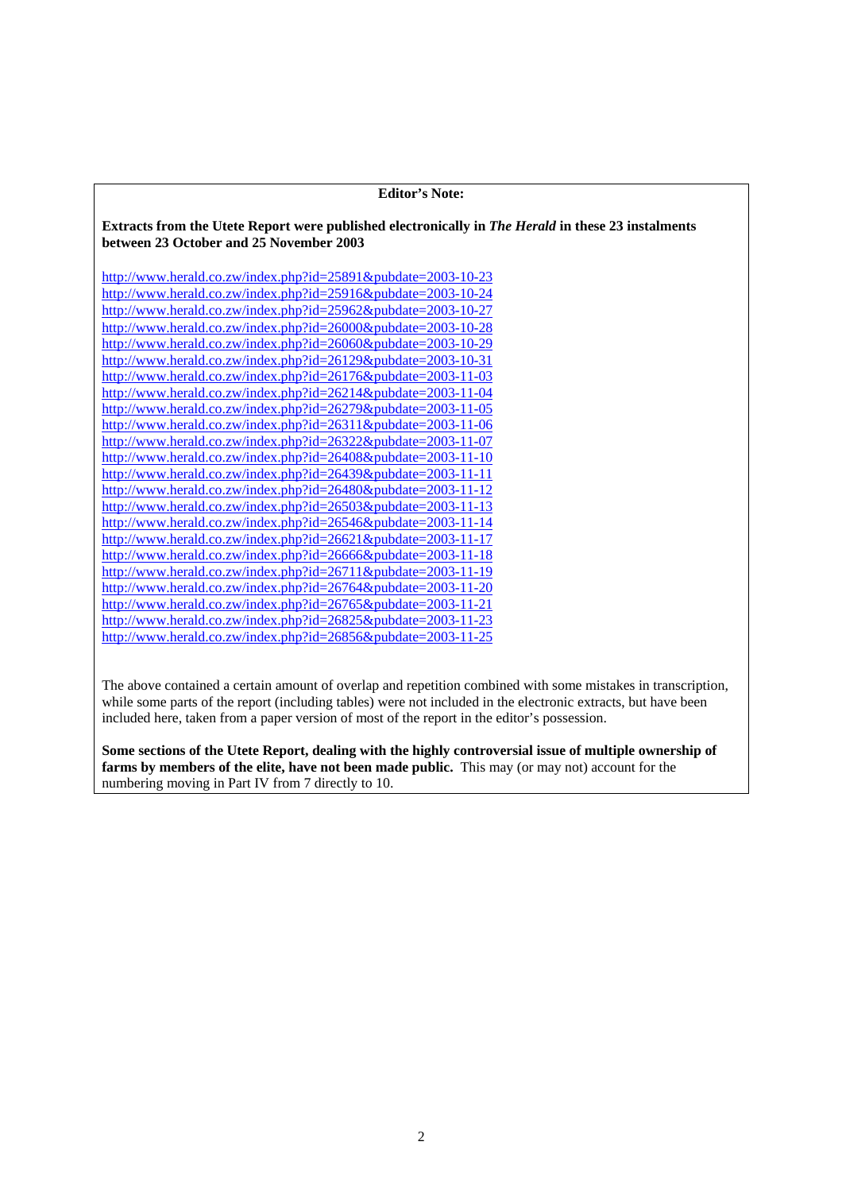| <b>Editor's Note:</b>                                                                                                                         |
|-----------------------------------------------------------------------------------------------------------------------------------------------|
| Extracts from the Utete Report were published electronically in The Herald in these 23 instalments<br>between 23 October and 25 November 2003 |
| http://www.herald.co.zw/index.php?id=25891&pubdate=2003-10-23                                                                                 |
| http://www.herald.co.zw/index.php?id=25916&pubdate=2003-10-24                                                                                 |
| http://www.herald.co.zw/index.php?id=25962&pubdate=2003-10-27                                                                                 |
| http://www.herald.co.zw/index.php?id=26000&pubdate=2003-10-28                                                                                 |
| http://www.herald.co.zw/index.php?id=26060&pubdate=2003-10-29                                                                                 |
| http://www.herald.co.zw/index.php?id=26129&pubdate=2003-10-31                                                                                 |
| http://www.herald.co.zw/index.php?id=26176&pubdate=2003-11-03                                                                                 |
| http://www.herald.co.zw/index.php?id=26214&pubdate=2003-11-04                                                                                 |
| http://www.herald.co.zw/index.php?id=26279&pubdate=2003-11-05                                                                                 |
| http://www.herald.co.zw/index.php?id=26311&pubdate=2003-11-06                                                                                 |
| http://www.herald.co.zw/index.php?id=26322&pubdate=2003-11-07                                                                                 |
| http://www.herald.co.zw/index.php?id=26408&pubdate=2003-11-10                                                                                 |
| http://www.herald.co.zw/index.php?id=26439&pubdate=2003-11-11                                                                                 |
| http://www.herald.co.zw/index.php?id=26480&pubdate=2003-11-12                                                                                 |
| http://www.herald.co.zw/index.php?id=26503&pubdate=2003-11-13                                                                                 |
| http://www.herald.co.zw/index.php?id=26546&pubdate=2003-11-14                                                                                 |
| http://www.herald.co.zw/index.php?id=26621&pubdate=2003-11-17                                                                                 |
| http://www.herald.co.zw/index.php?id=26666&pubdate=2003-11-18                                                                                 |
| http://www.herald.co.zw/index.php?id=26711&pubdate=2003-11-19                                                                                 |
| http://www.herald.co.zw/index.php?id=26764&pubdate=2003-11-20                                                                                 |
| http://www.herald.co.zw/index.php?id=26765&pubdate=2003-11-21                                                                                 |
| http://www.herald.co.zw/index.php?id=26825&pubdate=2003-11-23                                                                                 |
| http://www.herald.co.zw/index.php?id=26856&pubdate=2003-11-25                                                                                 |
|                                                                                                                                               |

The above contained a certain amount of overlap and repetition combined with some mistakes in transcription, while some parts of the report (including tables) were not included in the electronic extracts, but have been included here, taken from a paper version of most of the report in the editor's possession.

**Some sections of the Utete Report, dealing with the highly controversial issue of multiple ownership of**  farms by members of the elite, have not been made public. This may (or may not) account for the numbering moving in Part IV from 7 directly to 10.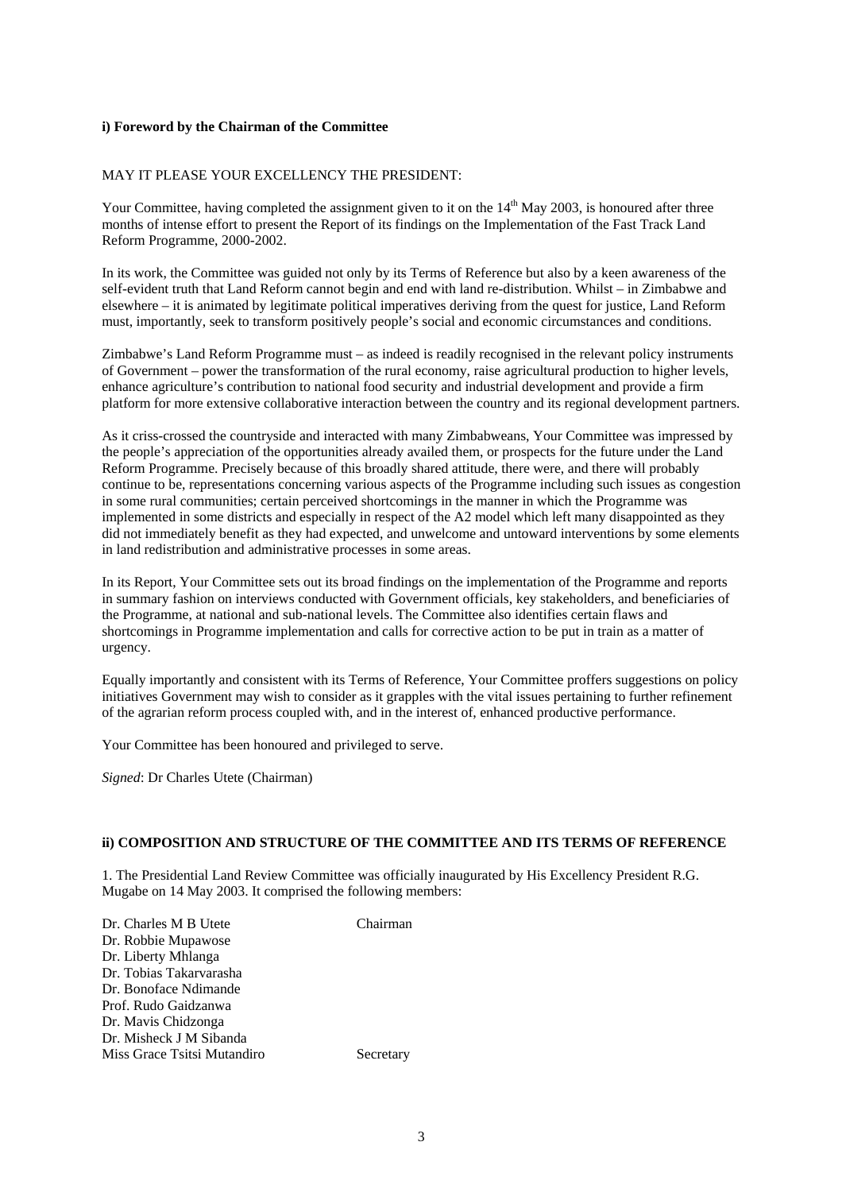### **i) Foreword by the Chairman of the Committee**

### MAY IT PLEASE YOUR EXCELLENCY THE PRESIDENT:

Your Committee, having completed the assignment given to it on the  $14<sup>th</sup>$  May 2003, is honoured after three months of intense effort to present the Report of its findings on the Implementation of the Fast Track Land Reform Programme, 2000-2002.

In its work, the Committee was guided not only by its Terms of Reference but also by a keen awareness of the self-evident truth that Land Reform cannot begin and end with land re-distribution. Whilst – in Zimbabwe and elsewhere – it is animated by legitimate political imperatives deriving from the quest for justice, Land Reform must, importantly, seek to transform positively people's social and economic circumstances and conditions.

Zimbabwe's Land Reform Programme must – as indeed is readily recognised in the relevant policy instruments of Government – power the transformation of the rural economy, raise agricultural production to higher levels, enhance agriculture's contribution to national food security and industrial development and provide a firm platform for more extensive collaborative interaction between the country and its regional development partners.

As it criss-crossed the countryside and interacted with many Zimbabweans, Your Committee was impressed by the people's appreciation of the opportunities already availed them, or prospects for the future under the Land Reform Programme. Precisely because of this broadly shared attitude, there were, and there will probably continue to be, representations concerning various aspects of the Programme including such issues as congestion in some rural communities; certain perceived shortcomings in the manner in which the Programme was implemented in some districts and especially in respect of the A2 model which left many disappointed as they did not immediately benefit as they had expected, and unwelcome and untoward interventions by some elements in land redistribution and administrative processes in some areas.

In its Report, Your Committee sets out its broad findings on the implementation of the Programme and reports in summary fashion on interviews conducted with Government officials, key stakeholders, and beneficiaries of the Programme, at national and sub-national levels. The Committee also identifies certain flaws and shortcomings in Programme implementation and calls for corrective action to be put in train as a matter of urgency.

Equally importantly and consistent with its Terms of Reference, Your Committee proffers suggestions on policy initiatives Government may wish to consider as it grapples with the vital issues pertaining to further refinement of the agrarian reform process coupled with, and in the interest of, enhanced productive performance.

Your Committee has been honoured and privileged to serve.

*Signed*: Dr Charles Utete (Chairman)

### **ii) COMPOSITION AND STRUCTURE OF THE COMMITTEE AND ITS TERMS OF REFERENCE**

1. The Presidential Land Review Committee was officially inaugurated by His Excellency President R.G. Mugabe on 14 May 2003. It comprised the following members:

| Dr. Charles M B Utete       | Chairman  |
|-----------------------------|-----------|
| Dr. Robbie Mupawose         |           |
| Dr. Liberty Mhlanga         |           |
| Dr. Tobias Takarvarasha     |           |
| Dr. Bonoface Ndimande       |           |
| Prof. Rudo Gaidzanwa        |           |
| Dr. Mavis Chidzonga         |           |
| Dr. Misheck J M Sibanda     |           |
| Miss Grace Tsitsi Mutandiro | Secretary |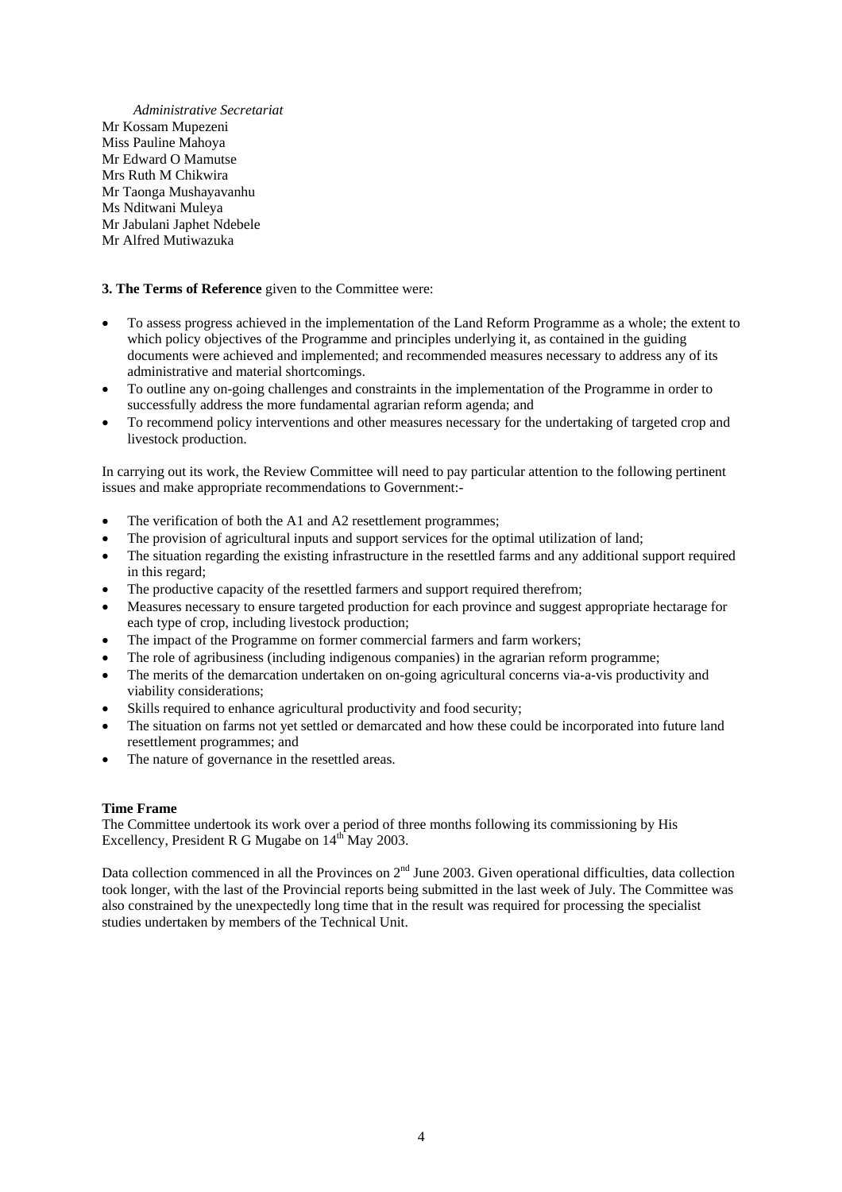*Administrative Secretariat*  Mr Kossam Mupezeni Miss Pauline Mahoya Mr Edward O Mamutse Mrs Ruth M Chikwira Mr Taonga Mushayavanhu Ms Nditwani Muleya Mr Jabulani Japhet Ndebele Mr Alfred Mutiwazuka

### **3. The Terms of Reference** given to the Committee were:

- To assess progress achieved in the implementation of the Land Reform Programme as a whole; the extent to which policy objectives of the Programme and principles underlying it, as contained in the guiding documents were achieved and implemented; and recommended measures necessary to address any of its administrative and material shortcomings.
- To outline any on-going challenges and constraints in the implementation of the Programme in order to successfully address the more fundamental agrarian reform agenda; and
- To recommend policy interventions and other measures necessary for the undertaking of targeted crop and livestock production.

In carrying out its work, the Review Committee will need to pay particular attention to the following pertinent issues and make appropriate recommendations to Government:-

- The verification of both the A1 and A2 resettlement programmes;
- The provision of agricultural inputs and support services for the optimal utilization of land;
- The situation regarding the existing infrastructure in the resettled farms and any additional support required in this regard;
- The productive capacity of the resettled farmers and support required therefrom;
- Measures necessary to ensure targeted production for each province and suggest appropriate hectarage for each type of crop, including livestock production;
- The impact of the Programme on former commercial farmers and farm workers;
- The role of agribusiness (including indigenous companies) in the agrarian reform programme;
- The merits of the demarcation undertaken on on-going agricultural concerns via-a-vis productivity and viability considerations;
- Skills required to enhance agricultural productivity and food security;
- The situation on farms not yet settled or demarcated and how these could be incorporated into future land resettlement programmes; and
- The nature of governance in the resettled areas.

### **Time Frame**

The Committee undertook its work over a period of three months following its commissioning by His Excellency, President R G Mugabe on  $14<sup>th</sup>$  May 2003.

Data collection commenced in all the Provinces on  $2<sup>nd</sup>$  June 2003. Given operational difficulties, data collection took longer, with the last of the Provincial reports being submitted in the last week of July. The Committee was also constrained by the unexpectedly long time that in the result was required for processing the specialist studies undertaken by members of the Technical Unit.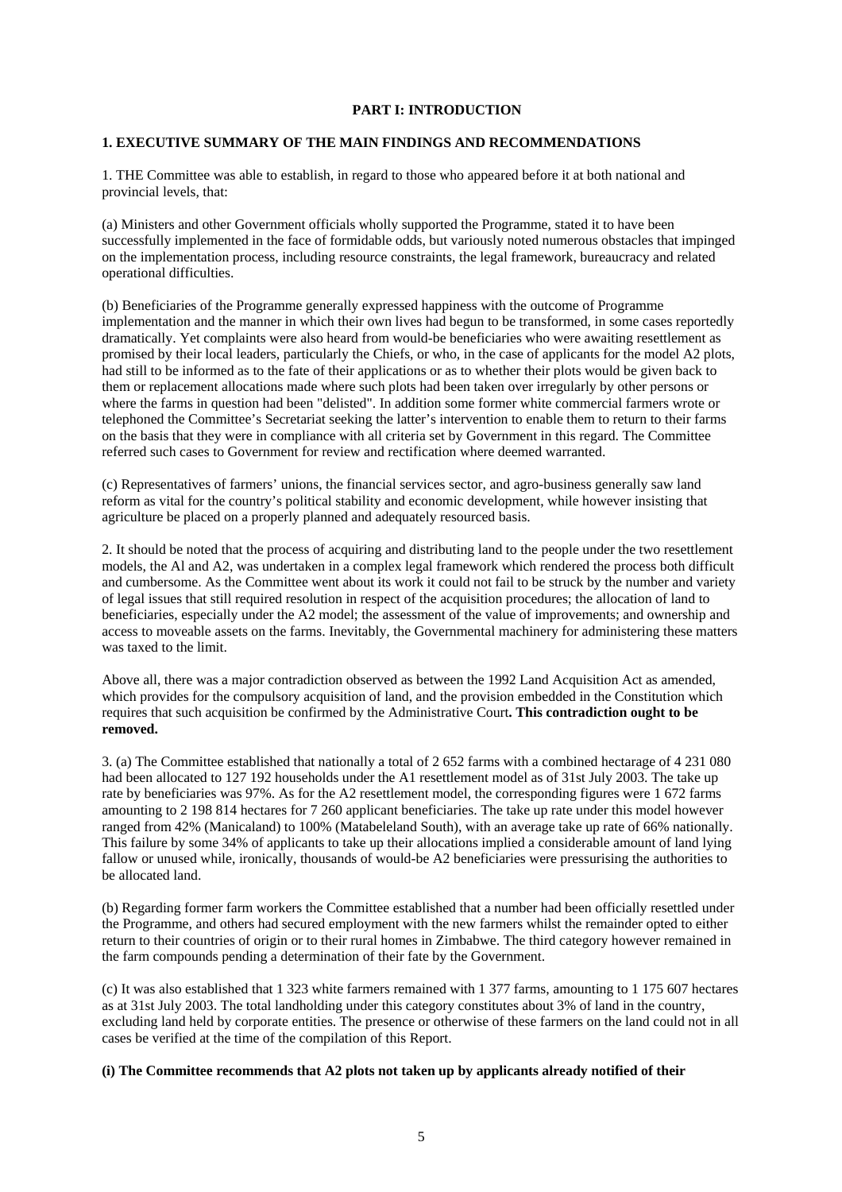### **PART I: INTRODUCTION**

### **1. EXECUTIVE SUMMARY OF THE MAIN FINDINGS AND RECOMMENDATIONS**

1. THE Committee was able to establish, in regard to those who appeared before it at both national and provincial levels, that:

(a) Ministers and other Government officials wholly supported the Programme, stated it to have been successfully implemented in the face of formidable odds, but variously noted numerous obstacles that impinged on the implementation process, including resource constraints, the legal framework, bureaucracy and related operational difficulties.

(b) Beneficiaries of the Programme generally expressed happiness with the outcome of Programme implementation and the manner in which their own lives had begun to be transformed, in some cases reportedly dramatically. Yet complaints were also heard from would-be beneficiaries who were awaiting resettlement as promised by their local leaders, particularly the Chiefs, or who, in the case of applicants for the model A2 plots, had still to be informed as to the fate of their applications or as to whether their plots would be given back to them or replacement allocations made where such plots had been taken over irregularly by other persons or where the farms in question had been "delisted". In addition some former white commercial farmers wrote or telephoned the Committee's Secretariat seeking the latter's intervention to enable them to return to their farms on the basis that they were in compliance with all criteria set by Government in this regard. The Committee referred such cases to Government for review and rectification where deemed warranted.

(c) Representatives of farmers' unions, the financial services sector, and agro-business generally saw land reform as vital for the country's political stability and economic development, while however insisting that agriculture be placed on a properly planned and adequately resourced basis.

2. It should be noted that the process of acquiring and distributing land to the people under the two resettlement models, the Al and A2, was undertaken in a complex legal framework which rendered the process both difficult and cumbersome. As the Committee went about its work it could not fail to be struck by the number and variety of legal issues that still required resolution in respect of the acquisition procedures; the allocation of land to beneficiaries, especially under the A2 model; the assessment of the value of improvements; and ownership and access to moveable assets on the farms. Inevitably, the Governmental machinery for administering these matters was taxed to the limit.

Above all, there was a major contradiction observed as between the 1992 Land Acquisition Act as amended, which provides for the compulsory acquisition of land, and the provision embedded in the Constitution which requires that such acquisition be confirmed by the Administrative Court**. This contradiction ought to be removed.** 

3. (a) The Committee established that nationally a total of 2 652 farms with a combined hectarage of 4 231 080 had been allocated to 127 192 households under the A1 resettlement model as of 31st July 2003. The take up rate by beneficiaries was 97%. As for the A2 resettlement model, the corresponding figures were 1 672 farms amounting to 2 198 814 hectares for 7 260 applicant beneficiaries. The take up rate under this model however ranged from 42% (Manicaland) to 100% (Matabeleland South), with an average take up rate of 66% nationally. This failure by some 34% of applicants to take up their allocations implied a considerable amount of land lying fallow or unused while, ironically, thousands of would-be A2 beneficiaries were pressurising the authorities to be allocated land.

(b) Regarding former farm workers the Committee established that a number had been officially resettled under the Programme, and others had secured employment with the new farmers whilst the remainder opted to either return to their countries of origin or to their rural homes in Zimbabwe. The third category however remained in the farm compounds pending a determination of their fate by the Government.

(c) It was also established that 1 323 white farmers remained with 1 377 farms, amounting to 1 175 607 hectares as at 31st July 2003. The total landholding under this category constitutes about 3% of land in the country, excluding land held by corporate entities. The presence or otherwise of these farmers on the land could not in all cases be verified at the time of the compilation of this Report.

### **(i) The Committee recommends that A2 plots not taken up by applicants already notified of their**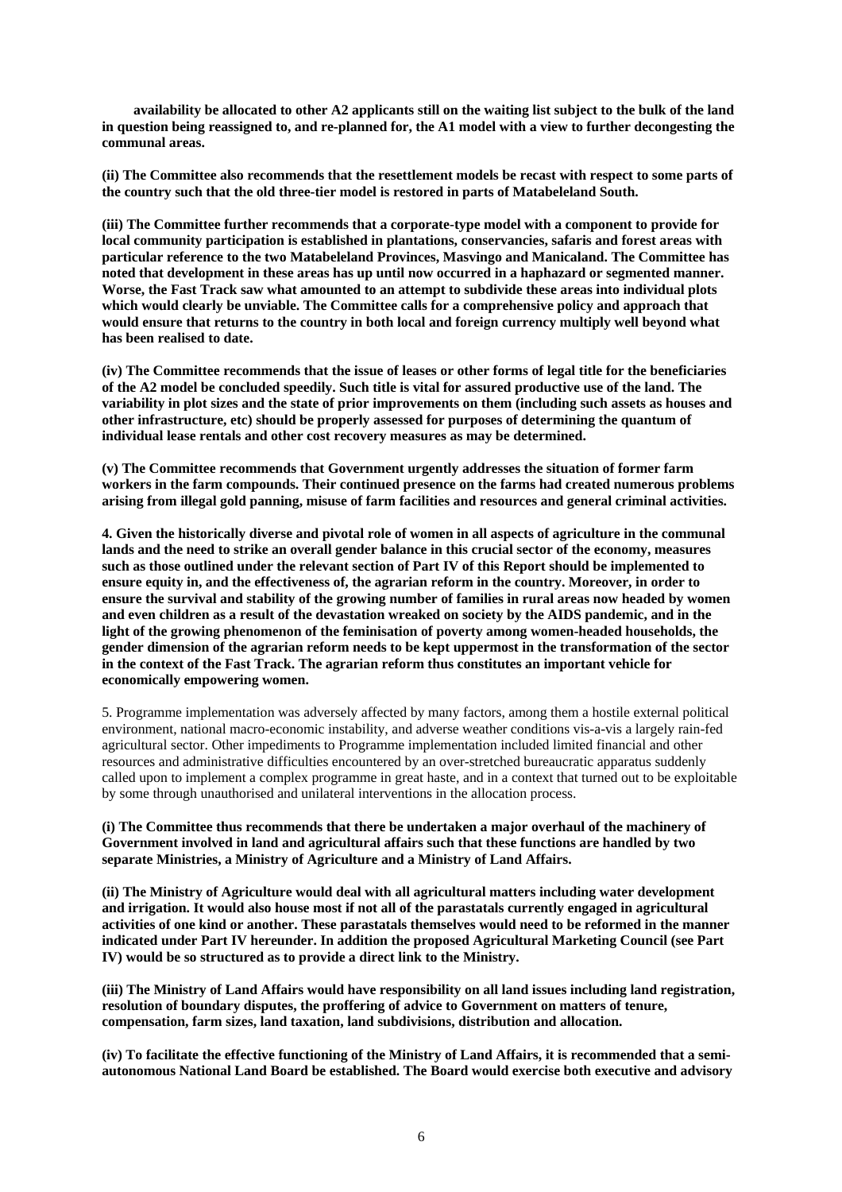**availability be allocated to other A2 applicants still on the waiting list subject to the bulk of the land in question being reassigned to, and re-planned for, the A1 model with a view to further decongesting the communal areas.** 

**(ii) The Committee also recommends that the resettlement models be recast with respect to some parts of the country such that the old three-tier model is restored in parts of Matabeleland South.** 

**(iii) The Committee further recommends that a corporate-type model with a component to provide for local community participation is established in plantations, conservancies, safaris and forest areas with particular reference to the two Matabeleland Provinces, Masvingo and Manicaland. The Committee has noted that development in these areas has up until now occurred in a haphazard or segmented manner. Worse, the Fast Track saw what amounted to an attempt to subdivide these areas into individual plots which would clearly be unviable. The Committee calls for a comprehensive policy and approach that would ensure that returns to the country in both local and foreign currency multiply well beyond what has been realised to date.** 

**(iv) The Committee recommends that the issue of leases or other forms of legal title for the beneficiaries of the A2 model be concluded speedily. Such title is vital for assured productive use of the land. The variability in plot sizes and the state of prior improvements on them (including such assets as houses and other infrastructure, etc) should be properly assessed for purposes of determining the quantum of individual lease rentals and other cost recovery measures as may be determined.** 

**(v) The Committee recommends that Government urgently addresses the situation of former farm workers in the farm compounds. Their continued presence on the farms had created numerous problems arising from illegal gold panning, misuse of farm facilities and resources and general criminal activities.**

**4. Given the historically diverse and pivotal role of women in all aspects of agriculture in the communal lands and the need to strike an overall gender balance in this crucial sector of the economy, measures such as those outlined under the relevant section of Part IV of this Report should be implemented to ensure equity in, and the effectiveness of, the agrarian reform in the country. Moreover, in order to ensure the survival and stability of the growing number of families in rural areas now headed by women and even children as a result of the devastation wreaked on society by the AIDS pandemic, and in the light of the growing phenomenon of the feminisation of poverty among women-headed households, the gender dimension of the agrarian reform needs to be kept uppermost in the transformation of the sector in the context of the Fast Track. The agrarian reform thus constitutes an important vehicle for economically empowering women.**

5. Programme implementation was adversely affected by many factors, among them a hostile external political environment, national macro-economic instability, and adverse weather conditions vis-a-vis a largely rain-fed agricultural sector. Other impediments to Programme implementation included limited financial and other resources and administrative difficulties encountered by an over-stretched bureaucratic apparatus suddenly called upon to implement a complex programme in great haste, and in a context that turned out to be exploitable by some through unauthorised and unilateral interventions in the allocation process.

### **(i) The Committee thus recommends that there be undertaken a major overhaul of the machinery of Government involved in land and agricultural affairs such that these functions are handled by two separate Ministries, a Ministry of Agriculture and a Ministry of Land Affairs.**

**(ii) The Ministry of Agriculture would deal with all agricultural matters including water development and irrigation. It would also house most if not all of the parastatals currently engaged in agricultural activities of one kind or another. These parastatals themselves would need to be reformed in the manner indicated under Part IV hereunder. In addition the proposed Agricultural Marketing Council (see Part IV) would be so structured as to provide a direct link to the Ministry.** 

**(iii) The Ministry of Land Affairs would have responsibility on all land issues including land registration, resolution of boundary disputes, the proffering of advice to Government on matters of tenure, compensation, farm sizes, land taxation, land subdivisions, distribution and allocation.** 

**(iv) To facilitate the effective functioning of the Ministry of Land Affairs, it is recommended that a semiautonomous National Land Board be established. The Board would exercise both executive and advisory**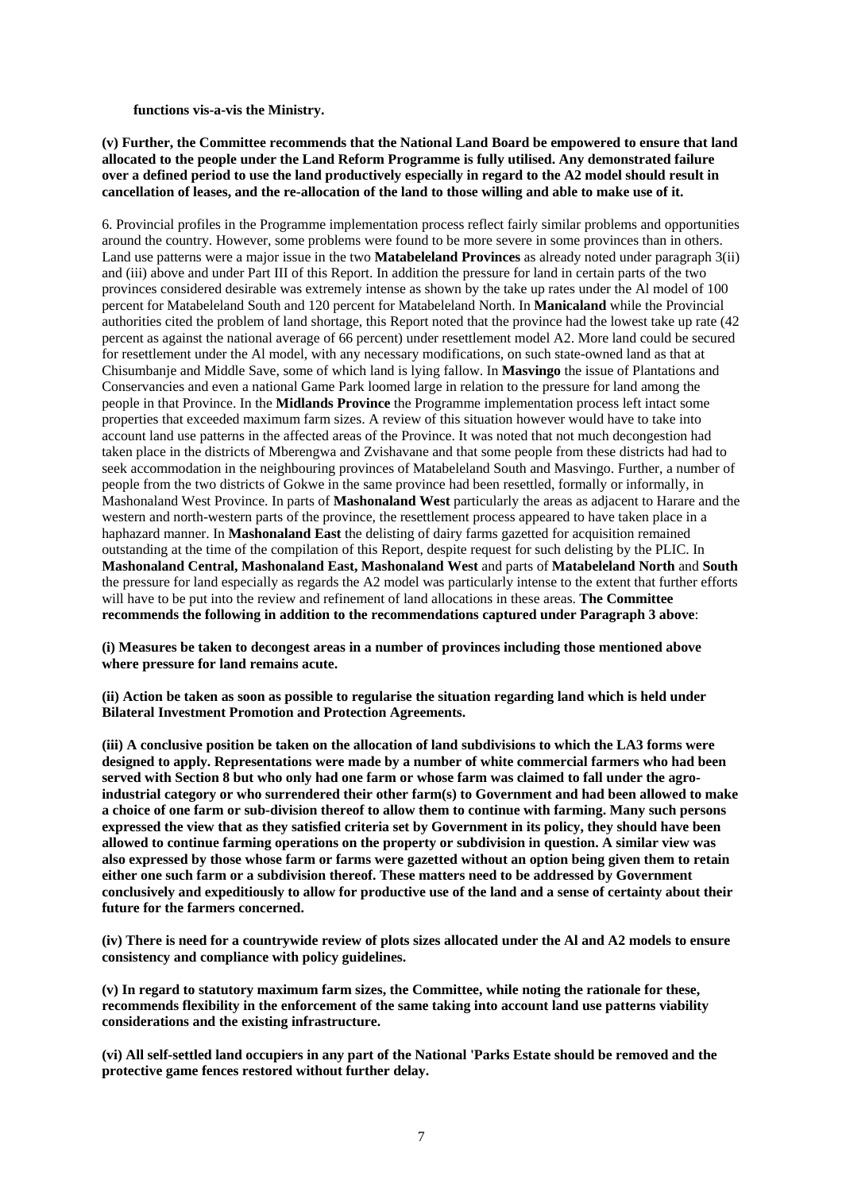**functions vis-a-vis the Ministry.** 

**(v) Further, the Committee recommends that the National Land Board be empowered to ensure that land allocated to the people under the Land Reform Programme is fully utilised. Any demonstrated failure over a defined period to use the land productively especially in regard to the A2 model should result in cancellation of leases, and the re-allocation of the land to those willing and able to make use of it.**

6. Provincial profiles in the Programme implementation process reflect fairly similar problems and opportunities around the country. However, some problems were found to be more severe in some provinces than in others. Land use patterns were a major issue in the two **Matabeleland Provinces** as already noted under paragraph 3(ii) and (iii) above and under Part III of this Report. In addition the pressure for land in certain parts of the two provinces considered desirable was extremely intense as shown by the take up rates under the Al model of 100 percent for Matabeleland South and 120 percent for Matabeleland North. In **Manicaland** while the Provincial authorities cited the problem of land shortage, this Report noted that the province had the lowest take up rate (42 percent as against the national average of 66 percent) under resettlement model A2. More land could be secured for resettlement under the Al model, with any necessary modifications, on such state-owned land as that at Chisumbanje and Middle Save, some of which land is lying fallow. In **Masvingo** the issue of Plantations and Conservancies and even a national Game Park loomed large in relation to the pressure for land among the people in that Province. In the **Midlands Province** the Programme implementation process left intact some properties that exceeded maximum farm sizes. A review of this situation however would have to take into account land use patterns in the affected areas of the Province. It was noted that not much decongestion had taken place in the districts of Mberengwa and Zvishavane and that some people from these districts had had to seek accommodation in the neighbouring provinces of Matabeleland South and Masvingo. Further, a number of people from the two districts of Gokwe in the same province had been resettled, formally or informally, in Mashonaland West Province. In parts of **Mashonaland West** particularly the areas as adjacent to Harare and the western and north-western parts of the province, the resettlement process appeared to have taken place in a haphazard manner. In **Mashonaland East** the delisting of dairy farms gazetted for acquisition remained outstanding at the time of the compilation of this Report, despite request for such delisting by the PLIC. In **Mashonaland Central, Mashonaland East, Mashonaland West** and parts of **Matabeleland North** and **South**  the pressure for land especially as regards the A2 model was particularly intense to the extent that further efforts will have to be put into the review and refinement of land allocations in these areas. **The Committee recommends the following in addition to the recommendations captured under Paragraph 3 above**:

**(i) Measures be taken to decongest areas in a number of provinces including those mentioned above where pressure for land remains acute.** 

**(ii) Action be taken as soon as possible to regularise the situation regarding land which is held under Bilateral Investment Promotion and Protection Agreements.** 

**(iii) A conclusive position be taken on the allocation of land subdivisions to which the LA3 forms were designed to apply. Representations were made by a number of white commercial farmers who had been served with Section 8 but who only had one farm or whose farm was claimed to fall under the agroindustrial category or who surrendered their other farm(s) to Government and had been allowed to make a choice of one farm or sub-division thereof to allow them to continue with farming. Many such persons expressed the view that as they satisfied criteria set by Government in its policy, they should have been allowed to continue farming operations on the property or subdivision in question. A similar view was also expressed by those whose farm or farms were gazetted without an option being given them to retain either one such farm or a subdivision thereof. These matters need to be addressed by Government conclusively and expeditiously to allow for productive use of the land and a sense of certainty about their future for the farmers concerned.** 

**(iv) There is need for a countrywide review of plots sizes allocated under the Al and A2 models to ensure consistency and compliance with policy guidelines.**

**(v) In regard to statutory maximum farm sizes, the Committee, while noting the rationale for these, recommends flexibility in the enforcement of the same taking into account land use patterns viability considerations and the existing infrastructure.** 

**(vi) All self-settled land occupiers in any part of the National 'Parks Estate should be removed and the protective game fences restored without further delay.**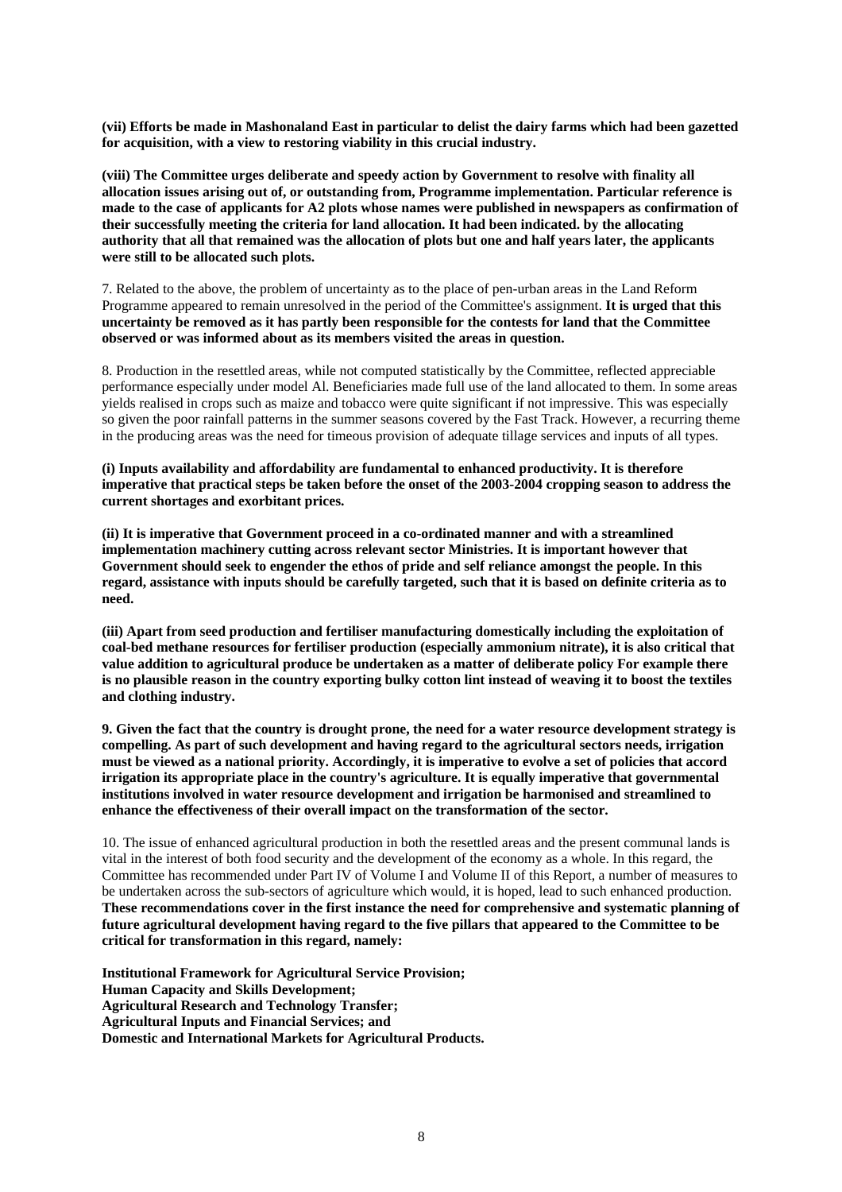**(vii) Efforts be made in Mashonaland East in particular to delist the dairy farms which had been gazetted for acquisition, with a view to restoring viability in this crucial industry.** 

**(viii) The Committee urges deliberate and speedy action by Government to resolve with finality all allocation issues arising out of, or outstanding from, Programme implementation. Particular reference is made to the case of applicants for A2 plots whose names were published in newspapers as confirmation of their successfully meeting the criteria for land allocation. It had been indicated. by the allocating authority that all that remained was the allocation of plots but one and half years later, the applicants were still to be allocated such plots.**

7. Related to the above, the problem of uncertainty as to the place of pen-urban areas in the Land Reform Programme appeared to remain unresolved in the period of the Committee's assignment. **It is urged that this uncertainty be removed as it has partly been responsible for the contests for land that the Committee observed or was informed about as its members visited the areas in question.** 

8. Production in the resettled areas, while not computed statistically by the Committee, reflected appreciable performance especially under model Al. Beneficiaries made full use of the land allocated to them. In some areas yields realised in crops such as maize and tobacco were quite significant if not impressive. This was especially so given the poor rainfall patterns in the summer seasons covered by the Fast Track. However, a recurring theme in the producing areas was the need for timeous provision of adequate tillage services and inputs of all types.

**(i) Inputs availability and affordability are fundamental to enhanced productivity. It is therefore imperative that practical steps be taken before the onset of the 2003-2004 cropping season to address the current shortages and exorbitant prices.** 

**(ii) It is imperative that Government proceed in a co-ordinated manner and with a streamlined implementation machinery cutting across relevant sector Ministries. It is important however that Government should seek to engender the ethos of pride and self reliance amongst the people. In this regard, assistance with inputs should be carefully targeted, such that it is based on definite criteria as to need.** 

**(iii) Apart from seed production and fertiliser manufacturing domestically including the exploitation of coal-bed methane resources for fertiliser production (especially ammonium nitrate), it is also critical that value addition to agricultural produce be undertaken as a matter of deliberate policy For example there is no plausible reason in the country exporting bulky cotton lint instead of weaving it to boost the textiles and clothing industry.** 

**9. Given the fact that the country is drought prone, the need for a water resource development strategy is compelling. As part of such development and having regard to the agricultural sectors needs, irrigation must be viewed as a national priority. Accordingly, it is imperative to evolve a set of policies that accord irrigation its appropriate place in the country's agriculture. It is equally imperative that governmental institutions involved in water resource development and irrigation be harmonised and streamlined to enhance the effectiveness of their overall impact on the transformation of the sector.**

10. The issue of enhanced agricultural production in both the resettled areas and the present communal lands is vital in the interest of both food security and the development of the economy as a whole. In this regard, the Committee has recommended under Part IV of Volume I and Volume II of this Report, a number of measures to be undertaken across the sub-sectors of agriculture which would, it is hoped, lead to such enhanced production. **These recommendations cover in the first instance the need for comprehensive and systematic planning of future agricultural development having regard to the five pillars that appeared to the Committee to be critical for transformation in this regard, namely:** 

**Institutional Framework for Agricultural Service Provision; Human Capacity and Skills Development; Agricultural Research and Technology Transfer; Agricultural Inputs and Financial Services; and Domestic and International Markets for Agricultural Products.**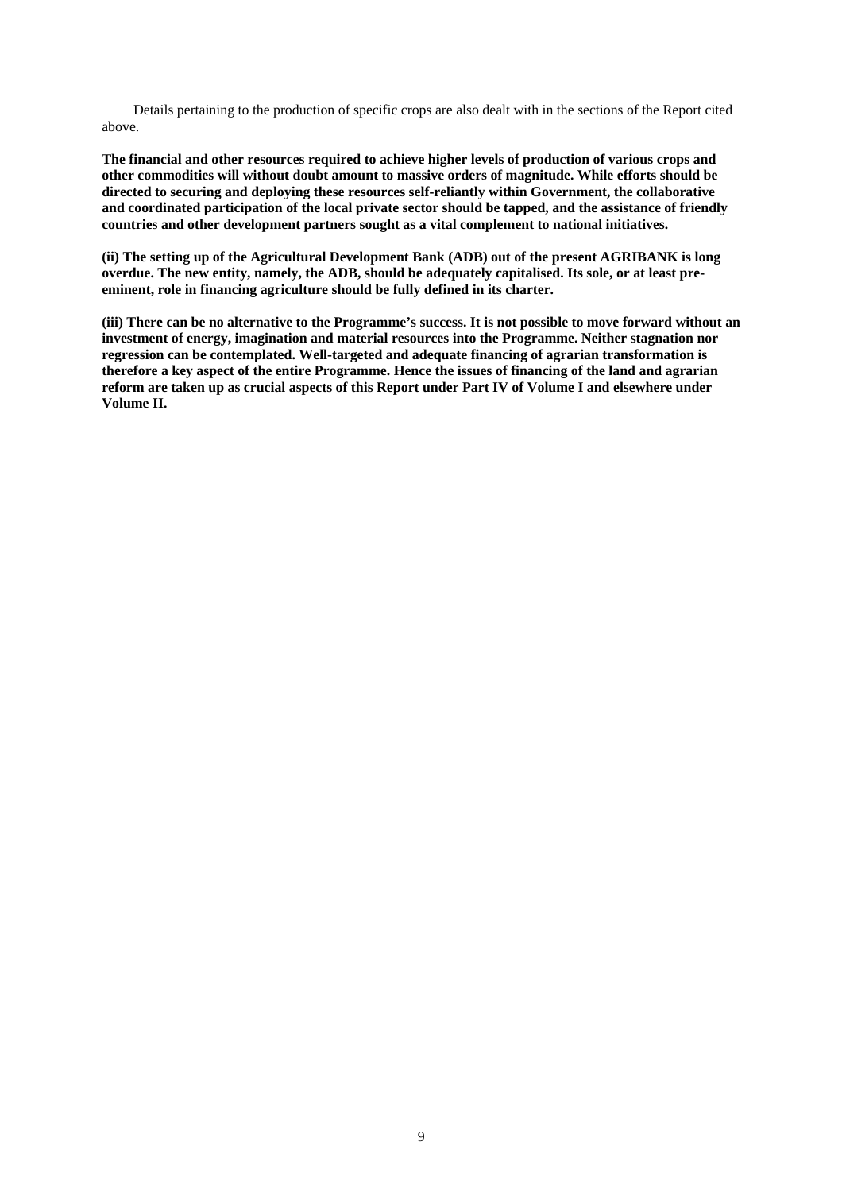Details pertaining to the production of specific crops are also dealt with in the sections of the Report cited above.

**The financial and other resources required to achieve higher levels of production of various crops and other commodities will without doubt amount to massive orders of magnitude. While efforts should be directed to securing and deploying these resources self-reliantly within Government, the collaborative and coordinated participation of the local private sector should be tapped, and the assistance of friendly countries and other development partners sought as a vital complement to national initiatives.** 

**(ii) The setting up of the Agricultural Development Bank (ADB) out of the present AGRIBANK is long overdue. The new entity, namely, the ADB, should be adequately capitalised. Its sole, or at least preeminent, role in financing agriculture should be fully defined in its charter.** 

**(iii) There can be no alternative to the Programme's success. It is not possible to move forward without an investment of energy, imagination and material resources into the Programme. Neither stagnation nor regression can be contemplated. Well-targeted and adequate financing of agrarian transformation is therefore a key aspect of the entire Programme. Hence the issues of financing of the land and agrarian reform are taken up as crucial aspects of this Report under Part IV of Volume I and elsewhere under Volume II.**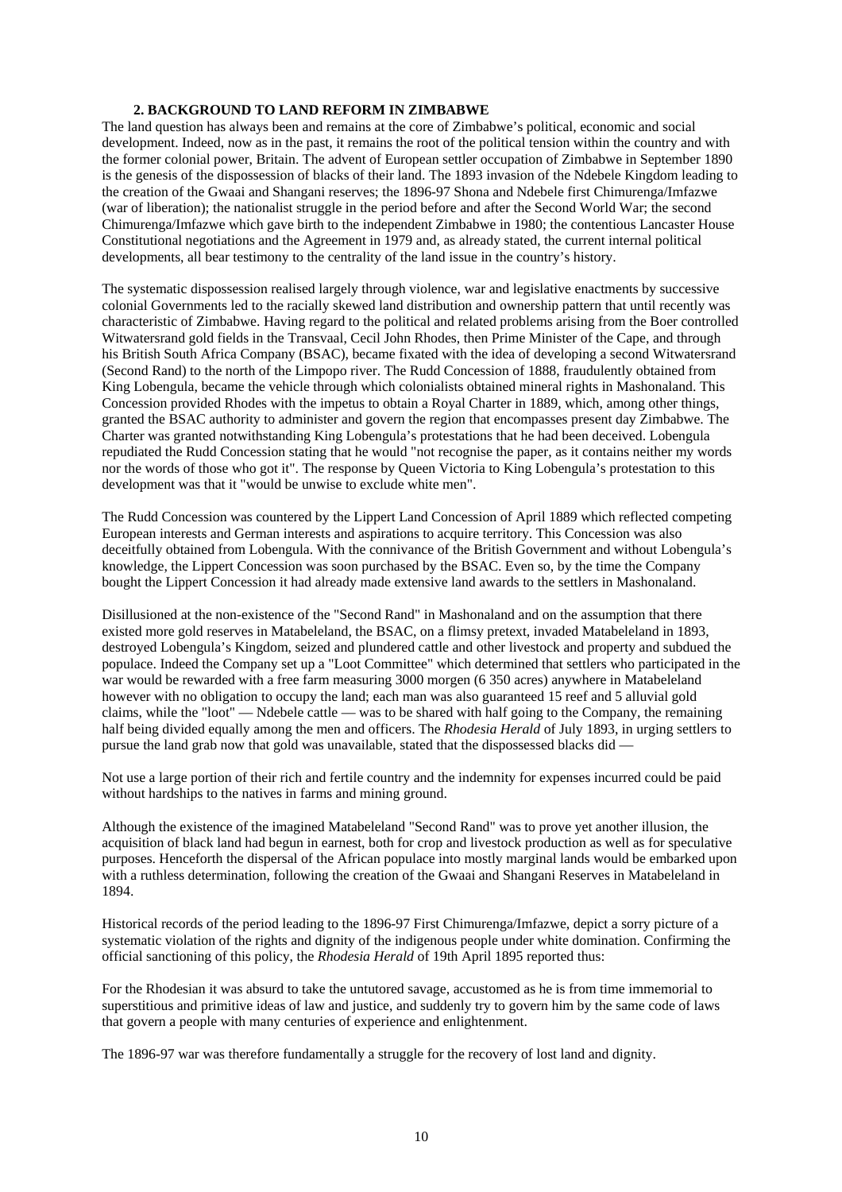### **2. BACKGROUND TO LAND REFORM IN ZIMBABWE**

The land question has always been and remains at the core of Zimbabwe's political, economic and social development. Indeed, now as in the past, it remains the root of the political tension within the country and with the former colonial power, Britain. The advent of European settler occupation of Zimbabwe in September 1890 is the genesis of the dispossession of blacks of their land. The 1893 invasion of the Ndebele Kingdom leading to the creation of the Gwaai and Shangani reserves; the 1896-97 Shona and Ndebele first Chimurenga/Imfazwe (war of liberation); the nationalist struggle in the period before and after the Second World War; the second Chimurenga/Imfazwe which gave birth to the independent Zimbabwe in 1980; the contentious Lancaster House Constitutional negotiations and the Agreement in 1979 and, as already stated, the current internal political developments, all bear testimony to the centrality of the land issue in the country's history.

The systematic dispossession realised largely through violence, war and legislative enactments by successive colonial Governments led to the racially skewed land distribution and ownership pattern that until recently was characteristic of Zimbabwe. Having regard to the political and related problems arising from the Boer controlled Witwatersrand gold fields in the Transvaal, Cecil John Rhodes, then Prime Minister of the Cape, and through his British South Africa Company (BSAC), became fixated with the idea of developing a second Witwatersrand (Second Rand) to the north of the Limpopo river. The Rudd Concession of 1888, fraudulently obtained from King Lobengula, became the vehicle through which colonialists obtained mineral rights in Mashonaland. This Concession provided Rhodes with the impetus to obtain a Royal Charter in 1889, which, among other things, granted the BSAC authority to administer and govern the region that encompasses present day Zimbabwe. The Charter was granted notwithstanding King Lobengula's protestations that he had been deceived. Lobengula repudiated the Rudd Concession stating that he would "not recognise the paper, as it contains neither my words nor the words of those who got it". The response by Queen Victoria to King Lobengula's protestation to this development was that it "would be unwise to exclude white men".

The Rudd Concession was countered by the Lippert Land Concession of April 1889 which reflected competing European interests and German interests and aspirations to acquire territory. This Concession was also deceitfully obtained from Lobengula. With the connivance of the British Government and without Lobengula's knowledge, the Lippert Concession was soon purchased by the BSAC. Even so, by the time the Company bought the Lippert Concession it had already made extensive land awards to the settlers in Mashonaland.

Disillusioned at the non-existence of the "Second Rand" in Mashonaland and on the assumption that there existed more gold reserves in Matabeleland, the BSAC, on a flimsy pretext, invaded Matabeleland in 1893, destroyed Lobengula's Kingdom, seized and plundered cattle and other livestock and property and subdued the populace. Indeed the Company set up a "Loot Committee" which determined that settlers who participated in the war would be rewarded with a free farm measuring 3000 morgen (6 350 acres) anywhere in Matabeleland however with no obligation to occupy the land; each man was also guaranteed 15 reef and 5 alluvial gold claims, while the "loot" — Ndebele cattle — was to be shared with half going to the Company, the remaining half being divided equally among the men and officers. The *Rhodesia Herald* of July 1893, in urging settlers to pursue the land grab now that gold was unavailable, stated that the dispossessed blacks did —

Not use a large portion of their rich and fertile country and the indemnity for expenses incurred could be paid without hardships to the natives in farms and mining ground.

Although the existence of the imagined Matabeleland "Second Rand" was to prove yet another illusion, the acquisition of black land had begun in earnest, both for crop and livestock production as well as for speculative purposes. Henceforth the dispersal of the African populace into mostly marginal lands would be embarked upon with a ruthless determination, following the creation of the Gwaai and Shangani Reserves in Matabeleland in 1894.

Historical records of the period leading to the 1896-97 First Chimurenga/Imfazwe, depict a sorry picture of a systematic violation of the rights and dignity of the indigenous people under white domination. Confirming the official sanctioning of this policy, the *Rhodesia Herald* of 19th April 1895 reported thus:

For the Rhodesian it was absurd to take the untutored savage, accustomed as he is from time immemorial to superstitious and primitive ideas of law and justice, and suddenly try to govern him by the same code of laws that govern a people with many centuries of experience and enlightenment.

The 1896-97 war was therefore fundamentally a struggle for the recovery of lost land and dignity.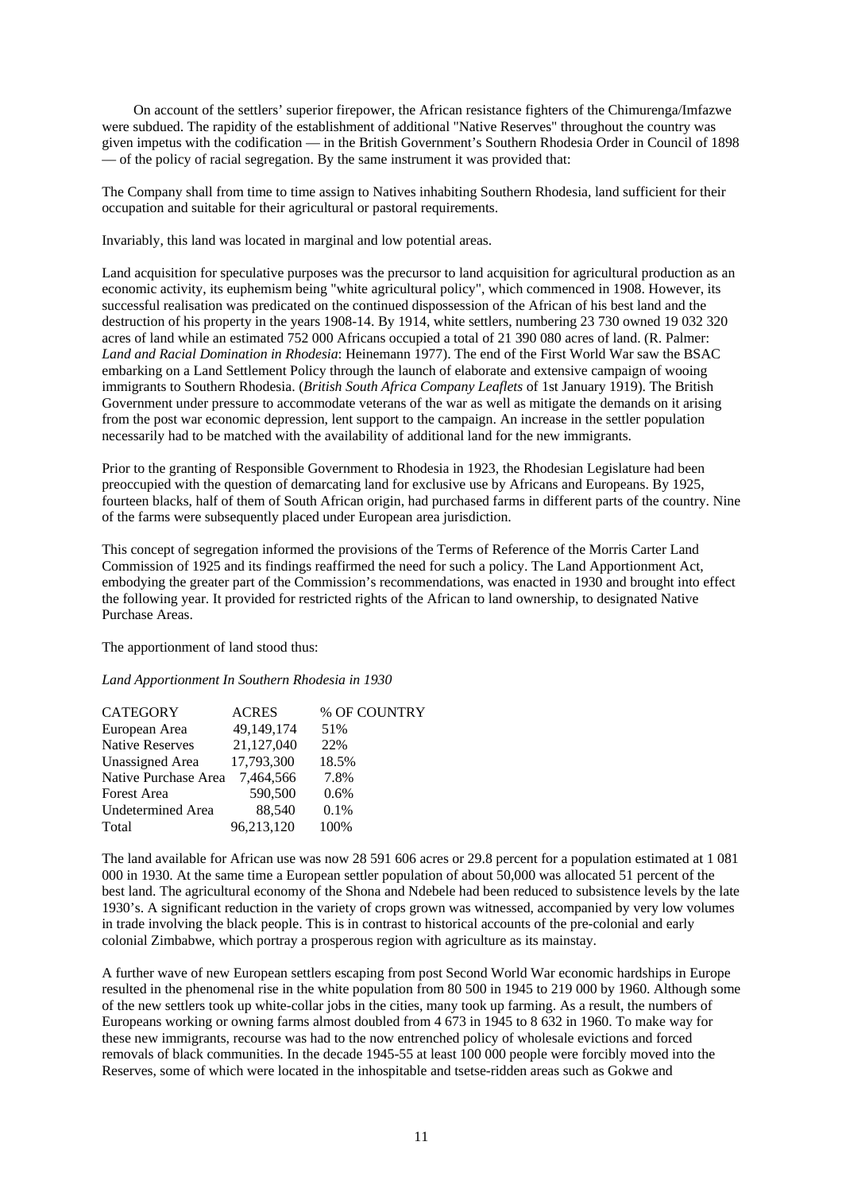On account of the settlers' superior firepower, the African resistance fighters of the Chimurenga/Imfazwe were subdued. The rapidity of the establishment of additional "Native Reserves" throughout the country was given impetus with the codification — in the British Government's Southern Rhodesia Order in Council of 1898 — of the policy of racial segregation. By the same instrument it was provided that:

The Company shall from time to time assign to Natives inhabiting Southern Rhodesia, land sufficient for their occupation and suitable for their agricultural or pastoral requirements.

Invariably, this land was located in marginal and low potential areas.

Land acquisition for speculative purposes was the precursor to land acquisition for agricultural production as an economic activity, its euphemism being "white agricultural policy", which commenced in 1908. However, its successful realisation was predicated on the continued dispossession of the African of his best land and the destruction of his property in the years 1908-14. By 1914, white settlers, numbering 23 730 owned 19 032 320 acres of land while an estimated 752 000 Africans occupied a total of 21 390 080 acres of land. (R. Palmer: *Land and Racial Domination in Rhodesia*: Heinemann 1977). The end of the First World War saw the BSAC embarking on a Land Settlement Policy through the launch of elaborate and extensive campaign of wooing immigrants to Southern Rhodesia. (*British South Africa Company Leaflets* of 1st January 1919). The British Government under pressure to accommodate veterans of the war as well as mitigate the demands on it arising from the post war economic depression, lent support to the campaign. An increase in the settler population necessarily had to be matched with the availability of additional land for the new immigrants.

Prior to the granting of Responsible Government to Rhodesia in 1923, the Rhodesian Legislature had been preoccupied with the question of demarcating land for exclusive use by Africans and Europeans. By 1925, fourteen blacks, half of them of South African origin, had purchased farms in different parts of the country. Nine of the farms were subsequently placed under European area jurisdiction.

This concept of segregation informed the provisions of the Terms of Reference of the Morris Carter Land Commission of 1925 and its findings reaffirmed the need for such a policy. The Land Apportionment Act, embodying the greater part of the Commission's recommendations, was enacted in 1930 and brought into effect the following year. It provided for restricted rights of the African to land ownership, to designated Native Purchase Areas.

The apportionment of land stood thus:

### *Land Apportionment In Southern Rhodesia in 1930*

| <b>CATEGORY</b>          | <b>ACRES</b> | % OF COUNTRY |
|--------------------------|--------------|--------------|
| European Area            | 49,149,174   | 51%          |
| Native Reserves          | 21,127,040   | 22%          |
| <b>Unassigned</b> Area   | 17,793,300   | 18.5%        |
| Native Purchase Area     | 7,464,566    | 7.8%         |
| <b>Forest Area</b>       | 590,500      | 0.6%         |
| <b>Undetermined Area</b> | 88.540       | $0.1\%$      |
| Total                    | 96,213,120   | 100%         |

The land available for African use was now 28 591 606 acres or 29.8 percent for a population estimated at 1 081 000 in 1930. At the same time a European settler population of about 50,000 was allocated 51 percent of the best land. The agricultural economy of the Shona and Ndebele had been reduced to subsistence levels by the late 1930's. A significant reduction in the variety of crops grown was witnessed, accompanied by very low volumes in trade involving the black people. This is in contrast to historical accounts of the pre-colonial and early colonial Zimbabwe, which portray a prosperous region with agriculture as its mainstay.

A further wave of new European settlers escaping from post Second World War economic hardships in Europe resulted in the phenomenal rise in the white population from 80 500 in 1945 to 219 000 by 1960. Although some of the new settlers took up white-collar jobs in the cities, many took up farming. As a result, the numbers of Europeans working or owning farms almost doubled from 4 673 in 1945 to 8 632 in 1960. To make way for these new immigrants, recourse was had to the now entrenched policy of wholesale evictions and forced removals of black communities. In the decade 1945-55 at least 100 000 people were forcibly moved into the Reserves, some of which were located in the inhospitable and tsetse-ridden areas such as Gokwe and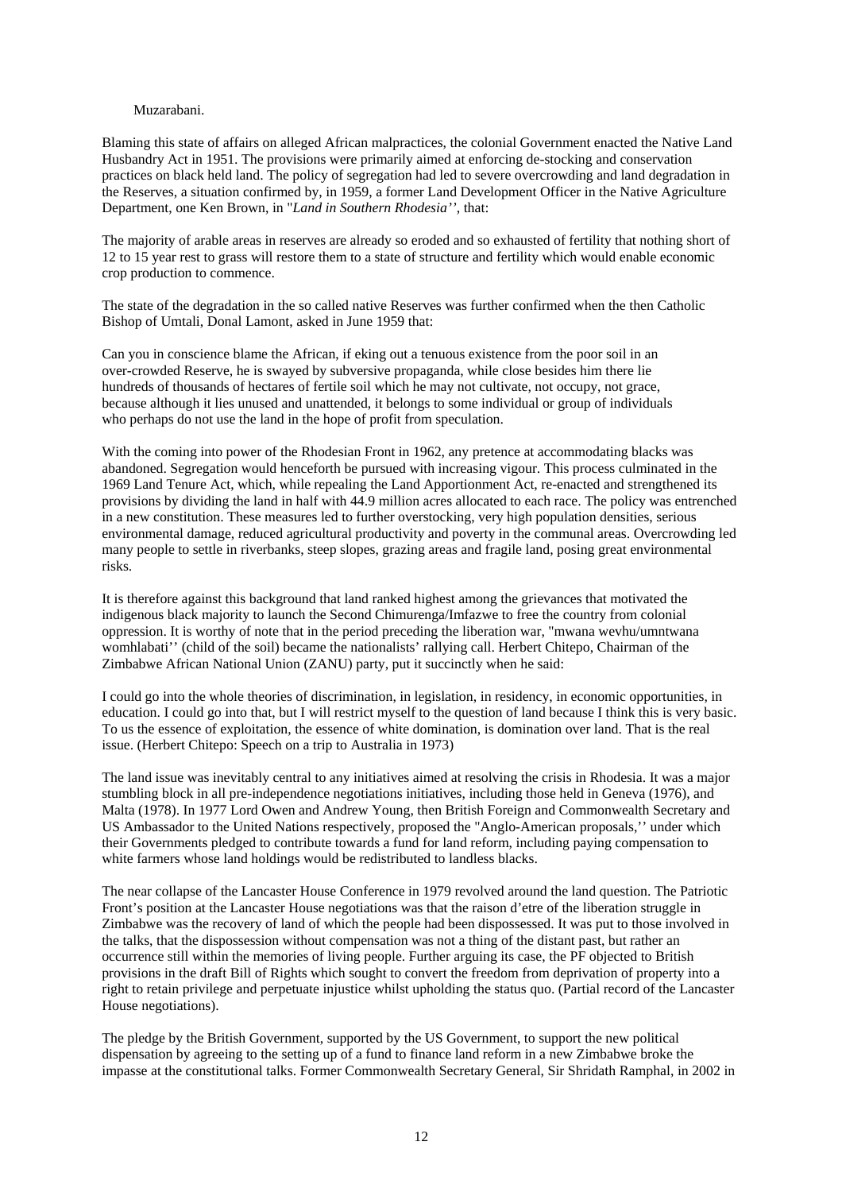### Muzarabani.

Blaming this state of affairs on alleged African malpractices, the colonial Government enacted the Native Land Husbandry Act in 1951. The provisions were primarily aimed at enforcing de-stocking and conservation practices on black held land. The policy of segregation had led to severe overcrowding and land degradation in the Reserves, a situation confirmed by, in 1959, a former Land Development Officer in the Native Agriculture Department, one Ken Brown, in "*Land in Southern Rhodesia''*, that:

The majority of arable areas in reserves are already so eroded and so exhausted of fertility that nothing short of 12 to 15 year rest to grass will restore them to a state of structure and fertility which would enable economic crop production to commence.

The state of the degradation in the so called native Reserves was further confirmed when the then Catholic Bishop of Umtali, Donal Lamont, asked in June 1959 that:

Can you in conscience blame the African, if eking out a tenuous existence from the poor soil in an over-crowded Reserve, he is swayed by subversive propaganda, while close besides him there lie hundreds of thousands of hectares of fertile soil which he may not cultivate, not occupy, not grace, because although it lies unused and unattended, it belongs to some individual or group of individuals who perhaps do not use the land in the hope of profit from speculation.

With the coming into power of the Rhodesian Front in 1962, any pretence at accommodating blacks was abandoned. Segregation would henceforth be pursued with increasing vigour. This process culminated in the 1969 Land Tenure Act, which, while repealing the Land Apportionment Act, re-enacted and strengthened its provisions by dividing the land in half with 44.9 million acres allocated to each race. The policy was entrenched in a new constitution. These measures led to further overstocking, very high population densities, serious environmental damage, reduced agricultural productivity and poverty in the communal areas. Overcrowding led many people to settle in riverbanks, steep slopes, grazing areas and fragile land, posing great environmental risks.

It is therefore against this background that land ranked highest among the grievances that motivated the indigenous black majority to launch the Second Chimurenga/Imfazwe to free the country from colonial oppression. It is worthy of note that in the period preceding the liberation war, "mwana wevhu/umntwana womhlabati'' (child of the soil) became the nationalists' rallying call. Herbert Chitepo, Chairman of the Zimbabwe African National Union (ZANU) party, put it succinctly when he said:

I could go into the whole theories of discrimination, in legislation, in residency, in economic opportunities, in education. I could go into that, but I will restrict myself to the question of land because I think this is very basic. To us the essence of exploitation, the essence of white domination, is domination over land. That is the real issue. (Herbert Chitepo: Speech on a trip to Australia in 1973)

The land issue was inevitably central to any initiatives aimed at resolving the crisis in Rhodesia. It was a major stumbling block in all pre-independence negotiations initiatives, including those held in Geneva (1976), and Malta (1978). In 1977 Lord Owen and Andrew Young, then British Foreign and Commonwealth Secretary and US Ambassador to the United Nations respectively, proposed the "Anglo-American proposals,'' under which their Governments pledged to contribute towards a fund for land reform, including paying compensation to white farmers whose land holdings would be redistributed to landless blacks.

The near collapse of the Lancaster House Conference in 1979 revolved around the land question. The Patriotic Front's position at the Lancaster House negotiations was that the raison d'etre of the liberation struggle in Zimbabwe was the recovery of land of which the people had been dispossessed. It was put to those involved in the talks, that the dispossession without compensation was not a thing of the distant past, but rather an occurrence still within the memories of living people. Further arguing its case, the PF objected to British provisions in the draft Bill of Rights which sought to convert the freedom from deprivation of property into a right to retain privilege and perpetuate injustice whilst upholding the status quo. (Partial record of the Lancaster House negotiations).

The pledge by the British Government, supported by the US Government, to support the new political dispensation by agreeing to the setting up of a fund to finance land reform in a new Zimbabwe broke the impasse at the constitutional talks. Former Commonwealth Secretary General, Sir Shridath Ramphal, in 2002 in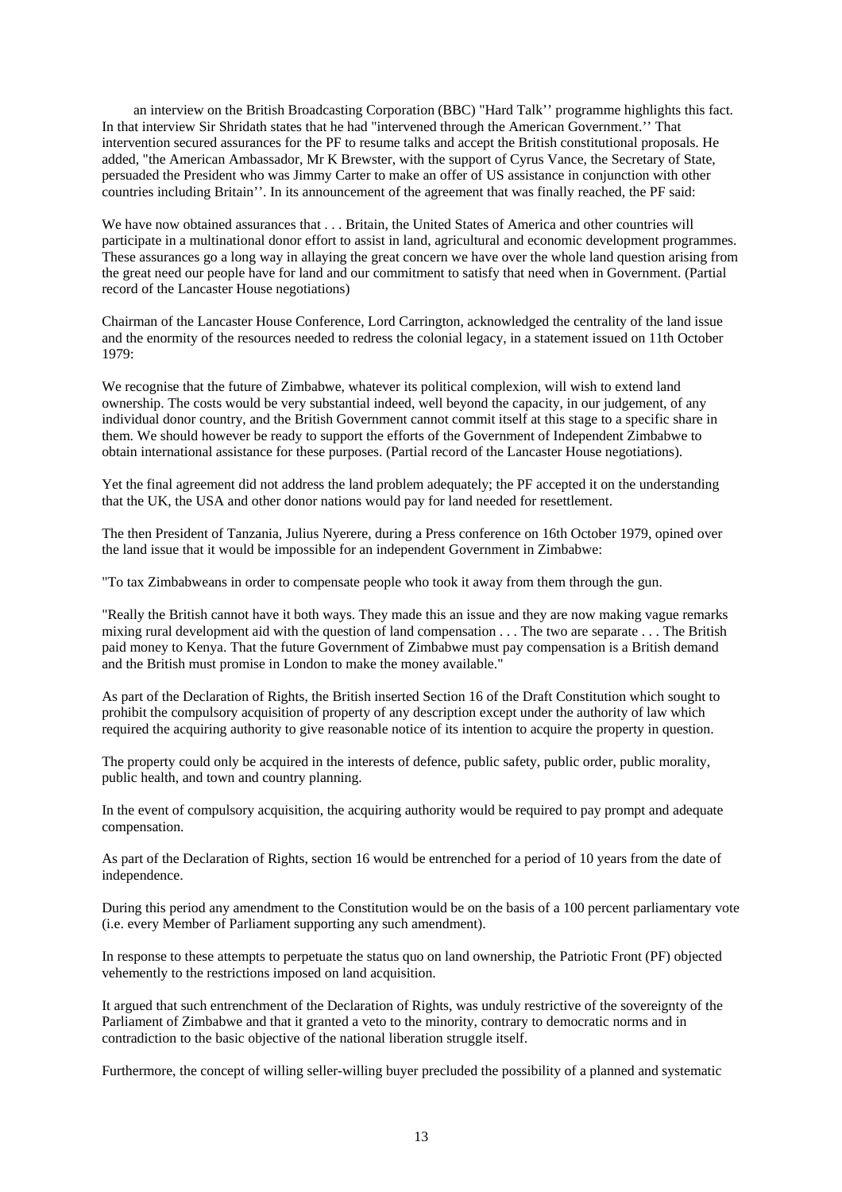an interview on the British Broadcasting Corporation (BBC) "Hard Talk'' programme highlights this fact. In that interview Sir Shridath states that he had "intervened through the American Government.'' That intervention secured assurances for the PF to resume talks and accept the British constitutional proposals. He added, "the American Ambassador, Mr K Brewster, with the support of Cyrus Vance, the Secretary of State, persuaded the President who was Jimmy Carter to make an offer of US assistance in conjunction with other countries including Britain''. In its announcement of the agreement that was finally reached, the PF said:

We have now obtained assurances that . . . Britain, the United States of America and other countries will participate in a multinational donor effort to assist in land, agricultural and economic development programmes. These assurances go a long way in allaying the great concern we have over the whole land question arising from the great need our people have for land and our commitment to satisfy that need when in Government. (Partial record of the Lancaster House negotiations)

Chairman of the Lancaster House Conference, Lord Carrington, acknowledged the centrality of the land issue and the enormity of the resources needed to redress the colonial legacy, in a statement issued on 11th October 1979:

We recognise that the future of Zimbabwe, whatever its political complexion, will wish to extend land ownership. The costs would be very substantial indeed, well beyond the capacity, in our judgement, of any individual donor country, and the British Government cannot commit itself at this stage to a specific share in them. We should however be ready to support the efforts of the Government of Independent Zimbabwe to obtain international assistance for these purposes. (Partial record of the Lancaster House negotiations).

Yet the final agreement did not address the land problem adequately; the PF accepted it on the understanding that the UK, the USA and other donor nations would pay for land needed for resettlement.

The then President of Tanzania, Julius Nyerere, during a Press conference on 16th October 1979, opined over the land issue that it would be impossible for an independent Government in Zimbabwe:

"To tax Zimbabweans in order to compensate people who took it away from them through the gun.

"Really the British cannot have it both ways. They made this an issue and they are now making vague remarks mixing rural development aid with the question of land compensation . . . The two are separate . . . The British paid money to Kenya. That the future Government of Zimbabwe must pay compensation is a British demand and the British must promise in London to make the money available."

As part of the Declaration of Rights, the British inserted Section 16 of the Draft Constitution which sought to prohibit the compulsory acquisition of property of any description except under the authority of law which required the acquiring authority to give reasonable notice of its intention to acquire the property in question.

The property could only be acquired in the interests of defence, public safety, public order, public morality, public health, and town and country planning.

In the event of compulsory acquisition, the acquiring authority would be required to pay prompt and adequate compensation.

As part of the Declaration of Rights, section 16 would be entrenched for a period of 10 years from the date of independence.

During this period any amendment to the Constitution would be on the basis of a 100 percent parliamentary vote (i.e. every Member of Parliament supporting any such amendment).

In response to these attempts to perpetuate the status quo on land ownership, the Patriotic Front (PF) objected vehemently to the restrictions imposed on land acquisition.

It argued that such entrenchment of the Declaration of Rights, was unduly restrictive of the sovereignty of the Parliament of Zimbabwe and that it granted a veto to the minority, contrary to democratic norms and in contradiction to the basic objective of the national liberation struggle itself.

Furthermore, the concept of willing seller-willing buyer precluded the possibility of a planned and systematic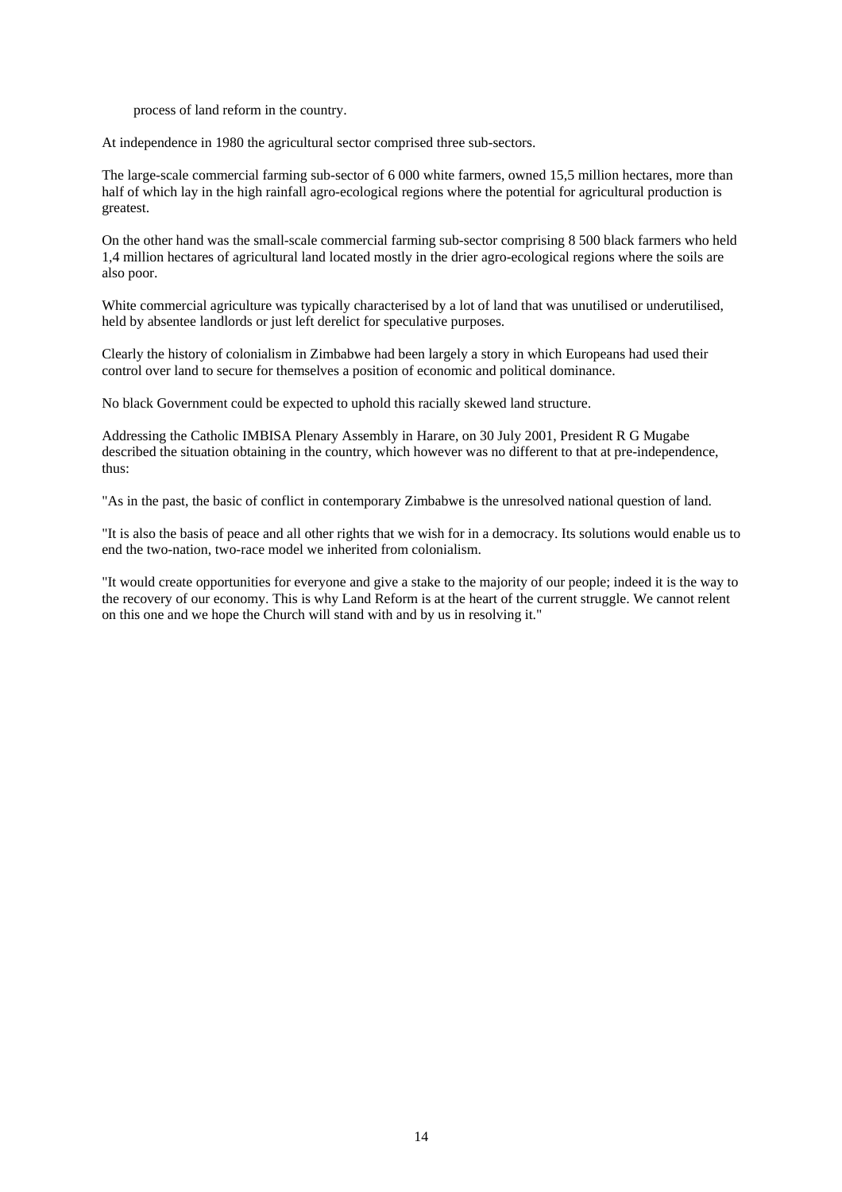process of land reform in the country.

At independence in 1980 the agricultural sector comprised three sub-sectors.

The large-scale commercial farming sub-sector of 6 000 white farmers, owned 15,5 million hectares, more than half of which lay in the high rainfall agro-ecological regions where the potential for agricultural production is greatest.

On the other hand was the small-scale commercial farming sub-sector comprising 8 500 black farmers who held 1,4 million hectares of agricultural land located mostly in the drier agro-ecological regions where the soils are also poor.

White commercial agriculture was typically characterised by a lot of land that was unutilised or underutilised, held by absentee landlords or just left derelict for speculative purposes.

Clearly the history of colonialism in Zimbabwe had been largely a story in which Europeans had used their control over land to secure for themselves a position of economic and political dominance.

No black Government could be expected to uphold this racially skewed land structure.

Addressing the Catholic IMBISA Plenary Assembly in Harare, on 30 July 2001, President R G Mugabe described the situation obtaining in the country, which however was no different to that at pre-independence, thus:

"As in the past, the basic of conflict in contemporary Zimbabwe is the unresolved national question of land.

"It is also the basis of peace and all other rights that we wish for in a democracy. Its solutions would enable us to end the two-nation, two-race model we inherited from colonialism.

"It would create opportunities for everyone and give a stake to the majority of our people; indeed it is the way to the recovery of our economy. This is why Land Reform is at the heart of the current struggle. We cannot relent on this one and we hope the Church will stand with and by us in resolving it."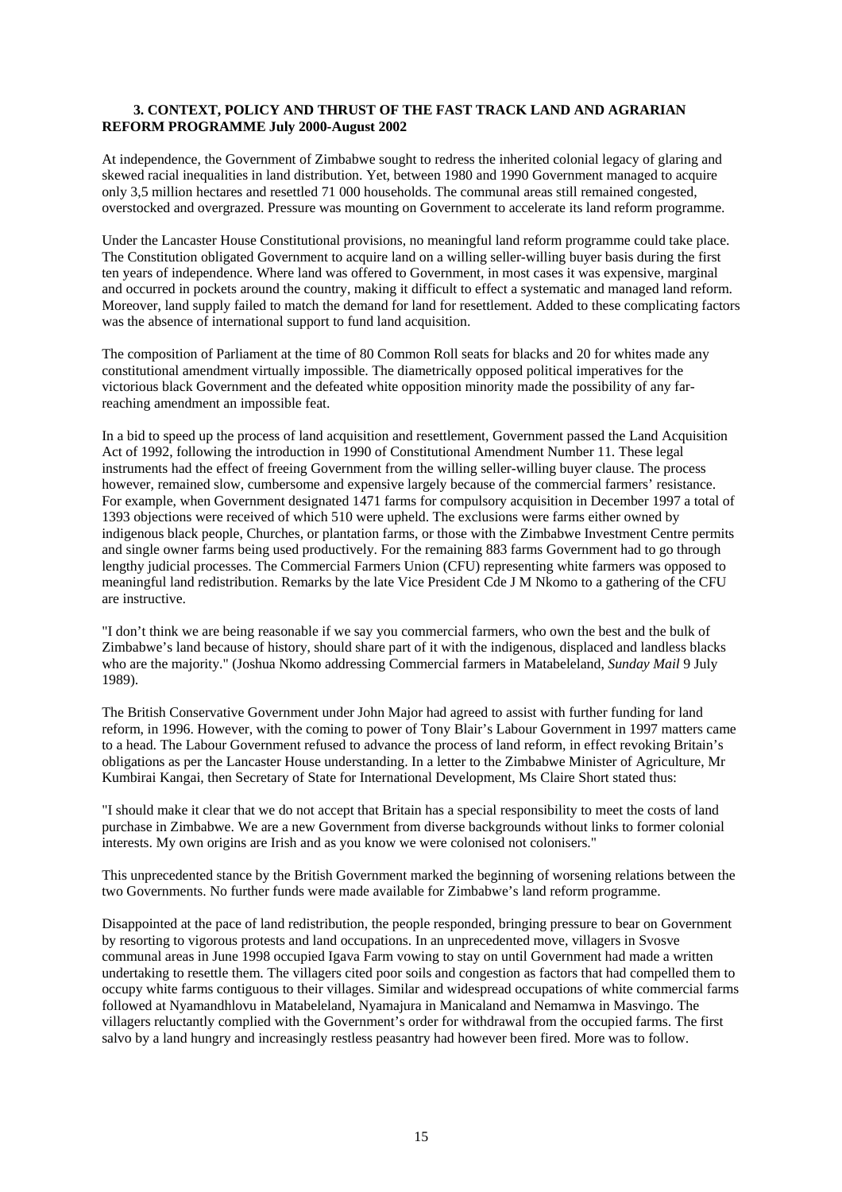### **3. CONTEXT, POLICY AND THRUST OF THE FAST TRACK LAND AND AGRARIAN REFORM PROGRAMME July 2000-August 2002**

At independence, the Government of Zimbabwe sought to redress the inherited colonial legacy of glaring and skewed racial inequalities in land distribution. Yet, between 1980 and 1990 Government managed to acquire only 3,5 million hectares and resettled 71 000 households. The communal areas still remained congested, overstocked and overgrazed. Pressure was mounting on Government to accelerate its land reform programme.

Under the Lancaster House Constitutional provisions, no meaningful land reform programme could take place. The Constitution obligated Government to acquire land on a willing seller-willing buyer basis during the first ten years of independence. Where land was offered to Government, in most cases it was expensive, marginal and occurred in pockets around the country, making it difficult to effect a systematic and managed land reform. Moreover, land supply failed to match the demand for land for resettlement. Added to these complicating factors was the absence of international support to fund land acquisition.

The composition of Parliament at the time of 80 Common Roll seats for blacks and 20 for whites made any constitutional amendment virtually impossible. The diametrically opposed political imperatives for the victorious black Government and the defeated white opposition minority made the possibility of any farreaching amendment an impossible feat.

In a bid to speed up the process of land acquisition and resettlement, Government passed the Land Acquisition Act of 1992, following the introduction in 1990 of Constitutional Amendment Number 11. These legal instruments had the effect of freeing Government from the willing seller-willing buyer clause. The process however, remained slow, cumbersome and expensive largely because of the commercial farmers' resistance. For example, when Government designated 1471 farms for compulsory acquisition in December 1997 a total of 1393 objections were received of which 510 were upheld. The exclusions were farms either owned by indigenous black people, Churches, or plantation farms, or those with the Zimbabwe Investment Centre permits and single owner farms being used productively. For the remaining 883 farms Government had to go through lengthy judicial processes. The Commercial Farmers Union (CFU) representing white farmers was opposed to meaningful land redistribution. Remarks by the late Vice President Cde J M Nkomo to a gathering of the CFU are instructive.

"I don't think we are being reasonable if we say you commercial farmers, who own the best and the bulk of Zimbabwe's land because of history, should share part of it with the indigenous, displaced and landless blacks who are the majority." (Joshua Nkomo addressing Commercial farmers in Matabeleland, *Sunday Mail* 9 July 1989).

The British Conservative Government under John Major had agreed to assist with further funding for land reform, in 1996. However, with the coming to power of Tony Blair's Labour Government in 1997 matters came to a head. The Labour Government refused to advance the process of land reform, in effect revoking Britain's obligations as per the Lancaster House understanding. In a letter to the Zimbabwe Minister of Agriculture, Mr Kumbirai Kangai, then Secretary of State for International Development, Ms Claire Short stated thus:

"I should make it clear that we do not accept that Britain has a special responsibility to meet the costs of land purchase in Zimbabwe. We are a new Government from diverse backgrounds without links to former colonial interests. My own origins are Irish and as you know we were colonised not colonisers."

This unprecedented stance by the British Government marked the beginning of worsening relations between the two Governments. No further funds were made available for Zimbabwe's land reform programme.

Disappointed at the pace of land redistribution, the people responded, bringing pressure to bear on Government by resorting to vigorous protests and land occupations. In an unprecedented move, villagers in Svosve communal areas in June 1998 occupied Igava Farm vowing to stay on until Government had made a written undertaking to resettle them. The villagers cited poor soils and congestion as factors that had compelled them to occupy white farms contiguous to their villages. Similar and widespread occupations of white commercial farms followed at Nyamandhlovu in Matabeleland, Nyamajura in Manicaland and Nemamwa in Masvingo. The villagers reluctantly complied with the Government's order for withdrawal from the occupied farms. The first salvo by a land hungry and increasingly restless peasantry had however been fired. More was to follow.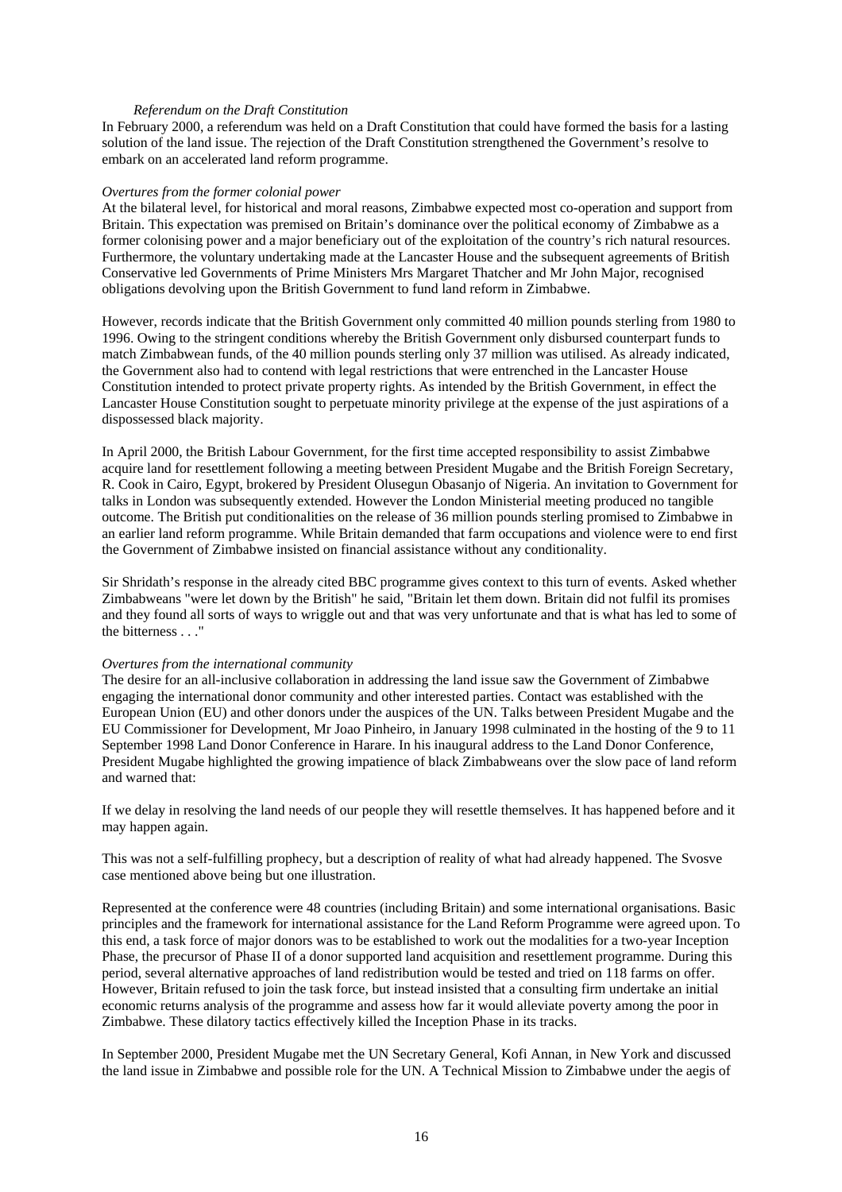#### *Referendum on the Draft Constitution*

In February 2000, a referendum was held on a Draft Constitution that could have formed the basis for a lasting solution of the land issue. The rejection of the Draft Constitution strengthened the Government's resolve to embark on an accelerated land reform programme.

#### *Overtures from the former colonial power*

At the bilateral level, for historical and moral reasons, Zimbabwe expected most co-operation and support from Britain. This expectation was premised on Britain's dominance over the political economy of Zimbabwe as a former colonising power and a major beneficiary out of the exploitation of the country's rich natural resources. Furthermore, the voluntary undertaking made at the Lancaster House and the subsequent agreements of British Conservative led Governments of Prime Ministers Mrs Margaret Thatcher and Mr John Major, recognised obligations devolving upon the British Government to fund land reform in Zimbabwe.

However, records indicate that the British Government only committed 40 million pounds sterling from 1980 to 1996. Owing to the stringent conditions whereby the British Government only disbursed counterpart funds to match Zimbabwean funds, of the 40 million pounds sterling only 37 million was utilised. As already indicated, the Government also had to contend with legal restrictions that were entrenched in the Lancaster House Constitution intended to protect private property rights. As intended by the British Government, in effect the Lancaster House Constitution sought to perpetuate minority privilege at the expense of the just aspirations of a dispossessed black majority.

In April 2000, the British Labour Government, for the first time accepted responsibility to assist Zimbabwe acquire land for resettlement following a meeting between President Mugabe and the British Foreign Secretary, R. Cook in Cairo, Egypt, brokered by President Olusegun Obasanjo of Nigeria. An invitation to Government for talks in London was subsequently extended. However the London Ministerial meeting produced no tangible outcome. The British put conditionalities on the release of 36 million pounds sterling promised to Zimbabwe in an earlier land reform programme. While Britain demanded that farm occupations and violence were to end first the Government of Zimbabwe insisted on financial assistance without any conditionality.

Sir Shridath's response in the already cited BBC programme gives context to this turn of events. Asked whether Zimbabweans "were let down by the British" he said, "Britain let them down. Britain did not fulfil its promises and they found all sorts of ways to wriggle out and that was very unfortunate and that is what has led to some of the bitterness . . ."

### *Overtures from the international community*

The desire for an all-inclusive collaboration in addressing the land issue saw the Government of Zimbabwe engaging the international donor community and other interested parties. Contact was established with the European Union (EU) and other donors under the auspices of the UN. Talks between President Mugabe and the EU Commissioner for Development, Mr Joao Pinheiro, in January 1998 culminated in the hosting of the 9 to 11 September 1998 Land Donor Conference in Harare. In his inaugural address to the Land Donor Conference, President Mugabe highlighted the growing impatience of black Zimbabweans over the slow pace of land reform and warned that:

If we delay in resolving the land needs of our people they will resettle themselves. It has happened before and it may happen again.

This was not a self-fulfilling prophecy, but a description of reality of what had already happened. The Svosve case mentioned above being but one illustration.

Represented at the conference were 48 countries (including Britain) and some international organisations. Basic principles and the framework for international assistance for the Land Reform Programme were agreed upon. To this end, a task force of major donors was to be established to work out the modalities for a two-year Inception Phase, the precursor of Phase II of a donor supported land acquisition and resettlement programme. During this period, several alternative approaches of land redistribution would be tested and tried on 118 farms on offer. However, Britain refused to join the task force, but instead insisted that a consulting firm undertake an initial economic returns analysis of the programme and assess how far it would alleviate poverty among the poor in Zimbabwe. These dilatory tactics effectively killed the Inception Phase in its tracks.

In September 2000, President Mugabe met the UN Secretary General, Kofi Annan, in New York and discussed the land issue in Zimbabwe and possible role for the UN. A Technical Mission to Zimbabwe under the aegis of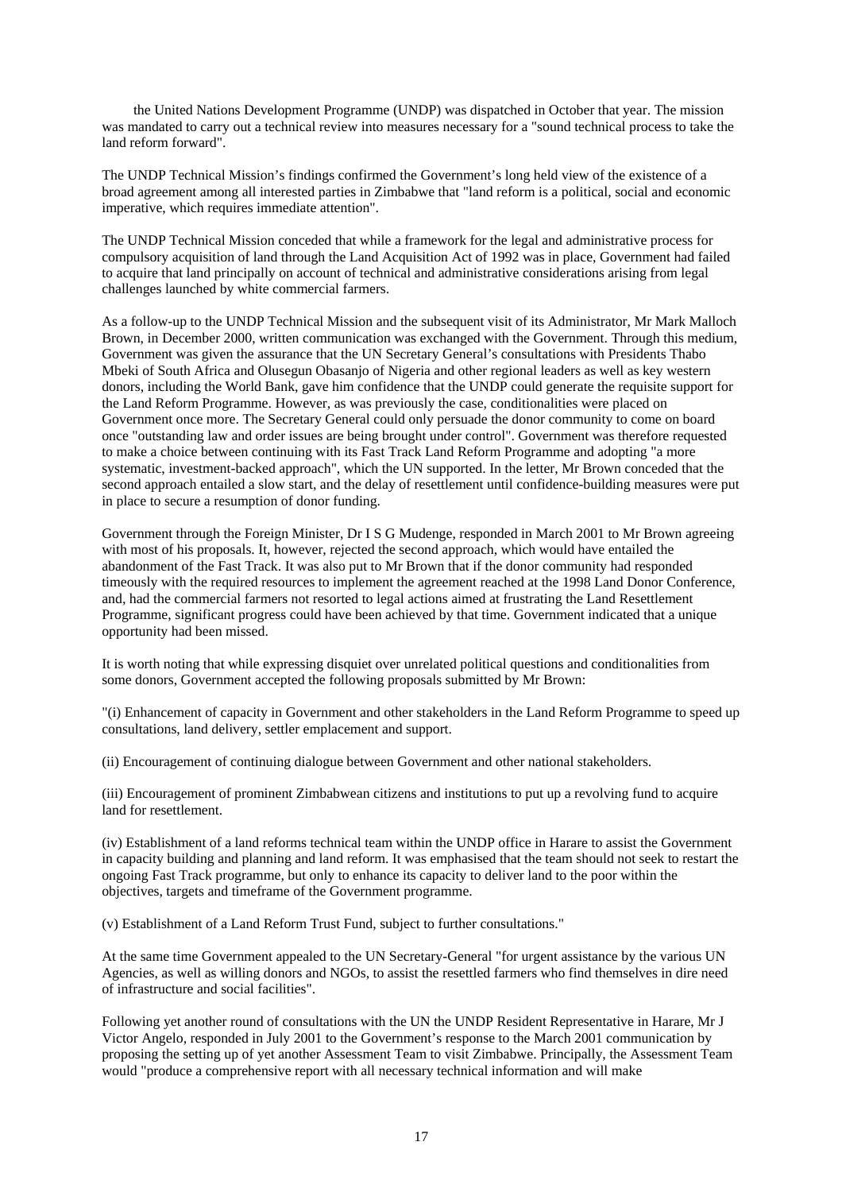the United Nations Development Programme (UNDP) was dispatched in October that year. The mission was mandated to carry out a technical review into measures necessary for a "sound technical process to take the land reform forward".

The UNDP Technical Mission's findings confirmed the Government's long held view of the existence of a broad agreement among all interested parties in Zimbabwe that "land reform is a political, social and economic imperative, which requires immediate attention".

The UNDP Technical Mission conceded that while a framework for the legal and administrative process for compulsory acquisition of land through the Land Acquisition Act of 1992 was in place, Government had failed to acquire that land principally on account of technical and administrative considerations arising from legal challenges launched by white commercial farmers.

As a follow-up to the UNDP Technical Mission and the subsequent visit of its Administrator, Mr Mark Malloch Brown, in December 2000, written communication was exchanged with the Government. Through this medium, Government was given the assurance that the UN Secretary General's consultations with Presidents Thabo Mbeki of South Africa and Olusegun Obasanjo of Nigeria and other regional leaders as well as key western donors, including the World Bank, gave him confidence that the UNDP could generate the requisite support for the Land Reform Programme. However, as was previously the case, conditionalities were placed on Government once more. The Secretary General could only persuade the donor community to come on board once "outstanding law and order issues are being brought under control". Government was therefore requested to make a choice between continuing with its Fast Track Land Reform Programme and adopting "a more systematic, investment-backed approach", which the UN supported. In the letter, Mr Brown conceded that the second approach entailed a slow start, and the delay of resettlement until confidence-building measures were put in place to secure a resumption of donor funding.

Government through the Foreign Minister, Dr I S G Mudenge, responded in March 2001 to Mr Brown agreeing with most of his proposals. It, however, rejected the second approach, which would have entailed the abandonment of the Fast Track. It was also put to Mr Brown that if the donor community had responded timeously with the required resources to implement the agreement reached at the 1998 Land Donor Conference, and, had the commercial farmers not resorted to legal actions aimed at frustrating the Land Resettlement Programme, significant progress could have been achieved by that time. Government indicated that a unique opportunity had been missed.

It is worth noting that while expressing disquiet over unrelated political questions and conditionalities from some donors, Government accepted the following proposals submitted by Mr Brown:

"(i) Enhancement of capacity in Government and other stakeholders in the Land Reform Programme to speed up consultations, land delivery, settler emplacement and support.

(ii) Encouragement of continuing dialogue between Government and other national stakeholders.

(iii) Encouragement of prominent Zimbabwean citizens and institutions to put up a revolving fund to acquire land for resettlement.

(iv) Establishment of a land reforms technical team within the UNDP office in Harare to assist the Government in capacity building and planning and land reform. It was emphasised that the team should not seek to restart the ongoing Fast Track programme, but only to enhance its capacity to deliver land to the poor within the objectives, targets and timeframe of the Government programme.

(v) Establishment of a Land Reform Trust Fund, subject to further consultations."

At the same time Government appealed to the UN Secretary-General "for urgent assistance by the various UN Agencies, as well as willing donors and NGOs, to assist the resettled farmers who find themselves in dire need of infrastructure and social facilities".

Following yet another round of consultations with the UN the UNDP Resident Representative in Harare, Mr J Victor Angelo, responded in July 2001 to the Government's response to the March 2001 communication by proposing the setting up of yet another Assessment Team to visit Zimbabwe. Principally, the Assessment Team would "produce a comprehensive report with all necessary technical information and will make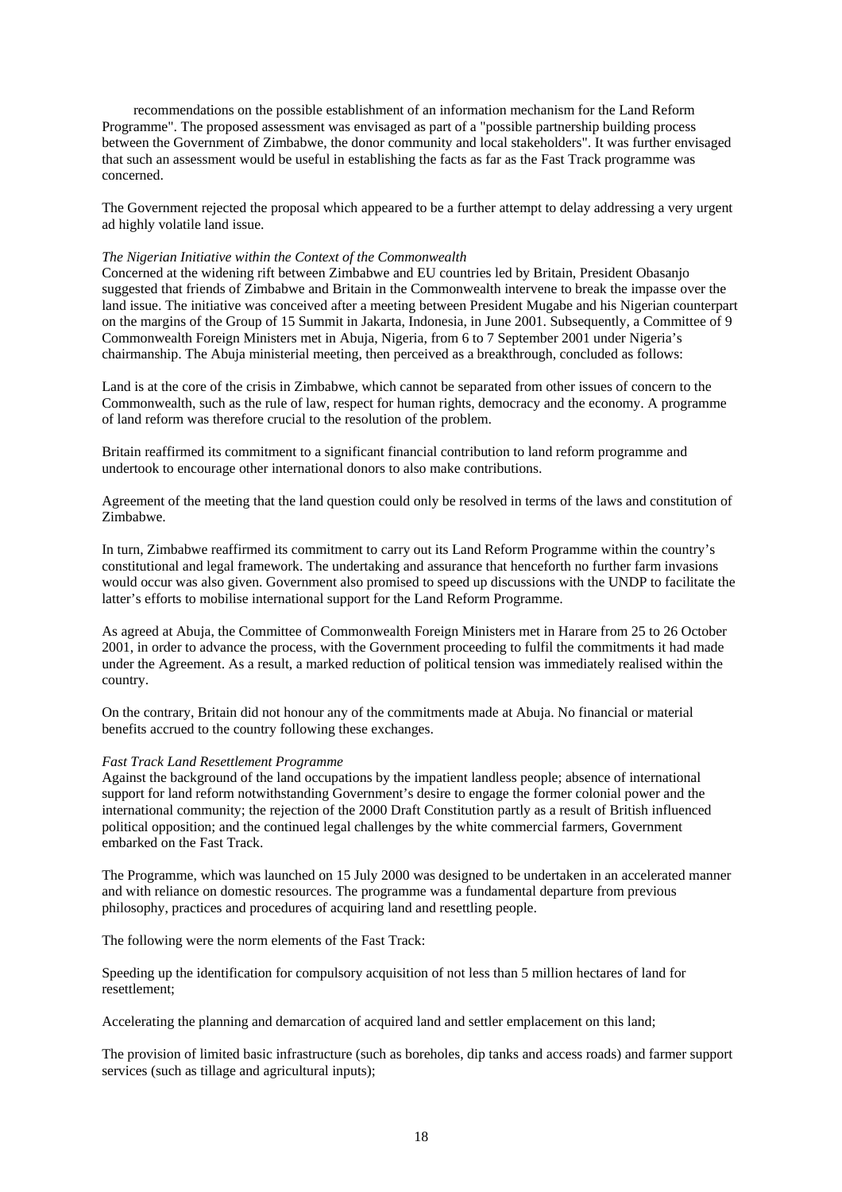recommendations on the possible establishment of an information mechanism for the Land Reform Programme". The proposed assessment was envisaged as part of a "possible partnership building process between the Government of Zimbabwe, the donor community and local stakeholders". It was further envisaged that such an assessment would be useful in establishing the facts as far as the Fast Track programme was concerned.

The Government rejected the proposal which appeared to be a further attempt to delay addressing a very urgent ad highly volatile land issue.

### *The Nigerian Initiative within the Context of the Commonwealth*

Concerned at the widening rift between Zimbabwe and EU countries led by Britain, President Obasanjo suggested that friends of Zimbabwe and Britain in the Commonwealth intervene to break the impasse over the land issue. The initiative was conceived after a meeting between President Mugabe and his Nigerian counterpart on the margins of the Group of 15 Summit in Jakarta, Indonesia, in June 2001. Subsequently, a Committee of 9 Commonwealth Foreign Ministers met in Abuja, Nigeria, from 6 to 7 September 2001 under Nigeria's chairmanship. The Abuja ministerial meeting, then perceived as a breakthrough, concluded as follows:

Land is at the core of the crisis in Zimbabwe, which cannot be separated from other issues of concern to the Commonwealth, such as the rule of law, respect for human rights, democracy and the economy. A programme of land reform was therefore crucial to the resolution of the problem.

Britain reaffirmed its commitment to a significant financial contribution to land reform programme and undertook to encourage other international donors to also make contributions.

Agreement of the meeting that the land question could only be resolved in terms of the laws and constitution of Zimbabwe.

In turn, Zimbabwe reaffirmed its commitment to carry out its Land Reform Programme within the country's constitutional and legal framework. The undertaking and assurance that henceforth no further farm invasions would occur was also given. Government also promised to speed up discussions with the UNDP to facilitate the latter's efforts to mobilise international support for the Land Reform Programme.

As agreed at Abuja, the Committee of Commonwealth Foreign Ministers met in Harare from 25 to 26 October 2001, in order to advance the process, with the Government proceeding to fulfil the commitments it had made under the Agreement. As a result, a marked reduction of political tension was immediately realised within the country.

On the contrary, Britain did not honour any of the commitments made at Abuja. No financial or material benefits accrued to the country following these exchanges.

#### *Fast Track Land Resettlement Programme*

Against the background of the land occupations by the impatient landless people; absence of international support for land reform notwithstanding Government's desire to engage the former colonial power and the international community; the rejection of the 2000 Draft Constitution partly as a result of British influenced political opposition; and the continued legal challenges by the white commercial farmers, Government embarked on the Fast Track.

The Programme, which was launched on 15 July 2000 was designed to be undertaken in an accelerated manner and with reliance on domestic resources. The programme was a fundamental departure from previous philosophy, practices and procedures of acquiring land and resettling people.

The following were the norm elements of the Fast Track:

Speeding up the identification for compulsory acquisition of not less than 5 million hectares of land for resettlement;

Accelerating the planning and demarcation of acquired land and settler emplacement on this land;

The provision of limited basic infrastructure (such as boreholes, dip tanks and access roads) and farmer support services (such as tillage and agricultural inputs);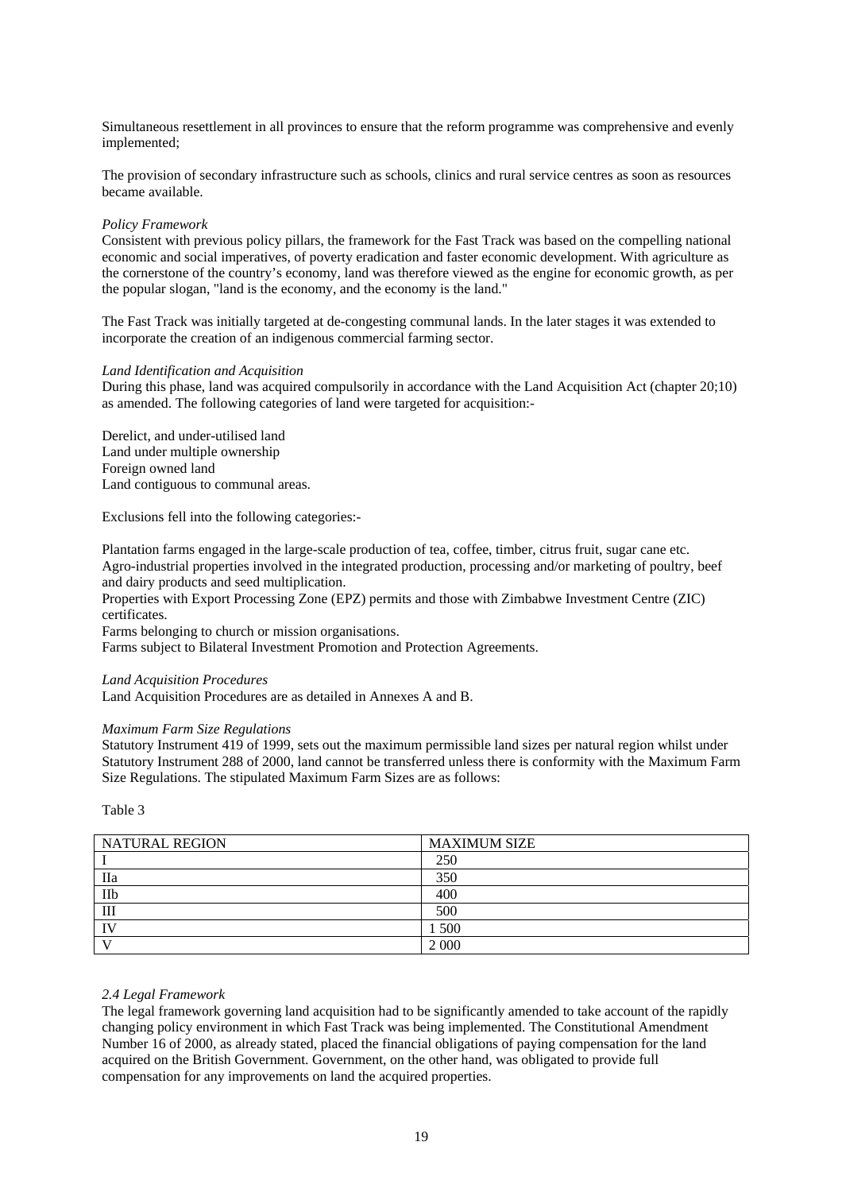Simultaneous resettlement in all provinces to ensure that the reform programme was comprehensive and evenly implemented;

The provision of secondary infrastructure such as schools, clinics and rural service centres as soon as resources became available.

### *Policy Framework*

Consistent with previous policy pillars, the framework for the Fast Track was based on the compelling national economic and social imperatives, of poverty eradication and faster economic development. With agriculture as the cornerstone of the country's economy, land was therefore viewed as the engine for economic growth, as per the popular slogan, "land is the economy, and the economy is the land."

The Fast Track was initially targeted at de-congesting communal lands. In the later stages it was extended to incorporate the creation of an indigenous commercial farming sector.

### *Land Identification and Acquisition*

During this phase, land was acquired compulsorily in accordance with the Land Acquisition Act (chapter 20;10) as amended. The following categories of land were targeted for acquisition:-

Derelict, and under-utilised land Land under multiple ownership Foreign owned land Land contiguous to communal areas.

Exclusions fell into the following categories:-

Plantation farms engaged in the large-scale production of tea, coffee, timber, citrus fruit, sugar cane etc. Agro-industrial properties involved in the integrated production, processing and/or marketing of poultry, beef and dairy products and seed multiplication.

Properties with Export Processing Zone (EPZ) permits and those with Zimbabwe Investment Centre (ZIC) certificates.

Farms belonging to church or mission organisations.

Farms subject to Bilateral Investment Promotion and Protection Agreements.

### *Land Acquisition Procedures*

Land Acquisition Procedures are as detailed in Annexes A and B.

### *Maximum Farm Size Regulations*

Statutory Instrument 419 of 1999, sets out the maximum permissible land sizes per natural region whilst under Statutory Instrument 288 of 2000, land cannot be transferred unless there is conformity with the Maximum Farm Size Regulations. The stipulated Maximum Farm Sizes are as follows:

Table 3

| <b>NATURAL REGION</b> | <b>MAXIMUM SIZE</b> |
|-----------------------|---------------------|
|                       | 250                 |
| Пa                    | 350                 |
| IIb                   | 400                 |
| III                   | 500                 |
| $\mathbf{I}$          | 500                 |
|                       | 2 0 0 0             |

### *2.4 Legal Framework*

The legal framework governing land acquisition had to be significantly amended to take account of the rapidly changing policy environment in which Fast Track was being implemented. The Constitutional Amendment Number 16 of 2000, as already stated, placed the financial obligations of paying compensation for the land acquired on the British Government. Government, on the other hand, was obligated to provide full compensation for any improvements on land the acquired properties.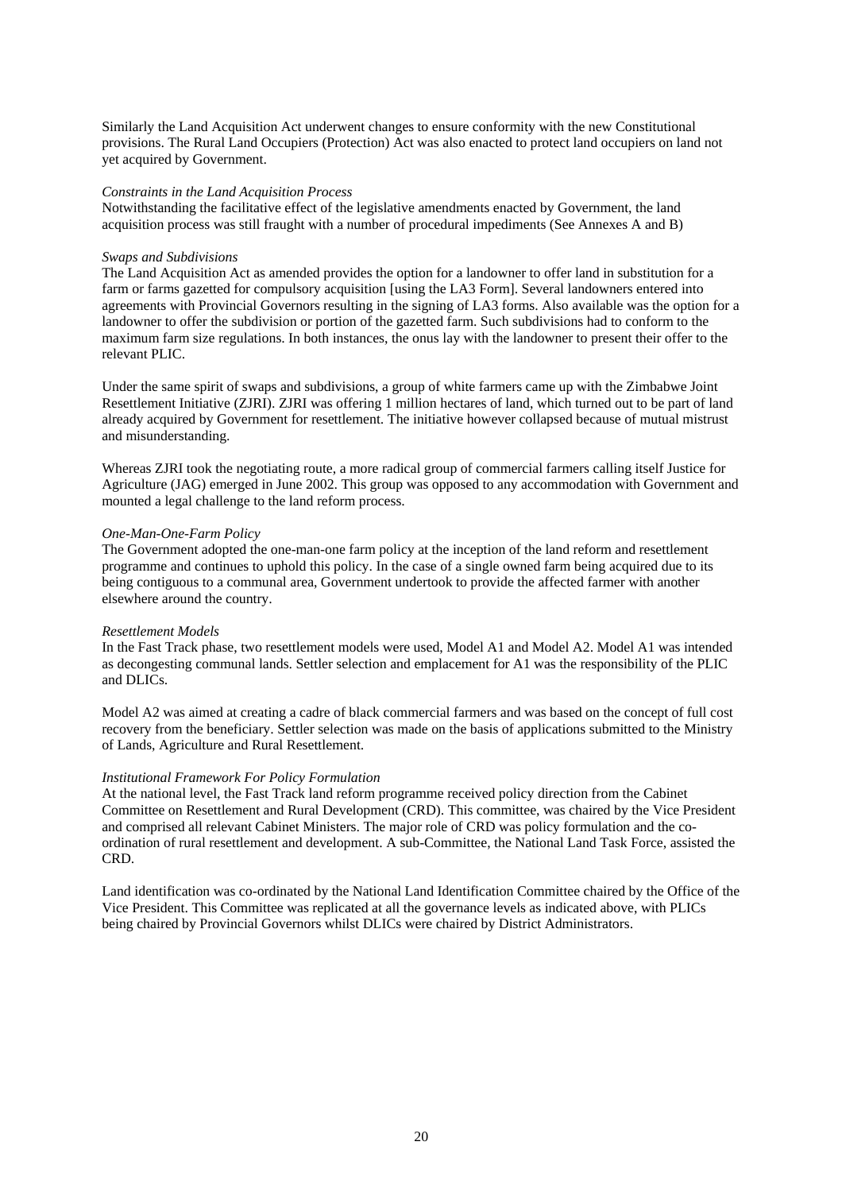Similarly the Land Acquisition Act underwent changes to ensure conformity with the new Constitutional provisions. The Rural Land Occupiers (Protection) Act was also enacted to protect land occupiers on land not yet acquired by Government.

### *Constraints in the Land Acquisition Process*

Notwithstanding the facilitative effect of the legislative amendments enacted by Government, the land acquisition process was still fraught with a number of procedural impediments (See Annexes A and B)

### *Swaps and Subdivisions*

The Land Acquisition Act as amended provides the option for a landowner to offer land in substitution for a farm or farms gazetted for compulsory acquisition [using the LA3 Form]. Several landowners entered into agreements with Provincial Governors resulting in the signing of LA3 forms. Also available was the option for a landowner to offer the subdivision or portion of the gazetted farm. Such subdivisions had to conform to the maximum farm size regulations. In both instances, the onus lay with the landowner to present their offer to the relevant PLIC.

Under the same spirit of swaps and subdivisions, a group of white farmers came up with the Zimbabwe Joint Resettlement Initiative (ZJRI). ZJRI was offering 1 million hectares of land, which turned out to be part of land already acquired by Government for resettlement. The initiative however collapsed because of mutual mistrust and misunderstanding.

Whereas ZJRI took the negotiating route, a more radical group of commercial farmers calling itself Justice for Agriculture (JAG) emerged in June 2002. This group was opposed to any accommodation with Government and mounted a legal challenge to the land reform process.

### *One-Man-One-Farm Policy*

The Government adopted the one-man-one farm policy at the inception of the land reform and resettlement programme and continues to uphold this policy. In the case of a single owned farm being acquired due to its being contiguous to a communal area, Government undertook to provide the affected farmer with another elsewhere around the country.

### *Resettlement Models*

In the Fast Track phase, two resettlement models were used, Model A1 and Model A2. Model A1 was intended as decongesting communal lands. Settler selection and emplacement for A1 was the responsibility of the PLIC and DLICs.

Model A2 was aimed at creating a cadre of black commercial farmers and was based on the concept of full cost recovery from the beneficiary. Settler selection was made on the basis of applications submitted to the Ministry of Lands, Agriculture and Rural Resettlement.

### *Institutional Framework For Policy Formulation*

At the national level, the Fast Track land reform programme received policy direction from the Cabinet Committee on Resettlement and Rural Development (CRD). This committee, was chaired by the Vice President and comprised all relevant Cabinet Ministers. The major role of CRD was policy formulation and the coordination of rural resettlement and development. A sub-Committee, the National Land Task Force, assisted the CRD.

Land identification was co-ordinated by the National Land Identification Committee chaired by the Office of the Vice President. This Committee was replicated at all the governance levels as indicated above, with PLICs being chaired by Provincial Governors whilst DLICs were chaired by District Administrators.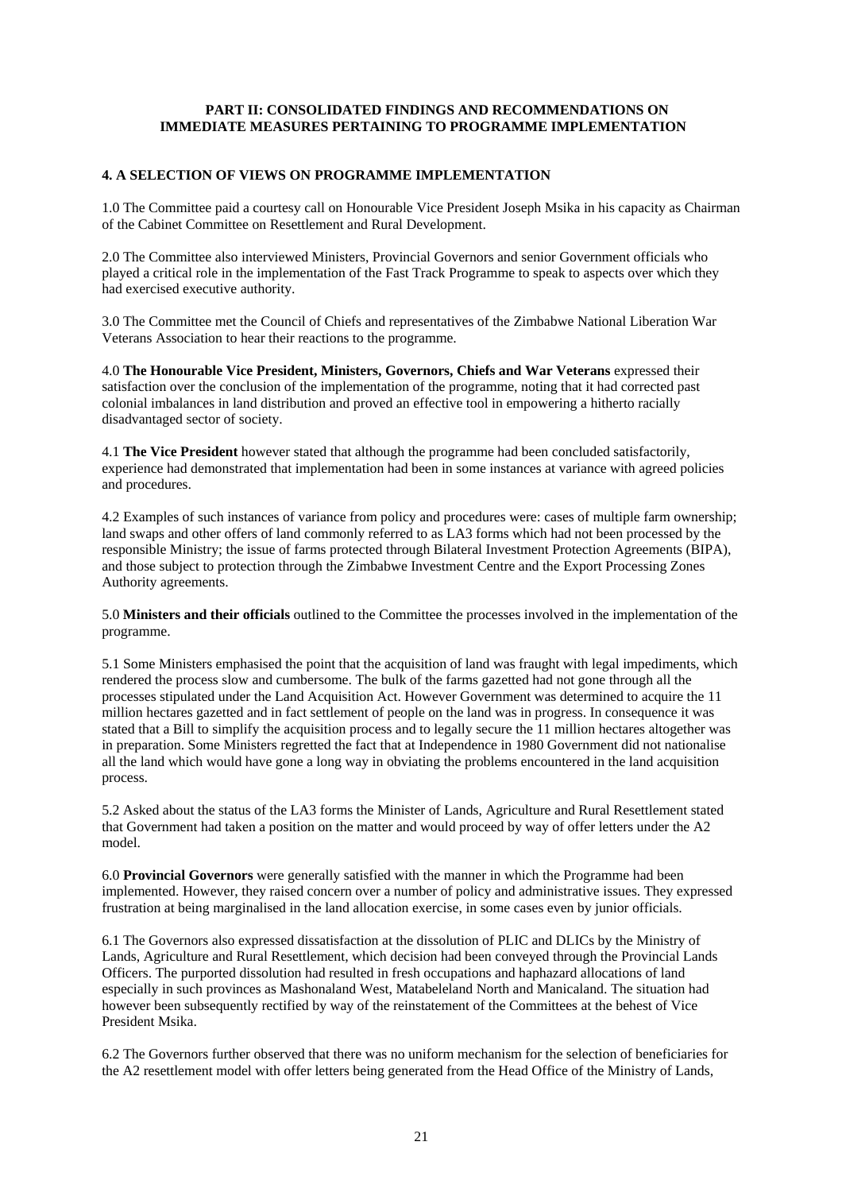## **PART II: CONSOLIDATED FINDINGS AND RECOMMENDATIONS ON IMMEDIATE MEASURES PERTAINING TO PROGRAMME IMPLEMENTATION**

### **4. A SELECTION OF VIEWS ON PROGRAMME IMPLEMENTATION**

1.0 The Committee paid a courtesy call on Honourable Vice President Joseph Msika in his capacity as Chairman of the Cabinet Committee on Resettlement and Rural Development.

2.0 The Committee also interviewed Ministers, Provincial Governors and senior Government officials who played a critical role in the implementation of the Fast Track Programme to speak to aspects over which they had exercised executive authority.

3.0 The Committee met the Council of Chiefs and representatives of the Zimbabwe National Liberation War Veterans Association to hear their reactions to the programme.

4.0 **The Honourable Vice President, Ministers, Governors, Chiefs and War Veterans** expressed their satisfaction over the conclusion of the implementation of the programme, noting that it had corrected past colonial imbalances in land distribution and proved an effective tool in empowering a hitherto racially disadvantaged sector of society.

4.1 **The Vice President** however stated that although the programme had been concluded satisfactorily, experience had demonstrated that implementation had been in some instances at variance with agreed policies and procedures.

4.2 Examples of such instances of variance from policy and procedures were: cases of multiple farm ownership; land swaps and other offers of land commonly referred to as LA3 forms which had not been processed by the responsible Ministry; the issue of farms protected through Bilateral Investment Protection Agreements (BIPA), and those subject to protection through the Zimbabwe Investment Centre and the Export Processing Zones Authority agreements.

5.0 **Ministers and their officials** outlined to the Committee the processes involved in the implementation of the programme.

5.1 Some Ministers emphasised the point that the acquisition of land was fraught with legal impediments, which rendered the process slow and cumbersome. The bulk of the farms gazetted had not gone through all the processes stipulated under the Land Acquisition Act. However Government was determined to acquire the 11 million hectares gazetted and in fact settlement of people on the land was in progress. In consequence it was stated that a Bill to simplify the acquisition process and to legally secure the 11 million hectares altogether was in preparation. Some Ministers regretted the fact that at Independence in 1980 Government did not nationalise all the land which would have gone a long way in obviating the problems encountered in the land acquisition process.

5.2 Asked about the status of the LA3 forms the Minister of Lands, Agriculture and Rural Resettlement stated that Government had taken a position on the matter and would proceed by way of offer letters under the A2 model.

6.0 **Provincial Governors** were generally satisfied with the manner in which the Programme had been implemented. However, they raised concern over a number of policy and administrative issues. They expressed frustration at being marginalised in the land allocation exercise, in some cases even by junior officials.

6.1 The Governors also expressed dissatisfaction at the dissolution of PLIC and DLICs by the Ministry of Lands, Agriculture and Rural Resettlement, which decision had been conveyed through the Provincial Lands Officers. The purported dissolution had resulted in fresh occupations and haphazard allocations of land especially in such provinces as Mashonaland West, Matabeleland North and Manicaland. The situation had however been subsequently rectified by way of the reinstatement of the Committees at the behest of Vice President Msika.

6.2 The Governors further observed that there was no uniform mechanism for the selection of beneficiaries for the A2 resettlement model with offer letters being generated from the Head Office of the Ministry of Lands,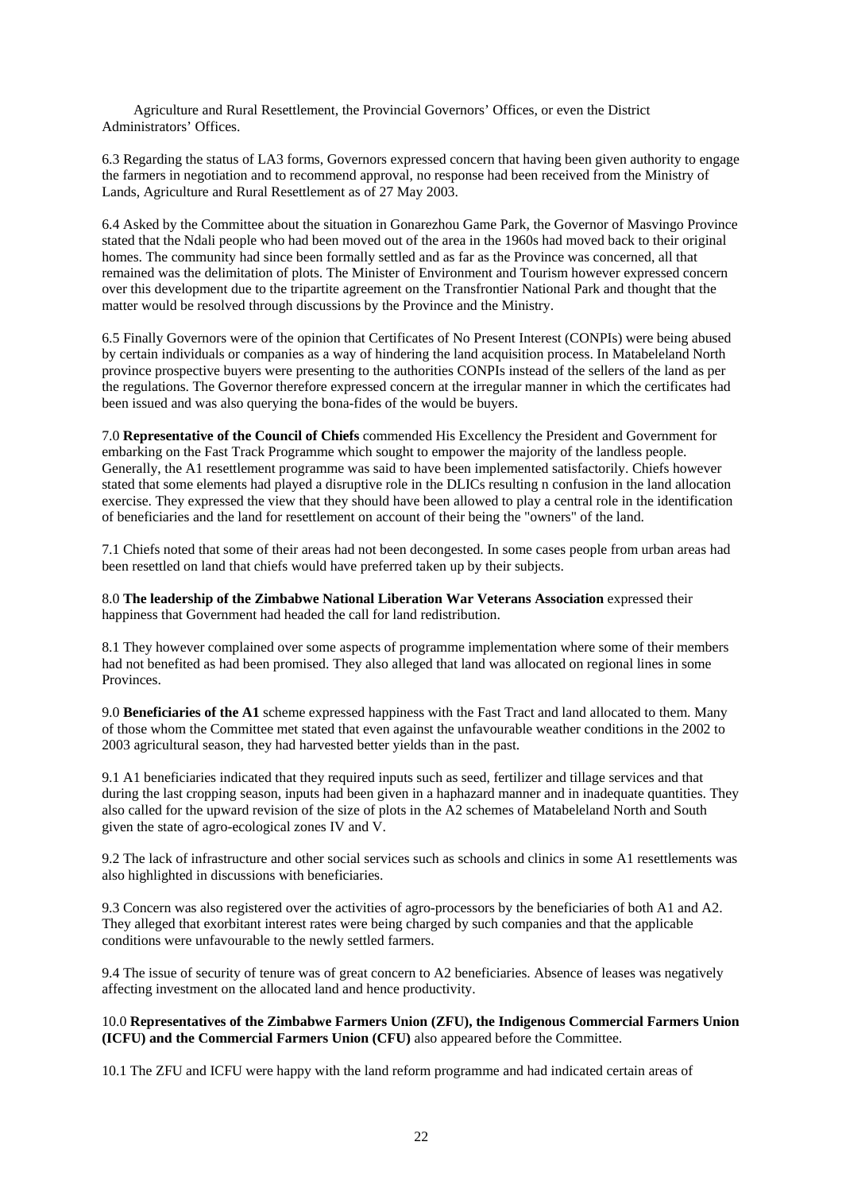Agriculture and Rural Resettlement, the Provincial Governors' Offices, or even the District Administrators' Offices.

6.3 Regarding the status of LA3 forms, Governors expressed concern that having been given authority to engage the farmers in negotiation and to recommend approval, no response had been received from the Ministry of Lands, Agriculture and Rural Resettlement as of 27 May 2003.

6.4 Asked by the Committee about the situation in Gonarezhou Game Park, the Governor of Masvingo Province stated that the Ndali people who had been moved out of the area in the 1960s had moved back to their original homes. The community had since been formally settled and as far as the Province was concerned, all that remained was the delimitation of plots. The Minister of Environment and Tourism however expressed concern over this development due to the tripartite agreement on the Transfrontier National Park and thought that the matter would be resolved through discussions by the Province and the Ministry.

6.5 Finally Governors were of the opinion that Certificates of No Present Interest (CONPIs) were being abused by certain individuals or companies as a way of hindering the land acquisition process. In Matabeleland North province prospective buyers were presenting to the authorities CONPIs instead of the sellers of the land as per the regulations. The Governor therefore expressed concern at the irregular manner in which the certificates had been issued and was also querying the bona-fides of the would be buyers.

7.0 **Representative of the Council of Chiefs** commended His Excellency the President and Government for embarking on the Fast Track Programme which sought to empower the majority of the landless people. Generally, the A1 resettlement programme was said to have been implemented satisfactorily. Chiefs however stated that some elements had played a disruptive role in the DLICs resulting n confusion in the land allocation exercise. They expressed the view that they should have been allowed to play a central role in the identification of beneficiaries and the land for resettlement on account of their being the "owners" of the land.

7.1 Chiefs noted that some of their areas had not been decongested. In some cases people from urban areas had been resettled on land that chiefs would have preferred taken up by their subjects.

8.0 **The leadership of the Zimbabwe National Liberation War Veterans Association** expressed their happiness that Government had headed the call for land redistribution.

8.1 They however complained over some aspects of programme implementation where some of their members had not benefited as had been promised. They also alleged that land was allocated on regional lines in some Provinces.

9.0 **Beneficiaries of the A1** scheme expressed happiness with the Fast Tract and land allocated to them. Many of those whom the Committee met stated that even against the unfavourable weather conditions in the 2002 to 2003 agricultural season, they had harvested better yields than in the past.

9.1 A1 beneficiaries indicated that they required inputs such as seed, fertilizer and tillage services and that during the last cropping season, inputs had been given in a haphazard manner and in inadequate quantities. They also called for the upward revision of the size of plots in the A2 schemes of Matabeleland North and South given the state of agro-ecological zones IV and V.

9.2 The lack of infrastructure and other social services such as schools and clinics in some A1 resettlements was also highlighted in discussions with beneficiaries.

9.3 Concern was also registered over the activities of agro-processors by the beneficiaries of both A1 and A2. They alleged that exorbitant interest rates were being charged by such companies and that the applicable conditions were unfavourable to the newly settled farmers.

9.4 The issue of security of tenure was of great concern to A2 beneficiaries. Absence of leases was negatively affecting investment on the allocated land and hence productivity.

### 10.0 **Representatives of the Zimbabwe Farmers Union (ZFU), the Indigenous Commercial Farmers Union (ICFU) and the Commercial Farmers Union (CFU)** also appeared before the Committee.

10.1 The ZFU and ICFU were happy with the land reform programme and had indicated certain areas of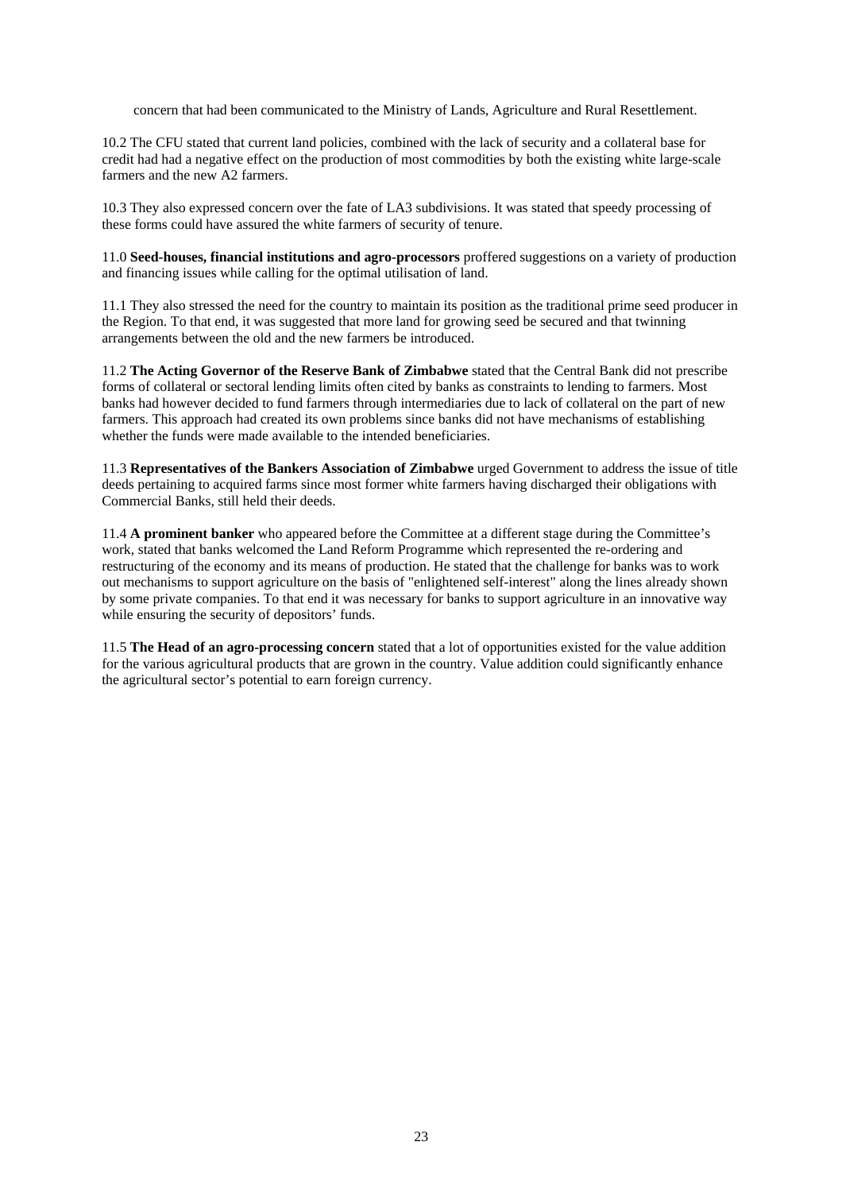concern that had been communicated to the Ministry of Lands, Agriculture and Rural Resettlement.

10.2 The CFU stated that current land policies, combined with the lack of security and a collateral base for credit had had a negative effect on the production of most commodities by both the existing white large-scale farmers and the new A2 farmers.

10.3 They also expressed concern over the fate of LA3 subdivisions. It was stated that speedy processing of these forms could have assured the white farmers of security of tenure.

11.0 **Seed-houses, financial institutions and agro-processors** proffered suggestions on a variety of production and financing issues while calling for the optimal utilisation of land.

11.1 They also stressed the need for the country to maintain its position as the traditional prime seed producer in the Region. To that end, it was suggested that more land for growing seed be secured and that twinning arrangements between the old and the new farmers be introduced.

11.2 **The Acting Governor of the Reserve Bank of Zimbabwe** stated that the Central Bank did not prescribe forms of collateral or sectoral lending limits often cited by banks as constraints to lending to farmers. Most banks had however decided to fund farmers through intermediaries due to lack of collateral on the part of new farmers. This approach had created its own problems since banks did not have mechanisms of establishing whether the funds were made available to the intended beneficiaries.

11.3 **Representatives of the Bankers Association of Zimbabwe** urged Government to address the issue of title deeds pertaining to acquired farms since most former white farmers having discharged their obligations with Commercial Banks, still held their deeds.

11.4 **A prominent banker** who appeared before the Committee at a different stage during the Committee's work, stated that banks welcomed the Land Reform Programme which represented the re-ordering and restructuring of the economy and its means of production. He stated that the challenge for banks was to work out mechanisms to support agriculture on the basis of "enlightened self-interest" along the lines already shown by some private companies. To that end it was necessary for banks to support agriculture in an innovative way while ensuring the security of depositors' funds.

11.5 **The Head of an agro-processing concern** stated that a lot of opportunities existed for the value addition for the various agricultural products that are grown in the country. Value addition could significantly enhance the agricultural sector's potential to earn foreign currency.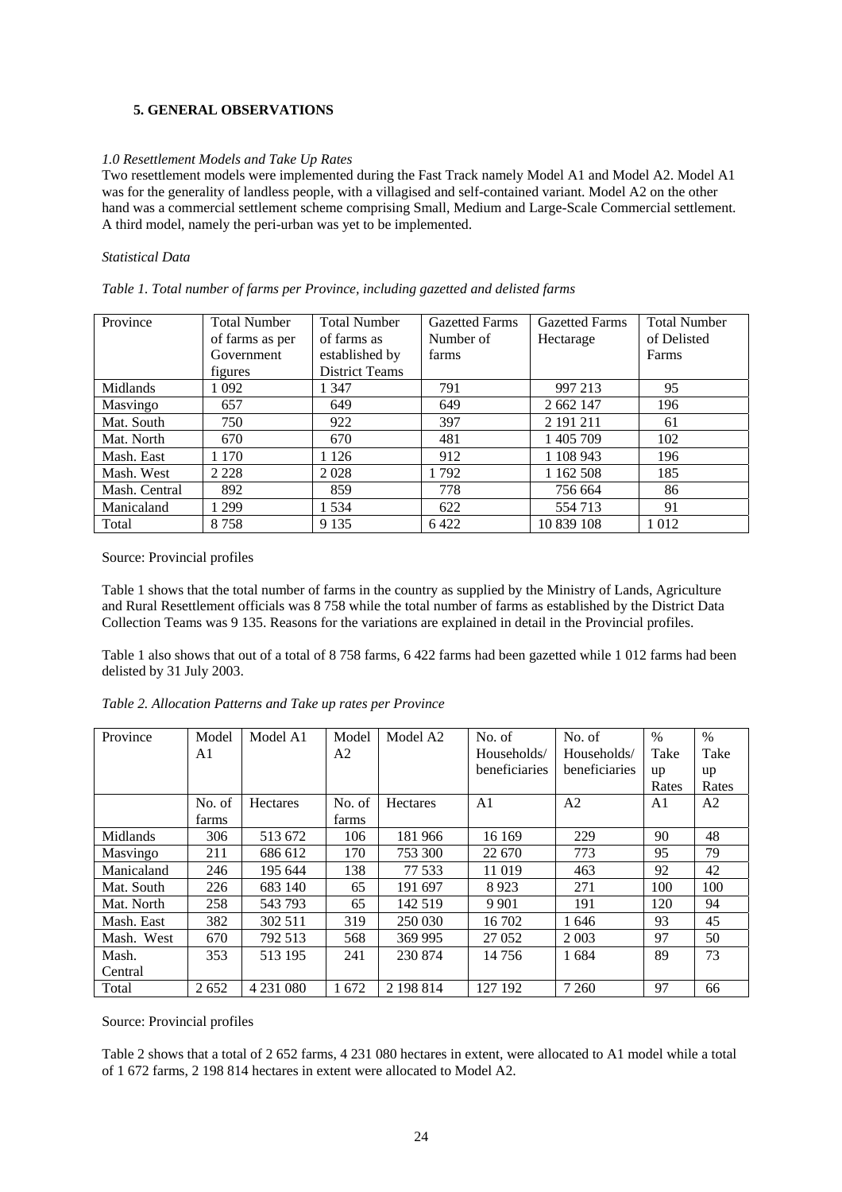### **5. GENERAL OBSERVATIONS**

### *1.0 Resettlement Models and Take Up Rates*

Two resettlement models were implemented during the Fast Track namely Model A1 and Model A2. Model A1 was for the generality of landless people, with a villagised and self-contained variant. Model A2 on the other hand was a commercial settlement scheme comprising Small, Medium and Large-Scale Commercial settlement. A third model, namely the peri-urban was yet to be implemented.

### *Statistical Data*

| Table 1. Total number of farms per Province, including gazetted and delisted farms |  |  |
|------------------------------------------------------------------------------------|--|--|
|                                                                                    |  |  |
|                                                                                    |  |  |

| Province      | <b>Total Number</b> | <b>Total Number</b>   | <b>Gazetted Farms</b> | <b>Gazetted Farms</b> | <b>Total Number</b> |
|---------------|---------------------|-----------------------|-----------------------|-----------------------|---------------------|
|               | of farms as per     | of farms as           | Number of             | Hectarage             | of Delisted         |
|               | Government          | established by        | farms                 |                       | Farms               |
|               | figures             | <b>District Teams</b> |                       |                       |                     |
| Midlands      | 1 092               | 1 347                 | 791                   | 997 213               | 95                  |
| Masvingo      | 657                 | 649                   | 649                   | 2 662 147             | 196                 |
| Mat. South    | 750                 | 922                   | 397                   | 2 191 211             | 61                  |
| Mat. North    | 670                 | 670                   | 481                   | 1 405 709             | 102                 |
| Mash. East    | 1 1 7 0             | 126                   | 912                   | 1 108 943             | 196                 |
| Mash. West    | 2 2 2 8             | 2028                  | 1 792                 | 1 1 6 2 5 0 8         | 185                 |
| Mash. Central | 892                 | 859                   | 778                   | 756 664               | 86                  |
| Manicaland    | 299                 | 1534                  | 622                   | 554 713               | 91                  |
| Total         | 8758                | 9 1 3 5               | 6422                  | 10 839 108            | 1012                |

### Source: Provincial profiles

Table 1 shows that the total number of farms in the country as supplied by the Ministry of Lands, Agriculture and Rural Resettlement officials was 8 758 while the total number of farms as established by the District Data Collection Teams was 9 135. Reasons for the variations are explained in detail in the Provincial profiles.

Table 1 also shows that out of a total of 8 758 farms, 6 422 farms had been gazetted while 1 012 farms had been delisted by 31 July 2003.

| Province   | Model  | Model A1      | Model  | Model A <sub>2</sub> | No. of         | No. of         | $\%$  | $\%$           |
|------------|--------|---------------|--------|----------------------|----------------|----------------|-------|----------------|
|            | A1     |               | A2     |                      | Households/    | Households/    | Take  | Take           |
|            |        |               |        |                      | beneficiaries  | beneficiaries  | up    | up             |
|            |        |               |        |                      |                |                | Rates | Rates          |
|            | No. of | Hectares      | No. of | Hectares             | A <sub>1</sub> | A <sub>2</sub> | A1    | A <sub>2</sub> |
|            | farms  |               | farms  |                      |                |                |       |                |
| Midlands   | 306    | 513 672       | 106    | 181 966              | 16 169         | 229            | 90    | 48             |
| Masvingo   | 211    | 686 612       | 170    | 753 300              | 22 670         | 773            | 95    | 79             |
| Manicaland | 246    | 195 644       | 138    | 77 533               | 11 019         | 463            | 92    | 42             |
| Mat. South | 226    | 683 140       | 65     | 191 697              | 8923           | 271            | 100   | 100            |
| Mat. North | 258    | 543 793       | 65     | 142 519              | 9 9 0 1        | 191            | 120   | 94             |
| Mash. East | 382    | 302 511       | 319    | 250 030              | 16 702         | 1646           | 93    | 45             |
| Mash. West | 670    | 792 513       | 568    | 369 995              | 27 052         | 2 0 0 3        | 97    | 50             |
| Mash.      | 353    | 513 195       | 241    | 230 874              | 14756          | 1684           | 89    | 73             |
| Central    |        |               |        |                      |                |                |       |                |
| Total      | 2652   | 4 2 3 1 0 8 0 | 1672   | 2 198 814            | 127 192        | 7 2 6 0        | 97    | 66             |

*Table 2. Allocation Patterns and Take up rates per Province*

Source: Provincial profiles

Table 2 shows that a total of 2 652 farms, 4 231 080 hectares in extent, were allocated to A1 model while a total of 1 672 farms, 2 198 814 hectares in extent were allocated to Model A2.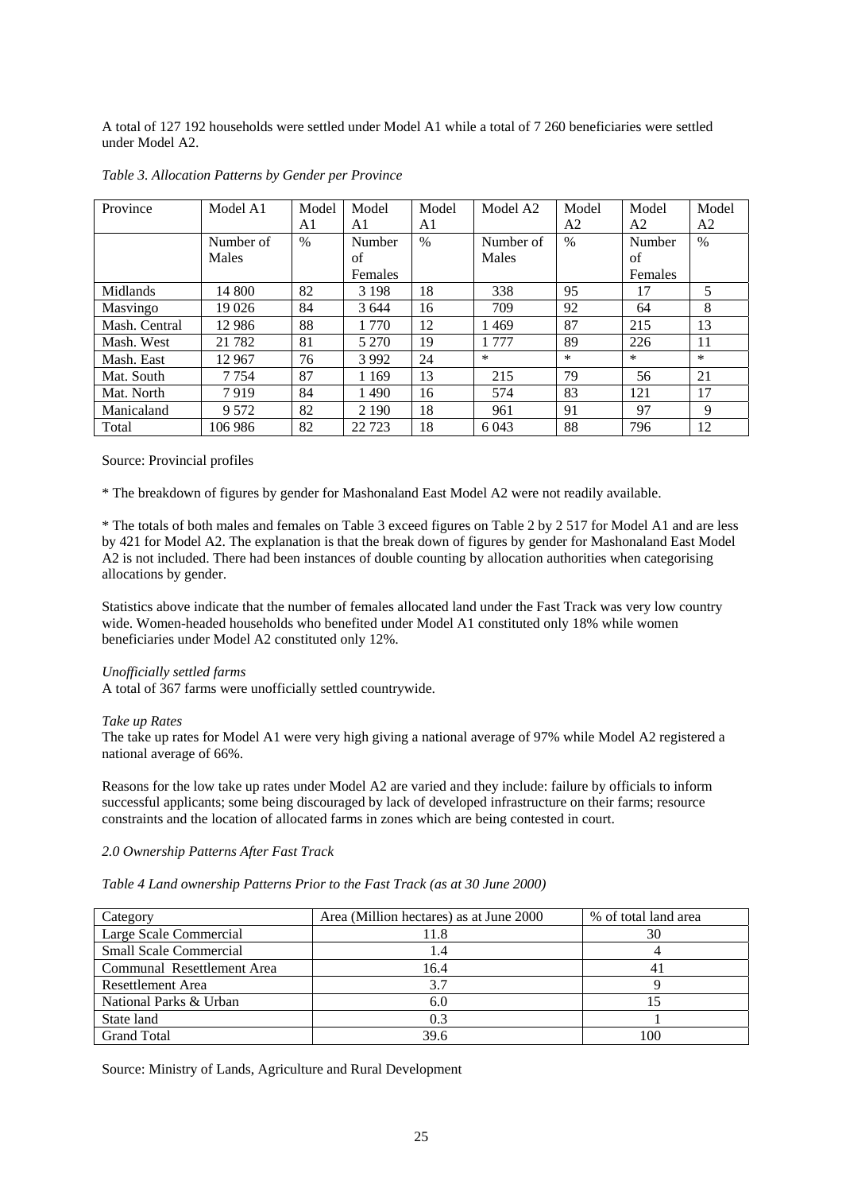A total of 127 192 households were settled under Model A1 while a total of 7 260 beneficiaries were settled under Model A2.

| Province      | Model A1  | Model | Model   | Model | Model A <sub>2</sub> | Model         | Model   | Model  |
|---------------|-----------|-------|---------|-------|----------------------|---------------|---------|--------|
|               |           | A1    | A1      | A1    |                      | A2            | A2      | A2     |
|               | Number of | %     | Number  | $\%$  | Number of            | $\frac{0}{0}$ | Number  | $\%$   |
|               | Males     |       | of      |       | Males                |               | of      |        |
|               |           |       | Females |       |                      |               | Females |        |
| Midlands      | 14 800    | 82    | 3 1 9 8 | 18    | 338                  | 95            | 17      | 5      |
| Masvingo      | 19 0 26   | 84    | 3 6 4 4 | 16    | 709                  | 92            | 64      | 8      |
| Mash. Central | 12 9 8 6  | 88    | 1 770   | 12    | 1469                 | 87            | 215     | 13     |
| Mash. West    | 21 7 8 2  | 81    | 5 2 7 0 | 19    | 1 777                | 89            | 226     | 11     |
| Mash. East    | 12 967    | 76    | 3 9 9 2 | 24    | $\ast$               | $\ast$        | $\ast$  | $\ast$ |
| Mat. South    | 7 7 5 4   | 87    | 1 1 6 9 | 13    | 215                  | 79            | 56      | 21     |
| Mat. North    | 7919      | 84    | 1490    | 16    | 574                  | 83            | 121     | 17     |
| Manicaland    | 9 5 7 2   | 82    | 2 1 9 0 | 18    | 961                  | 91            | 97      | 9      |
| Total         | 106 986   | 82    | 22 7 23 | 18    | 6 0 4 3              | 88            | 796     | 12     |

### *Table 3. Allocation Patterns by Gender per Province*

### Source: Provincial profiles

\* The breakdown of figures by gender for Mashonaland East Model A2 were not readily available.

\* The totals of both males and females on Table 3 exceed figures on Table 2 by 2 517 for Model A1 and are less by 421 for Model A2. The explanation is that the break down of figures by gender for Mashonaland East Model A2 is not included. There had been instances of double counting by allocation authorities when categorising allocations by gender.

Statistics above indicate that the number of females allocated land under the Fast Track was very low country wide. Women-headed households who benefited under Model A1 constituted only 18% while women beneficiaries under Model A2 constituted only 12%.

### *Unofficially settled farms*

A total of 367 farms were unofficially settled countrywide.

### *Take up Rates*

The take up rates for Model A1 were very high giving a national average of 97% while Model A2 registered a national average of 66%.

Reasons for the low take up rates under Model A2 are varied and they include: failure by officials to inform successful applicants; some being discouraged by lack of developed infrastructure on their farms; resource constraints and the location of allocated farms in zones which are being contested in court.

### *2.0 Ownership Patterns After Fast Track*

| Table 4 Land ownership Patterns Prior to the Fast Track (as at 30 June 2000) |  |
|------------------------------------------------------------------------------|--|
|                                                                              |  |

| Category                      | Area (Million hectares) as at June 2000 | % of total land area |
|-------------------------------|-----------------------------------------|----------------------|
| Large Scale Commercial        | 11.8                                    | 30                   |
| <b>Small Scale Commercial</b> |                                         |                      |
| Communal Resettlement Area    | 16.4                                    |                      |
| <b>Resettlement Area</b>      | 37                                      |                      |
| National Parks & Urban        | 6.C                                     |                      |
| State land                    | 0.3                                     |                      |
| <b>Grand Total</b>            | 39.6                                    | 100                  |

Source: Ministry of Lands, Agriculture and Rural Development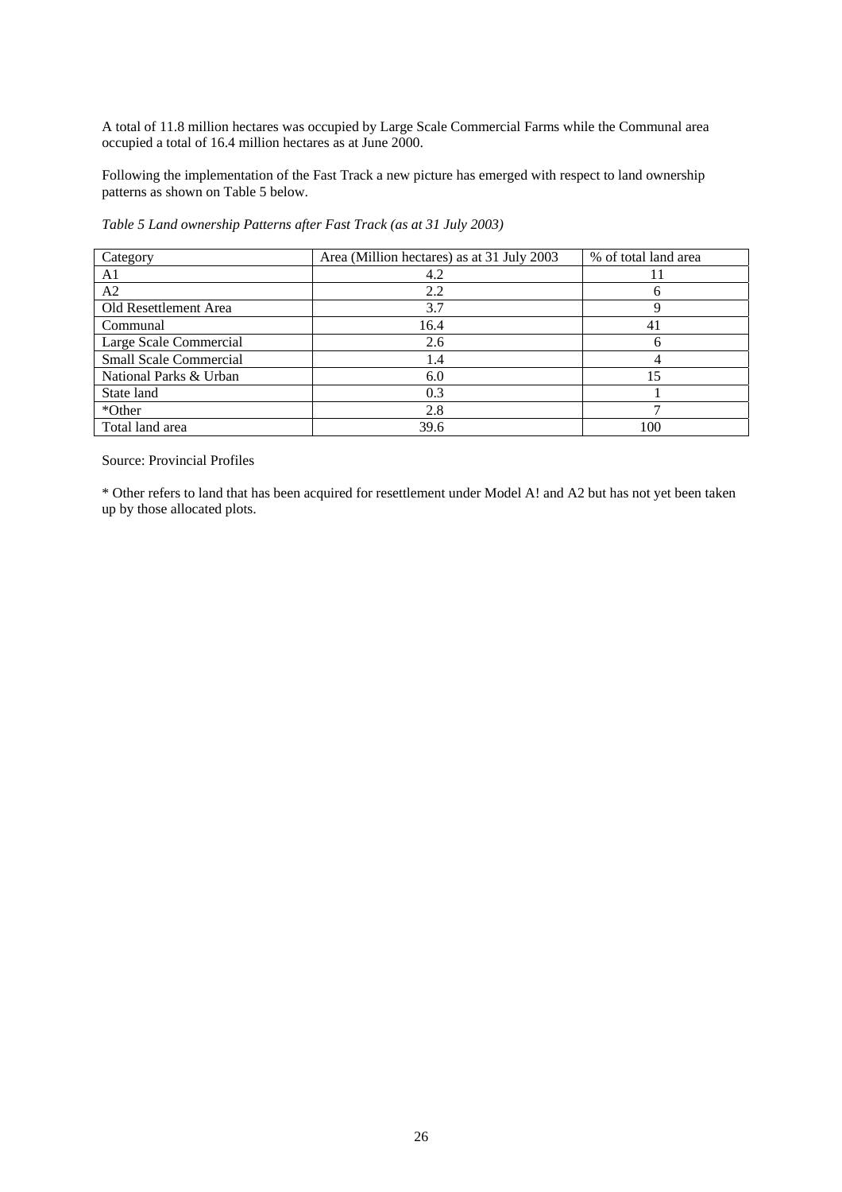A total of 11.8 million hectares was occupied by Large Scale Commercial Farms while the Communal area occupied a total of 16.4 million hectares as at June 2000.

Following the implementation of the Fast Track a new picture has emerged with respect to land ownership patterns as shown on Table 5 below.

*Table 5 Land ownership Patterns after Fast Track (as at 31 July 2003)* 

| Category                      | Area (Million hectares) as at 31 July 2003 | % of total land area |
|-------------------------------|--------------------------------------------|----------------------|
| A1                            | 4.2                                        |                      |
| A <sub>2</sub>                | 2.2                                        |                      |
| Old Resettlement Area         | 3.7                                        |                      |
| Communal                      | 16.4                                       |                      |
| Large Scale Commercial        | 2.6                                        |                      |
| <b>Small Scale Commercial</b> | 1.4                                        |                      |
| National Parks & Urban        | 6.0                                        | 15                   |
| State land                    | 0.3                                        |                      |
| *Other                        | 2.8                                        |                      |
| Total land area               | 39.6                                       | 100                  |

Source: Provincial Profiles

\* Other refers to land that has been acquired for resettlement under Model A! and A2 but has not yet been taken up by those allocated plots.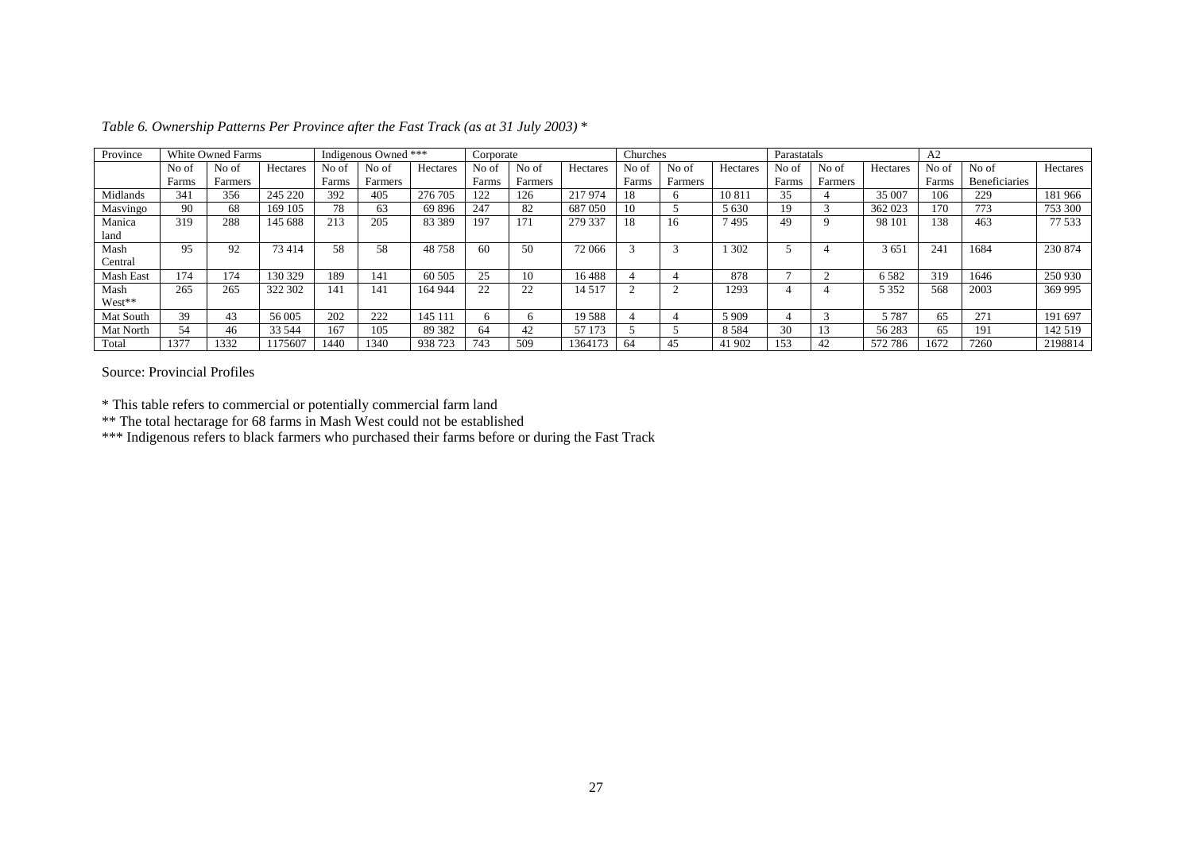| Province  | White Owned Farms |         |          | Indigenous Owned *** |         | Corporate |       | Churches |          | Parastatals |         | A <sub>2</sub> |       |         |          |                 |                      |          |
|-----------|-------------------|---------|----------|----------------------|---------|-----------|-------|----------|----------|-------------|---------|----------------|-------|---------|----------|-----------------|----------------------|----------|
|           | No of             | No of   | Hectares | No of                | No of   | Hectares  | No of | No of    | Hectares | No of       | No of   | Hectares       | No of | No of   | Hectares | No of           | No of                | Hectares |
|           | Farms             | Farmers |          | Farms                | Farmers |           | Farms | Farmers  |          | Farms       | Farmers |                | Farms | Farmers |          | Farms           | <b>Beneficiaries</b> |          |
| Midlands  | 341               | 356     | 245 220  | 392                  | 405     | 276 705   | 122   | 126      | 217974   | 18          |         | 10 81          |       |         | 35 007   | 106             | 229                  | 181966   |
| Masvingo  | 90                | 68      | 169 105  | 78                   | 63      | 69896     | 247   | 82       | 687 050  | 10          |         | 5 6 3 0        | 19    |         | 362 023  | 170             | 773                  | 753 300  |
| Manica    | 319               | 288     | 145 688  | 213                  | 205     | 83 3 89   | 197   | 171      | 279 337  | 18          | 16      | 7495           | 49    |         | 98 101   | 138             | 463                  | 77 533   |
| land      |                   |         |          |                      |         |           |       |          |          |             |         |                |       |         |          |                 |                      |          |
| Mash      | 95                | 92      | 73414    | 58                   | 58      | 48758     | 60    | 50       | 72 066   |             |         | 302            |       |         | 3 6 5 1  | 24 <sub>1</sub> | 1684                 | 230 874  |
| Central   |                   |         |          |                      |         |           |       |          |          |             |         |                |       |         |          |                 |                      |          |
| Mash East | 174               | 174     | 130 329  | 189                  | 141     | 60 50 5   | 25    | 10       | 16488    |             |         | 878            |       |         | 6582     | 319             | 1646                 | 250 930  |
| Mash      | 265               | 265     | 322 302  | 141                  | 141     | 164 944   | 22    | 22       | 14 5 17  |             |         | 293            |       |         | 5 3 5 2  | 568             | 2003                 | 369 995  |
| West**    |                   |         |          |                      |         |           |       |          |          |             |         |                |       |         |          |                 |                      |          |
| Mat South | 39                | 43      | 56 005   | 202                  | 222     | 145 111   |       | h        | 19588    |             |         | 5 9 0 9        |       |         | 5787     | 65              | 27                   | 191 697  |
| Mat North | 54                | 46      | 33 544   | 167                  | 105     | 89 3 82   | 64    | 42       | 57 173   |             |         | 8 5 8 4        | 30    |         | 56 283   | 65              | 19.                  | 142 519  |
| Total     | 1377              | 1332    | 175607   | 1440                 | 1340    | 938 723   | 743   | 509      | 1364173  | 64          | 45      | 41 902         | 153   | 42      | 572 786  | 1672            | 7260                 | 2198814  |

*Table 6. Ownership Patterns Per Province after the Fast Track (as at 31 July 2003)* \*

Source: Provincial Profiles

\* This table refers to commercial or potentially commercial farm land

\*\* The total hectarage for 68 farms in Mash West could not be established

\*\*\* Indigenous refers to black farmers who purchased their farms before or during the Fast Track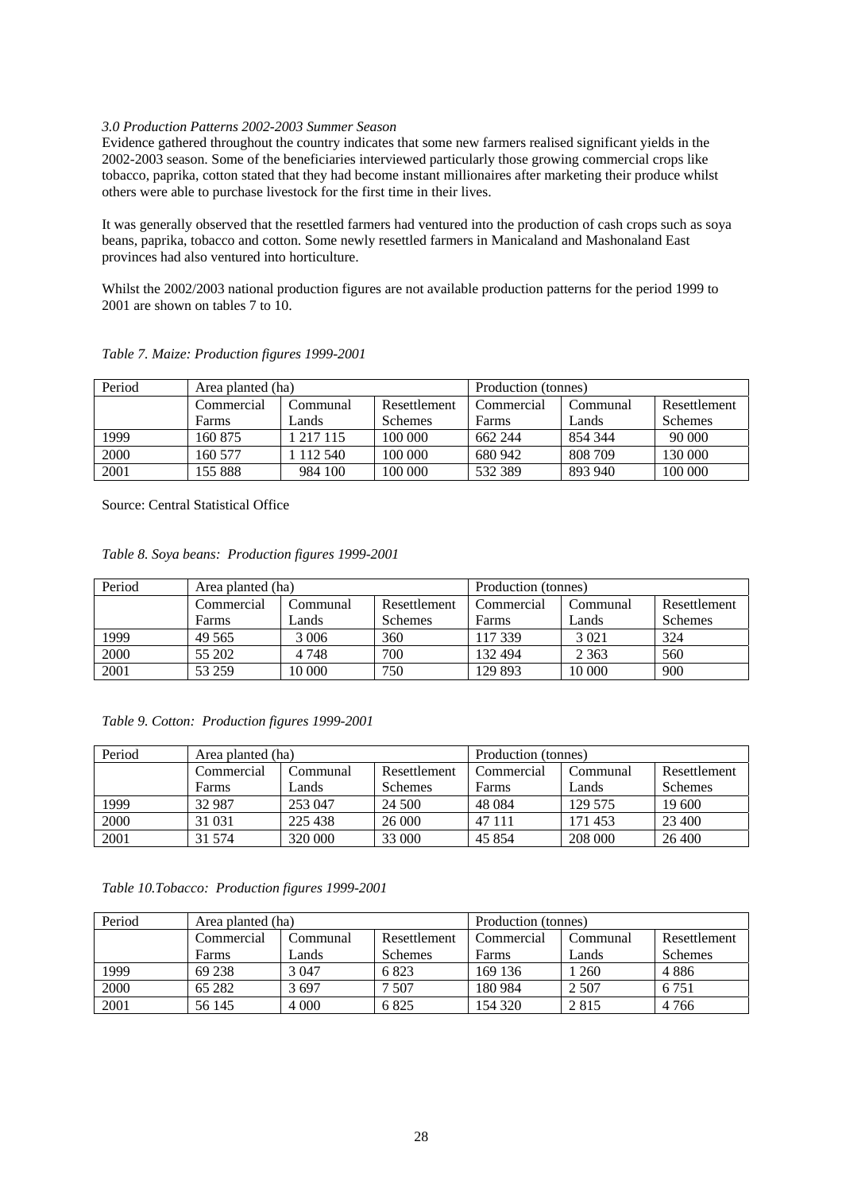### *3.0 Production Patterns 2002-2003 Summer Season*

Evidence gathered throughout the country indicates that some new farmers realised significant yields in the 2002-2003 season. Some of the beneficiaries interviewed particularly those growing commercial crops like tobacco, paprika, cotton stated that they had become instant millionaires after marketing their produce whilst others were able to purchase livestock for the first time in their lives.

It was generally observed that the resettled farmers had ventured into the production of cash crops such as soya beans, paprika, tobacco and cotton. Some newly resettled farmers in Manicaland and Mashonaland East provinces had also ventured into horticulture.

Whilst the 2002/2003 national production figures are not available production patterns for the period 1999 to 2001 are shown on tables 7 to 10.

| Period | Area planted (ha) |           |                | Production (tonnes) |          |                |  |
|--------|-------------------|-----------|----------------|---------------------|----------|----------------|--|
|        | Commercial        | `ommunal  | Resettlement   | Commercial          | Communal | Resettlement   |  |
|        | <b>Farms</b>      | Lands     | <b>Schemes</b> | Farms               | Lands    | <b>Schemes</b> |  |
| 1999   | 160 875           | 1 217 115 | 100 000        | 662 244             | 854 344  | 90 000         |  |
| 2000   | 160 577           | 112 540   | 100 000        | 680 942             | 808 709  | 130 000        |  |
| 2001   | 155 888           | 984 100   | 100 000        | 532 389             | 893 940  | 100 000        |  |

*Table 7. Maize: Production figures 1999-2001* 

Source: Central Statistical Office

| Table 8. Soya beans: Production figures 1999-2001 |  |
|---------------------------------------------------|--|

| Period | Area planted (ha) |          |                | Production (tonnes) |          |                |  |
|--------|-------------------|----------|----------------|---------------------|----------|----------------|--|
|        | Commercial        | Communal | Resettlement   | Commercial          | Communal | Resettlement   |  |
|        | <b>Farms</b>      | Lands    | <b>Schemes</b> | Farms               | Lands    | <b>Schemes</b> |  |
| 1999   | 49 5 65           | 3 0 0 6  | 360            | 117 339             | 3 0 2 1  | 324            |  |
| 2000   | 55 202            | 4748     | 700            | 132 494             | 2 3 6 3  | 560            |  |
| 2001   | 53 259            | 10 000   | 750            | 129 893             | 10 000   | 900            |  |

*Table 9. Cotton: Production figures 1999-2001* 

| Period | Area planted (ha) |          |                | Production (tonnes) |          |                |  |
|--------|-------------------|----------|----------------|---------------------|----------|----------------|--|
|        | Commercial        | Communal | Resettlement   | Commercial          | Communal | Resettlement   |  |
|        | <b>Farms</b>      | Lands    | <b>Schemes</b> | Farms               | Lands    | <b>Schemes</b> |  |
| 1999   | 32 987            | 253 047  | 24 500         | 48 0 84             | 129 575  | 19 600         |  |
| 2000   | 31 031            | 225 438  | 26 000         | 47 111              | 171453   | 23,400         |  |
| 2001   | 31 574            | 320 000  | 33 000         | 45 854              | 208 000  | 26 400         |  |

*Table 10.Tobacco: Production figures 1999-2001* 

| Period | Area planted (ha) |          |                | Production (tonnes) |          |              |  |
|--------|-------------------|----------|----------------|---------------------|----------|--------------|--|
|        | Commercial        | Communal | Resettlement   | Commercial          | Communal | Resettlement |  |
|        | <b>Farms</b>      | Lands    | <b>Schemes</b> | Farms               | Lands    | Schemes      |  |
| 1999   | 69 238            | 3 047    | 6823           | 169 136             | 1 260    | 4886         |  |
| 2000   | 65 282            | 3697     | 507            | 180 984             | 2 5 0 7  | 6 7 5 1      |  |
| 2001   | 56 145            | 4 0 0 0  | 6825           | 154 320             | 2815     | 4 7 6 6      |  |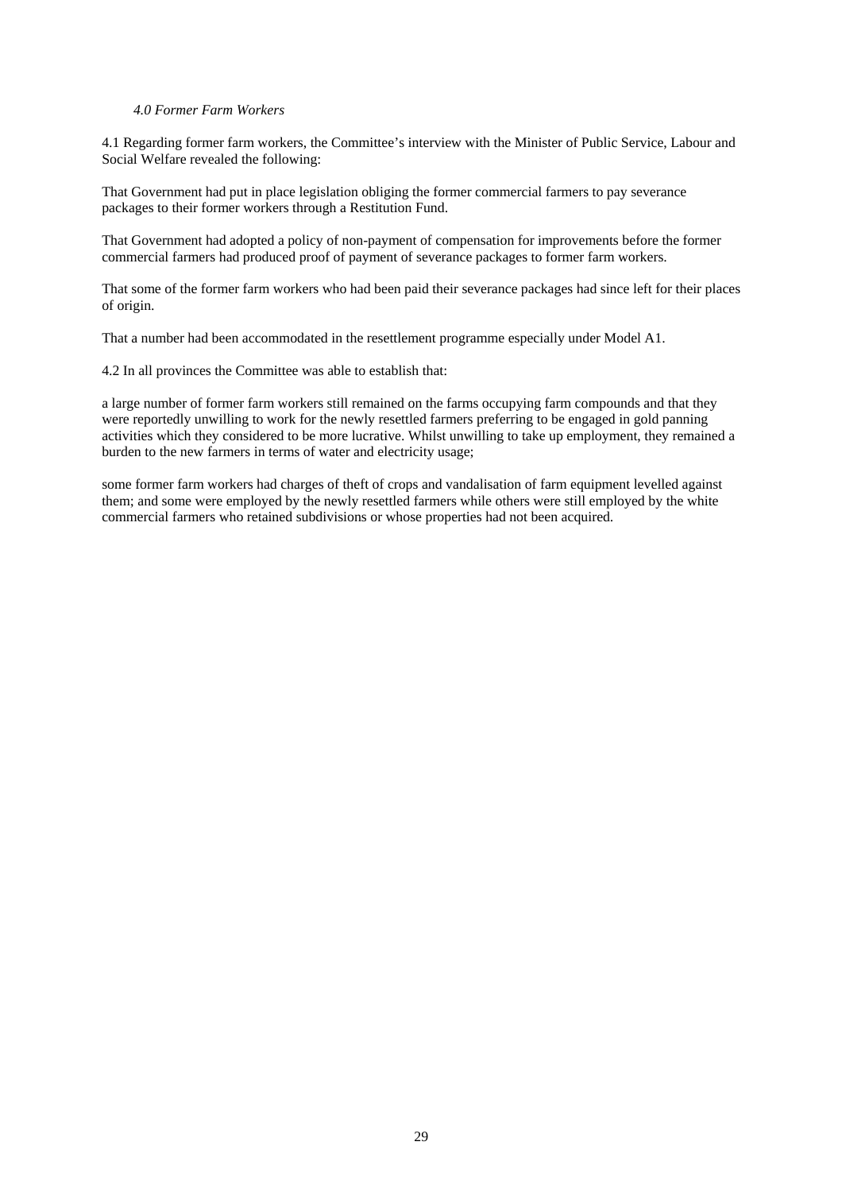### *4.0 Former Farm Workers*

4.1 Regarding former farm workers, the Committee's interview with the Minister of Public Service, Labour and Social Welfare revealed the following:

That Government had put in place legislation obliging the former commercial farmers to pay severance packages to their former workers through a Restitution Fund.

That Government had adopted a policy of non-payment of compensation for improvements before the former commercial farmers had produced proof of payment of severance packages to former farm workers.

That some of the former farm workers who had been paid their severance packages had since left for their places of origin.

That a number had been accommodated in the resettlement programme especially under Model A1.

4.2 In all provinces the Committee was able to establish that:

a large number of former farm workers still remained on the farms occupying farm compounds and that they were reportedly unwilling to work for the newly resettled farmers preferring to be engaged in gold panning activities which they considered to be more lucrative. Whilst unwilling to take up employment, they remained a burden to the new farmers in terms of water and electricity usage;

some former farm workers had charges of theft of crops and vandalisation of farm equipment levelled against them; and some were employed by the newly resettled farmers while others were still employed by the white commercial farmers who retained subdivisions or whose properties had not been acquired.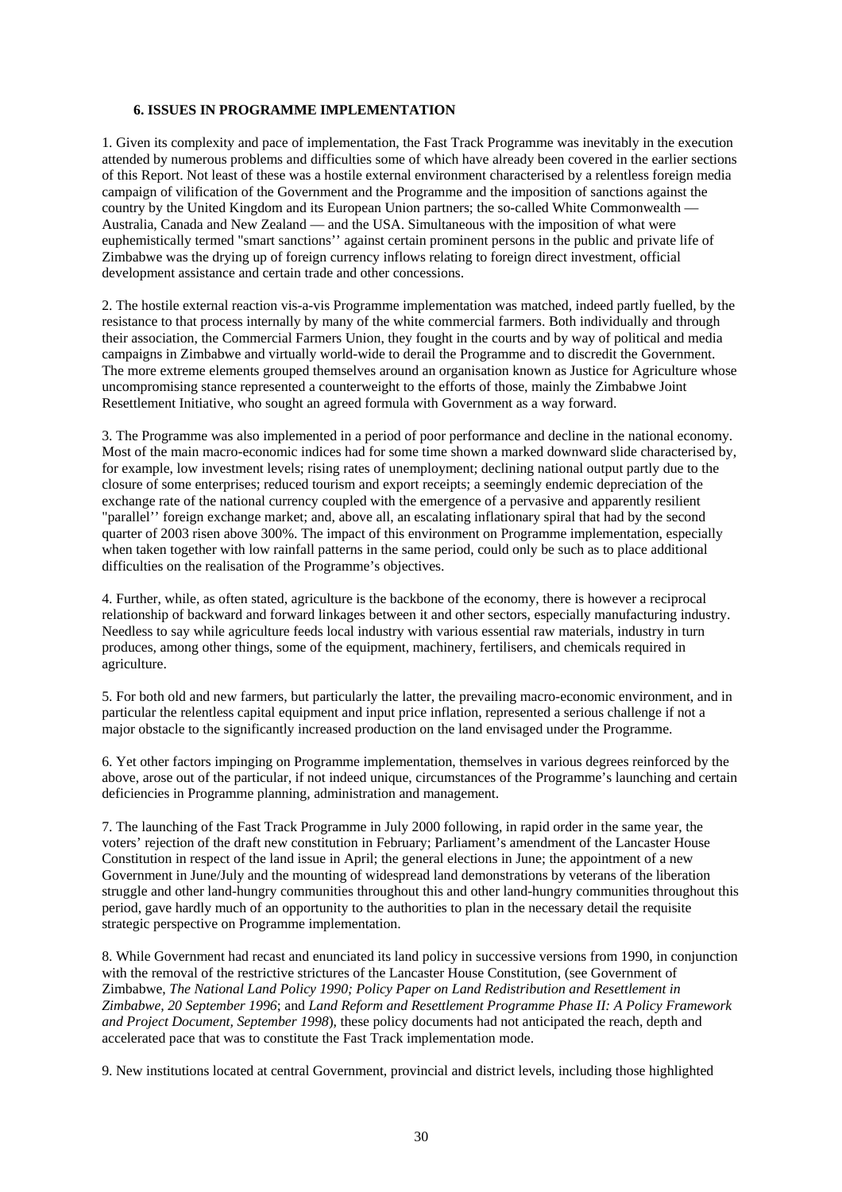# **6. ISSUES IN PROGRAMME IMPLEMENTATION**

1. Given its complexity and pace of implementation, the Fast Track Programme was inevitably in the execution attended by numerous problems and difficulties some of which have already been covered in the earlier sections of this Report. Not least of these was a hostile external environment characterised by a relentless foreign media campaign of vilification of the Government and the Programme and the imposition of sanctions against the country by the United Kingdom and its European Union partners; the so-called White Commonwealth — Australia, Canada and New Zealand — and the USA. Simultaneous with the imposition of what were euphemistically termed "smart sanctions'' against certain prominent persons in the public and private life of Zimbabwe was the drying up of foreign currency inflows relating to foreign direct investment, official development assistance and certain trade and other concessions.

2. The hostile external reaction vis-a-vis Programme implementation was matched, indeed partly fuelled, by the resistance to that process internally by many of the white commercial farmers. Both individually and through their association, the Commercial Farmers Union, they fought in the courts and by way of political and media campaigns in Zimbabwe and virtually world-wide to derail the Programme and to discredit the Government. The more extreme elements grouped themselves around an organisation known as Justice for Agriculture whose uncompromising stance represented a counterweight to the efforts of those, mainly the Zimbabwe Joint Resettlement Initiative, who sought an agreed formula with Government as a way forward.

3. The Programme was also implemented in a period of poor performance and decline in the national economy. Most of the main macro-economic indices had for some time shown a marked downward slide characterised by, for example, low investment levels; rising rates of unemployment; declining national output partly due to the closure of some enterprises; reduced tourism and export receipts; a seemingly endemic depreciation of the exchange rate of the national currency coupled with the emergence of a pervasive and apparently resilient "parallel'' foreign exchange market; and, above all, an escalating inflationary spiral that had by the second quarter of 2003 risen above 300%. The impact of this environment on Programme implementation, especially when taken together with low rainfall patterns in the same period, could only be such as to place additional difficulties on the realisation of the Programme's objectives.

4. Further, while, as often stated, agriculture is the backbone of the economy, there is however a reciprocal relationship of backward and forward linkages between it and other sectors, especially manufacturing industry. Needless to say while agriculture feeds local industry with various essential raw materials, industry in turn produces, among other things, some of the equipment, machinery, fertilisers, and chemicals required in agriculture.

5. For both old and new farmers, but particularly the latter, the prevailing macro-economic environment, and in particular the relentless capital equipment and input price inflation, represented a serious challenge if not a major obstacle to the significantly increased production on the land envisaged under the Programme.

6. Yet other factors impinging on Programme implementation, themselves in various degrees reinforced by the above, arose out of the particular, if not indeed unique, circumstances of the Programme's launching and certain deficiencies in Programme planning, administration and management.

7. The launching of the Fast Track Programme in July 2000 following, in rapid order in the same year, the voters' rejection of the draft new constitution in February; Parliament's amendment of the Lancaster House Constitution in respect of the land issue in April; the general elections in June; the appointment of a new Government in June/July and the mounting of widespread land demonstrations by veterans of the liberation struggle and other land-hungry communities throughout this and other land-hungry communities throughout this period, gave hardly much of an opportunity to the authorities to plan in the necessary detail the requisite strategic perspective on Programme implementation.

8. While Government had recast and enunciated its land policy in successive versions from 1990, in conjunction with the removal of the restrictive strictures of the Lancaster House Constitution, (see Government of Zimbabwe, *The National Land Policy 1990; Policy Paper on Land Redistribution and Resettlement in Zimbabwe, 20 September 1996*; and *Land Reform and Resettlement Programme Phase II: A Policy Framework and Project Document, September 1998*), these policy documents had not anticipated the reach, depth and accelerated pace that was to constitute the Fast Track implementation mode.

9. New institutions located at central Government, provincial and district levels, including those highlighted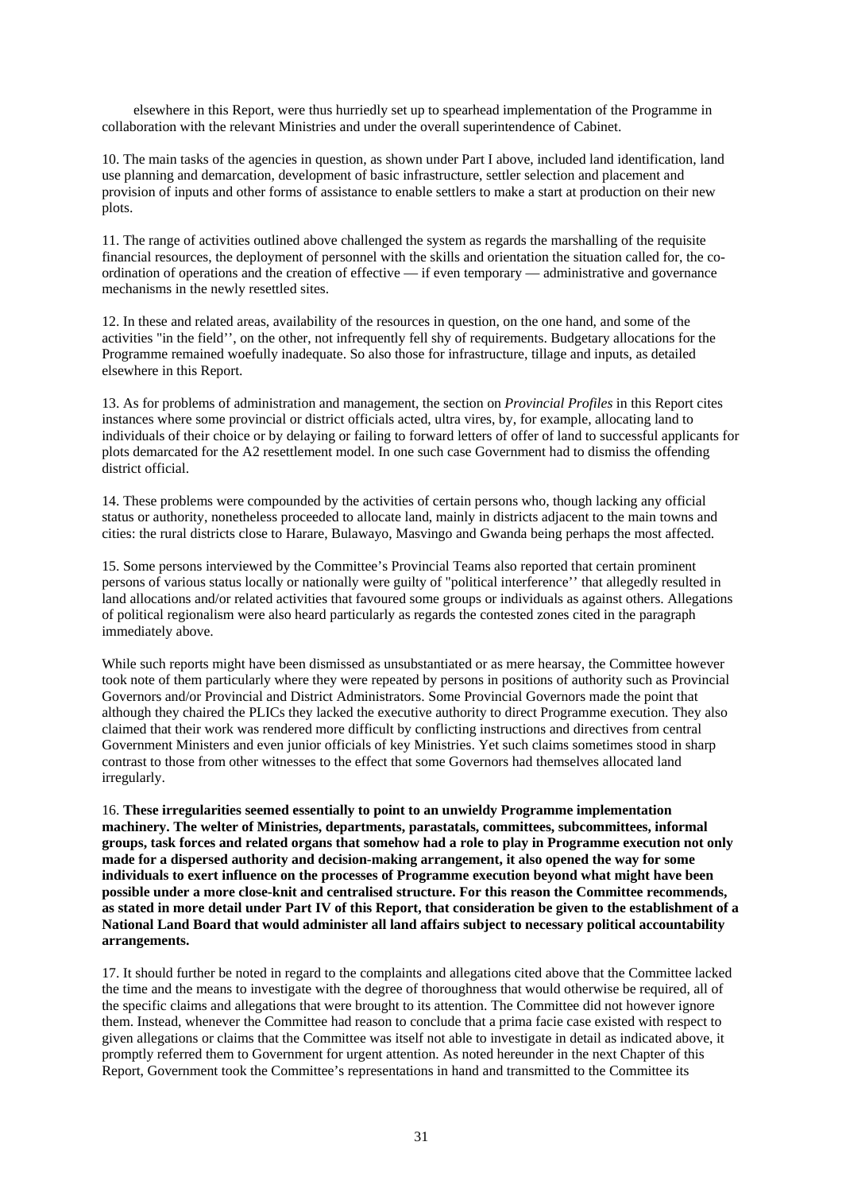elsewhere in this Report, were thus hurriedly set up to spearhead implementation of the Programme in collaboration with the relevant Ministries and under the overall superintendence of Cabinet.

10. The main tasks of the agencies in question, as shown under Part I above, included land identification, land use planning and demarcation, development of basic infrastructure, settler selection and placement and provision of inputs and other forms of assistance to enable settlers to make a start at production on their new plots.

11. The range of activities outlined above challenged the system as regards the marshalling of the requisite financial resources, the deployment of personnel with the skills and orientation the situation called for, the coordination of operations and the creation of effective — if even temporary — administrative and governance mechanisms in the newly resettled sites.

12. In these and related areas, availability of the resources in question, on the one hand, and some of the activities "in the field'', on the other, not infrequently fell shy of requirements. Budgetary allocations for the Programme remained woefully inadequate. So also those for infrastructure, tillage and inputs, as detailed elsewhere in this Report.

13. As for problems of administration and management, the section on *Provincial Profiles* in this Report cites instances where some provincial or district officials acted, ultra vires, by, for example, allocating land to individuals of their choice or by delaying or failing to forward letters of offer of land to successful applicants for plots demarcated for the A2 resettlement model. In one such case Government had to dismiss the offending district official.

14. These problems were compounded by the activities of certain persons who, though lacking any official status or authority, nonetheless proceeded to allocate land, mainly in districts adjacent to the main towns and cities: the rural districts close to Harare, Bulawayo, Masvingo and Gwanda being perhaps the most affected.

15. Some persons interviewed by the Committee's Provincial Teams also reported that certain prominent persons of various status locally or nationally were guilty of "political interference'' that allegedly resulted in land allocations and/or related activities that favoured some groups or individuals as against others. Allegations of political regionalism were also heard particularly as regards the contested zones cited in the paragraph immediately above.

While such reports might have been dismissed as unsubstantiated or as mere hearsay, the Committee however took note of them particularly where they were repeated by persons in positions of authority such as Provincial Governors and/or Provincial and District Administrators. Some Provincial Governors made the point that although they chaired the PLICs they lacked the executive authority to direct Programme execution. They also claimed that their work was rendered more difficult by conflicting instructions and directives from central Government Ministers and even junior officials of key Ministries. Yet such claims sometimes stood in sharp contrast to those from other witnesses to the effect that some Governors had themselves allocated land irregularly.

16. **These irregularities seemed essentially to point to an unwieldy Programme implementation machinery. The welter of Ministries, departments, parastatals, committees, subcommittees, informal groups, task forces and related organs that somehow had a role to play in Programme execution not only made for a dispersed authority and decision-making arrangement, it also opened the way for some individuals to exert influence on the processes of Programme execution beyond what might have been possible under a more close-knit and centralised structure. For this reason the Committee recommends, as stated in more detail under Part IV of this Report, that consideration be given to the establishment of a National Land Board that would administer all land affairs subject to necessary political accountability arrangements.**

17. It should further be noted in regard to the complaints and allegations cited above that the Committee lacked the time and the means to investigate with the degree of thoroughness that would otherwise be required, all of the specific claims and allegations that were brought to its attention. The Committee did not however ignore them. Instead, whenever the Committee had reason to conclude that a prima facie case existed with respect to given allegations or claims that the Committee was itself not able to investigate in detail as indicated above, it promptly referred them to Government for urgent attention. As noted hereunder in the next Chapter of this Report, Government took the Committee's representations in hand and transmitted to the Committee its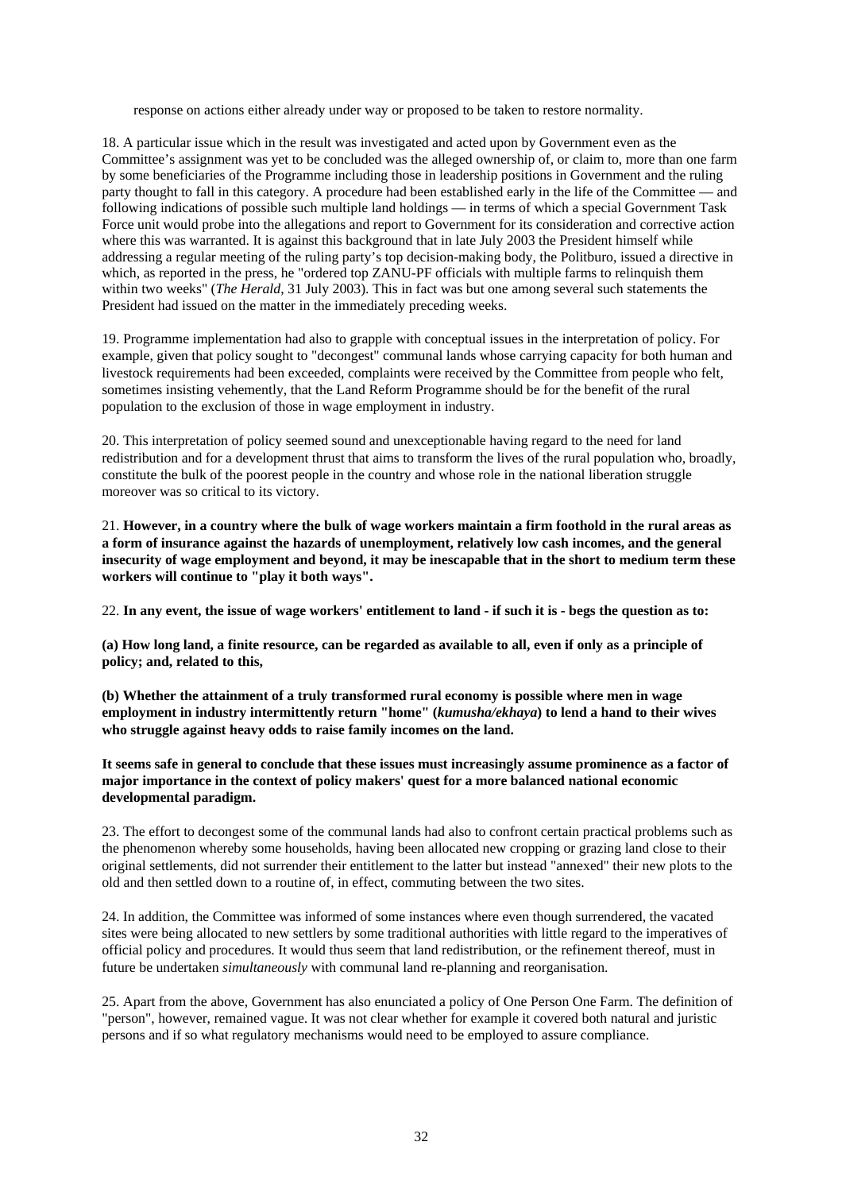response on actions either already under way or proposed to be taken to restore normality.

18. A particular issue which in the result was investigated and acted upon by Government even as the Committee's assignment was yet to be concluded was the alleged ownership of, or claim to, more than one farm by some beneficiaries of the Programme including those in leadership positions in Government and the ruling party thought to fall in this category. A procedure had been established early in the life of the Committee — and following indications of possible such multiple land holdings — in terms of which a special Government Task Force unit would probe into the allegations and report to Government for its consideration and corrective action where this was warranted. It is against this background that in late July 2003 the President himself while addressing a regular meeting of the ruling party's top decision-making body, the Politburo, issued a directive in which, as reported in the press, he "ordered top ZANU-PF officials with multiple farms to relinquish them within two weeks" (*The Herald*, 31 July 2003). This in fact was but one among several such statements the President had issued on the matter in the immediately preceding weeks.

19. Programme implementation had also to grapple with conceptual issues in the interpretation of policy. For example, given that policy sought to "decongest" communal lands whose carrying capacity for both human and livestock requirements had been exceeded, complaints were received by the Committee from people who felt, sometimes insisting vehemently, that the Land Reform Programme should be for the benefit of the rural population to the exclusion of those in wage employment in industry.

20. This interpretation of policy seemed sound and unexceptionable having regard to the need for land redistribution and for a development thrust that aims to transform the lives of the rural population who, broadly, constitute the bulk of the poorest people in the country and whose role in the national liberation struggle moreover was so critical to its victory.

21. **However, in a country where the bulk of wage workers maintain a firm foothold in the rural areas as a form of insurance against the hazards of unemployment, relatively low cash incomes, and the general insecurity of wage employment and beyond, it may be inescapable that in the short to medium term these workers will continue to "play it both ways".**

22. **In any event, the issue of wage workers' entitlement to land - if such it is - begs the question as to:** 

**(a) How long land, a finite resource, can be regarded as available to all, even if only as a principle of policy; and, related to this,** 

**(b) Whether the attainment of a truly transformed rural economy is possible where men in wage employment in industry intermittently return "home" (***kumusha/ekhaya***) to lend a hand to their wives who struggle against heavy odds to raise family incomes on the land.** 

**It seems safe in general to conclude that these issues must increasingly assume prominence as a factor of major importance in the context of policy makers' quest for a more balanced national economic developmental paradigm.**

23. The effort to decongest some of the communal lands had also to confront certain practical problems such as the phenomenon whereby some households, having been allocated new cropping or grazing land close to their original settlements, did not surrender their entitlement to the latter but instead "annexed" their new plots to the old and then settled down to a routine of, in effect, commuting between the two sites.

24. In addition, the Committee was informed of some instances where even though surrendered, the vacated sites were being allocated to new settlers by some traditional authorities with little regard to the imperatives of official policy and procedures. It would thus seem that land redistribution, or the refinement thereof, must in future be undertaken *simultaneously* with communal land re-planning and reorganisation.

25. Apart from the above, Government has also enunciated a policy of One Person One Farm. The definition of "person", however, remained vague. It was not clear whether for example it covered both natural and juristic persons and if so what regulatory mechanisms would need to be employed to assure compliance.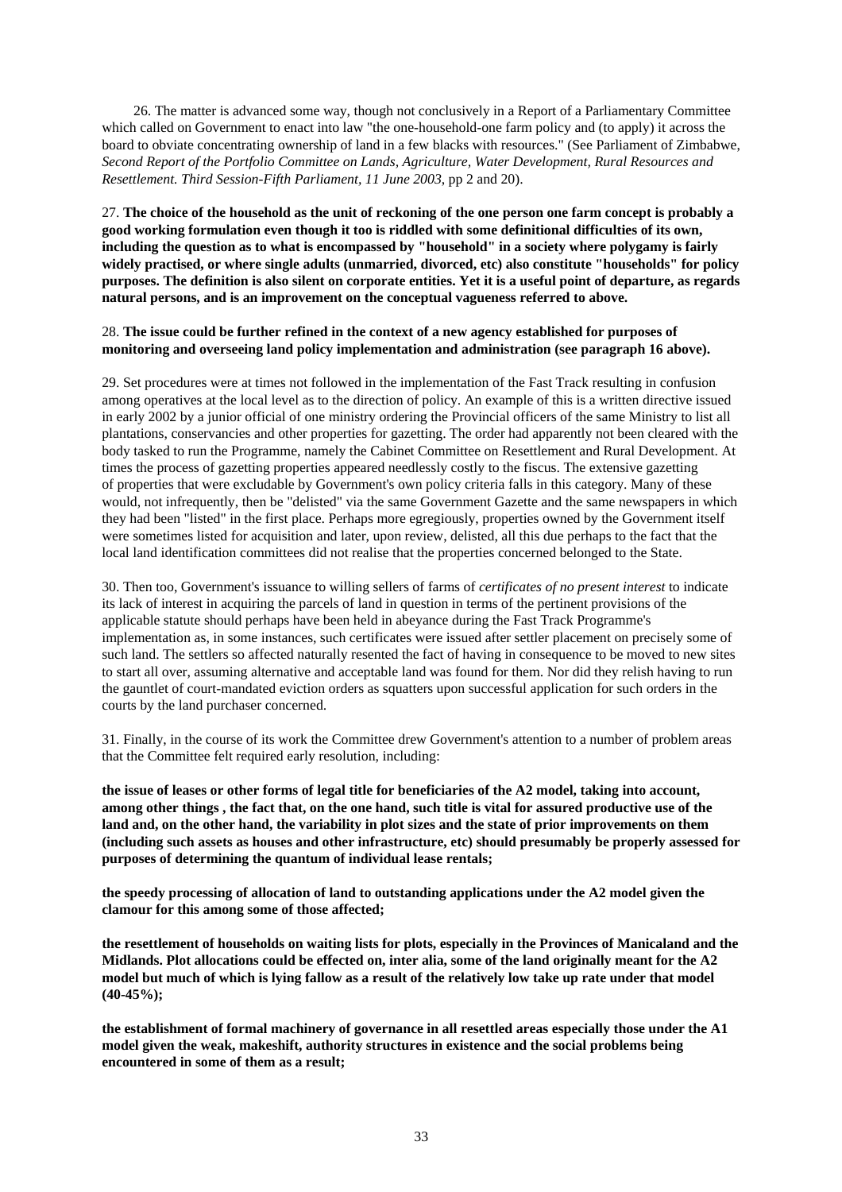26. The matter is advanced some way, though not conclusively in a Report of a Parliamentary Committee which called on Government to enact into law "the one-household-one farm policy and (to apply) it across the board to obviate concentrating ownership of land in a few blacks with resources." (See Parliament of Zimbabwe, *Second Report of the Portfolio Committee on Lands, Agriculture, Water Development, Rural Resources and Resettlement. Third Session-Fifth Parliament, 11 June 2003*, pp 2 and 20).

27. **The choice of the household as the unit of reckoning of the one person one farm concept is probably a good working formulation even though it too is riddled with some definitional difficulties of its own, including the question as to what is encompassed by "household" in a society where polygamy is fairly widely practised, or where single adults (unmarried, divorced, etc) also constitute "households" for policy purposes. The definition is also silent on corporate entities. Yet it is a useful point of departure, as regards natural persons, and is an improvement on the conceptual vagueness referred to above.**

### 28. **The issue could be further refined in the context of a new agency established for purposes of monitoring and overseeing land policy implementation and administration (see paragraph 16 above).**

29. Set procedures were at times not followed in the implementation of the Fast Track resulting in confusion among operatives at the local level as to the direction of policy. An example of this is a written directive issued in early 2002 by a junior official of one ministry ordering the Provincial officers of the same Ministry to list all plantations, conservancies and other properties for gazetting. The order had apparently not been cleared with the body tasked to run the Programme, namely the Cabinet Committee on Resettlement and Rural Development. At times the process of gazetting properties appeared needlessly costly to the fiscus. The extensive gazetting of properties that were excludable by Government's own policy criteria falls in this category. Many of these would, not infrequently, then be "delisted" via the same Government Gazette and the same newspapers in which they had been "listed" in the first place. Perhaps more egregiously, properties owned by the Government itself were sometimes listed for acquisition and later, upon review, delisted, all this due perhaps to the fact that the local land identification committees did not realise that the properties concerned belonged to the State.

30. Then too, Government's issuance to willing sellers of farms of *certificates of no present interest* to indicate its lack of interest in acquiring the parcels of land in question in terms of the pertinent provisions of the applicable statute should perhaps have been held in abeyance during the Fast Track Programme's implementation as, in some instances, such certificates were issued after settler placement on precisely some of such land. The settlers so affected naturally resented the fact of having in consequence to be moved to new sites to start all over, assuming alternative and acceptable land was found for them. Nor did they relish having to run the gauntlet of court-mandated eviction orders as squatters upon successful application for such orders in the courts by the land purchaser concerned.

31. Finally, in the course of its work the Committee drew Government's attention to a number of problem areas that the Committee felt required early resolution, including:

**the issue of leases or other forms of legal title for beneficiaries of the A2 model, taking into account, among other things , the fact that, on the one hand, such title is vital for assured productive use of the land and, on the other hand, the variability in plot sizes and the state of prior improvements on them (including such assets as houses and other infrastructure, etc) should presumably be properly assessed for purposes of determining the quantum of individual lease rentals;**

**the speedy processing of allocation of land to outstanding applications under the A2 model given the clamour for this among some of those affected;** 

**the resettlement of households on waiting lists for plots, especially in the Provinces of Manicaland and the Midlands. Plot allocations could be effected on, inter alia, some of the land originally meant for the A2 model but much of which is lying fallow as a result of the relatively low take up rate under that model (40-45%);** 

**the establishment of formal machinery of governance in all resettled areas especially those under the A1 model given the weak, makeshift, authority structures in existence and the social problems being encountered in some of them as a result;**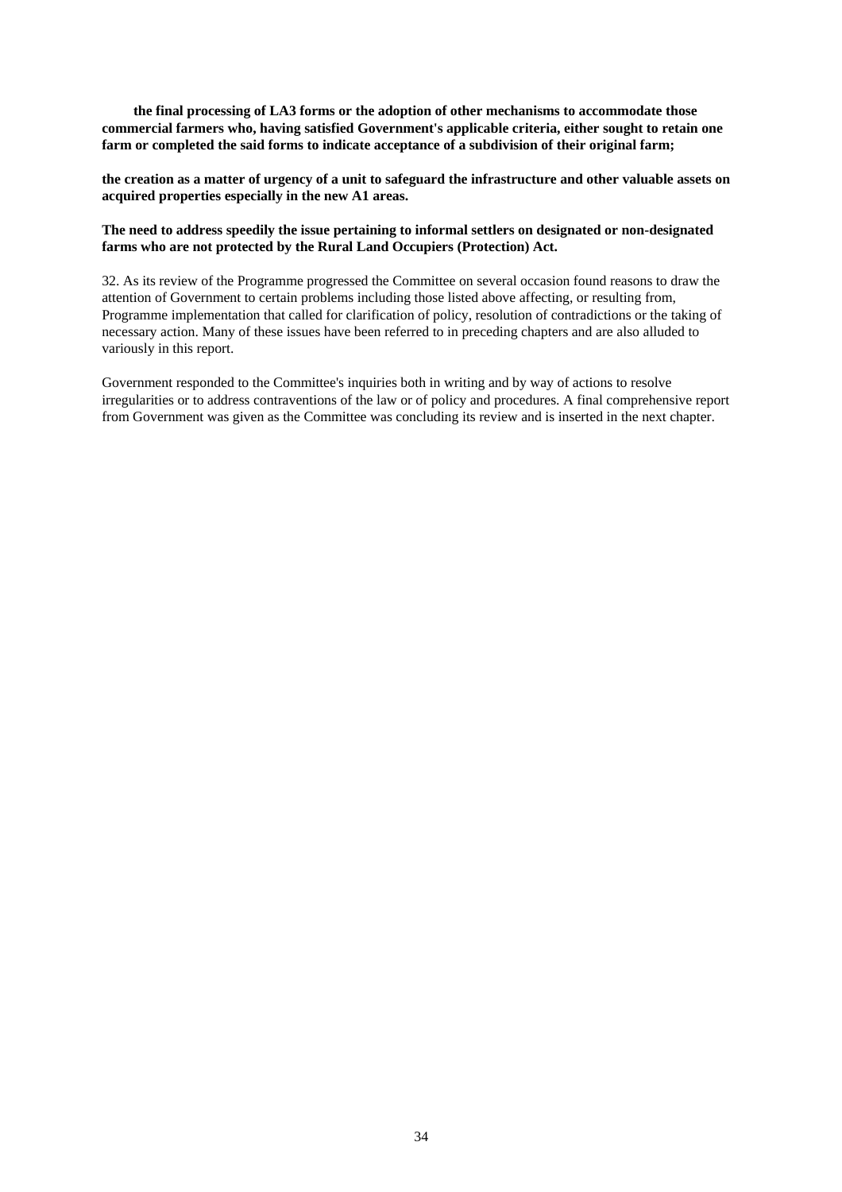**the final processing of LA3 forms or the adoption of other mechanisms to accommodate those commercial farmers who, having satisfied Government's applicable criteria, either sought to retain one farm or completed the said forms to indicate acceptance of a subdivision of their original farm;**

**the creation as a matter of urgency of a unit to safeguard the infrastructure and other valuable assets on acquired properties especially in the new A1 areas.** 

### **The need to address speedily the issue pertaining to informal settlers on designated or non-designated farms who are not protected by the Rural Land Occupiers (Protection) Act.**

32. As its review of the Programme progressed the Committee on several occasion found reasons to draw the attention of Government to certain problems including those listed above affecting, or resulting from, Programme implementation that called for clarification of policy, resolution of contradictions or the taking of necessary action. Many of these issues have been referred to in preceding chapters and are also alluded to variously in this report.

Government responded to the Committee's inquiries both in writing and by way of actions to resolve irregularities or to address contraventions of the law or of policy and procedures. A final comprehensive report from Government was given as the Committee was concluding its review and is inserted in the next chapter.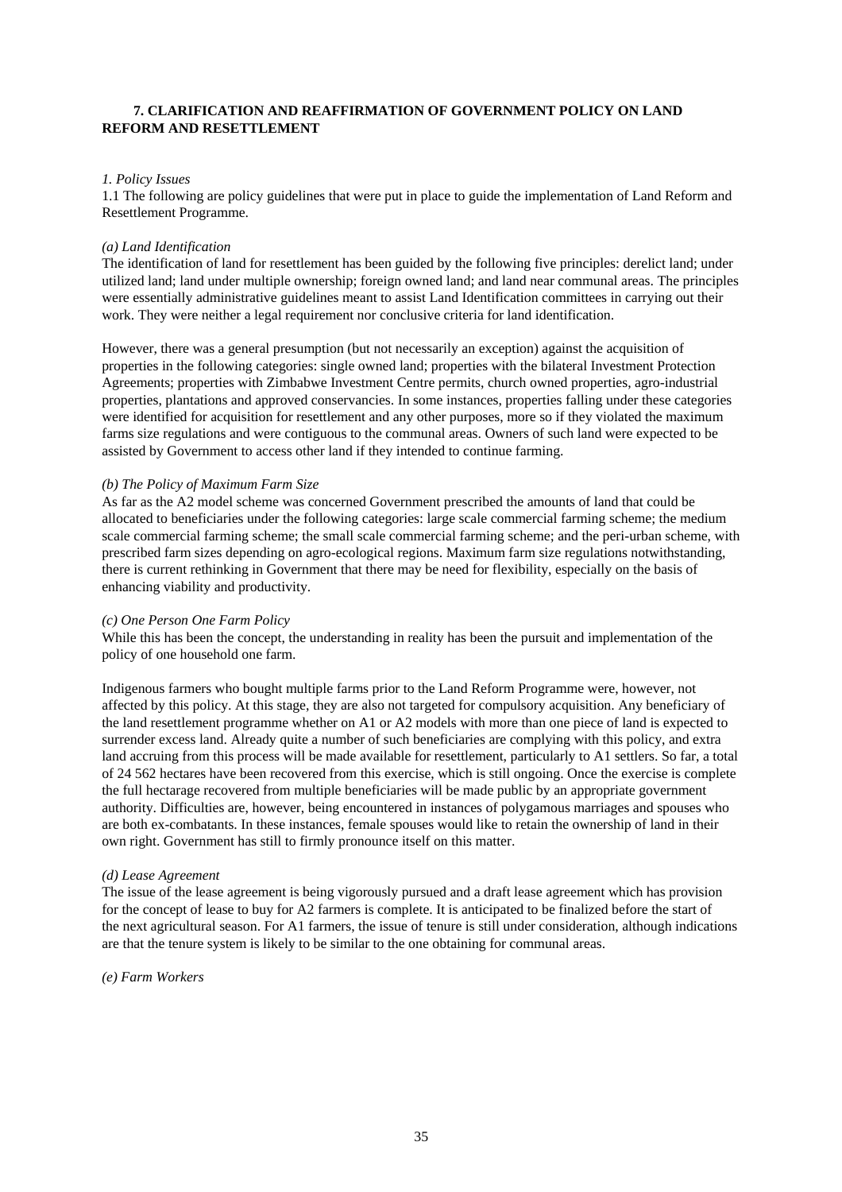# **7. CLARIFICATION AND REAFFIRMATION OF GOVERNMENT POLICY ON LAND REFORM AND RESETTLEMENT**

### *1. Policy Issues*

1.1 The following are policy guidelines that were put in place to guide the implementation of Land Reform and Resettlement Programme.

### *(a) Land Identification*

The identification of land for resettlement has been guided by the following five principles: derelict land; under utilized land; land under multiple ownership; foreign owned land; and land near communal areas. The principles were essentially administrative guidelines meant to assist Land Identification committees in carrying out their work. They were neither a legal requirement nor conclusive criteria for land identification.

However, there was a general presumption (but not necessarily an exception) against the acquisition of properties in the following categories: single owned land; properties with the bilateral Investment Protection Agreements; properties with Zimbabwe Investment Centre permits, church owned properties, agro-industrial properties, plantations and approved conservancies. In some instances, properties falling under these categories were identified for acquisition for resettlement and any other purposes, more so if they violated the maximum farms size regulations and were contiguous to the communal areas. Owners of such land were expected to be assisted by Government to access other land if they intended to continue farming.

### *(b) The Policy of Maximum Farm Size*

As far as the A2 model scheme was concerned Government prescribed the amounts of land that could be allocated to beneficiaries under the following categories: large scale commercial farming scheme; the medium scale commercial farming scheme; the small scale commercial farming scheme; and the peri-urban scheme, with prescribed farm sizes depending on agro-ecological regions. Maximum farm size regulations notwithstanding, there is current rethinking in Government that there may be need for flexibility, especially on the basis of enhancing viability and productivity.

### *(c) One Person One Farm Policy*

While this has been the concept, the understanding in reality has been the pursuit and implementation of the policy of one household one farm.

Indigenous farmers who bought multiple farms prior to the Land Reform Programme were, however, not affected by this policy. At this stage, they are also not targeted for compulsory acquisition. Any beneficiary of the land resettlement programme whether on A1 or A2 models with more than one piece of land is expected to surrender excess land. Already quite a number of such beneficiaries are complying with this policy, and extra land accruing from this process will be made available for resettlement, particularly to A1 settlers. So far, a total of 24 562 hectares have been recovered from this exercise, which is still ongoing. Once the exercise is complete the full hectarage recovered from multiple beneficiaries will be made public by an appropriate government authority. Difficulties are, however, being encountered in instances of polygamous marriages and spouses who are both ex-combatants. In these instances, female spouses would like to retain the ownership of land in their own right. Government has still to firmly pronounce itself on this matter.

### *(d) Lease Agreement*

The issue of the lease agreement is being vigorously pursued and a draft lease agreement which has provision for the concept of lease to buy for A2 farmers is complete. It is anticipated to be finalized before the start of the next agricultural season. For A1 farmers, the issue of tenure is still under consideration, although indications are that the tenure system is likely to be similar to the one obtaining for communal areas.

### *(e) Farm Workers*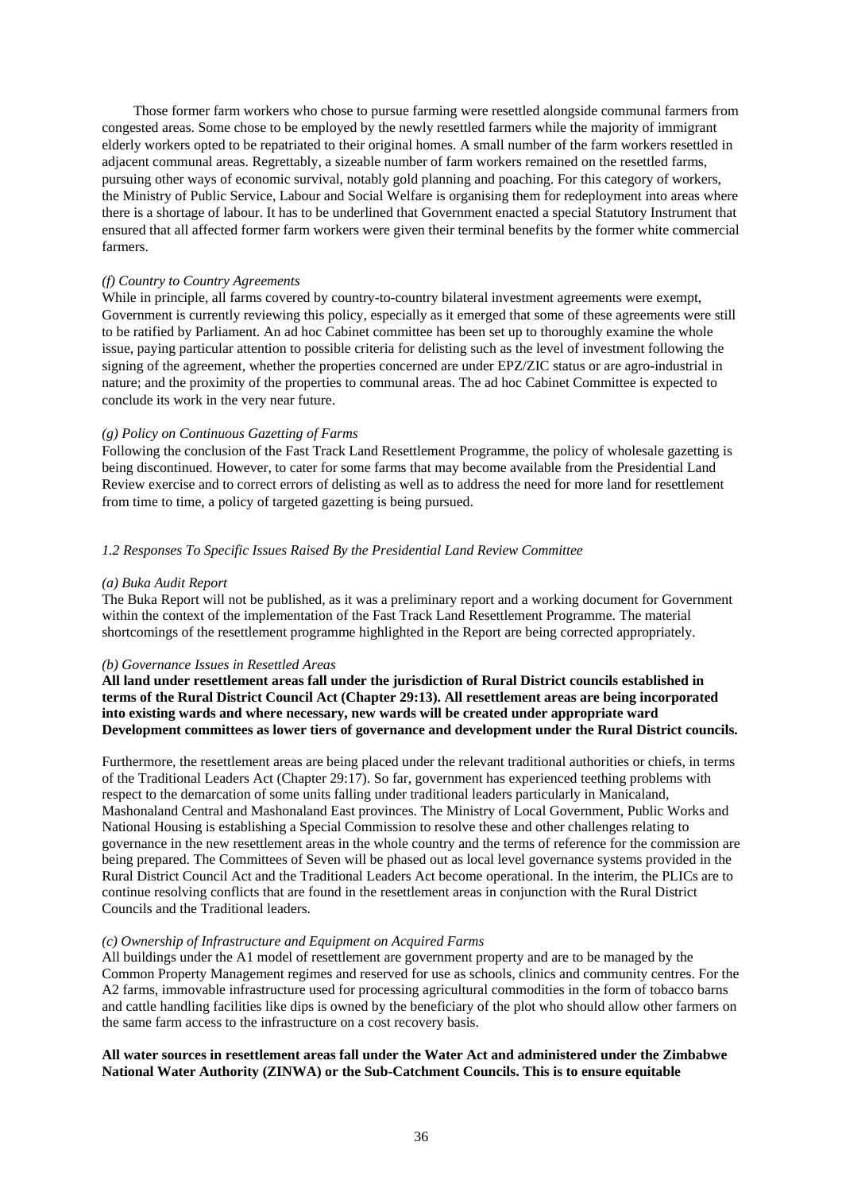Those former farm workers who chose to pursue farming were resettled alongside communal farmers from congested areas. Some chose to be employed by the newly resettled farmers while the majority of immigrant elderly workers opted to be repatriated to their original homes. A small number of the farm workers resettled in adjacent communal areas. Regrettably, a sizeable number of farm workers remained on the resettled farms, pursuing other ways of economic survival, notably gold planning and poaching. For this category of workers, the Ministry of Public Service, Labour and Social Welfare is organising them for redeployment into areas where there is a shortage of labour. It has to be underlined that Government enacted a special Statutory Instrument that ensured that all affected former farm workers were given their terminal benefits by the former white commercial farmers.

### *(f) Country to Country Agreements*

While in principle, all farms covered by country-to-country bilateral investment agreements were exempt, Government is currently reviewing this policy, especially as it emerged that some of these agreements were still to be ratified by Parliament. An ad hoc Cabinet committee has been set up to thoroughly examine the whole issue, paying particular attention to possible criteria for delisting such as the level of investment following the signing of the agreement, whether the properties concerned are under EPZ/ZIC status or are agro-industrial in nature; and the proximity of the properties to communal areas. The ad hoc Cabinet Committee is expected to conclude its work in the very near future.

### *(g) Policy on Continuous Gazetting of Farms*

Following the conclusion of the Fast Track Land Resettlement Programme, the policy of wholesale gazetting is being discontinued. However, to cater for some farms that may become available from the Presidential Land Review exercise and to correct errors of delisting as well as to address the need for more land for resettlement from time to time, a policy of targeted gazetting is being pursued.

### *1.2 Responses To Specific Issues Raised By the Presidential Land Review Committee*

### *(a) Buka Audit Report*

The Buka Report will not be published, as it was a preliminary report and a working document for Government within the context of the implementation of the Fast Track Land Resettlement Programme. The material shortcomings of the resettlement programme highlighted in the Report are being corrected appropriately.

### *(b) Governance Issues in Resettled Areas*

**All land under resettlement areas fall under the jurisdiction of Rural District councils established in terms of the Rural District Council Act (Chapter 29:13). All resettlement areas are being incorporated into existing wards and where necessary, new wards will be created under appropriate ward Development committees as lower tiers of governance and development under the Rural District councils.**

Furthermore, the resettlement areas are being placed under the relevant traditional authorities or chiefs, in terms of the Traditional Leaders Act (Chapter 29:17). So far, government has experienced teething problems with respect to the demarcation of some units falling under traditional leaders particularly in Manicaland, Mashonaland Central and Mashonaland East provinces. The Ministry of Local Government, Public Works and National Housing is establishing a Special Commission to resolve these and other challenges relating to governance in the new resettlement areas in the whole country and the terms of reference for the commission are being prepared. The Committees of Seven will be phased out as local level governance systems provided in the Rural District Council Act and the Traditional Leaders Act become operational. In the interim, the PLICs are to continue resolving conflicts that are found in the resettlement areas in conjunction with the Rural District Councils and the Traditional leaders.

### *(c) Ownership of Infrastructure and Equipment on Acquired Farms*

All buildings under the A1 model of resettlement are government property and are to be managed by the Common Property Management regimes and reserved for use as schools, clinics and community centres. For the A2 farms, immovable infrastructure used for processing agricultural commodities in the form of tobacco barns and cattle handling facilities like dips is owned by the beneficiary of the plot who should allow other farmers on the same farm access to the infrastructure on a cost recovery basis.

### **All water sources in resettlement areas fall under the Water Act and administered under the Zimbabwe National Water Authority (ZINWA) or the Sub-Catchment Councils. This is to ensure equitable**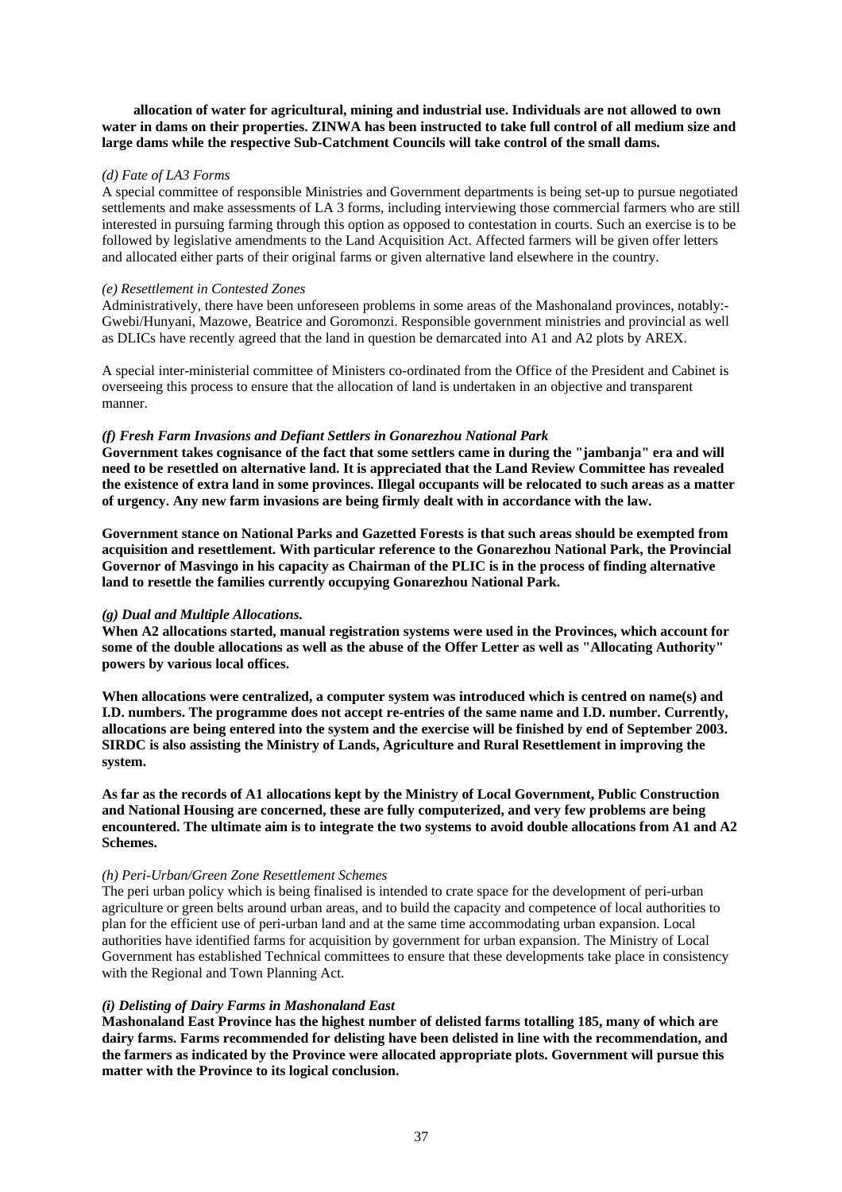**allocation of water for agricultural, mining and industrial use. Individuals are not allowed to own water in dams on their properties. ZINWA has been instructed to take full control of all medium size and large dams while the respective Sub-Catchment Councils will take control of the small dams.**

# *(d) Fate of LA3 Forms*

A special committee of responsible Ministries and Government departments is being set-up to pursue negotiated settlements and make assessments of LA 3 forms, including interviewing those commercial farmers who are still interested in pursuing farming through this option as opposed to contestation in courts. Such an exercise is to be followed by legislative amendments to the Land Acquisition Act. Affected farmers will be given offer letters and allocated either parts of their original farms or given alternative land elsewhere in the country.

#### *(e) Resettlement in Contested Zones*

Administratively, there have been unforeseen problems in some areas of the Mashonaland provinces, notably:- Gwebi/Hunyani, Mazowe, Beatrice and Goromonzi. Responsible government ministries and provincial as well as DLICs have recently agreed that the land in question be demarcated into A1 and A2 plots by AREX.

A special inter-ministerial committee of Ministers co-ordinated from the Office of the President and Cabinet is overseeing this process to ensure that the allocation of land is undertaken in an objective and transparent manner.

# *(f) Fresh Farm Invasions and Defiant Settlers in Gonarezhou National Park*

**Government takes cognisance of the fact that some settlers came in during the "jambanja" era and will need to be resettled on alternative land. It is appreciated that the Land Review Committee has revealed the existence of extra land in some provinces. Illegal occupants will be relocated to such areas as a matter of urgency. Any new farm invasions are being firmly dealt with in accordance with the law.** 

**Government stance on National Parks and Gazetted Forests is that such areas should be exempted from acquisition and resettlement. With particular reference to the Gonarezhou National Park, the Provincial Governor of Masvingo in his capacity as Chairman of the PLIC is in the process of finding alternative land to resettle the families currently occupying Gonarezhou National Park.**

#### *(g) Dual and Multiple Allocations.*

**When A2 allocations started, manual registration systems were used in the Provinces, which account for some of the double allocations as well as the abuse of the Offer Letter as well as "Allocating Authority" powers by various local offices.** 

**When allocations were centralized, a computer system was introduced which is centred on name(s) and I.D. numbers. The programme does not accept re-entries of the same name and I.D. number. Currently, allocations are being entered into the system and the exercise will be finished by end of September 2003. SIRDC is also assisting the Ministry of Lands, Agriculture and Rural Resettlement in improving the system.** 

**As far as the records of A1 allocations kept by the Ministry of Local Government, Public Construction and National Housing are concerned, these are fully computerized, and very few problems are being encountered. The ultimate aim is to integrate the two systems to avoid double allocations from A1 and A2 Schemes.** 

# *(h) Peri-Urban/Green Zone Resettlement Schemes*

The peri urban policy which is being finalised is intended to crate space for the development of peri-urban agriculture or green belts around urban areas, and to build the capacity and competence of local authorities to plan for the efficient use of peri-urban land and at the same time accommodating urban expansion. Local authorities have identified farms for acquisition by government for urban expansion. The Ministry of Local Government has established Technical committees to ensure that these developments take place in consistency with the Regional and Town Planning Act.

# *(i) Delisting of Dairy Farms in Mashonaland East*

**Mashonaland East Province has the highest number of delisted farms totalling 185, many of which are dairy farms. Farms recommended for delisting have been delisted in line with the recommendation, and the farmers as indicated by the Province were allocated appropriate plots. Government will pursue this matter with the Province to its logical conclusion.**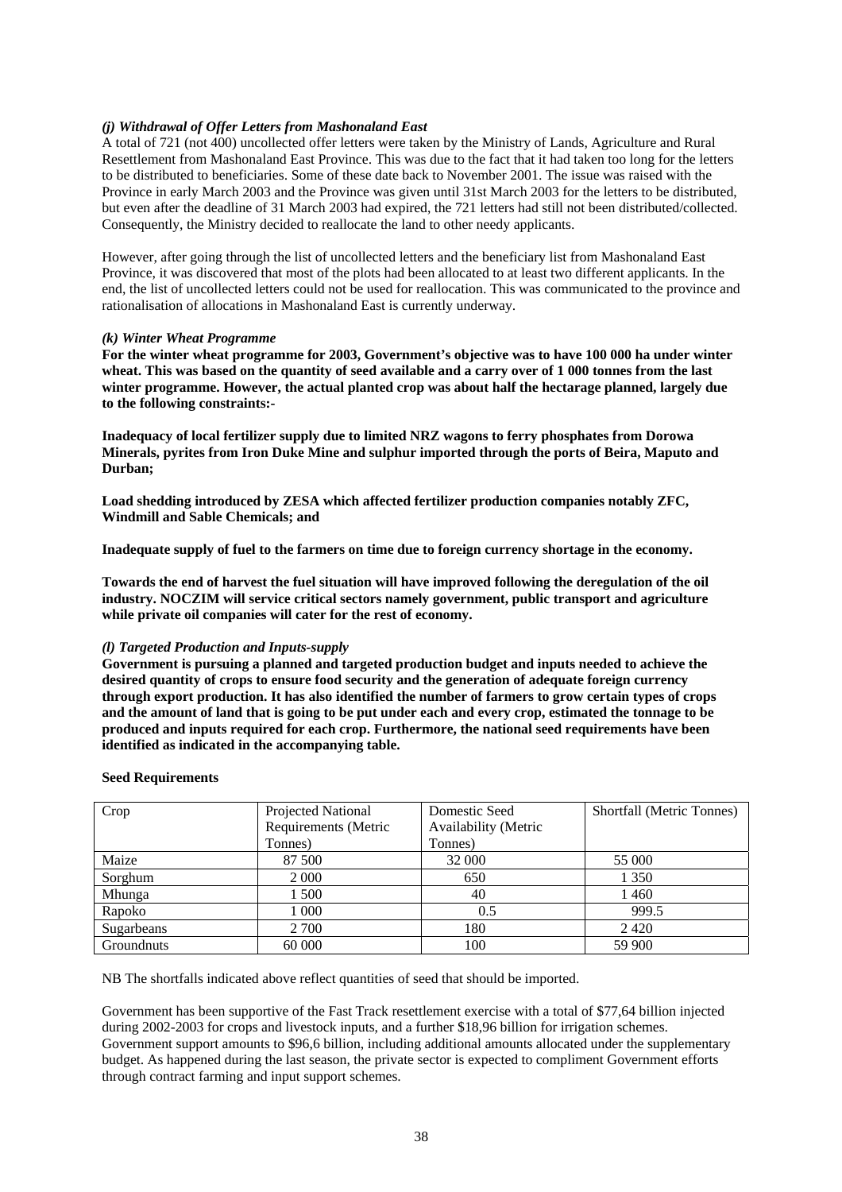# *(j) Withdrawal of Offer Letters from Mashonaland East*

A total of 721 (not 400) uncollected offer letters were taken by the Ministry of Lands, Agriculture and Rural Resettlement from Mashonaland East Province. This was due to the fact that it had taken too long for the letters to be distributed to beneficiaries. Some of these date back to November 2001. The issue was raised with the Province in early March 2003 and the Province was given until 31st March 2003 for the letters to be distributed, but even after the deadline of 31 March 2003 had expired, the 721 letters had still not been distributed/collected. Consequently, the Ministry decided to reallocate the land to other needy applicants.

However, after going through the list of uncollected letters and the beneficiary list from Mashonaland East Province, it was discovered that most of the plots had been allocated to at least two different applicants. In the end, the list of uncollected letters could not be used for reallocation. This was communicated to the province and rationalisation of allocations in Mashonaland East is currently underway.

# *(k) Winter Wheat Programme*

**For the winter wheat programme for 2003, Government's objective was to have 100 000 ha under winter wheat. This was based on the quantity of seed available and a carry over of 1 000 tonnes from the last winter programme. However, the actual planted crop was about half the hectarage planned, largely due to the following constraints:-** 

**Inadequacy of local fertilizer supply due to limited NRZ wagons to ferry phosphates from Dorowa Minerals, pyrites from Iron Duke Mine and sulphur imported through the ports of Beira, Maputo and Durban;** 

**Load shedding introduced by ZESA which affected fertilizer production companies notably ZFC, Windmill and Sable Chemicals; and** 

**Inadequate supply of fuel to the farmers on time due to foreign currency shortage in the economy.** 

**Towards the end of harvest the fuel situation will have improved following the deregulation of the oil industry. NOCZIM will service critical sectors namely government, public transport and agriculture while private oil companies will cater for the rest of economy.**

# *(l) Targeted Production and Inputs-supply*

**Government is pursuing a planned and targeted production budget and inputs needed to achieve the desired quantity of crops to ensure food security and the generation of adequate foreign currency through export production. It has also identified the number of farmers to grow certain types of crops and the amount of land that is going to be put under each and every crop, estimated the tonnage to be produced and inputs required for each crop. Furthermore, the national seed requirements have been identified as indicated in the accompanying table.** 

#### **Seed Requirements**

| Crop       | Projected National   | Domestic Seed        | <b>Shortfall (Metric Tonnes)</b> |
|------------|----------------------|----------------------|----------------------------------|
|            | Requirements (Metric | Availability (Metric |                                  |
|            | Tonnes)              | Tonnes)              |                                  |
| Maize      | 87 500               | 32 000               | 55 000                           |
| Sorghum    | 2 0 0 0              | 650                  | 1 350                            |
| Mhunga     | l 500                | 40                   | 1460                             |
| Rapoko     | l 000                | 0.5                  | 999.5                            |
| Sugarbeans | 2 700                | 180                  | 2420                             |
| Groundnuts | 60 000               | 100                  | 59 900                           |

NB The shortfalls indicated above reflect quantities of seed that should be imported.

Government has been supportive of the Fast Track resettlement exercise with a total of \$77,64 billion injected during 2002-2003 for crops and livestock inputs, and a further \$18,96 billion for irrigation schemes. Government support amounts to \$96,6 billion, including additional amounts allocated under the supplementary budget. As happened during the last season, the private sector is expected to compliment Government efforts through contract farming and input support schemes.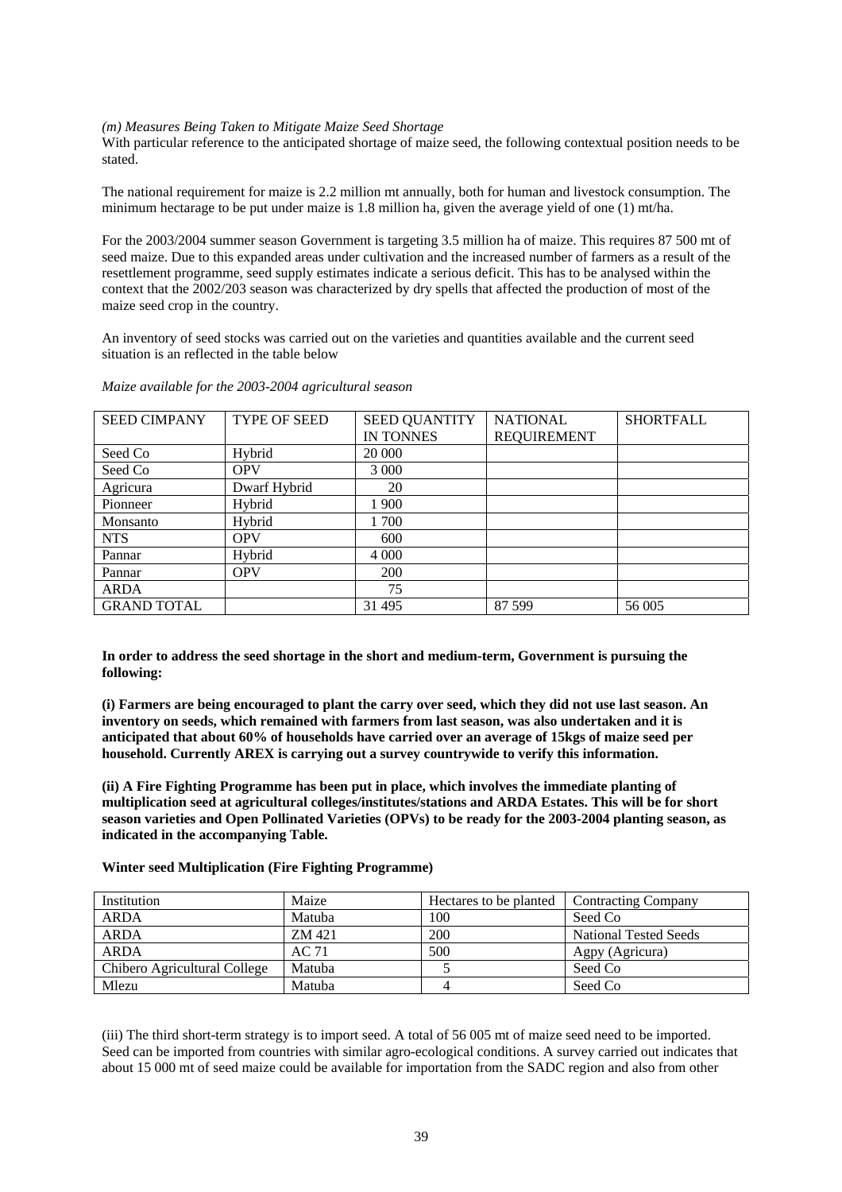#### *(m) Measures Being Taken to Mitigate Maize Seed Shortage*

With particular reference to the anticipated shortage of maize seed, the following contextual position needs to be stated.

The national requirement for maize is 2.2 million mt annually, both for human and livestock consumption. The minimum hectarage to be put under maize is 1.8 million ha, given the average yield of one (1) mt/ha.

For the 2003/2004 summer season Government is targeting 3.5 million ha of maize. This requires 87 500 mt of seed maize. Due to this expanded areas under cultivation and the increased number of farmers as a result of the resettlement programme, seed supply estimates indicate a serious deficit. This has to be analysed within the context that the 2002/203 season was characterized by dry spells that affected the production of most of the maize seed crop in the country.

An inventory of seed stocks was carried out on the varieties and quantities available and the current seed situation is an reflected in the table below

| <b>SEED CIMPANY</b> | <b>TYPE OF SEED</b> | <b>SEED QUANTITY</b> | <b>NATIONAL</b>    | <b>SHORTFALL</b> |
|---------------------|---------------------|----------------------|--------------------|------------------|
|                     |                     | IN TONNES            | <b>REQUIREMENT</b> |                  |
| Seed Co             | Hybrid              | 20 000               |                    |                  |
| Seed Co             | <b>OPV</b>          | 3 0 0 0              |                    |                  |
| Agricura            | Dwarf Hybrid        | 20                   |                    |                  |
| Pionneer            | Hybrid              | 1 900                |                    |                  |
| Monsanto            | Hybrid              | 1 700                |                    |                  |
| <b>NTS</b>          | <b>OPV</b>          | 600                  |                    |                  |
| Pannar              | Hybrid              | 4 0 0 0              |                    |                  |
| Pannar              | <b>OPV</b>          | 200                  |                    |                  |
| <b>ARDA</b>         |                     | 75                   |                    |                  |
| <b>GRAND TOTAL</b>  |                     | 31 495               | 87 599             | 56 005           |

*Maize available for the 2003-2004 agricultural season*

**In order to address the seed shortage in the short and medium-term, Government is pursuing the following:** 

**(i) Farmers are being encouraged to plant the carry over seed, which they did not use last season. An inventory on seeds, which remained with farmers from last season, was also undertaken and it is anticipated that about 60% of households have carried over an average of 15kgs of maize seed per household. Currently AREX is carrying out a survey countrywide to verify this information.** 

**(ii) A Fire Fighting Programme has been put in place, which involves the immediate planting of multiplication seed at agricultural colleges/institutes/stations and ARDA Estates. This will be for short season varieties and Open Pollinated Varieties (OPVs) to be ready for the 2003-2004 planting season, as indicated in the accompanying Table.**

**Winter seed Multiplication (Fire Fighting Programme)**

| Institution                  | Maize  | Hectares to be planted | <b>Contracting Company</b>   |
|------------------------------|--------|------------------------|------------------------------|
| <b>ARDA</b>                  | Matuba | 100                    | Seed Co                      |
| <b>ARDA</b>                  | ZM 421 | 200                    | <b>National Tested Seeds</b> |
| <b>ARDA</b>                  | AC 71  | 500                    | Agpy (Agricura)              |
| Chibero Agricultural College | Matuba |                        | Seed Co                      |
| Mlezu                        | Matuba |                        | Seed Co                      |

(iii) The third short-term strategy is to import seed. A total of 56 005 mt of maize seed need to be imported. Seed can be imported from countries with similar agro-ecological conditions. A survey carried out indicates that about 15 000 mt of seed maize could be available for importation from the SADC region and also from other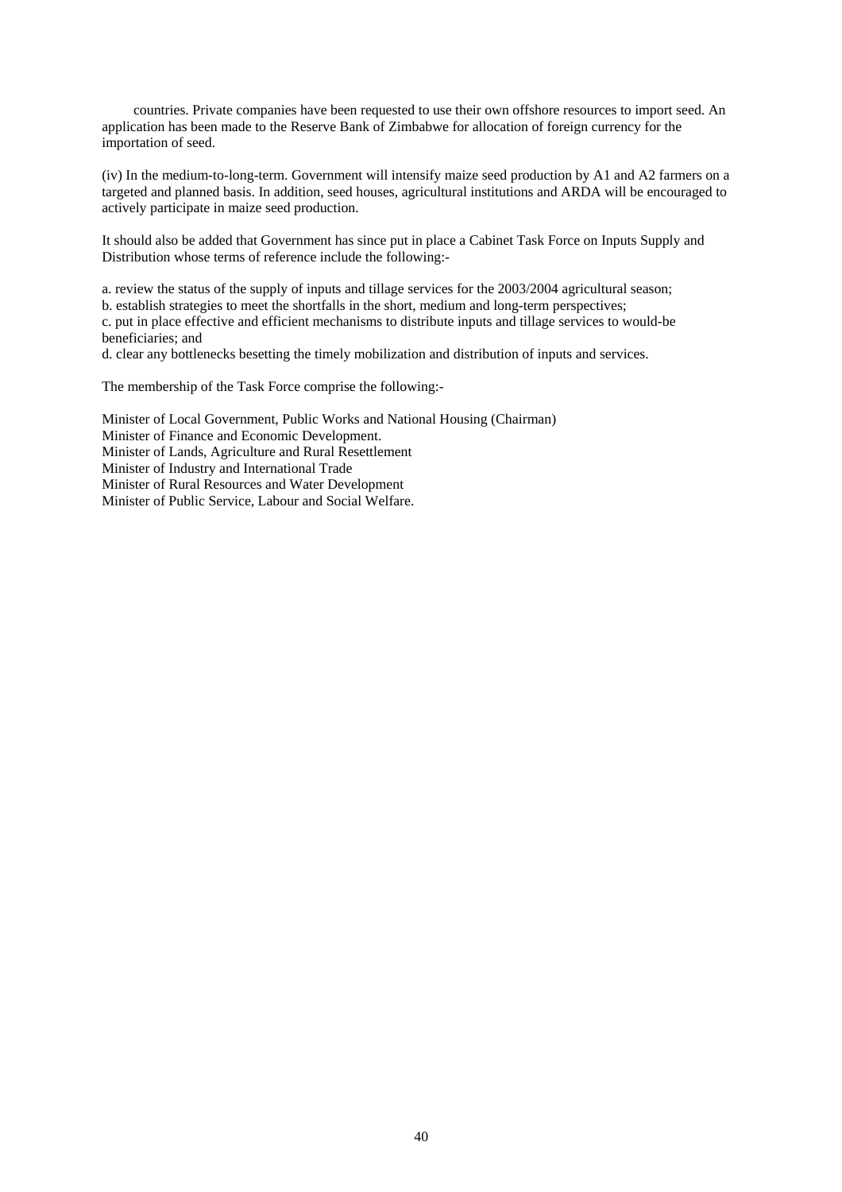countries. Private companies have been requested to use their own offshore resources to import seed. An application has been made to the Reserve Bank of Zimbabwe for allocation of foreign currency for the importation of seed.

(iv) In the medium-to-long-term. Government will intensify maize seed production by A1 and A2 farmers on a targeted and planned basis. In addition, seed houses, agricultural institutions and ARDA will be encouraged to actively participate in maize seed production.

It should also be added that Government has since put in place a Cabinet Task Force on Inputs Supply and Distribution whose terms of reference include the following:-

a. review the status of the supply of inputs and tillage services for the 2003/2004 agricultural season; b. establish strategies to meet the shortfalls in the short, medium and long-term perspectives; c. put in place effective and efficient mechanisms to distribute inputs and tillage services to would-be beneficiaries; and

d. clear any bottlenecks besetting the timely mobilization and distribution of inputs and services.

The membership of the Task Force comprise the following:-

Minister of Local Government, Public Works and National Housing (Chairman) Minister of Finance and Economic Development. Minister of Lands, Agriculture and Rural Resettlement Minister of Industry and International Trade Minister of Rural Resources and Water Development Minister of Public Service, Labour and Social Welfare.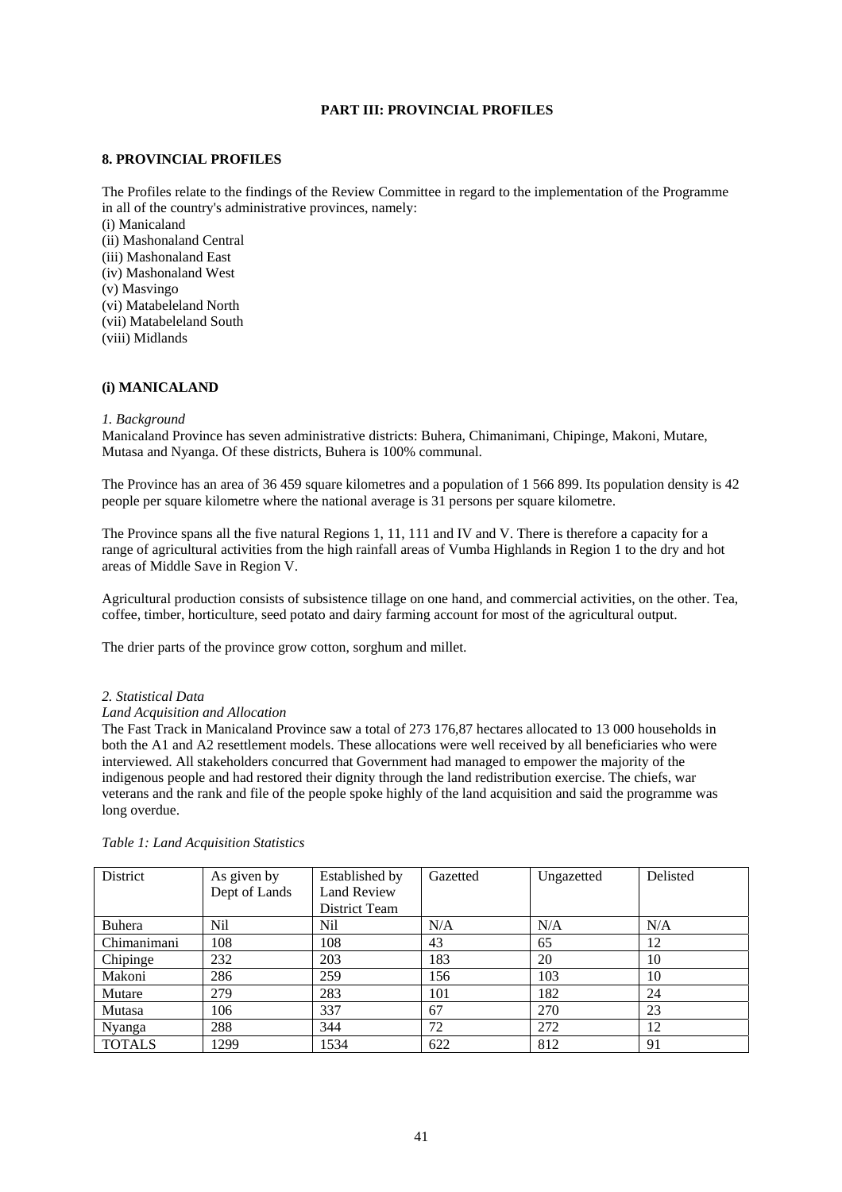# **PART III: PROVINCIAL PROFILES**

# **8. PROVINCIAL PROFILES**

The Profiles relate to the findings of the Review Committee in regard to the implementation of the Programme in all of the country's administrative provinces, namely:

(i) Manicaland (ii) Mashonaland Central (iii) Mashonaland East (iv) Mashonaland West (v) Masvingo (vi) Matabeleland North (vii) Matabeleland South (viii) Midlands

# **(i) MANICALAND**

#### *1. Background*

Manicaland Province has seven administrative districts: Buhera, Chimanimani, Chipinge, Makoni, Mutare, Mutasa and Nyanga. Of these districts, Buhera is 100% communal.

The Province has an area of 36 459 square kilometres and a population of 1 566 899. Its population density is 42 people per square kilometre where the national average is 31 persons per square kilometre.

The Province spans all the five natural Regions 1, 11, 111 and IV and V. There is therefore a capacity for a range of agricultural activities from the high rainfall areas of Vumba Highlands in Region 1 to the dry and hot areas of Middle Save in Region V.

Agricultural production consists of subsistence tillage on one hand, and commercial activities, on the other. Tea, coffee, timber, horticulture, seed potato and dairy farming account for most of the agricultural output.

The drier parts of the province grow cotton, sorghum and millet.

#### *2. Statistical Data*

#### *Land Acquisition and Allocation*

The Fast Track in Manicaland Province saw a total of 273 176,87 hectares allocated to 13 000 households in both the A1 and A2 resettlement models. These allocations were well received by all beneficiaries who were interviewed. All stakeholders concurred that Government had managed to empower the majority of the indigenous people and had restored their dignity through the land redistribution exercise. The chiefs, war veterans and the rank and file of the people spoke highly of the land acquisition and said the programme was long overdue.

| District      | As given by   | Established by     | Gazetted | Ungazetted | Delisted |
|---------------|---------------|--------------------|----------|------------|----------|
|               | Dept of Lands | <b>Land Review</b> |          |            |          |
|               |               | District Team      |          |            |          |
| Buhera        | Nil           | Nil                | N/A      | N/A        | N/A      |
| Chimanimani   | 108           | 108                | 43       | 65         | 12       |
| Chipinge      | 232           | 203                | 183      | 20         | 10       |
| Makoni        | 286           | 259                | 156      | 103        | 10       |
| Mutare        | 279           | 283                | 101      | 182        | 24       |
| Mutasa        | 106           | 337                | 67       | 270        | 23       |
| Nyanga        | 288           | 344                | 72       | 272        | 12       |
| <b>TOTALS</b> | 1299          | 1534               | 622      | 812        | 91       |

#### *Table 1: Land Acquisition Statistics*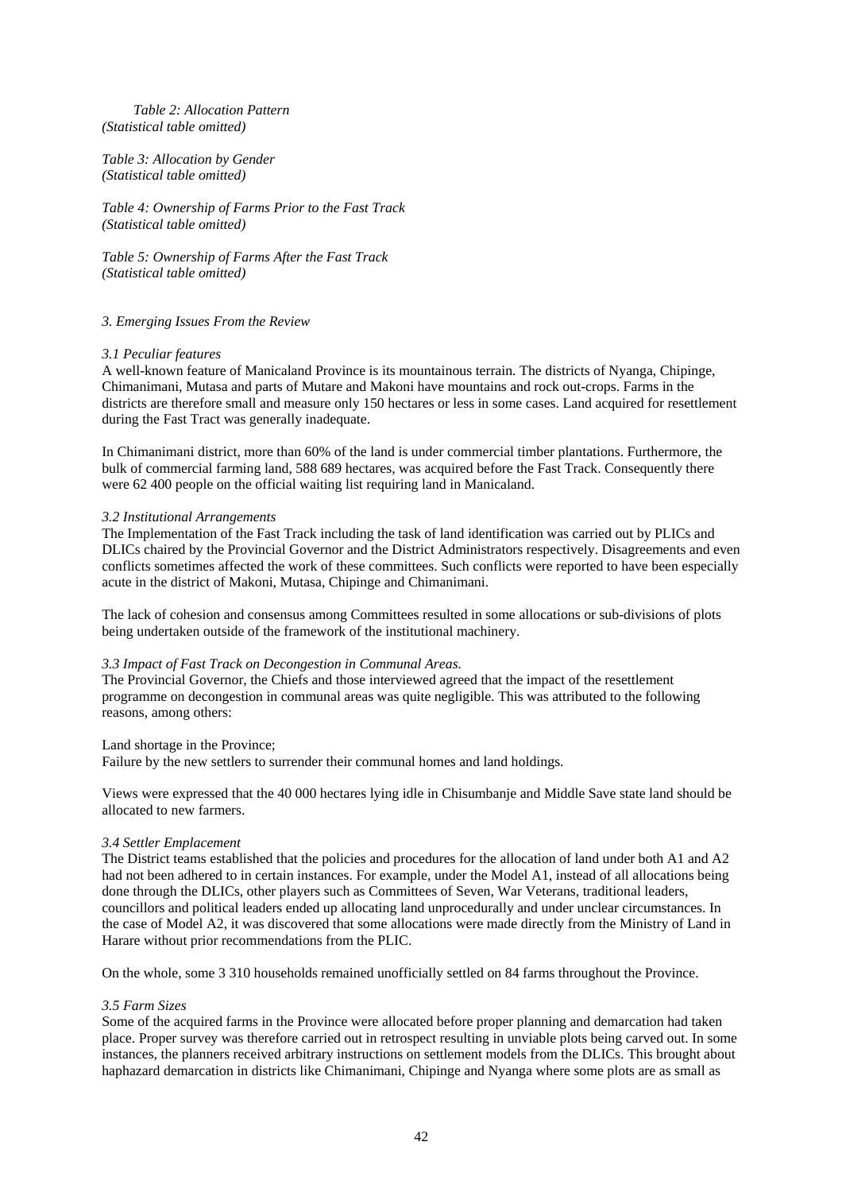# *Table 2: Allocation Pattern (Statistical table omitted)*

*Table 3: Allocation by Gender (Statistical table omitted)* 

*Table 4: Ownership of Farms Prior to the Fast Track (Statistical table omitted)* 

*Table 5: Ownership of Farms After the Fast Track (Statistical table omitted)* 

# *3. Emerging Issues From the Review*

# *3.1 Peculiar features*

A well-known feature of Manicaland Province is its mountainous terrain. The districts of Nyanga, Chipinge, Chimanimani, Mutasa and parts of Mutare and Makoni have mountains and rock out-crops. Farms in the districts are therefore small and measure only 150 hectares or less in some cases. Land acquired for resettlement during the Fast Tract was generally inadequate.

In Chimanimani district, more than 60% of the land is under commercial timber plantations. Furthermore, the bulk of commercial farming land, 588 689 hectares, was acquired before the Fast Track. Consequently there were 62 400 people on the official waiting list requiring land in Manicaland.

# *3.2 Institutional Arrangements*

The Implementation of the Fast Track including the task of land identification was carried out by PLICs and DLICs chaired by the Provincial Governor and the District Administrators respectively. Disagreements and even conflicts sometimes affected the work of these committees. Such conflicts were reported to have been especially acute in the district of Makoni, Mutasa, Chipinge and Chimanimani.

The lack of cohesion and consensus among Committees resulted in some allocations or sub-divisions of plots being undertaken outside of the framework of the institutional machinery.

#### *3.3 Impact of Fast Track on Decongestion in Communal Areas.*

The Provincial Governor, the Chiefs and those interviewed agreed that the impact of the resettlement programme on decongestion in communal areas was quite negligible. This was attributed to the following reasons, among others:

#### Land shortage in the Province;

Failure by the new settlers to surrender their communal homes and land holdings.

Views were expressed that the 40 000 hectares lying idle in Chisumbanje and Middle Save state land should be allocated to new farmers.

## *3.4 Settler Emplacement*

The District teams established that the policies and procedures for the allocation of land under both A1 and A2 had not been adhered to in certain instances. For example, under the Model A1, instead of all allocations being done through the DLICs, other players such as Committees of Seven, War Veterans, traditional leaders, councillors and political leaders ended up allocating land unprocedurally and under unclear circumstances. In the case of Model A2, it was discovered that some allocations were made directly from the Ministry of Land in Harare without prior recommendations from the PLIC.

On the whole, some 3 310 households remained unofficially settled on 84 farms throughout the Province.

# *3.5 Farm Sizes*

Some of the acquired farms in the Province were allocated before proper planning and demarcation had taken place. Proper survey was therefore carried out in retrospect resulting in unviable plots being carved out. In some instances, the planners received arbitrary instructions on settlement models from the DLICs. This brought about haphazard demarcation in districts like Chimanimani, Chipinge and Nyanga where some plots are as small as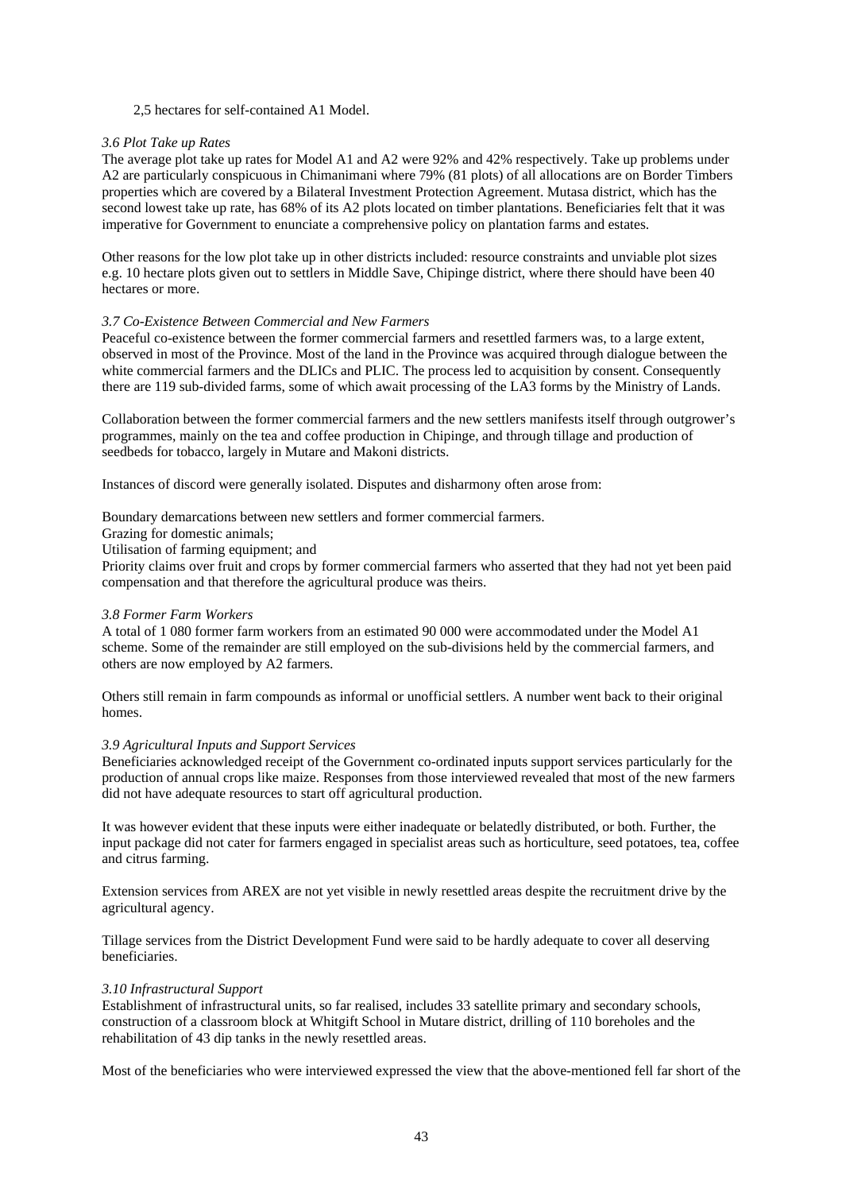# 2,5 hectares for self-contained A1 Model.

# *3.6 Plot Take up Rates*

The average plot take up rates for Model A1 and A2 were 92% and 42% respectively. Take up problems under A2 are particularly conspicuous in Chimanimani where 79% (81 plots) of all allocations are on Border Timbers properties which are covered by a Bilateral Investment Protection Agreement. Mutasa district, which has the second lowest take up rate, has 68% of its A2 plots located on timber plantations. Beneficiaries felt that it was imperative for Government to enunciate a comprehensive policy on plantation farms and estates.

Other reasons for the low plot take up in other districts included: resource constraints and unviable plot sizes e.g. 10 hectare plots given out to settlers in Middle Save, Chipinge district, where there should have been 40 hectares or more.

# *3.7 Co-Existence Between Commercial and New Farmers*

Peaceful co-existence between the former commercial farmers and resettled farmers was, to a large extent, observed in most of the Province. Most of the land in the Province was acquired through dialogue between the white commercial farmers and the DLICs and PLIC. The process led to acquisition by consent. Consequently there are 119 sub-divided farms, some of which await processing of the LA3 forms by the Ministry of Lands.

Collaboration between the former commercial farmers and the new settlers manifests itself through outgrower's programmes, mainly on the tea and coffee production in Chipinge, and through tillage and production of seedbeds for tobacco, largely in Mutare and Makoni districts.

Instances of discord were generally isolated. Disputes and disharmony often arose from:

Boundary demarcations between new settlers and former commercial farmers.

Grazing for domestic animals;

Utilisation of farming equipment; and

Priority claims over fruit and crops by former commercial farmers who asserted that they had not yet been paid compensation and that therefore the agricultural produce was theirs.

#### *3.8 Former Farm Workers*

A total of 1 080 former farm workers from an estimated 90 000 were accommodated under the Model A1 scheme. Some of the remainder are still employed on the sub-divisions held by the commercial farmers, and others are now employed by A2 farmers.

Others still remain in farm compounds as informal or unofficial settlers. A number went back to their original homes.

#### *3.9 Agricultural Inputs and Support Services*

Beneficiaries acknowledged receipt of the Government co-ordinated inputs support services particularly for the production of annual crops like maize. Responses from those interviewed revealed that most of the new farmers did not have adequate resources to start off agricultural production.

It was however evident that these inputs were either inadequate or belatedly distributed, or both. Further, the input package did not cater for farmers engaged in specialist areas such as horticulture, seed potatoes, tea, coffee and citrus farming.

Extension services from AREX are not yet visible in newly resettled areas despite the recruitment drive by the agricultural agency.

Tillage services from the District Development Fund were said to be hardly adequate to cover all deserving beneficiaries.

#### *3.10 Infrastructural Support*

Establishment of infrastructural units, so far realised, includes 33 satellite primary and secondary schools, construction of a classroom block at Whitgift School in Mutare district, drilling of 110 boreholes and the rehabilitation of 43 dip tanks in the newly resettled areas.

Most of the beneficiaries who were interviewed expressed the view that the above-mentioned fell far short of the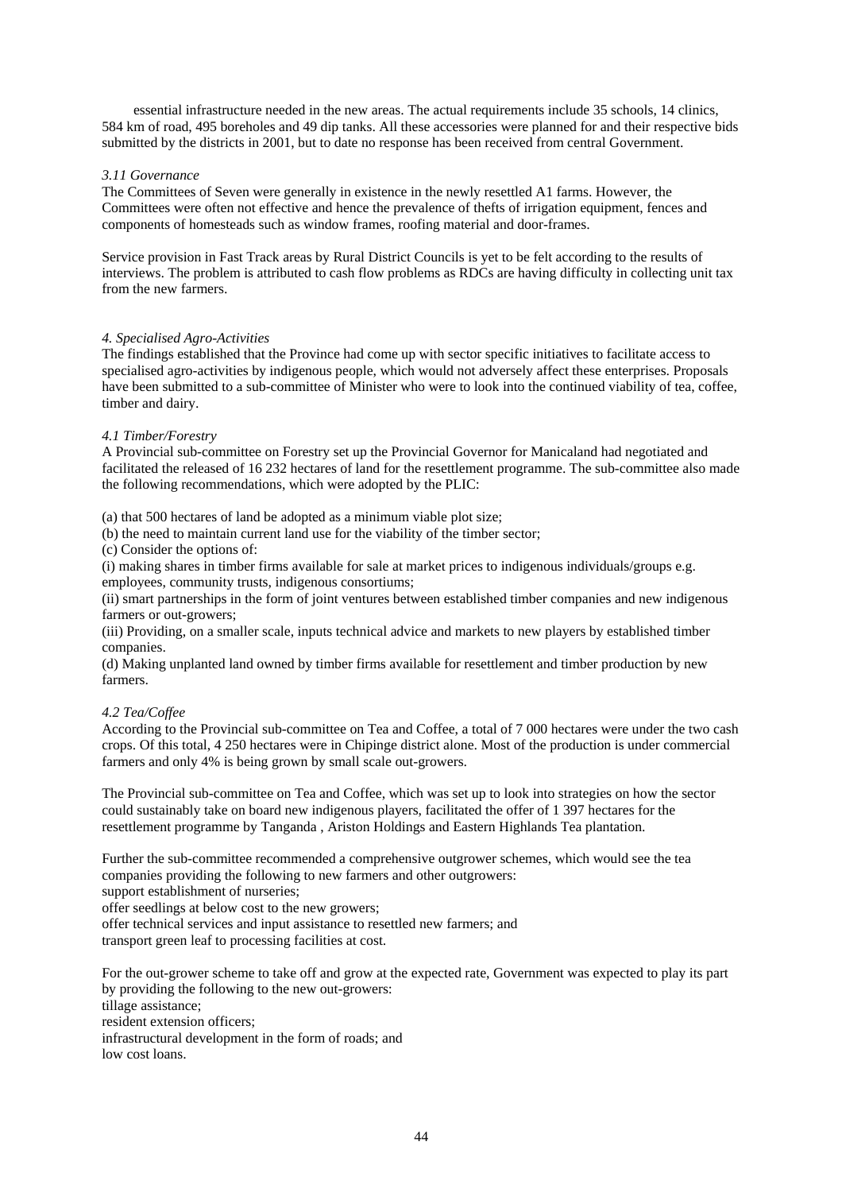essential infrastructure needed in the new areas. The actual requirements include 35 schools, 14 clinics, 584 km of road, 495 boreholes and 49 dip tanks. All these accessories were planned for and their respective bids submitted by the districts in 2001, but to date no response has been received from central Government.

# *3.11 Governance*

The Committees of Seven were generally in existence in the newly resettled A1 farms. However, the Committees were often not effective and hence the prevalence of thefts of irrigation equipment, fences and components of homesteads such as window frames, roofing material and door-frames.

Service provision in Fast Track areas by Rural District Councils is yet to be felt according to the results of interviews. The problem is attributed to cash flow problems as RDCs are having difficulty in collecting unit tax from the new farmers.

# *4. Specialised Agro-Activities*

The findings established that the Province had come up with sector specific initiatives to facilitate access to specialised agro-activities by indigenous people, which would not adversely affect these enterprises. Proposals have been submitted to a sub-committee of Minister who were to look into the continued viability of tea, coffee, timber and dairy.

# *4.1 Timber/Forestry*

A Provincial sub-committee on Forestry set up the Provincial Governor for Manicaland had negotiated and facilitated the released of 16 232 hectares of land for the resettlement programme. The sub-committee also made the following recommendations, which were adopted by the PLIC:

(a) that 500 hectares of land be adopted as a minimum viable plot size;

- (b) the need to maintain current land use for the viability of the timber sector;
- (c) Consider the options of:

(i) making shares in timber firms available for sale at market prices to indigenous individuals/groups e.g. employees, community trusts, indigenous consortiums;

(ii) smart partnerships in the form of joint ventures between established timber companies and new indigenous farmers or out-growers;

(iii) Providing, on a smaller scale, inputs technical advice and markets to new players by established timber companies.

(d) Making unplanted land owned by timber firms available for resettlement and timber production by new farmers.

# *4.2 Tea/Coffee*

According to the Provincial sub-committee on Tea and Coffee, a total of 7 000 hectares were under the two cash crops. Of this total, 4 250 hectares were in Chipinge district alone. Most of the production is under commercial farmers and only 4% is being grown by small scale out-growers.

The Provincial sub-committee on Tea and Coffee, which was set up to look into strategies on how the sector could sustainably take on board new indigenous players, facilitated the offer of 1 397 hectares for the resettlement programme by Tanganda , Ariston Holdings and Eastern Highlands Tea plantation.

Further the sub-committee recommended a comprehensive outgrower schemes, which would see the tea companies providing the following to new farmers and other outgrowers:

support establishment of nurseries:

offer seedlings at below cost to the new growers;

offer technical services and input assistance to resettled new farmers; and transport green leaf to processing facilities at cost.

For the out-grower scheme to take off and grow at the expected rate, Government was expected to play its part by providing the following to the new out-growers: tillage assistance;

resident extension officers;

infrastructural development in the form of roads; and

low cost loans.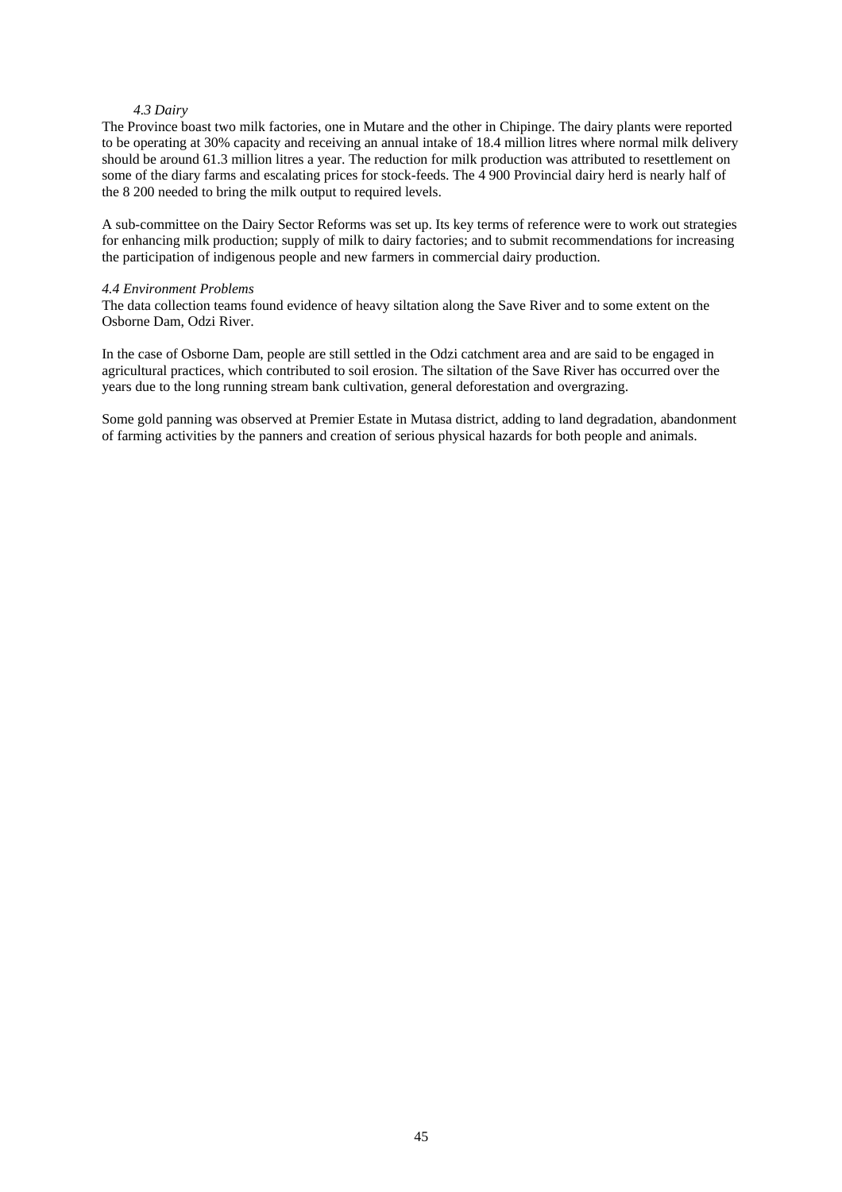## *4.3 Dairy*

The Province boast two milk factories, one in Mutare and the other in Chipinge. The dairy plants were reported to be operating at 30% capacity and receiving an annual intake of 18.4 million litres where normal milk delivery should be around 61.3 million litres a year. The reduction for milk production was attributed to resettlement on some of the diary farms and escalating prices for stock-feeds. The 4 900 Provincial dairy herd is nearly half of the 8 200 needed to bring the milk output to required levels.

A sub-committee on the Dairy Sector Reforms was set up. Its key terms of reference were to work out strategies for enhancing milk production; supply of milk to dairy factories; and to submit recommendations for increasing the participation of indigenous people and new farmers in commercial dairy production.

#### *4.4 Environment Problems*

The data collection teams found evidence of heavy siltation along the Save River and to some extent on the Osborne Dam, Odzi River.

In the case of Osborne Dam, people are still settled in the Odzi catchment area and are said to be engaged in agricultural practices, which contributed to soil erosion. The siltation of the Save River has occurred over the years due to the long running stream bank cultivation, general deforestation and overgrazing.

Some gold panning was observed at Premier Estate in Mutasa district, adding to land degradation, abandonment of farming activities by the panners and creation of serious physical hazards for both people and animals.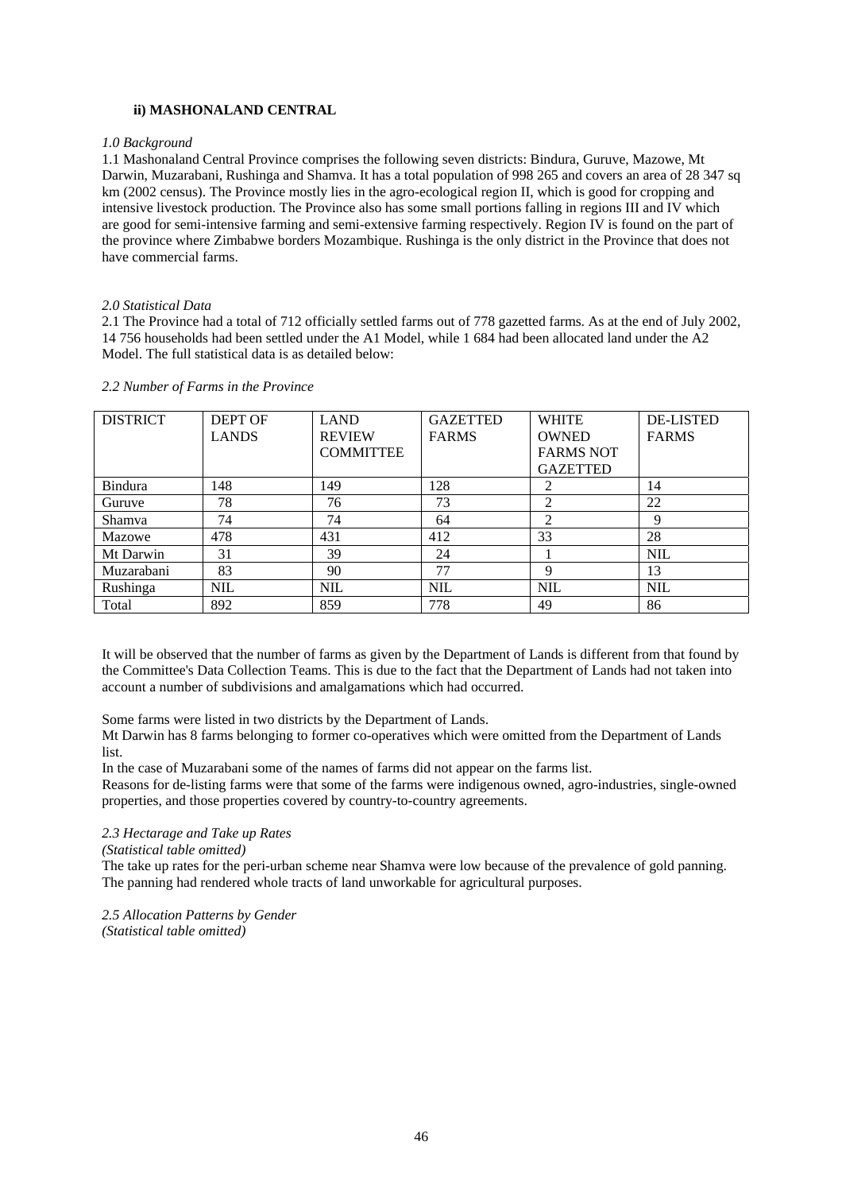# **ii) MASHONALAND CENTRAL**

#### *1.0 Background*

1.1 Mashonaland Central Province comprises the following seven districts: Bindura, Guruve, Mazowe, Mt Darwin, Muzarabani, Rushinga and Shamva. It has a total population of 998 265 and covers an area of 28 347 sq km (2002 census). The Province mostly lies in the agro-ecological region II, which is good for cropping and intensive livestock production. The Province also has some small portions falling in regions III and IV which are good for semi-intensive farming and semi-extensive farming respectively. Region IV is found on the part of the province where Zimbabwe borders Mozambique. Rushinga is the only district in the Province that does not have commercial farms.

#### *2.0 Statistical Data*

2.1 The Province had a total of 712 officially settled farms out of 778 gazetted farms. As at the end of July 2002, 14 756 households had been settled under the A1 Model, while 1 684 had been allocated land under the A2 Model. The full statistical data is as detailed below:

| <b>DISTRICT</b> | <b>DEPT OF</b> | <b>LAND</b>      | <b>GAZETTED</b> | <b>WHITE</b>     | <b>DE-LISTED</b> |
|-----------------|----------------|------------------|-----------------|------------------|------------------|
|                 | <b>LANDS</b>   | <b>REVIEW</b>    | <b>FARMS</b>    | <b>OWNED</b>     | <b>FARMS</b>     |
|                 |                | <b>COMMITTEE</b> |                 | <b>FARMS NOT</b> |                  |
|                 |                |                  |                 | <b>GAZETTED</b>  |                  |
| Bindura         | 148            | 149              | 128             |                  | 14               |
| Guruve          | 78             | 76               | 73              |                  | 22               |
| Shamva          | 74             | 74               | 64              | 2                | Q                |
| Mazowe          | 478            | 431              | 412             | 33               | 28               |
| Mt Darwin       | 31             | 39               | 24              |                  | <b>NIL</b>       |
| Muzarabani      | 83             | 90               | 77              | 9                | 13               |
| Rushinga        | <b>NIL</b>     | <b>NIL</b>       | <b>NIL</b>      | <b>NIL</b>       | <b>NIL</b>       |
| Total           | 892            | 859              | 778             | 49               | 86               |

*2.2 Number of Farms in the Province*

It will be observed that the number of farms as given by the Department of Lands is different from that found by the Committee's Data Collection Teams. This is due to the fact that the Department of Lands had not taken into account a number of subdivisions and amalgamations which had occurred.

Some farms were listed in two districts by the Department of Lands.

Mt Darwin has 8 farms belonging to former co-operatives which were omitted from the Department of Lands list.

In the case of Muzarabani some of the names of farms did not appear on the farms list.

Reasons for de-listing farms were that some of the farms were indigenous owned, agro-industries, single-owned properties, and those properties covered by country-to-country agreements.

# *2.3 Hectarage and Take up Rates*

*(Statistical table omitted)*

The take up rates for the peri-urban scheme near Shamva were low because of the prevalence of gold panning. The panning had rendered whole tracts of land unworkable for agricultural purposes.

*2.5 Allocation Patterns by Gender (Statistical table omitted)*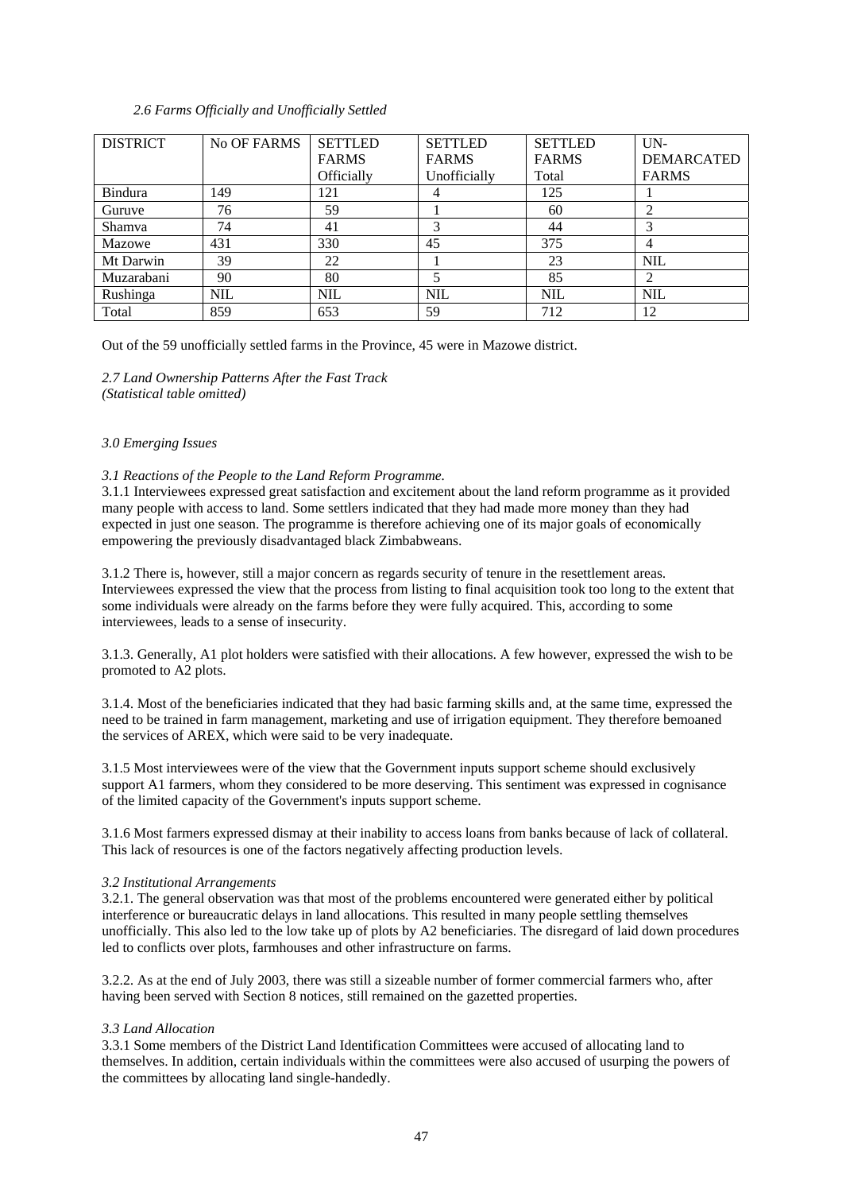# *2.6 Farms Officially and Unofficially Settled*

| <b>DISTRICT</b> | No OF FARMS | <b>SETTLED</b> | <b>SETTLED</b> | <b>SETTLED</b> | $UN-$             |
|-----------------|-------------|----------------|----------------|----------------|-------------------|
|                 |             | <b>FARMS</b>   | <b>FARMS</b>   | <b>FARMS</b>   | <b>DEMARCATED</b> |
|                 |             | Officially     | Unofficially   | Total          | <b>FARMS</b>      |
| <b>Bindura</b>  | 149         | 121            |                | 125            |                   |
| Guruve          | 76          | 59             |                | 60             | ↑                 |
| <b>Shamva</b>   | 74          | 41             |                | 44             | 3                 |
| Mazowe          | 431         | 330            | 45             | 375            | 4                 |
| Mt Darwin       | 39          | 22             |                | 23             | <b>NIL</b>        |
| Muzarabani      | 90          | 80             |                | 85             | 2                 |
| Rushinga        | <b>NIL</b>  | <b>NIL</b>     | <b>NIL</b>     | <b>NIL</b>     | <b>NIL</b>        |
| Total           | 859         | 653            | 59             | 712            | 12                |

Out of the 59 unofficially settled farms in the Province, 45 were in Mazowe district.

*2.7 Land Ownership Patterns After the Fast Track (Statistical table omitted)* 

# *3.0 Emerging Issues*

*3.1 Reactions of the People to the Land Reform Programme.*

3.1.1 Interviewees expressed great satisfaction and excitement about the land reform programme as it provided many people with access to land. Some settlers indicated that they had made more money than they had expected in just one season. The programme is therefore achieving one of its major goals of economically empowering the previously disadvantaged black Zimbabweans.

3.1.2 There is, however, still a major concern as regards security of tenure in the resettlement areas. Interviewees expressed the view that the process from listing to final acquisition took too long to the extent that some individuals were already on the farms before they were fully acquired. This, according to some interviewees, leads to a sense of insecurity.

3.1.3. Generally, A1 plot holders were satisfied with their allocations. A few however, expressed the wish to be promoted to A2 plots.

3.1.4. Most of the beneficiaries indicated that they had basic farming skills and, at the same time, expressed the need to be trained in farm management, marketing and use of irrigation equipment. They therefore bemoaned the services of AREX, which were said to be very inadequate.

3.1.5 Most interviewees were of the view that the Government inputs support scheme should exclusively support A1 farmers, whom they considered to be more deserving. This sentiment was expressed in cognisance of the limited capacity of the Government's inputs support scheme.

3.1.6 Most farmers expressed dismay at their inability to access loans from banks because of lack of collateral. This lack of resources is one of the factors negatively affecting production levels.

#### *3.2 Institutional Arrangements*

3.2.1. The general observation was that most of the problems encountered were generated either by political interference or bureaucratic delays in land allocations. This resulted in many people settling themselves unofficially. This also led to the low take up of plots by A2 beneficiaries. The disregard of laid down procedures led to conflicts over plots, farmhouses and other infrastructure on farms.

3.2.2. As at the end of July 2003, there was still a sizeable number of former commercial farmers who, after having been served with Section 8 notices, still remained on the gazetted properties.

## *3.3 Land Allocation*

3.3.1 Some members of the District Land Identification Committees were accused of allocating land to themselves. In addition, certain individuals within the committees were also accused of usurping the powers of the committees by allocating land single-handedly.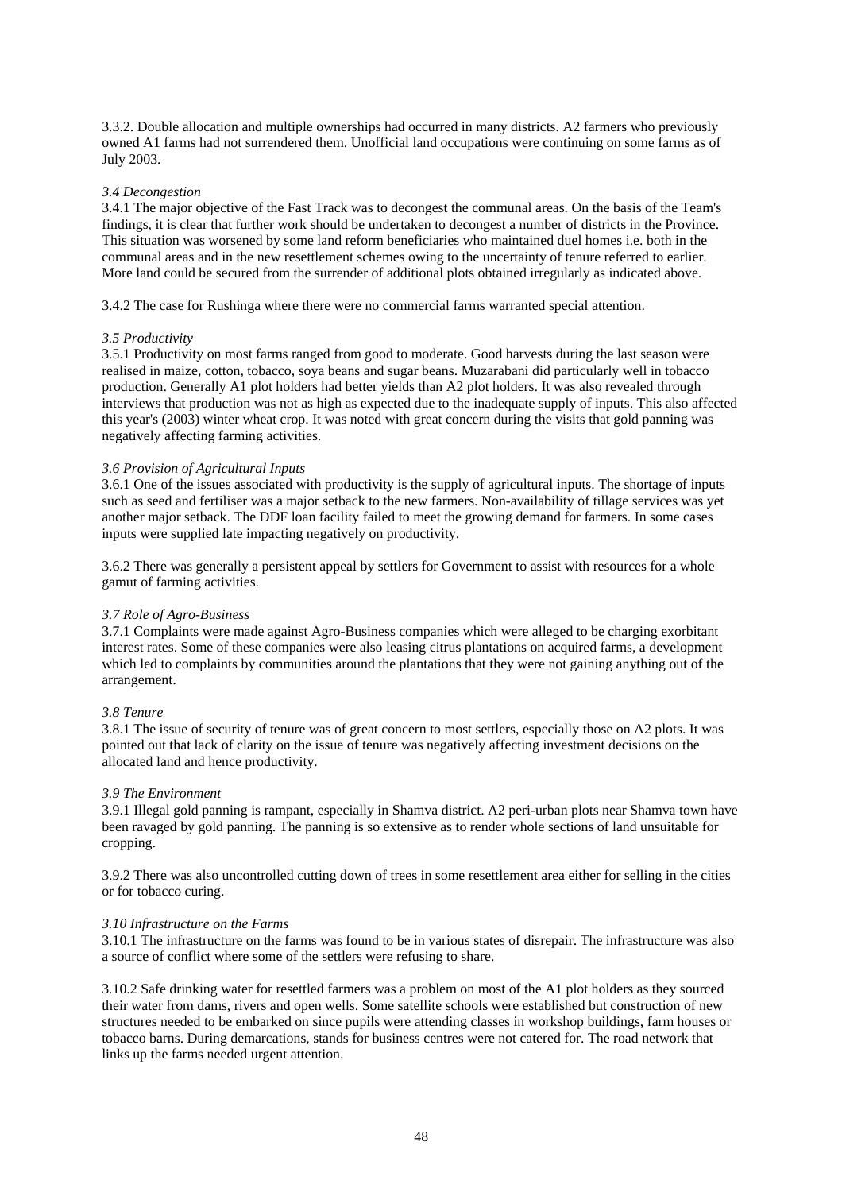3.3.2. Double allocation and multiple ownerships had occurred in many districts. A2 farmers who previously owned A1 farms had not surrendered them. Unofficial land occupations were continuing on some farms as of July 2003.

# *3.4 Decongestion*

3.4.1 The major objective of the Fast Track was to decongest the communal areas. On the basis of the Team's findings, it is clear that further work should be undertaken to decongest a number of districts in the Province. This situation was worsened by some land reform beneficiaries who maintained duel homes i.e. both in the communal areas and in the new resettlement schemes owing to the uncertainty of tenure referred to earlier. More land could be secured from the surrender of additional plots obtained irregularly as indicated above.

3.4.2 The case for Rushinga where there were no commercial farms warranted special attention.

#### *3.5 Productivity*

3.5.1 Productivity on most farms ranged from good to moderate. Good harvests during the last season were realised in maize, cotton, tobacco, soya beans and sugar beans. Muzarabani did particularly well in tobacco production. Generally A1 plot holders had better yields than A2 plot holders. It was also revealed through interviews that production was not as high as expected due to the inadequate supply of inputs. This also affected this year's (2003) winter wheat crop. It was noted with great concern during the visits that gold panning was negatively affecting farming activities.

# *3.6 Provision of Agricultural Inputs*

3.6.1 One of the issues associated with productivity is the supply of agricultural inputs. The shortage of inputs such as seed and fertiliser was a major setback to the new farmers. Non-availability of tillage services was yet another major setback. The DDF loan facility failed to meet the growing demand for farmers. In some cases inputs were supplied late impacting negatively on productivity.

3.6.2 There was generally a persistent appeal by settlers for Government to assist with resources for a whole gamut of farming activities.

#### *3.7 Role of Agro-Business*

3.7.1 Complaints were made against Agro-Business companies which were alleged to be charging exorbitant interest rates. Some of these companies were also leasing citrus plantations on acquired farms, a development which led to complaints by communities around the plantations that they were not gaining anything out of the arrangement.

#### *3.8 Tenure*

3.8.1 The issue of security of tenure was of great concern to most settlers, especially those on A2 plots. It was pointed out that lack of clarity on the issue of tenure was negatively affecting investment decisions on the allocated land and hence productivity.

#### *3.9 The Environment*

3.9.1 Illegal gold panning is rampant, especially in Shamva district. A2 peri-urban plots near Shamva town have been ravaged by gold panning. The panning is so extensive as to render whole sections of land unsuitable for cropping.

3.9.2 There was also uncontrolled cutting down of trees in some resettlement area either for selling in the cities or for tobacco curing.

#### *3.10 Infrastructure on the Farms*

3.10.1 The infrastructure on the farms was found to be in various states of disrepair. The infrastructure was also a source of conflict where some of the settlers were refusing to share.

3.10.2 Safe drinking water for resettled farmers was a problem on most of the A1 plot holders as they sourced their water from dams, rivers and open wells. Some satellite schools were established but construction of new structures needed to be embarked on since pupils were attending classes in workshop buildings, farm houses or tobacco barns. During demarcations, stands for business centres were not catered for. The road network that links up the farms needed urgent attention.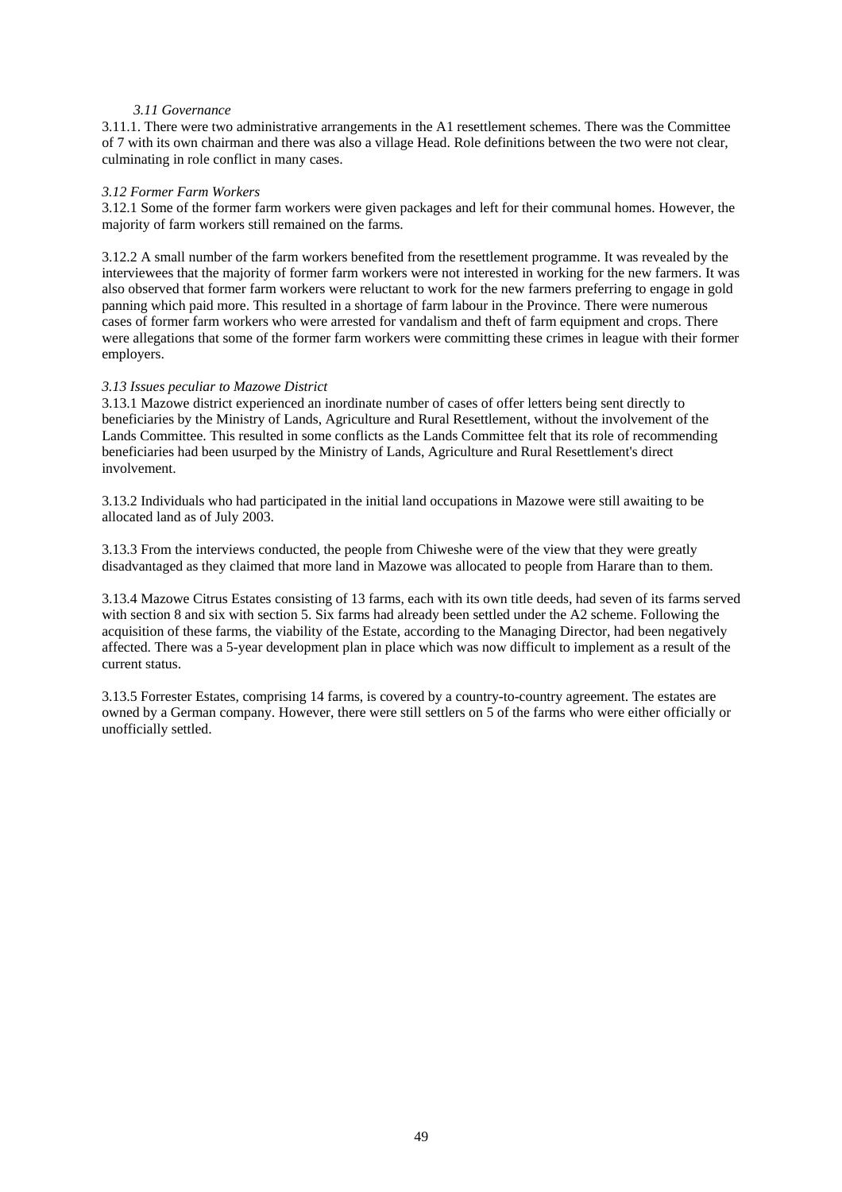# *3.11 Governance*

3.11.1. There were two administrative arrangements in the A1 resettlement schemes. There was the Committee of 7 with its own chairman and there was also a village Head. Role definitions between the two were not clear, culminating in role conflict in many cases.

# *3.12 Former Farm Workers*

3.12.1 Some of the former farm workers were given packages and left for their communal homes. However, the majority of farm workers still remained on the farms.

3.12.2 A small number of the farm workers benefited from the resettlement programme. It was revealed by the interviewees that the majority of former farm workers were not interested in working for the new farmers. It was also observed that former farm workers were reluctant to work for the new farmers preferring to engage in gold panning which paid more. This resulted in a shortage of farm labour in the Province. There were numerous cases of former farm workers who were arrested for vandalism and theft of farm equipment and crops. There were allegations that some of the former farm workers were committing these crimes in league with their former employers.

# *3.13 Issues peculiar to Mazowe District*

3.13.1 Mazowe district experienced an inordinate number of cases of offer letters being sent directly to beneficiaries by the Ministry of Lands, Agriculture and Rural Resettlement, without the involvement of the Lands Committee. This resulted in some conflicts as the Lands Committee felt that its role of recommending beneficiaries had been usurped by the Ministry of Lands, Agriculture and Rural Resettlement's direct involvement.

3.13.2 Individuals who had participated in the initial land occupations in Mazowe were still awaiting to be allocated land as of July 2003.

3.13.3 From the interviews conducted, the people from Chiweshe were of the view that they were greatly disadvantaged as they claimed that more land in Mazowe was allocated to people from Harare than to them.

3.13.4 Mazowe Citrus Estates consisting of 13 farms, each with its own title deeds, had seven of its farms served with section 8 and six with section 5. Six farms had already been settled under the A2 scheme. Following the acquisition of these farms, the viability of the Estate, according to the Managing Director, had been negatively affected. There was a 5-year development plan in place which was now difficult to implement as a result of the current status.

3.13.5 Forrester Estates, comprising 14 farms, is covered by a country-to-country agreement. The estates are owned by a German company. However, there were still settlers on 5 of the farms who were either officially or unofficially settled.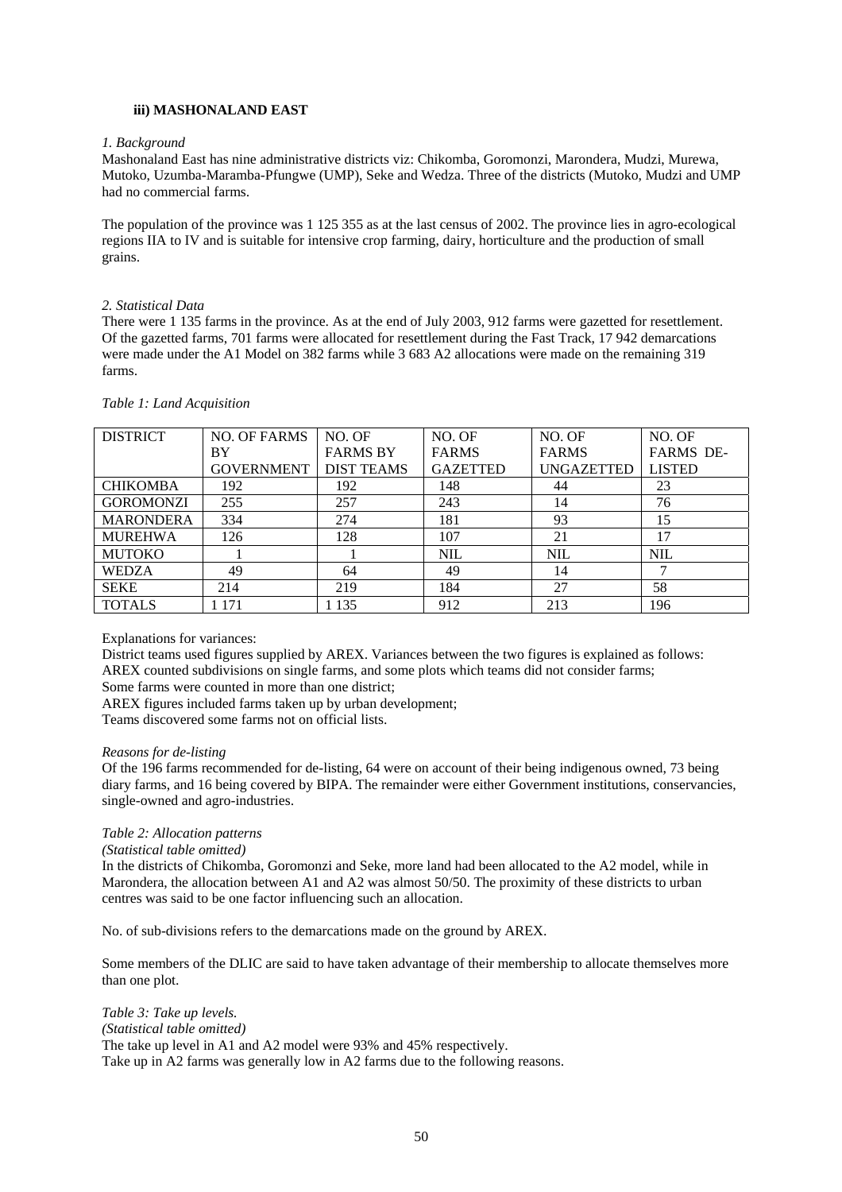# **iii) MASHONALAND EAST**

# *1. Background*

Mashonaland East has nine administrative districts viz: Chikomba, Goromonzi, Marondera, Mudzi, Murewa, Mutoko, Uzumba-Maramba-Pfungwe (UMP), Seke and Wedza. Three of the districts (Mutoko, Mudzi and UMP had no commercial farms.

The population of the province was 1 125 355 as at the last census of 2002. The province lies in agro-ecological regions IIA to IV and is suitable for intensive crop farming, dairy, horticulture and the production of small grains.

# *2. Statistical Data*

There were 1 135 farms in the province. As at the end of July 2003, 912 farms were gazetted for resettlement. Of the gazetted farms, 701 farms were allocated for resettlement during the Fast Track, 17 942 demarcations were made under the A1 Model on 382 farms while 3 683 A2 allocations were made on the remaining 319 farms.

| <b>DISTRICT</b>  | NO. OF FARMS      | NO. OF            | NO. OF          | NO. OF            | NO. OF           |
|------------------|-------------------|-------------------|-----------------|-------------------|------------------|
|                  | ΒY                | <b>FARMS BY</b>   | <b>FARMS</b>    | <b>FARMS</b>      | <b>FARMS DE-</b> |
|                  | <b>GOVERNMENT</b> | <b>DIST TEAMS</b> | <b>GAZETTED</b> | <b>UNGAZETTED</b> | <b>LISTED</b>    |
| <b>CHIKOMBA</b>  | 192               | 192               | 148             | 44                | 23               |
| <b>GOROMONZI</b> | 255               | 257               | 243             | 14                | 76               |
| <b>MARONDERA</b> | 334               | 274               | 181             | 93                | 15               |
| <b>MUREHWA</b>   | 126               | 128               | 107             | 21                | 17               |
| <b>MUTOKO</b>    |                   |                   | <b>NIL</b>      | <b>NIL</b>        | <b>NIL</b>       |
| <b>WEDZA</b>     | 49                | 64                | 49              | 14                |                  |
| <b>SEKE</b>      | 214               | 219               | 184             | 27                | 58               |
| <b>TOTALS</b>    | l 171             | 1 1 3 5           | 912             | 213               | 196              |

*Table 1: Land Acquisition*

Explanations for variances:

District teams used figures supplied by AREX. Variances between the two figures is explained as follows: AREX counted subdivisions on single farms, and some plots which teams did not consider farms;

Some farms were counted in more than one district;

AREX figures included farms taken up by urban development;

Teams discovered some farms not on official lists.

#### *Reasons for de-listing*

Of the 196 farms recommended for de-listing, 64 were on account of their being indigenous owned, 73 being diary farms, and 16 being covered by BIPA. The remainder were either Government institutions, conservancies, single-owned and agro-industries.

# *Table 2: Allocation patterns*

*(Statistical table omitted)*

In the districts of Chikomba, Goromonzi and Seke, more land had been allocated to the A2 model, while in Marondera, the allocation between A1 and A2 was almost 50/50. The proximity of these districts to urban centres was said to be one factor influencing such an allocation.

No. of sub-divisions refers to the demarcations made on the ground by AREX.

Some members of the DLIC are said to have taken advantage of their membership to allocate themselves more than one plot.

*Table 3: Take up levels. (Statistical table omitted)* The take up level in A1 and A2 model were 93% and 45% respectively. Take up in A2 farms was generally low in A2 farms due to the following reasons.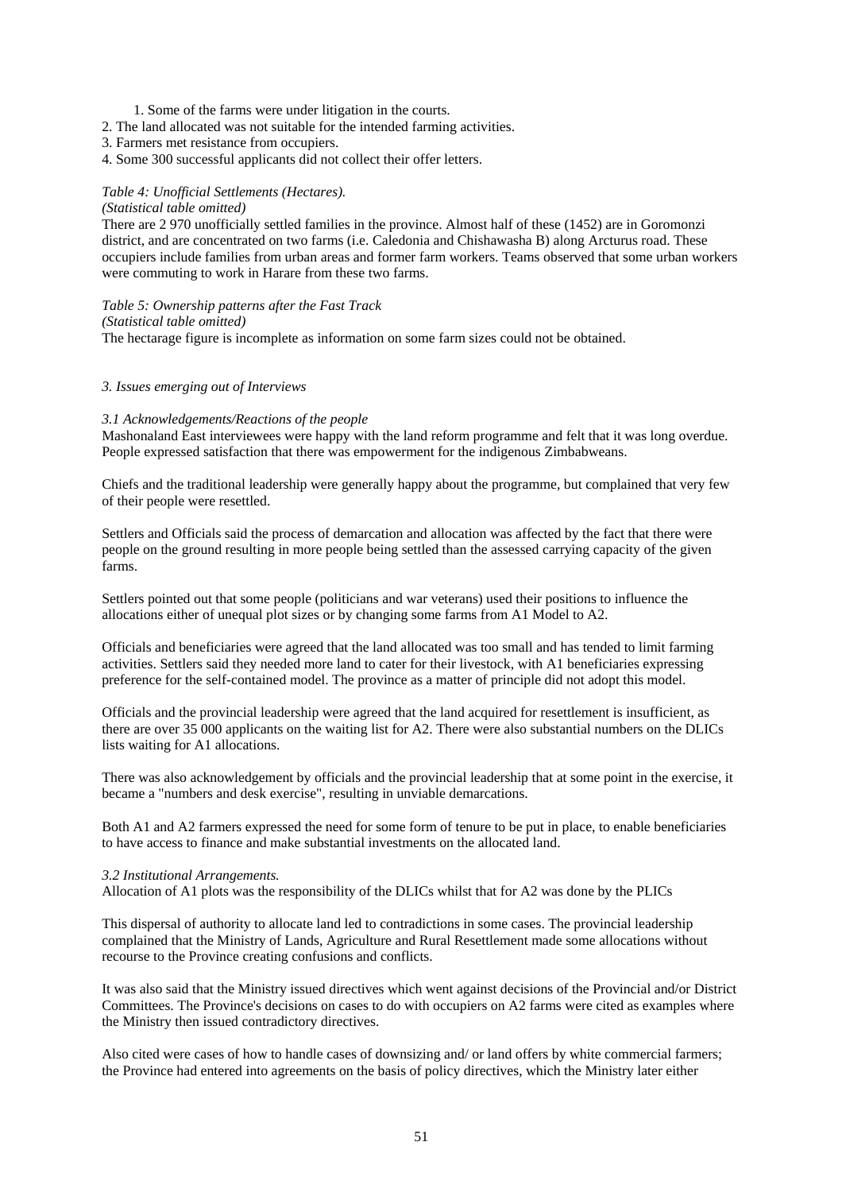- 1. Some of the farms were under litigation in the courts.
- 2. The land allocated was not suitable for the intended farming activities.
- 3. Farmers met resistance from occupiers.
- 4. Some 300 successful applicants did not collect their offer letters.

# *Table 4: Unofficial Settlements (Hectares).*

#### *(Statistical table omitted)*

There are 2 970 unofficially settled families in the province. Almost half of these (1452) are in Goromonzi district, and are concentrated on two farms (i.e. Caledonia and Chishawasha B) along Arcturus road. These occupiers include families from urban areas and former farm workers. Teams observed that some urban workers were commuting to work in Harare from these two farms.

*Table 5: Ownership patterns after the Fast Track (Statistical table omitted)*

The hectarage figure is incomplete as information on some farm sizes could not be obtained.

#### *3. Issues emerging out of Interviews*

# *3.1 Acknowledgements/Reactions of the people*

Mashonaland East interviewees were happy with the land reform programme and felt that it was long overdue. People expressed satisfaction that there was empowerment for the indigenous Zimbabweans.

Chiefs and the traditional leadership were generally happy about the programme, but complained that very few of their people were resettled.

Settlers and Officials said the process of demarcation and allocation was affected by the fact that there were people on the ground resulting in more people being settled than the assessed carrying capacity of the given farms.

Settlers pointed out that some people (politicians and war veterans) used their positions to influence the allocations either of unequal plot sizes or by changing some farms from A1 Model to A2.

Officials and beneficiaries were agreed that the land allocated was too small and has tended to limit farming activities. Settlers said they needed more land to cater for their livestock, with A1 beneficiaries expressing preference for the self-contained model. The province as a matter of principle did not adopt this model.

Officials and the provincial leadership were agreed that the land acquired for resettlement is insufficient, as there are over 35 000 applicants on the waiting list for A2. There were also substantial numbers on the DLICs lists waiting for A1 allocations.

There was also acknowledgement by officials and the provincial leadership that at some point in the exercise, it became a "numbers and desk exercise", resulting in unviable demarcations.

Both A1 and A2 farmers expressed the need for some form of tenure to be put in place, to enable beneficiaries to have access to finance and make substantial investments on the allocated land.

#### *3.2 Institutional Arrangements.*

Allocation of A1 plots was the responsibility of the DLICs whilst that for A2 was done by the PLICs

This dispersal of authority to allocate land led to contradictions in some cases. The provincial leadership complained that the Ministry of Lands, Agriculture and Rural Resettlement made some allocations without recourse to the Province creating confusions and conflicts.

It was also said that the Ministry issued directives which went against decisions of the Provincial and/or District Committees. The Province's decisions on cases to do with occupiers on A2 farms were cited as examples where the Ministry then issued contradictory directives.

Also cited were cases of how to handle cases of downsizing and/ or land offers by white commercial farmers; the Province had entered into agreements on the basis of policy directives, which the Ministry later either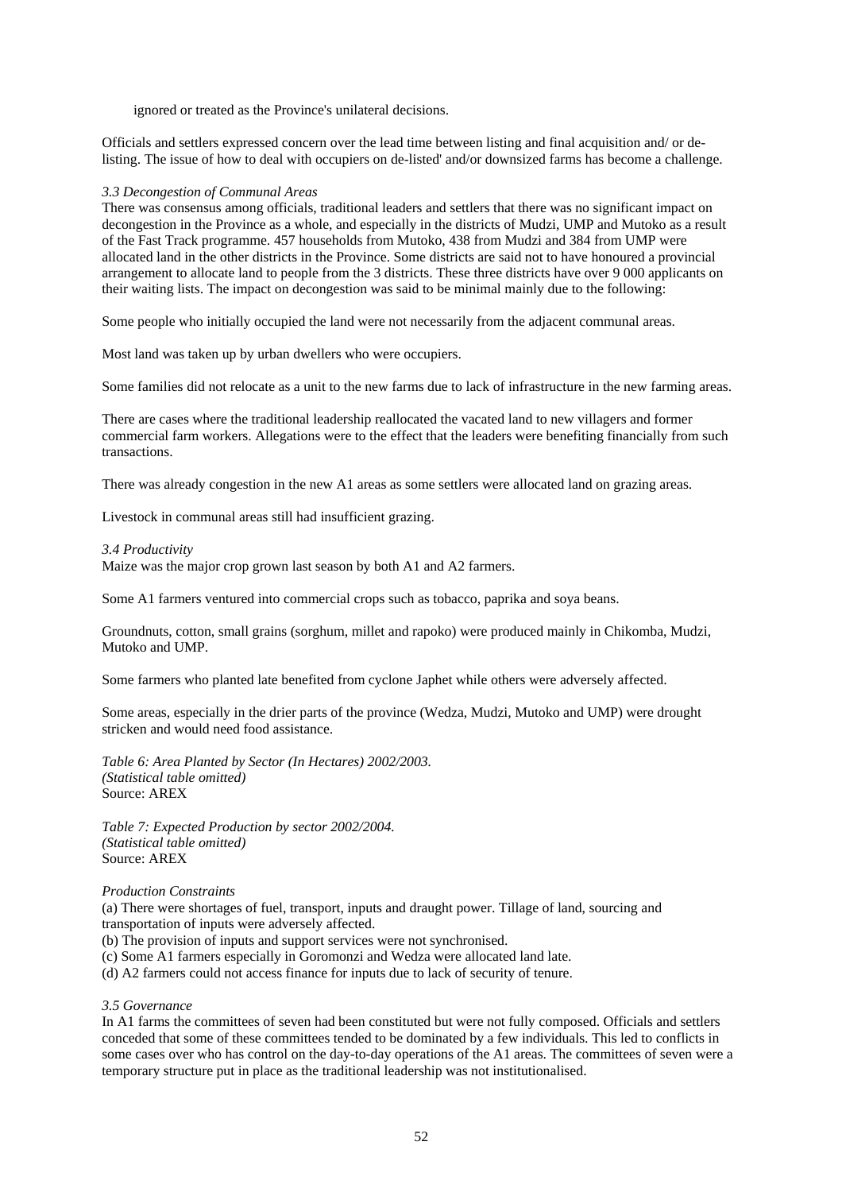ignored or treated as the Province's unilateral decisions.

Officials and settlers expressed concern over the lead time between listing and final acquisition and/ or delisting. The issue of how to deal with occupiers on de-listed' and/or downsized farms has become a challenge.

#### *3.3 Decongestion of Communal Areas*

There was consensus among officials, traditional leaders and settlers that there was no significant impact on decongestion in the Province as a whole, and especially in the districts of Mudzi, UMP and Mutoko as a result of the Fast Track programme. 457 households from Mutoko, 438 from Mudzi and 384 from UMP were allocated land in the other districts in the Province. Some districts are said not to have honoured a provincial arrangement to allocate land to people from the 3 districts. These three districts have over 9 000 applicants on their waiting lists. The impact on decongestion was said to be minimal mainly due to the following:

Some people who initially occupied the land were not necessarily from the adjacent communal areas.

Most land was taken up by urban dwellers who were occupiers.

Some families did not relocate as a unit to the new farms due to lack of infrastructure in the new farming areas.

There are cases where the traditional leadership reallocated the vacated land to new villagers and former commercial farm workers. Allegations were to the effect that the leaders were benefiting financially from such transactions.

There was already congestion in the new A1 areas as some settlers were allocated land on grazing areas.

Livestock in communal areas still had insufficient grazing.

# *3.4 Productivity*

Maize was the major crop grown last season by both A1 and A2 farmers.

Some A1 farmers ventured into commercial crops such as tobacco, paprika and soya beans.

Groundnuts, cotton, small grains (sorghum, millet and rapoko) were produced mainly in Chikomba, Mudzi, Mutoko and UMP.

Some farmers who planted late benefited from cyclone Japhet while others were adversely affected.

Some areas, especially in the drier parts of the province (Wedza, Mudzi, Mutoko and UMP) were drought stricken and would need food assistance.

*Table 6: Area Planted by Sector (In Hectares) 2002/2003. (Statistical table omitted)* Source: AREX

*Table 7: Expected Production by sector 2002/2004. (Statistical table omitted)* Source: AREX

## *Production Constraints*

(a) There were shortages of fuel, transport, inputs and draught power. Tillage of land, sourcing and transportation of inputs were adversely affected.

- (b) The provision of inputs and support services were not synchronised.
- (c) Some A1 farmers especially in Goromonzi and Wedza were allocated land late.
- (d) A2 farmers could not access finance for inputs due to lack of security of tenure.

# *3.5 Governance*

In A1 farms the committees of seven had been constituted but were not fully composed. Officials and settlers conceded that some of these committees tended to be dominated by a few individuals. This led to conflicts in some cases over who has control on the day-to-day operations of the A1 areas. The committees of seven were a temporary structure put in place as the traditional leadership was not institutionalised.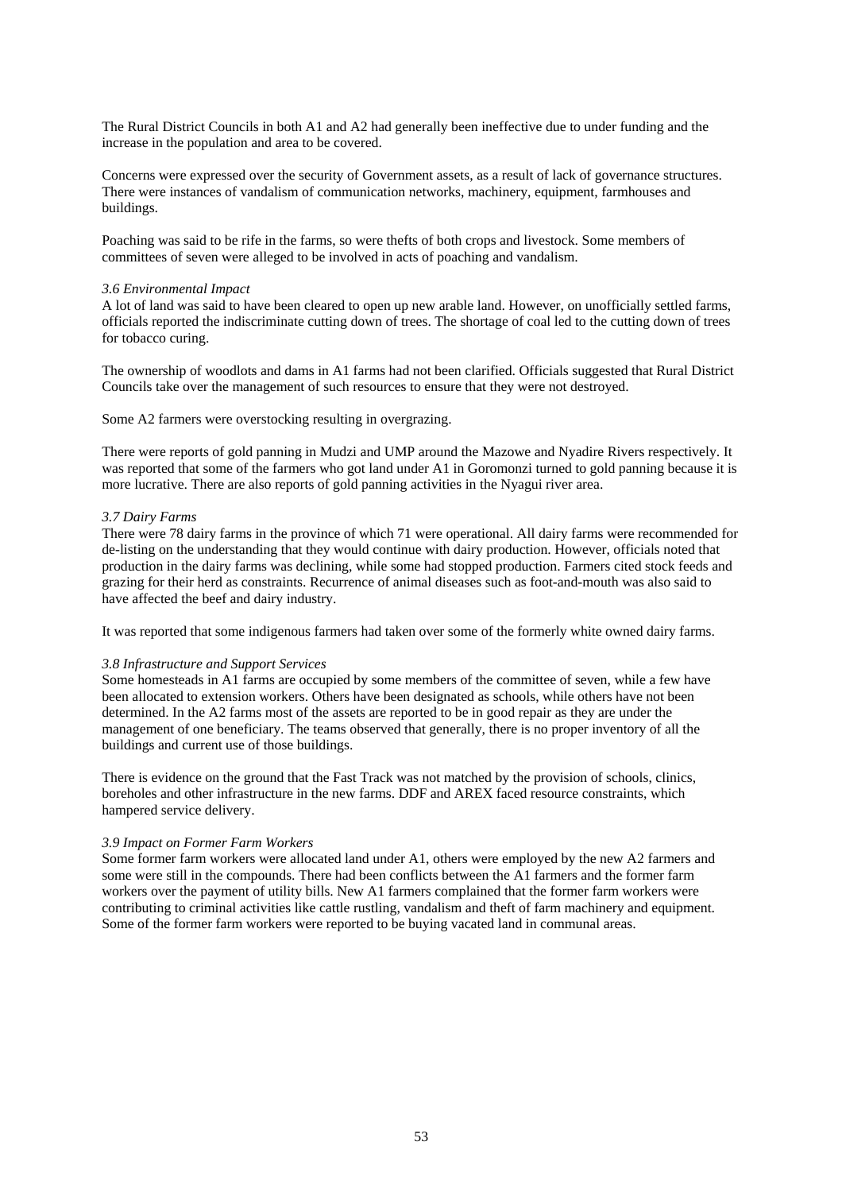The Rural District Councils in both A1 and A2 had generally been ineffective due to under funding and the increase in the population and area to be covered.

Concerns were expressed over the security of Government assets, as a result of lack of governance structures. There were instances of vandalism of communication networks, machinery, equipment, farmhouses and buildings.

Poaching was said to be rife in the farms, so were thefts of both crops and livestock. Some members of committees of seven were alleged to be involved in acts of poaching and vandalism.

#### *3.6 Environmental Impact*

A lot of land was said to have been cleared to open up new arable land. However, on unofficially settled farms, officials reported the indiscriminate cutting down of trees. The shortage of coal led to the cutting down of trees for tobacco curing.

The ownership of woodlots and dams in A1 farms had not been clarified. Officials suggested that Rural District Councils take over the management of such resources to ensure that they were not destroyed.

Some A2 farmers were overstocking resulting in overgrazing.

There were reports of gold panning in Mudzi and UMP around the Mazowe and Nyadire Rivers respectively. It was reported that some of the farmers who got land under A1 in Goromonzi turned to gold panning because it is more lucrative. There are also reports of gold panning activities in the Nyagui river area.

# *3.7 Dairy Farms*

There were 78 dairy farms in the province of which 71 were operational. All dairy farms were recommended for de-listing on the understanding that they would continue with dairy production. However, officials noted that production in the dairy farms was declining, while some had stopped production. Farmers cited stock feeds and grazing for their herd as constraints. Recurrence of animal diseases such as foot-and-mouth was also said to have affected the beef and dairy industry.

It was reported that some indigenous farmers had taken over some of the formerly white owned dairy farms.

#### *3.8 Infrastructure and Support Services*

Some homesteads in A1 farms are occupied by some members of the committee of seven, while a few have been allocated to extension workers. Others have been designated as schools, while others have not been determined. In the A2 farms most of the assets are reported to be in good repair as they are under the management of one beneficiary. The teams observed that generally, there is no proper inventory of all the buildings and current use of those buildings.

There is evidence on the ground that the Fast Track was not matched by the provision of schools, clinics, boreholes and other infrastructure in the new farms. DDF and AREX faced resource constraints, which hampered service delivery.

# *3.9 Impact on Former Farm Workers*

Some former farm workers were allocated land under A1, others were employed by the new A2 farmers and some were still in the compounds. There had been conflicts between the A1 farmers and the former farm workers over the payment of utility bills. New A1 farmers complained that the former farm workers were contributing to criminal activities like cattle rustling, vandalism and theft of farm machinery and equipment. Some of the former farm workers were reported to be buying vacated land in communal areas.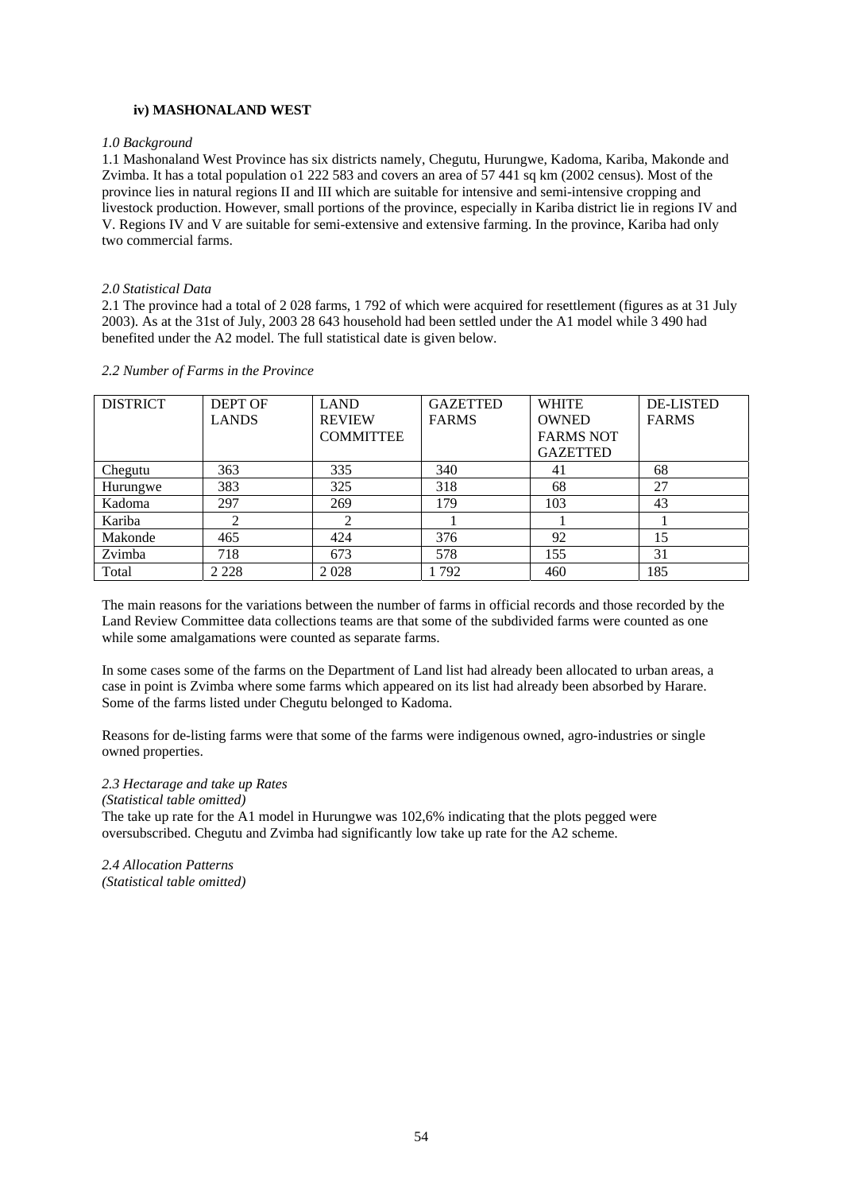# **iv) MASHONALAND WEST**

#### *1.0 Background*

1.1 Mashonaland West Province has six districts namely, Chegutu, Hurungwe, Kadoma, Kariba, Makonde and Zvimba. It has a total population o1 222 583 and covers an area of 57 441 sq km (2002 census). Most of the province lies in natural regions II and III which are suitable for intensive and semi-intensive cropping and livestock production. However, small portions of the province, especially in Kariba district lie in regions IV and V. Regions IV and V are suitable for semi-extensive and extensive farming. In the province, Kariba had only two commercial farms.

#### *2.0 Statistical Data*

2.1 The province had a total of 2 028 farms, 1 792 of which were acquired for resettlement (figures as at 31 July 2003). As at the 31st of July, 2003 28 643 household had been settled under the A1 model while 3 490 had benefited under the A2 model. The full statistical date is given below.

| <b>DISTRICT</b> | <b>DEPT OF</b> | <b>LAND</b>      | <b>GAZETTED</b> | <b>WHITE</b>     | <b>DE-LISTED</b> |
|-----------------|----------------|------------------|-----------------|------------------|------------------|
|                 | <b>LANDS</b>   | <b>REVIEW</b>    | <b>FARMS</b>    | <b>OWNED</b>     | <b>FARMS</b>     |
|                 |                | <b>COMMITTEE</b> |                 | <b>FARMS NOT</b> |                  |
|                 |                |                  |                 | <b>GAZETTED</b>  |                  |
| Chegutu         | 363            | 335              | 340             | 41               | 68               |
| Hurungwe        | 383            | 325              | 318             | 68               | 27               |
| Kadoma          | 297            | 269              | 179             | 103              | 43               |
| Kariba          | 2              |                  |                 |                  |                  |
| Makonde         | 465            | 424              | 376             | 92               | 15               |
| Zvimba          | 718            | 673              | 578             | 155              | 31               |
| Total           | 2 2 2 8        | 2028             | . 792           | 460              | 185              |

#### *2.2 Number of Farms in the Province*

The main reasons for the variations between the number of farms in official records and those recorded by the Land Review Committee data collections teams are that some of the subdivided farms were counted as one while some amalgamations were counted as separate farms.

In some cases some of the farms on the Department of Land list had already been allocated to urban areas, a case in point is Zvimba where some farms which appeared on its list had already been absorbed by Harare. Some of the farms listed under Chegutu belonged to Kadoma.

Reasons for de-listing farms were that some of the farms were indigenous owned, agro-industries or single owned properties.

#### *2.3 Hectarage and take up Rates*

*(Statistical table omitted)*

The take up rate for the A1 model in Hurungwe was 102,6% indicating that the plots pegged were oversubscribed. Chegutu and Zvimba had significantly low take up rate for the A2 scheme.

*2.4 Allocation Patterns (Statistical table omitted)*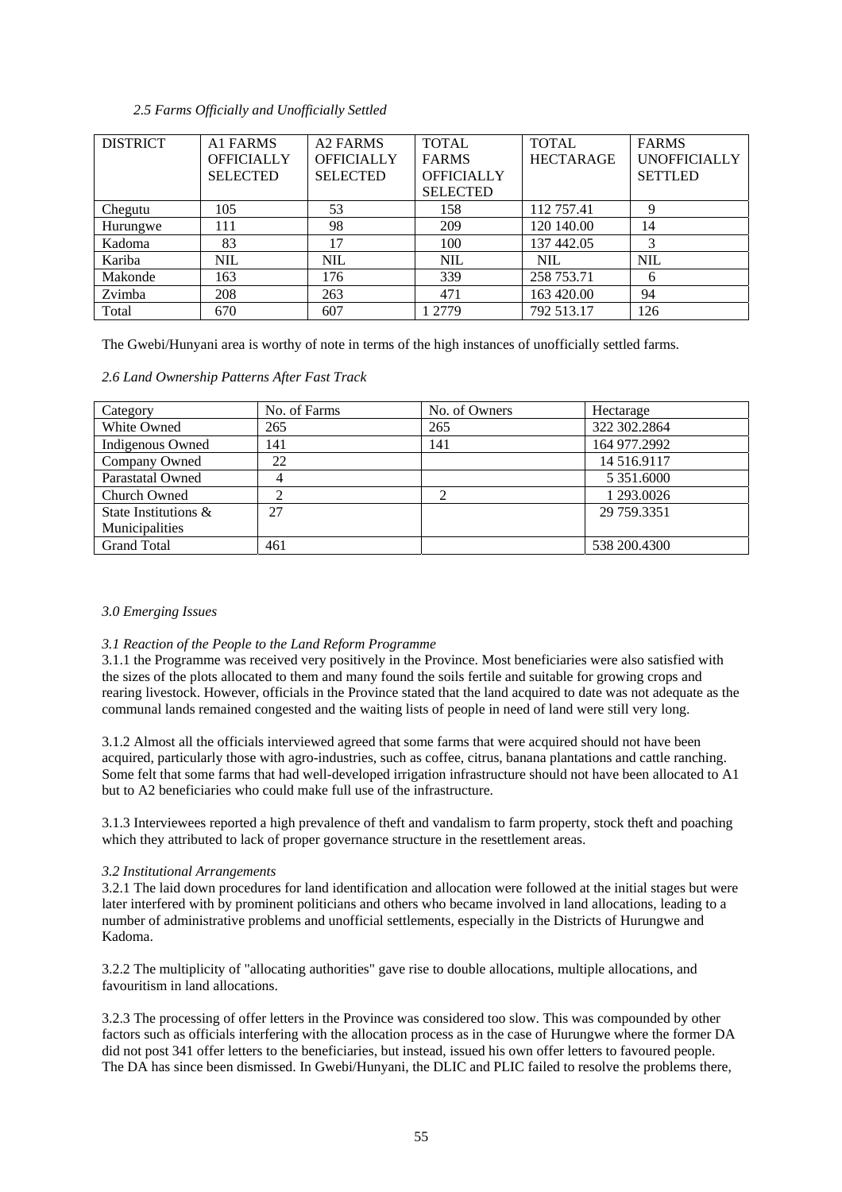# *2.5 Farms Officially and Unofficially Settled*

| <b>DISTRICT</b> | A <sub>1</sub> FARMS | <b>A2 FARMS</b>   | <b>TOTAL</b>      | <b>TOTAL</b>     | <b>FARMS</b>        |
|-----------------|----------------------|-------------------|-------------------|------------------|---------------------|
|                 | <b>OFFICIALLY</b>    | <b>OFFICIALLY</b> | <b>FARMS</b>      | <b>HECTARAGE</b> | <b>UNOFFICIALLY</b> |
|                 | <b>SELECTED</b>      | <b>SELECTED</b>   | <b>OFFICIALLY</b> |                  | <b>SETTLED</b>      |
|                 |                      |                   | <b>SELECTED</b>   |                  |                     |
| Chegutu         | 105                  | 53                | 158               | 112 757.41       | 9                   |
| Hurungwe        | 111                  | 98                | 209               | 120 140.00       | 14                  |
| Kadoma          | 83                   | 17                | 100               | 137 442.05       | 3                   |
| Kariba          | <b>NIL</b>           | <b>NIL</b>        | <b>NIL</b>        | NIL.             | <b>NIL</b>          |
| Makonde         | 163                  | 176               | 339               | 258 753.71       | 6                   |
| Zvimba          | 208                  | 263               | 471               | 163 420.00       | 94                  |
| Total           | 670                  | 607               | 1 2779            | 792 513.17       | 126                 |

The Gwebi/Hunyani area is worthy of note in terms of the high instances of unofficially settled farms.

# *2.6 Land Ownership Patterns After Fast Track*

| Category                | No. of Farms | No. of Owners | Hectarage    |
|-------------------------|--------------|---------------|--------------|
| White Owned             | 265          | 265           | 322 302.2864 |
| Indigenous Owned        | 141          | 141           | 164 977.2992 |
| Company Owned           | 22           |               | 14 516.9117  |
| <b>Parastatal Owned</b> |              |               | 5 351,6000   |
| Church Owned            |              |               | 1 293,0026   |
| State Institutions &    | 27           |               | 29 759 3351  |
| Municipalities          |              |               |              |
| <b>Grand Total</b>      | 461          |               | 538 200.4300 |

# *3.0 Emerging Issues*

# *3.1 Reaction of the People to the Land Reform Programme*

3.1.1 the Programme was received very positively in the Province. Most beneficiaries were also satisfied with the sizes of the plots allocated to them and many found the soils fertile and suitable for growing crops and rearing livestock. However, officials in the Province stated that the land acquired to date was not adequate as the communal lands remained congested and the waiting lists of people in need of land were still very long.

3.1.2 Almost all the officials interviewed agreed that some farms that were acquired should not have been acquired, particularly those with agro-industries, such as coffee, citrus, banana plantations and cattle ranching. Some felt that some farms that had well-developed irrigation infrastructure should not have been allocated to A1 but to A2 beneficiaries who could make full use of the infrastructure.

3.1.3 Interviewees reported a high prevalence of theft and vandalism to farm property, stock theft and poaching which they attributed to lack of proper governance structure in the resettlement areas.

# *3.2 Institutional Arrangements*

3.2.1 The laid down procedures for land identification and allocation were followed at the initial stages but were later interfered with by prominent politicians and others who became involved in land allocations, leading to a number of administrative problems and unofficial settlements, especially in the Districts of Hurungwe and Kadoma.

3.2.2 The multiplicity of "allocating authorities" gave rise to double allocations, multiple allocations, and favouritism in land allocations.

3.2.3 The processing of offer letters in the Province was considered too slow. This was compounded by other factors such as officials interfering with the allocation process as in the case of Hurungwe where the former DA did not post 341 offer letters to the beneficiaries, but instead, issued his own offer letters to favoured people. The DA has since been dismissed. In Gwebi/Hunyani, the DLIC and PLIC failed to resolve the problems there,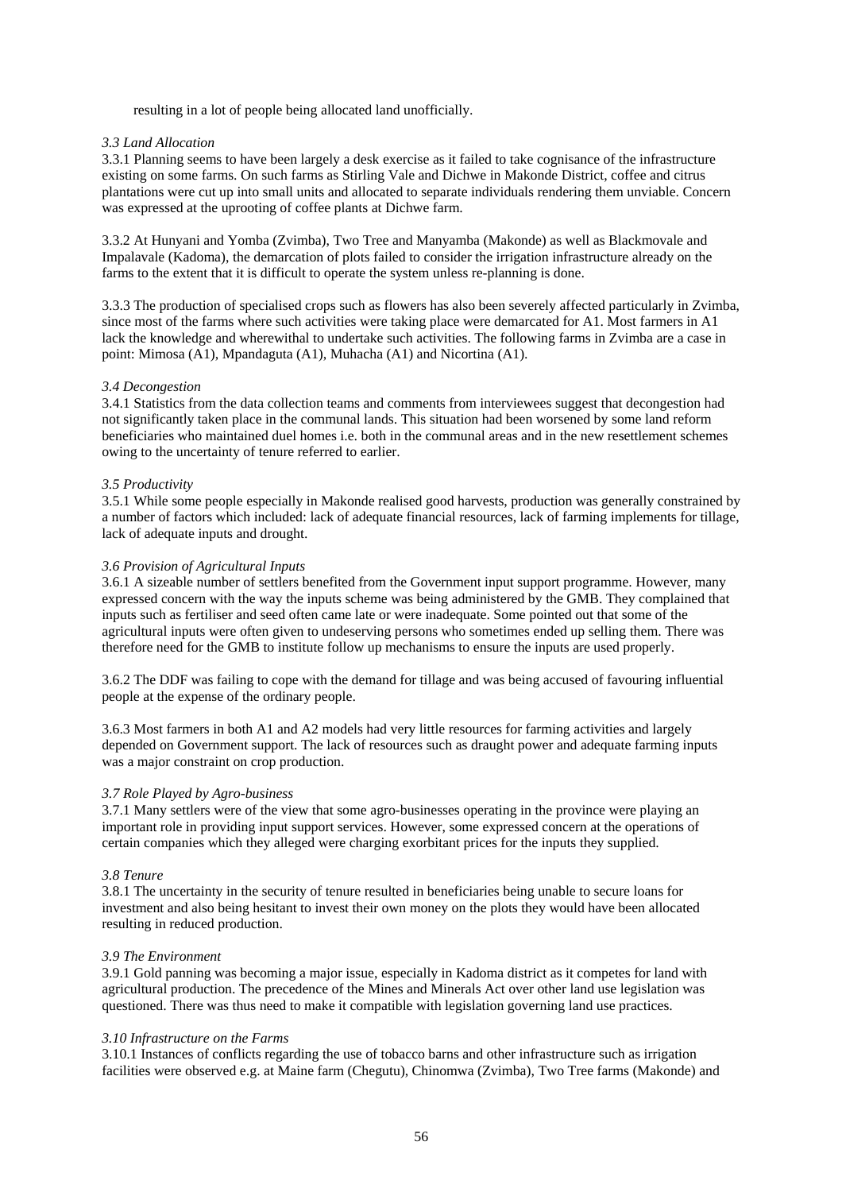resulting in a lot of people being allocated land unofficially.

# *3.3 Land Allocation*

3.3.1 Planning seems to have been largely a desk exercise as it failed to take cognisance of the infrastructure existing on some farms. On such farms as Stirling Vale and Dichwe in Makonde District, coffee and citrus plantations were cut up into small units and allocated to separate individuals rendering them unviable. Concern was expressed at the uprooting of coffee plants at Dichwe farm.

3.3.2 At Hunyani and Yomba (Zvimba), Two Tree and Manyamba (Makonde) as well as Blackmovale and Impalavale (Kadoma), the demarcation of plots failed to consider the irrigation infrastructure already on the farms to the extent that it is difficult to operate the system unless re-planning is done.

3.3.3 The production of specialised crops such as flowers has also been severely affected particularly in Zvimba, since most of the farms where such activities were taking place were demarcated for A1. Most farmers in A1 lack the knowledge and wherewithal to undertake such activities. The following farms in Zvimba are a case in point: Mimosa (A1), Mpandaguta (A1), Muhacha (A1) and Nicortina (A1).

# *3.4 Decongestion*

3.4.1 Statistics from the data collection teams and comments from interviewees suggest that decongestion had not significantly taken place in the communal lands. This situation had been worsened by some land reform beneficiaries who maintained duel homes i.e. both in the communal areas and in the new resettlement schemes owing to the uncertainty of tenure referred to earlier.

# *3.5 Productivity*

3.5.1 While some people especially in Makonde realised good harvests, production was generally constrained by a number of factors which included: lack of adequate financial resources, lack of farming implements for tillage, lack of adequate inputs and drought.

# *3.6 Provision of Agricultural Inputs*

3.6.1 A sizeable number of settlers benefited from the Government input support programme. However, many expressed concern with the way the inputs scheme was being administered by the GMB. They complained that inputs such as fertiliser and seed often came late or were inadequate. Some pointed out that some of the agricultural inputs were often given to undeserving persons who sometimes ended up selling them. There was therefore need for the GMB to institute follow up mechanisms to ensure the inputs are used properly.

3.6.2 The DDF was failing to cope with the demand for tillage and was being accused of favouring influential people at the expense of the ordinary people.

3.6.3 Most farmers in both A1 and A2 models had very little resources for farming activities and largely depended on Government support. The lack of resources such as draught power and adequate farming inputs was a major constraint on crop production.

#### *3.7 Role Played by Agro-business*

3.7.1 Many settlers were of the view that some agro-businesses operating in the province were playing an important role in providing input support services. However, some expressed concern at the operations of certain companies which they alleged were charging exorbitant prices for the inputs they supplied.

#### *3.8 Tenure*

3.8.1 The uncertainty in the security of tenure resulted in beneficiaries being unable to secure loans for investment and also being hesitant to invest their own money on the plots they would have been allocated resulting in reduced production.

#### *3.9 The Environment*

3.9.1 Gold panning was becoming a major issue, especially in Kadoma district as it competes for land with agricultural production. The precedence of the Mines and Minerals Act over other land use legislation was questioned. There was thus need to make it compatible with legislation governing land use practices.

#### *3.10 Infrastructure on the Farms*

3.10.1 Instances of conflicts regarding the use of tobacco barns and other infrastructure such as irrigation facilities were observed e.g. at Maine farm (Chegutu), Chinomwa (Zvimba), Two Tree farms (Makonde) and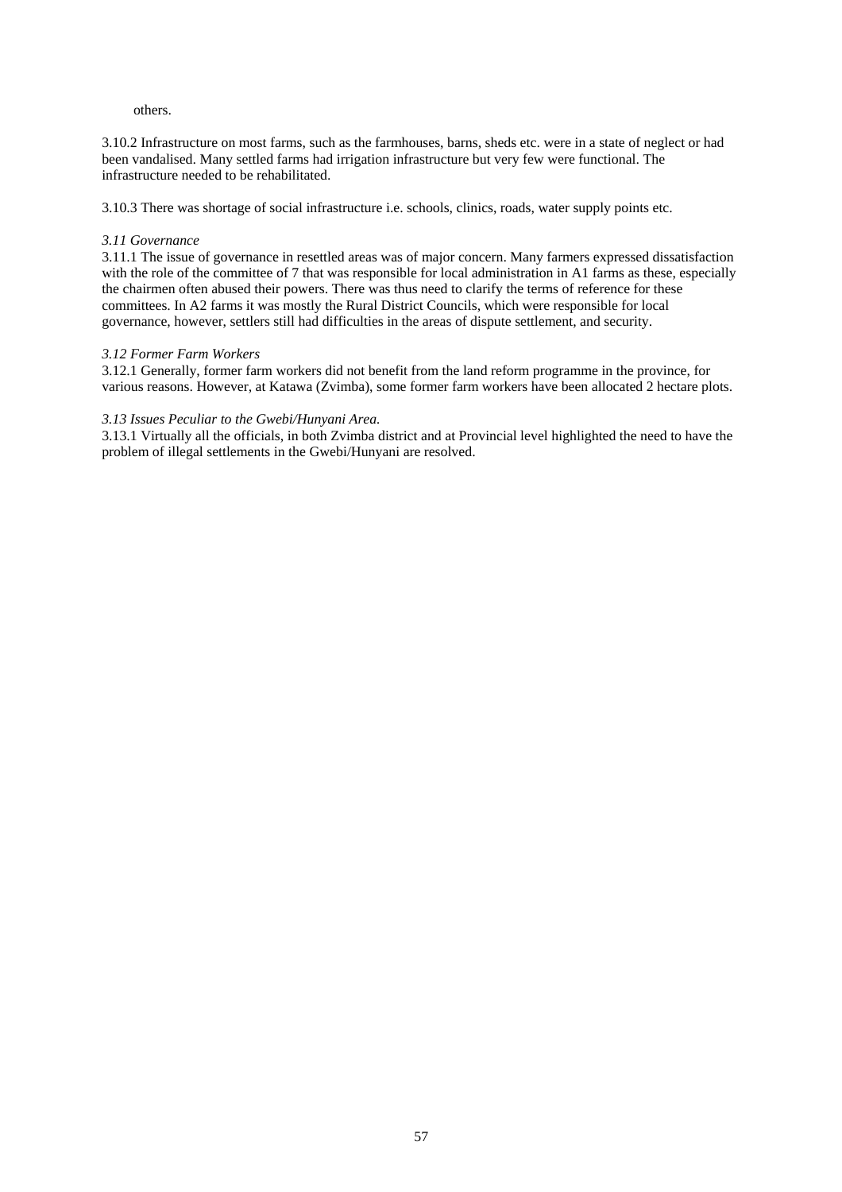# others.

3.10.2 Infrastructure on most farms, such as the farmhouses, barns, sheds etc. were in a state of neglect or had been vandalised. Many settled farms had irrigation infrastructure but very few were functional. The infrastructure needed to be rehabilitated.

3.10.3 There was shortage of social infrastructure i.e. schools, clinics, roads, water supply points etc.

# *3.11 Governance*

3.11.1 The issue of governance in resettled areas was of major concern. Many farmers expressed dissatisfaction with the role of the committee of 7 that was responsible for local administration in A1 farms as these, especially the chairmen often abused their powers. There was thus need to clarify the terms of reference for these committees. In A2 farms it was mostly the Rural District Councils, which were responsible for local governance, however, settlers still had difficulties in the areas of dispute settlement, and security.

# *3.12 Former Farm Workers*

3.12.1 Generally, former farm workers did not benefit from the land reform programme in the province, for various reasons. However, at Katawa (Zvimba), some former farm workers have been allocated 2 hectare plots.

# *3.13 Issues Peculiar to the Gwebi/Hunyani Area.*

3.13.1 Virtually all the officials, in both Zvimba district and at Provincial level highlighted the need to have the problem of illegal settlements in the Gwebi/Hunyani are resolved.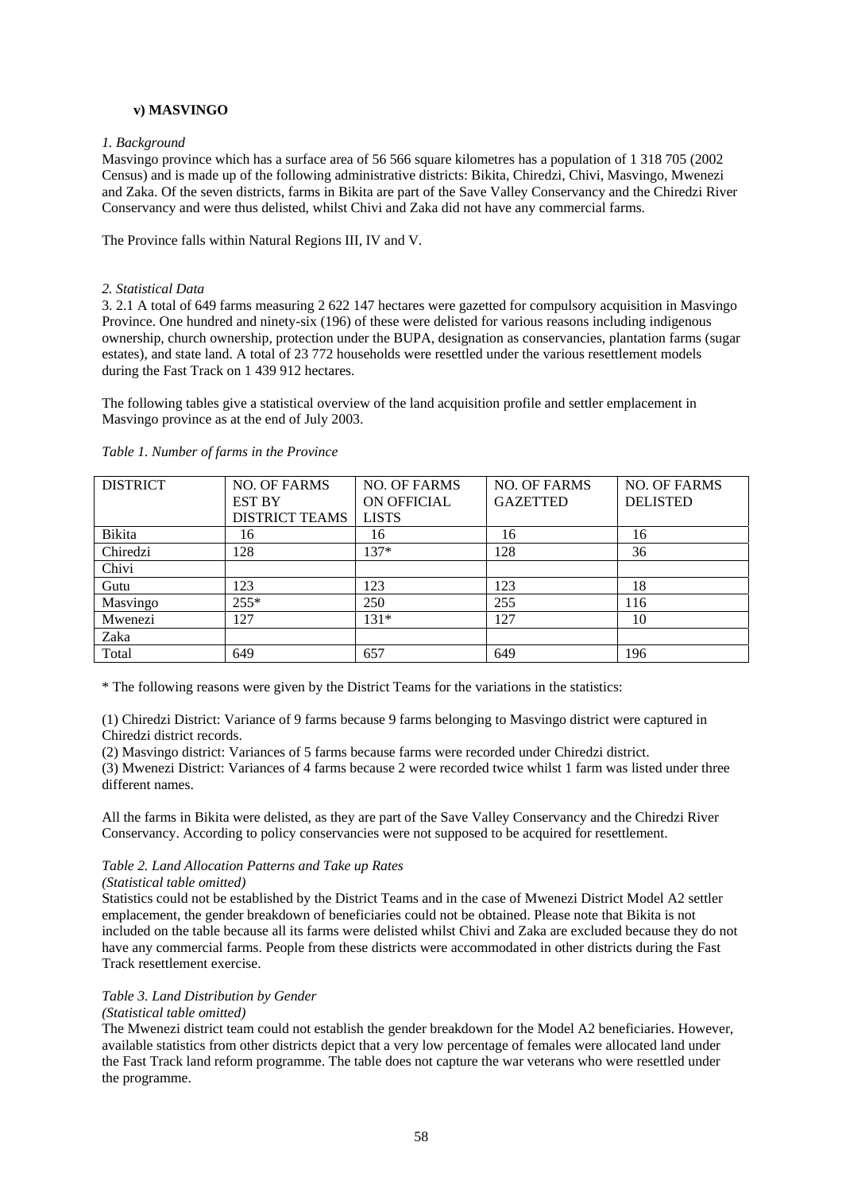# **v) MASVINGO**

# *1. Background*

Masvingo province which has a surface area of 56 566 square kilometres has a population of 1 318 705 (2002 Census) and is made up of the following administrative districts: Bikita, Chiredzi, Chivi, Masvingo, Mwenezi and Zaka. Of the seven districts, farms in Bikita are part of the Save Valley Conservancy and the Chiredzi River Conservancy and were thus delisted, whilst Chivi and Zaka did not have any commercial farms.

The Province falls within Natural Regions III, IV and V.

# *2. Statistical Data*

3. 2.1 A total of 649 farms measuring 2 622 147 hectares were gazetted for compulsory acquisition in Masvingo Province. One hundred and ninety-six (196) of these were delisted for various reasons including indigenous ownership, church ownership, protection under the BUPA, designation as conservancies, plantation farms (sugar estates), and state land. A total of 23 772 households were resettled under the various resettlement models during the Fast Track on 1 439 912 hectares.

The following tables give a statistical overview of the land acquisition profile and settler emplacement in Masvingo province as at the end of July 2003.

| <b>DISTRICT</b> | <b>NO. OF FARMS</b>   | <b>NO. OF FARMS</b> | <b>NO. OF FARMS</b> | <b>NO. OF FARMS</b> |
|-----------------|-----------------------|---------------------|---------------------|---------------------|
|                 | <b>EST BY</b>         | ON OFFICIAL         | <b>GAZETTED</b>     | <b>DELISTED</b>     |
|                 | <b>DISTRICT TEAMS</b> | <b>LISTS</b>        |                     |                     |
| Bikita          | 16                    | 16                  | 16                  | 16                  |
| Chiredzi        | 128                   | $137*$              | 128                 | 36                  |
| Chivi           |                       |                     |                     |                     |
| Gutu            | 123                   | 123                 | 123                 | 18                  |
| Masvingo        | $255*$                | 250                 | 255                 | 116                 |
| Mwenezi         | 127                   | $131*$              | 127                 | 10                  |
| Zaka            |                       |                     |                     |                     |
| Total           | 649                   | 657                 | 649                 | 196                 |

#### *Table 1. Number of farms in the Province*

\* The following reasons were given by the District Teams for the variations in the statistics:

(1) Chiredzi District: Variance of 9 farms because 9 farms belonging to Masvingo district were captured in Chiredzi district records.

(2) Masvingo district: Variances of 5 farms because farms were recorded under Chiredzi district.

(3) Mwenezi District: Variances of 4 farms because 2 were recorded twice whilst 1 farm was listed under three different names.

All the farms in Bikita were delisted, as they are part of the Save Valley Conservancy and the Chiredzi River Conservancy. According to policy conservancies were not supposed to be acquired for resettlement.

# *Table 2. Land Allocation Patterns and Take up Rates*

# *(Statistical table omitted)*

Statistics could not be established by the District Teams and in the case of Mwenezi District Model A2 settler emplacement, the gender breakdown of beneficiaries could not be obtained. Please note that Bikita is not included on the table because all its farms were delisted whilst Chivi and Zaka are excluded because they do not have any commercial farms. People from these districts were accommodated in other districts during the Fast Track resettlement exercise.

# *Table 3. Land Distribution by Gender*

#### *(Statistical table omitted)*

The Mwenezi district team could not establish the gender breakdown for the Model A2 beneficiaries. However, available statistics from other districts depict that a very low percentage of females were allocated land under the Fast Track land reform programme. The table does not capture the war veterans who were resettled under the programme.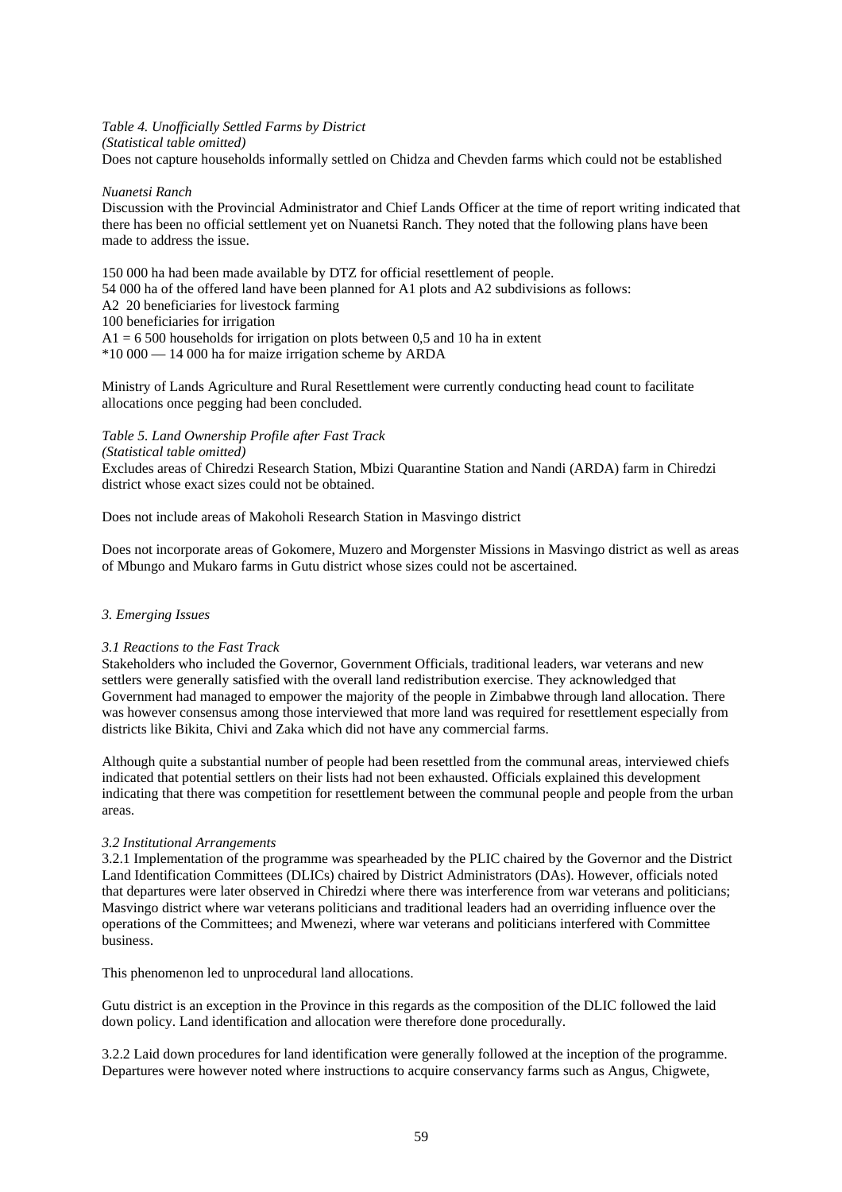*Table 4. Unofficially Settled Farms by District (Statistical table omitted)* 

Does not capture households informally settled on Chidza and Chevden farms which could not be established

# *Nuanetsi Ranch*

Discussion with the Provincial Administrator and Chief Lands Officer at the time of report writing indicated that there has been no official settlement yet on Nuanetsi Ranch. They noted that the following plans have been made to address the issue.

150 000 ha had been made available by DTZ for official resettlement of people. 54 000 ha of the offered land have been planned for A1 plots and A2 subdivisions as follows: A2 20 beneficiaries for livestock farming 100 beneficiaries for irrigation  $A1 = 6500$  households for irrigation on plots between 0.5 and 10 ha in extent \*10 000 — 14 000 ha for maize irrigation scheme by ARDA

Ministry of Lands Agriculture and Rural Resettlement were currently conducting head count to facilitate allocations once pegging had been concluded.

*Table 5. Land Ownership Profile after Fast Track*

*(Statistical table omitted)*

Excludes areas of Chiredzi Research Station, Mbizi Quarantine Station and Nandi (ARDA) farm in Chiredzi district whose exact sizes could not be obtained.

Does not include areas of Makoholi Research Station in Masvingo district

Does not incorporate areas of Gokomere, Muzero and Morgenster Missions in Masvingo district as well as areas of Mbungo and Mukaro farms in Gutu district whose sizes could not be ascertained.

# *3. Emerging Issues*

#### *3.1 Reactions to the Fast Track*

Stakeholders who included the Governor, Government Officials, traditional leaders, war veterans and new settlers were generally satisfied with the overall land redistribution exercise. They acknowledged that Government had managed to empower the majority of the people in Zimbabwe through land allocation. There was however consensus among those interviewed that more land was required for resettlement especially from districts like Bikita, Chivi and Zaka which did not have any commercial farms.

Although quite a substantial number of people had been resettled from the communal areas, interviewed chiefs indicated that potential settlers on their lists had not been exhausted. Officials explained this development indicating that there was competition for resettlement between the communal people and people from the urban areas.

# *3.2 Institutional Arrangements*

3.2.1 Implementation of the programme was spearheaded by the PLIC chaired by the Governor and the District Land Identification Committees (DLICs) chaired by District Administrators (DAs). However, officials noted that departures were later observed in Chiredzi where there was interference from war veterans and politicians; Masvingo district where war veterans politicians and traditional leaders had an overriding influence over the operations of the Committees; and Mwenezi, where war veterans and politicians interfered with Committee business.

This phenomenon led to unprocedural land allocations.

Gutu district is an exception in the Province in this regards as the composition of the DLIC followed the laid down policy. Land identification and allocation were therefore done procedurally.

3.2.2 Laid down procedures for land identification were generally followed at the inception of the programme. Departures were however noted where instructions to acquire conservancy farms such as Angus, Chigwete,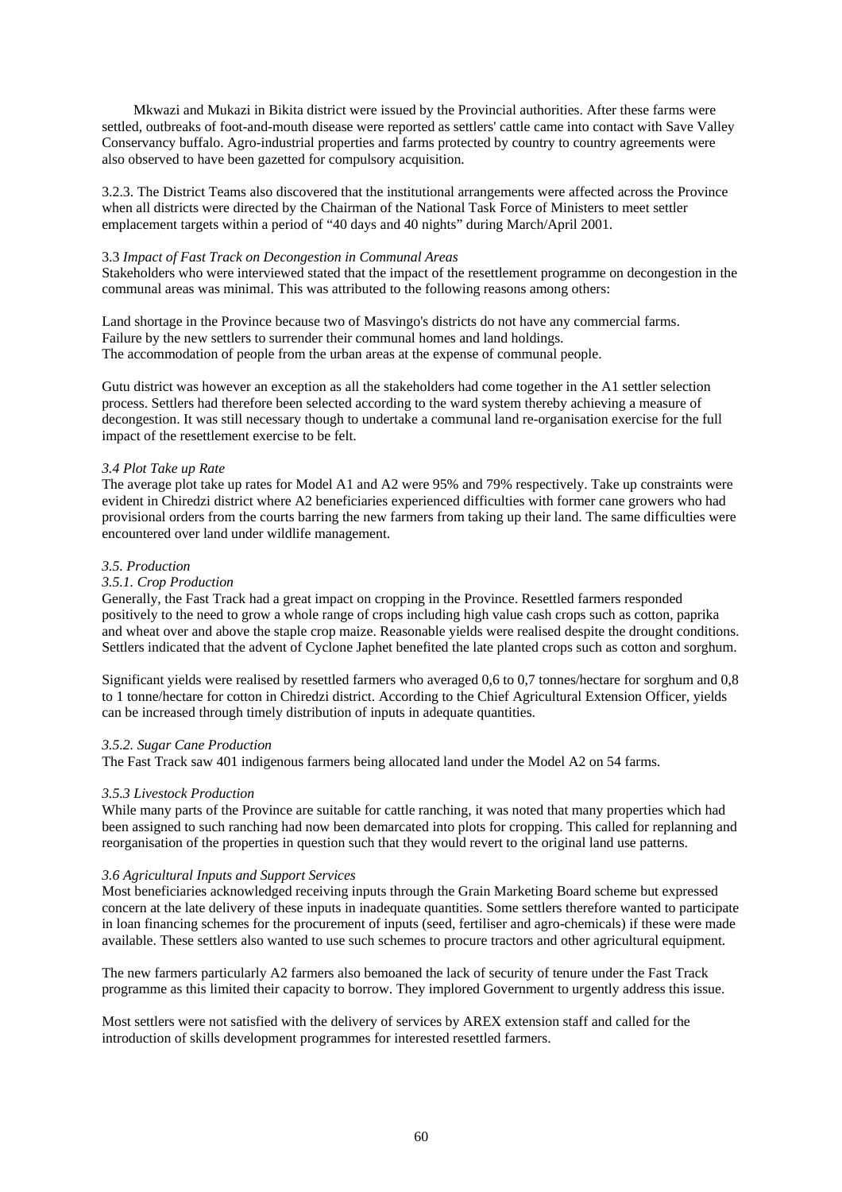Mkwazi and Mukazi in Bikita district were issued by the Provincial authorities. After these farms were settled, outbreaks of foot-and-mouth disease were reported as settlers' cattle came into contact with Save Valley Conservancy buffalo. Agro-industrial properties and farms protected by country to country agreements were also observed to have been gazetted for compulsory acquisition.

3.2.3. The District Teams also discovered that the institutional arrangements were affected across the Province when all districts were directed by the Chairman of the National Task Force of Ministers to meet settler emplacement targets within a period of "40 days and 40 nights" during March/April 2001.

# 3.3 *Impact of Fast Track on Decongestion in Communal Areas*

Stakeholders who were interviewed stated that the impact of the resettlement programme on decongestion in the communal areas was minimal. This was attributed to the following reasons among others:

Land shortage in the Province because two of Masvingo's districts do not have any commercial farms. Failure by the new settlers to surrender their communal homes and land holdings. The accommodation of people from the urban areas at the expense of communal people.

Gutu district was however an exception as all the stakeholders had come together in the A1 settler selection process. Settlers had therefore been selected according to the ward system thereby achieving a measure of decongestion. It was still necessary though to undertake a communal land re-organisation exercise for the full impact of the resettlement exercise to be felt.

# *3.4 Plot Take up Rate*

The average plot take up rates for Model A1 and A2 were 95% and 79% respectively. Take up constraints were evident in Chiredzi district where A2 beneficiaries experienced difficulties with former cane growers who had provisional orders from the courts barring the new farmers from taking up their land. The same difficulties were encountered over land under wildlife management.

# *3.5. Production*

# *3.5.1. Crop Production*

Generally, the Fast Track had a great impact on cropping in the Province. Resettled farmers responded positively to the need to grow a whole range of crops including high value cash crops such as cotton, paprika and wheat over and above the staple crop maize. Reasonable yields were realised despite the drought conditions. Settlers indicated that the advent of Cyclone Japhet benefited the late planted crops such as cotton and sorghum.

Significant yields were realised by resettled farmers who averaged 0,6 to 0,7 tonnes/hectare for sorghum and 0,8 to 1 tonne/hectare for cotton in Chiredzi district. According to the Chief Agricultural Extension Officer, yields can be increased through timely distribution of inputs in adequate quantities.

#### *3.5.2. Sugar Cane Production*

The Fast Track saw 401 indigenous farmers being allocated land under the Model A2 on 54 farms.

#### *3.5.3 Livestock Production*

While many parts of the Province are suitable for cattle ranching, it was noted that many properties which had been assigned to such ranching had now been demarcated into plots for cropping. This called for replanning and reorganisation of the properties in question such that they would revert to the original land use patterns.

# *3.6 Agricultural Inputs and Support Services*

Most beneficiaries acknowledged receiving inputs through the Grain Marketing Board scheme but expressed concern at the late delivery of these inputs in inadequate quantities. Some settlers therefore wanted to participate in loan financing schemes for the procurement of inputs (seed, fertiliser and agro-chemicals) if these were made available. These settlers also wanted to use such schemes to procure tractors and other agricultural equipment.

The new farmers particularly A2 farmers also bemoaned the lack of security of tenure under the Fast Track programme as this limited their capacity to borrow. They implored Government to urgently address this issue.

Most settlers were not satisfied with the delivery of services by AREX extension staff and called for the introduction of skills development programmes for interested resettled farmers.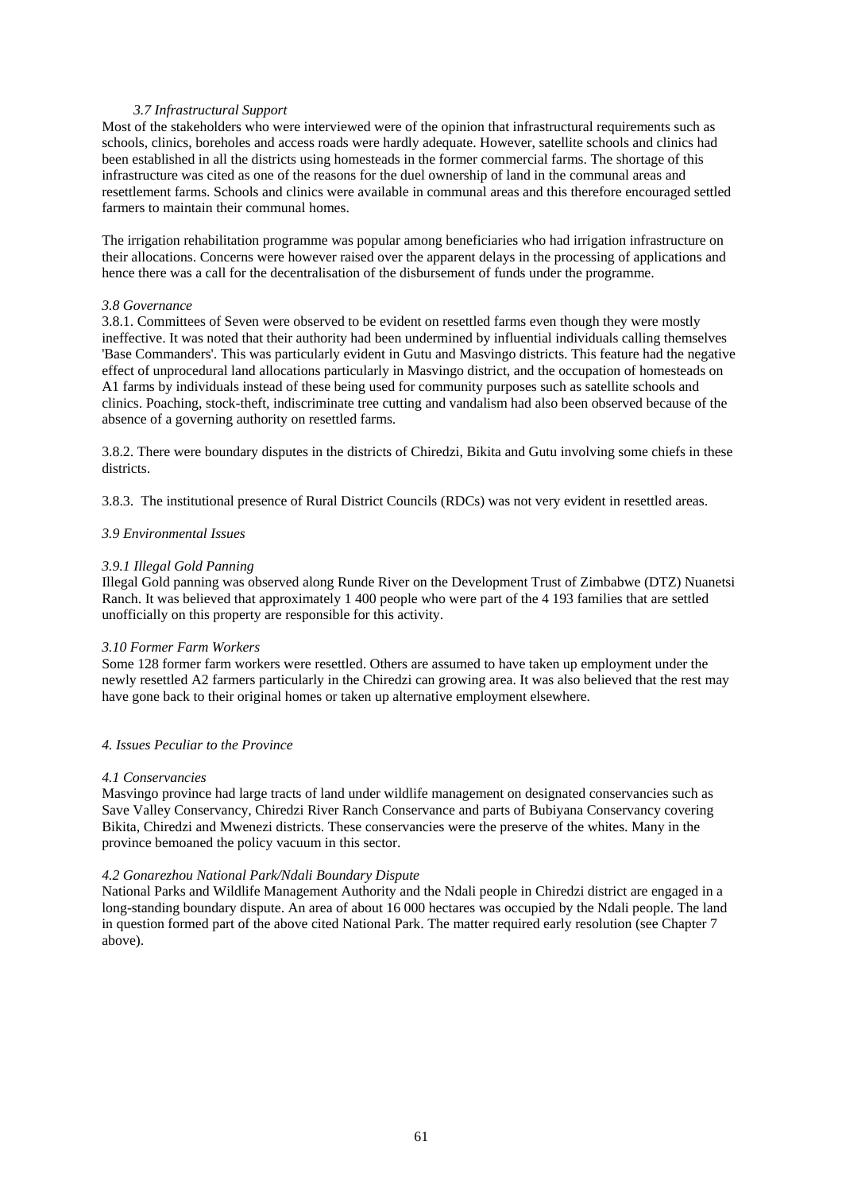# *3.7 Infrastructural Support*

Most of the stakeholders who were interviewed were of the opinion that infrastructural requirements such as schools, clinics, boreholes and access roads were hardly adequate. However, satellite schools and clinics had been established in all the districts using homesteads in the former commercial farms. The shortage of this infrastructure was cited as one of the reasons for the duel ownership of land in the communal areas and resettlement farms. Schools and clinics were available in communal areas and this therefore encouraged settled farmers to maintain their communal homes.

The irrigation rehabilitation programme was popular among beneficiaries who had irrigation infrastructure on their allocations. Concerns were however raised over the apparent delays in the processing of applications and hence there was a call for the decentralisation of the disbursement of funds under the programme.

## *3.8 Governance*

3.8.1. Committees of Seven were observed to be evident on resettled farms even though they were mostly ineffective. It was noted that their authority had been undermined by influential individuals calling themselves 'Base Commanders'. This was particularly evident in Gutu and Masvingo districts. This feature had the negative effect of unprocedural land allocations particularly in Masvingo district, and the occupation of homesteads on A1 farms by individuals instead of these being used for community purposes such as satellite schools and clinics. Poaching, stock-theft, indiscriminate tree cutting and vandalism had also been observed because of the absence of a governing authority on resettled farms.

3.8.2. There were boundary disputes in the districts of Chiredzi, Bikita and Gutu involving some chiefs in these districts.

3.8.3. The institutional presence of Rural District Councils (RDCs) was not very evident in resettled areas.

# *3.9 Environmental Issues*

# *3.9.1 Illegal Gold Panning*

Illegal Gold panning was observed along Runde River on the Development Trust of Zimbabwe (DTZ) Nuanetsi Ranch. It was believed that approximately 1 400 people who were part of the 4 193 families that are settled unofficially on this property are responsible for this activity.

#### *3.10 Former Farm Workers*

Some 128 former farm workers were resettled. Others are assumed to have taken up employment under the newly resettled A2 farmers particularly in the Chiredzi can growing area. It was also believed that the rest may have gone back to their original homes or taken up alternative employment elsewhere.

## *4. Issues Peculiar to the Province*

#### *4.1 Conservancies*

Masvingo province had large tracts of land under wildlife management on designated conservancies such as Save Valley Conservancy, Chiredzi River Ranch Conservance and parts of Bubiyana Conservancy covering Bikita, Chiredzi and Mwenezi districts. These conservancies were the preserve of the whites. Many in the province bemoaned the policy vacuum in this sector.

#### *4.2 Gonarezhou National Park/Ndali Boundary Dispute*

National Parks and Wildlife Management Authority and the Ndali people in Chiredzi district are engaged in a long-standing boundary dispute. An area of about 16 000 hectares was occupied by the Ndali people. The land in question formed part of the above cited National Park. The matter required early resolution (see Chapter 7 above).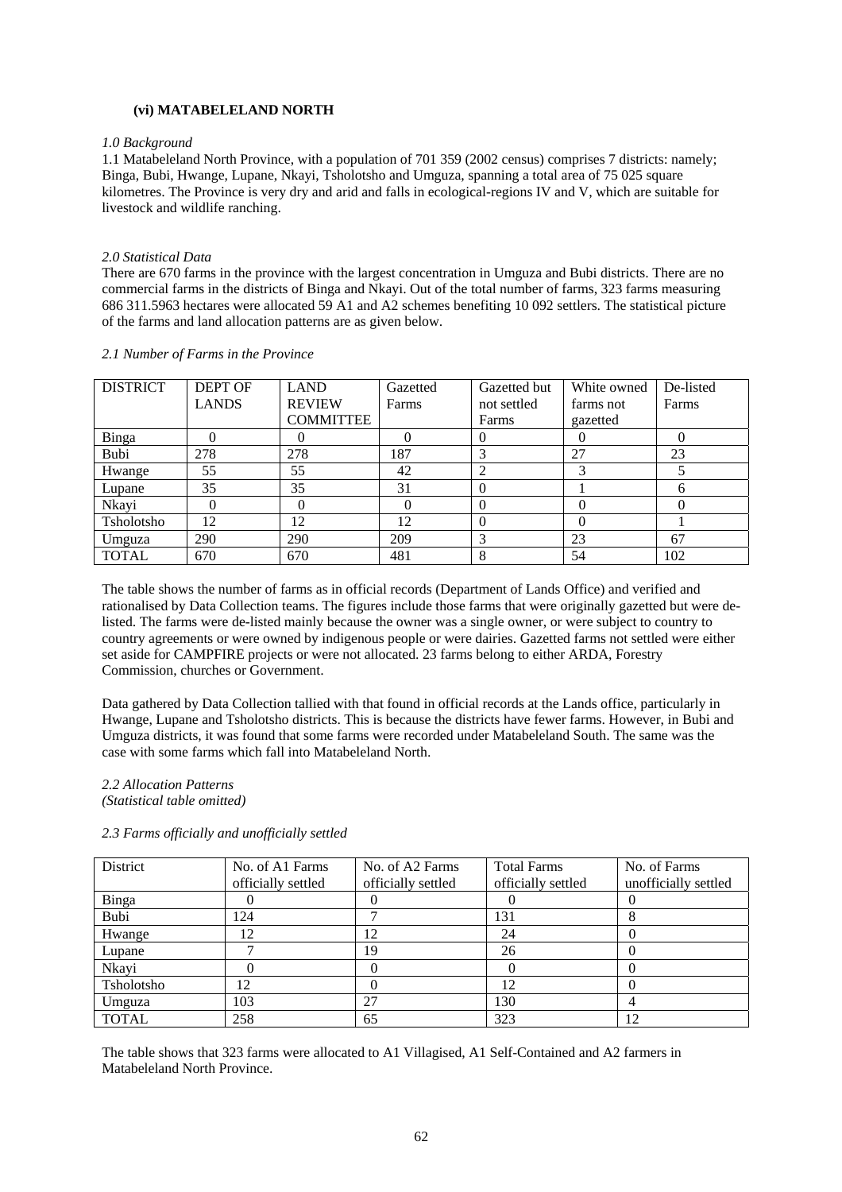# **(vi) MATABELELAND NORTH**

#### *1.0 Background*

1.1 Matabeleland North Province, with a population of 701 359 (2002 census) comprises 7 districts: namely; Binga, Bubi, Hwange, Lupane, Nkayi, Tsholotsho and Umguza, spanning a total area of 75 025 square kilometres. The Province is very dry and arid and falls in ecological-regions IV and V, which are suitable for livestock and wildlife ranching.

#### *2.0 Statistical Data*

There are 670 farms in the province with the largest concentration in Umguza and Bubi districts. There are no commercial farms in the districts of Binga and Nkayi. Out of the total number of farms, 323 farms measuring 686 311.5963 hectares were allocated 59 A1 and A2 schemes benefiting 10 092 settlers. The statistical picture of the farms and land allocation patterns are as given below.

| <b>DISTRICT</b> | <b>DEPT OF</b> | <b>LAND</b>      | Gazetted | Gazetted but | White owned | De-listed |
|-----------------|----------------|------------------|----------|--------------|-------------|-----------|
|                 | <b>LANDS</b>   | <b>REVIEW</b>    | Farms    | not settled  | farms not   | Farms     |
|                 |                | <b>COMMITTEE</b> |          | Farms        | gazetted    |           |
| Binga           |                |                  |          |              |             |           |
| Bubi            | 278            | 278              | 187      | 3            | 27          | 23        |
| Hwange          | 55             | 55               | 42       | 2            |             |           |
| Lupane          | 35             | 35               | 31       | $\Omega$     |             | h         |
| Nkayi           | 0              | 0                |          | $\Omega$     |             |           |
| Tsholotsho      | 12             | 12               | 12       | $\theta$     | 0           |           |
| Umguza          | 290            | 290              | 209      | 3            | 23          | 67        |
| <b>TOTAL</b>    | 670            | 670              | 481      | 8            | 54          | 102       |

# *2.1 Number of Farms in the Province*

The table shows the number of farms as in official records (Department of Lands Office) and verified and rationalised by Data Collection teams. The figures include those farms that were originally gazetted but were delisted. The farms were de-listed mainly because the owner was a single owner, or were subject to country to country agreements or were owned by indigenous people or were dairies. Gazetted farms not settled were either set aside for CAMPFIRE projects or were not allocated. 23 farms belong to either ARDA, Forestry Commission, churches or Government.

Data gathered by Data Collection tallied with that found in official records at the Lands office, particularly in Hwange, Lupane and Tsholotsho districts. This is because the districts have fewer farms. However, in Bubi and Umguza districts, it was found that some farms were recorded under Matabeleland South. The same was the case with some farms which fall into Matabeleland North.

# *2.2 Allocation Patterns*

*(Statistical table omitted)* 

#### *2.3 Farms officially and unofficially settled*

| District     | No. of A1 Farms    | No. of A2 Farms    | <b>Total Farms</b> | No. of Farms         |
|--------------|--------------------|--------------------|--------------------|----------------------|
|              | officially settled | officially settled | officially settled | unofficially settled |
| <b>Binga</b> |                    |                    |                    |                      |
| Bubi         | 124                |                    | 131                |                      |
| Hwange       | 12                 | 12                 | 24                 |                      |
| Lupane       |                    | 19                 | 26                 |                      |
| Nkayi        |                    |                    |                    |                      |
| Tsholotsho   | 12                 |                    | 12                 |                      |
| Umguza       | 103                | 27                 | 130                |                      |
| <b>TOTAL</b> | 258                | 65                 | 323                | 12                   |

The table shows that 323 farms were allocated to A1 Villagised, A1 Self-Contained and A2 farmers in Matabeleland North Province.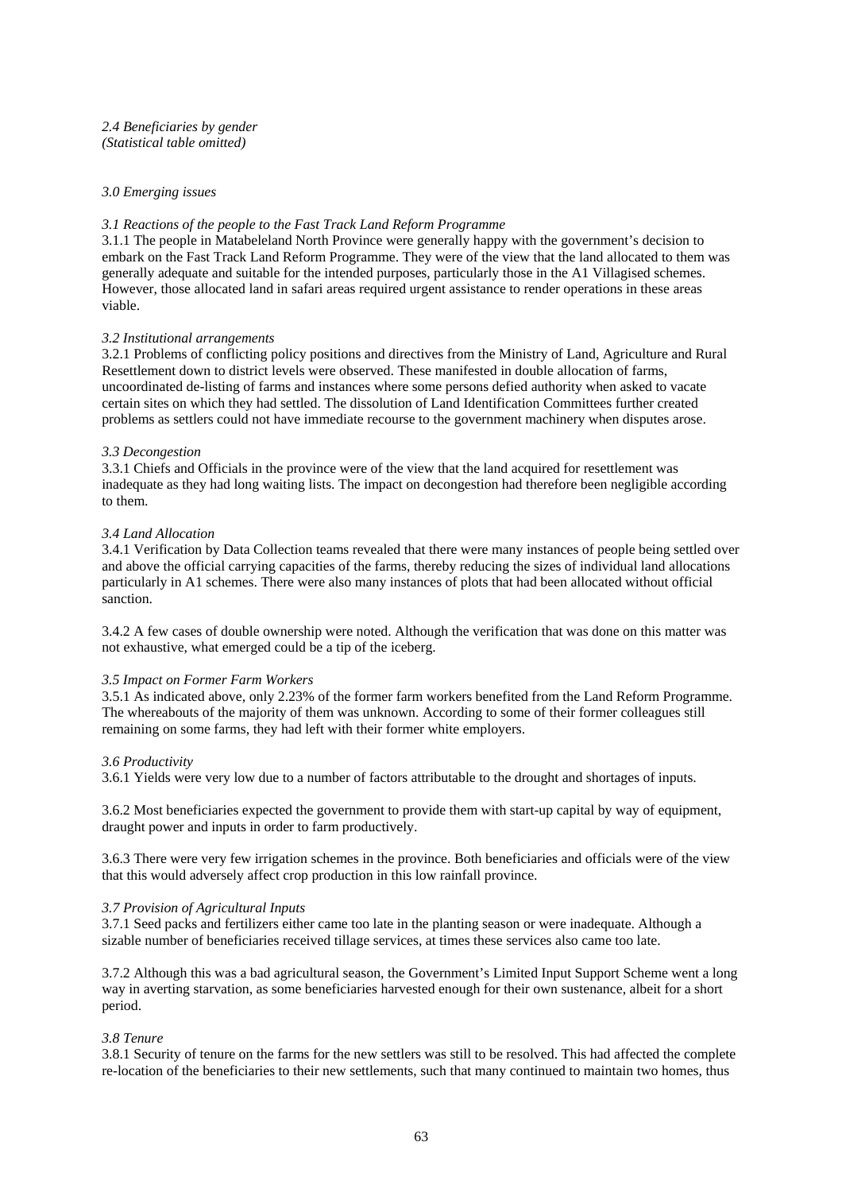# *3.0 Emerging issues*

# *3.1 Reactions of the people to the Fast Track Land Reform Programme*

3.1.1 The people in Matabeleland North Province were generally happy with the government's decision to embark on the Fast Track Land Reform Programme. They were of the view that the land allocated to them was generally adequate and suitable for the intended purposes, particularly those in the A1 Villagised schemes. However, those allocated land in safari areas required urgent assistance to render operations in these areas viable.

#### *3.2 Institutional arrangements*

3.2.1 Problems of conflicting policy positions and directives from the Ministry of Land, Agriculture and Rural Resettlement down to district levels were observed. These manifested in double allocation of farms, uncoordinated de-listing of farms and instances where some persons defied authority when asked to vacate certain sites on which they had settled. The dissolution of Land Identification Committees further created problems as settlers could not have immediate recourse to the government machinery when disputes arose.

#### *3.3 Decongestion*

3.3.1 Chiefs and Officials in the province were of the view that the land acquired for resettlement was inadequate as they had long waiting lists. The impact on decongestion had therefore been negligible according to them.

# *3.4 Land Allocation*

3.4.1 Verification by Data Collection teams revealed that there were many instances of people being settled over and above the official carrying capacities of the farms, thereby reducing the sizes of individual land allocations particularly in A1 schemes. There were also many instances of plots that had been allocated without official sanction.

3.4.2 A few cases of double ownership were noted. Although the verification that was done on this matter was not exhaustive, what emerged could be a tip of the iceberg.

#### *3.5 Impact on Former Farm Workers*

3.5.1 As indicated above, only 2.23% of the former farm workers benefited from the Land Reform Programme. The whereabouts of the majority of them was unknown. According to some of their former colleagues still remaining on some farms, they had left with their former white employers.

#### *3.6 Productivity*

3.6.1 Yields were very low due to a number of factors attributable to the drought and shortages of inputs.

3.6.2 Most beneficiaries expected the government to provide them with start-up capital by way of equipment, draught power and inputs in order to farm productively.

3.6.3 There were very few irrigation schemes in the province. Both beneficiaries and officials were of the view that this would adversely affect crop production in this low rainfall province.

#### *3.7 Provision of Agricultural Inputs*

3.7.1 Seed packs and fertilizers either came too late in the planting season or were inadequate. Although a sizable number of beneficiaries received tillage services, at times these services also came too late.

3.7.2 Although this was a bad agricultural season, the Government's Limited Input Support Scheme went a long way in averting starvation, as some beneficiaries harvested enough for their own sustenance, albeit for a short period.

# *3.8 Tenure*

3.8.1 Security of tenure on the farms for the new settlers was still to be resolved. This had affected the complete re-location of the beneficiaries to their new settlements, such that many continued to maintain two homes, thus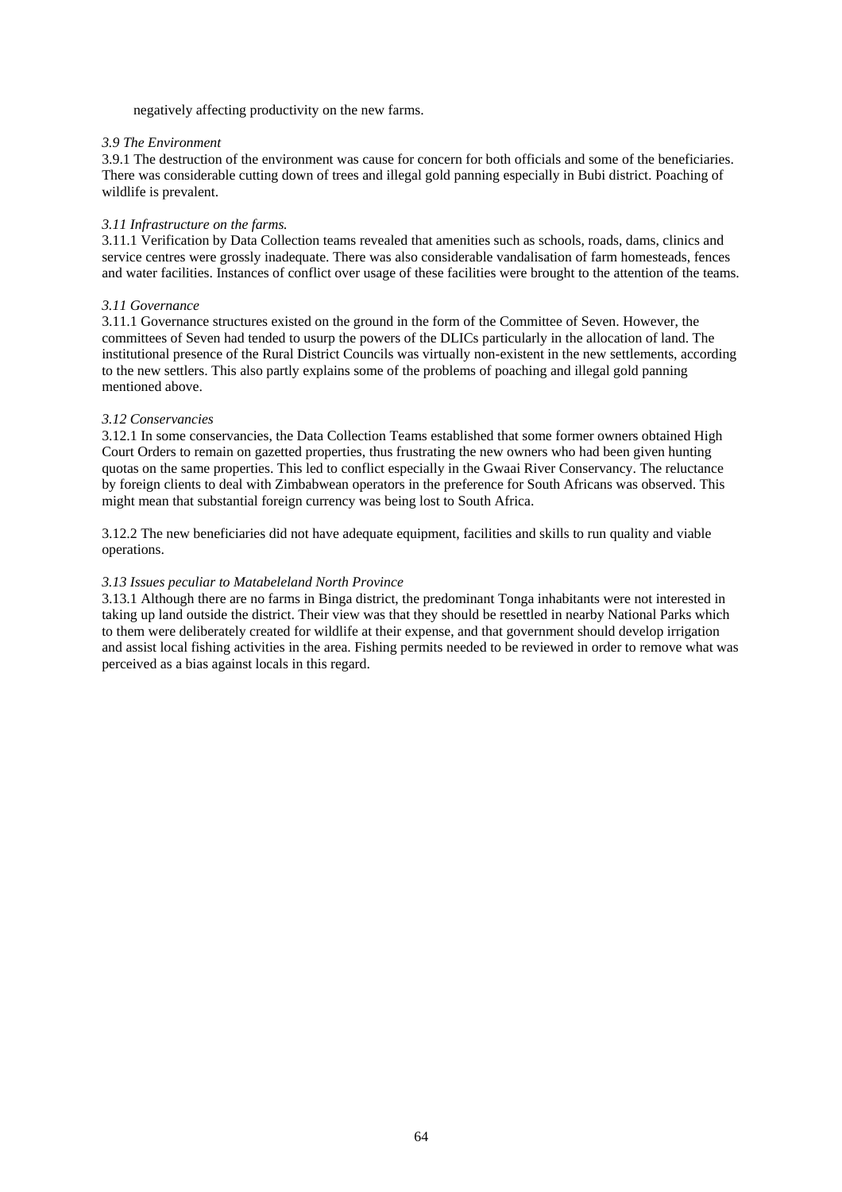negatively affecting productivity on the new farms.

# *3.9 The Environment*

3.9.1 The destruction of the environment was cause for concern for both officials and some of the beneficiaries. There was considerable cutting down of trees and illegal gold panning especially in Bubi district. Poaching of wildlife is prevalent.

# *3.11 Infrastructure on the farms.*

3.11.1 Verification by Data Collection teams revealed that amenities such as schools, roads, dams, clinics and service centres were grossly inadequate. There was also considerable vandalisation of farm homesteads, fences and water facilities. Instances of conflict over usage of these facilities were brought to the attention of the teams.

# *3.11 Governance*

3.11.1 Governance structures existed on the ground in the form of the Committee of Seven. However, the committees of Seven had tended to usurp the powers of the DLICs particularly in the allocation of land. The institutional presence of the Rural District Councils was virtually non-existent in the new settlements, according to the new settlers. This also partly explains some of the problems of poaching and illegal gold panning mentioned above.

# *3.12 Conservancies*

3.12.1 In some conservancies, the Data Collection Teams established that some former owners obtained High Court Orders to remain on gazetted properties, thus frustrating the new owners who had been given hunting quotas on the same properties. This led to conflict especially in the Gwaai River Conservancy. The reluctance by foreign clients to deal with Zimbabwean operators in the preference for South Africans was observed. This might mean that substantial foreign currency was being lost to South Africa.

3.12.2 The new beneficiaries did not have adequate equipment, facilities and skills to run quality and viable operations.

# *3.13 Issues peculiar to Matabeleland North Province*

3.13.1 Although there are no farms in Binga district, the predominant Tonga inhabitants were not interested in taking up land outside the district. Their view was that they should be resettled in nearby National Parks which to them were deliberately created for wildlife at their expense, and that government should develop irrigation and assist local fishing activities in the area. Fishing permits needed to be reviewed in order to remove what was perceived as a bias against locals in this regard.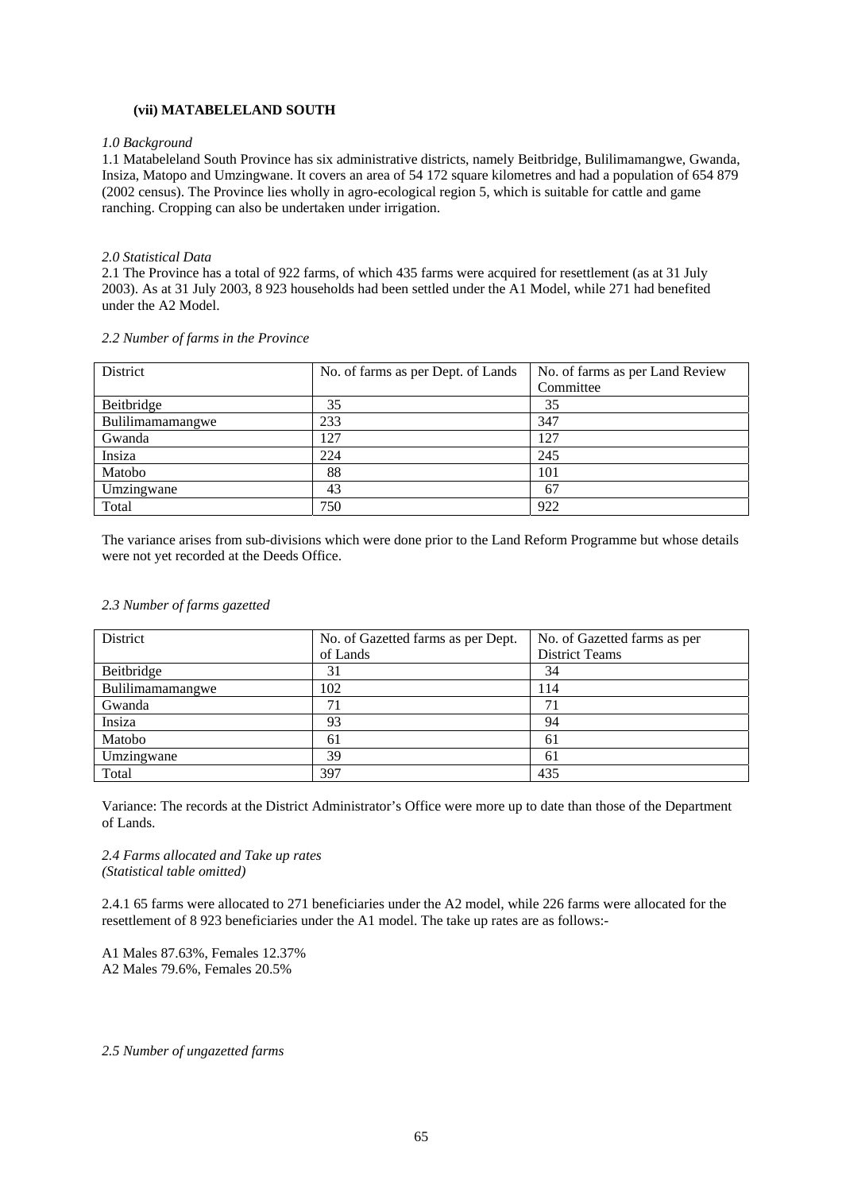# **(vii) MATABELELAND SOUTH**

#### *1.0 Background*

1.1 Matabeleland South Province has six administrative districts, namely Beitbridge, Bulilimamangwe, Gwanda, Insiza, Matopo and Umzingwane. It covers an area of 54 172 square kilometres and had a population of 654 879 (2002 census). The Province lies wholly in agro-ecological region 5, which is suitable for cattle and game ranching. Cropping can also be undertaken under irrigation.

#### *2.0 Statistical Data*

2.1 The Province has a total of 922 farms, of which 435 farms were acquired for resettlement (as at 31 July 2003). As at 31 July 2003, 8 923 households had been settled under the A1 Model, while 271 had benefited under the A2 Model.

#### *2.2 Number of farms in the Province*

| District         | No. of farms as per Dept. of Lands | No. of farms as per Land Review |
|------------------|------------------------------------|---------------------------------|
|                  |                                    | Committee                       |
| Beitbridge       | 35                                 | 35                              |
| Bulilimamamangwe | 233                                | 347                             |
| Gwanda           | 127                                | 127                             |
| Insiza           | 224                                | 245                             |
| Matobo           | 88                                 | 101                             |
| Umzingwane       | 43                                 | 67                              |
| Total            | 750                                | 922                             |

The variance arises from sub-divisions which were done prior to the Land Reform Programme but whose details were not yet recorded at the Deeds Office.

| District         | No. of Gazetted farms as per Dept. | No. of Gazetted farms as per |
|------------------|------------------------------------|------------------------------|
|                  | of Lands                           | <b>District Teams</b>        |
| Beitbridge       | 31                                 | 34                           |
| Bulilimamamangwe | 102                                | 114                          |
| Gwanda           |                                    | 71                           |
| Insiza           | 93                                 | 94                           |
| Matobo           | 61                                 | 61                           |
| Umzingwane       | 39                                 | 61                           |
| Total            | 397                                | 435                          |

## *2.3 Number of farms gazetted*

Variance: The records at the District Administrator's Office were more up to date than those of the Department of Lands.

# *2.4 Farms allocated and Take up rates (Statistical table omitted)*

2.4.1 65 farms were allocated to 271 beneficiaries under the A2 model, while 226 farms were allocated for the resettlement of 8 923 beneficiaries under the A1 model. The take up rates are as follows:-

A1 Males 87.63%, Females 12.37% A2 Males 79.6%, Females 20.5%

*2.5 Number of ungazetted farms*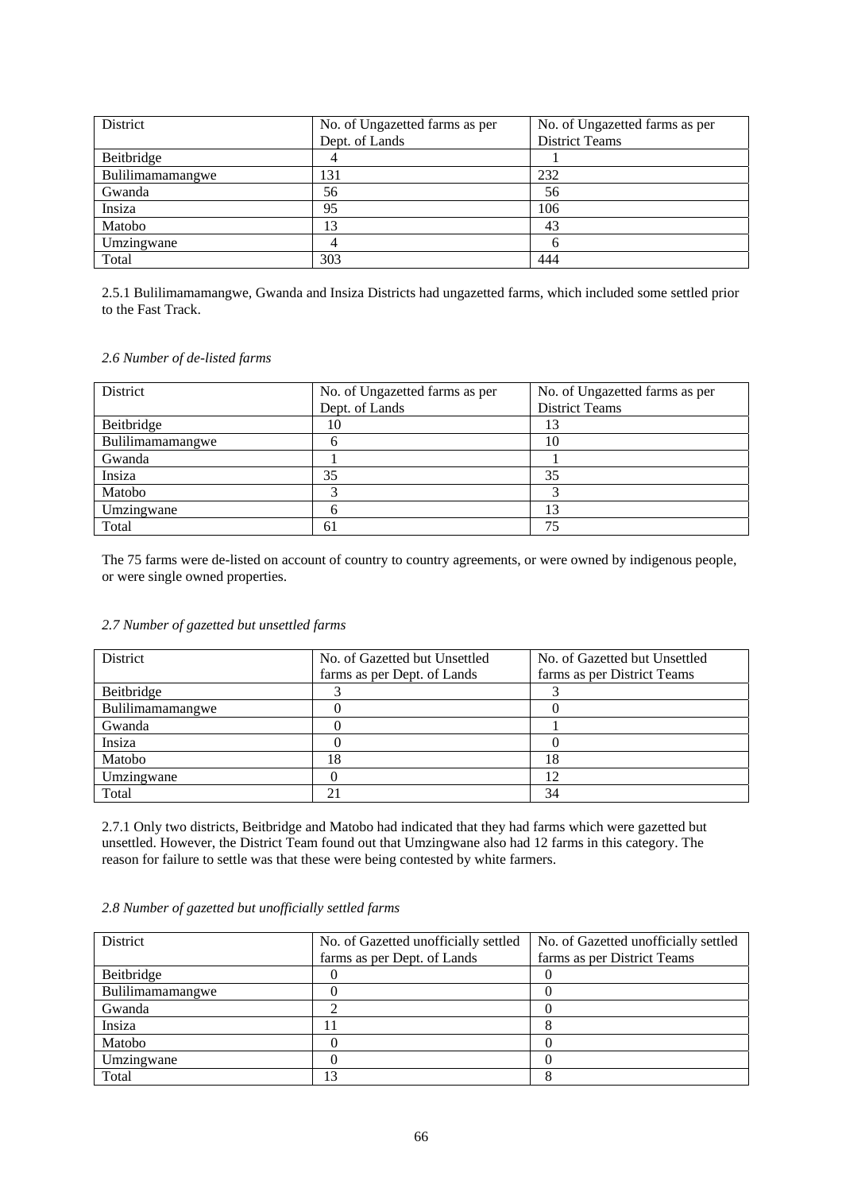| District         | No. of Ungazetted farms as per | No. of Ungazetted farms as per |
|------------------|--------------------------------|--------------------------------|
|                  | Dept. of Lands                 | <b>District Teams</b>          |
| Beitbridge       |                                |                                |
| Bulilimamamangwe | 131                            | 232                            |
| Gwanda           | 56                             | 56                             |
| Insiza           | 95                             | 106                            |
| Matobo           | 13                             | 43                             |
| Umzingwane       |                                |                                |
| Total            | 303                            | 444                            |

2.5.1 Bulilimamamangwe, Gwanda and Insiza Districts had ungazetted farms, which included some settled prior to the Fast Track.

# *2.6 Number of de-listed farms*

| District         | No. of Ungazetted farms as per | No. of Ungazetted farms as per |
|------------------|--------------------------------|--------------------------------|
|                  | Dept. of Lands                 | <b>District Teams</b>          |
| Beitbridge       | 10                             | 13                             |
| Bulilimamamangwe |                                | 10                             |
| Gwanda           |                                |                                |
| Insiza           | 35                             | 35                             |
| Matobo           |                                |                                |
| Umzingwane       |                                | 13                             |
| Total            | 61                             | 75                             |

The 75 farms were de-listed on account of country to country agreements, or were owned by indigenous people, or were single owned properties.

# *2.7 Number of gazetted but unsettled farms*

| <b>District</b>  | No. of Gazetted but Unsettled | No. of Gazetted but Unsettled |
|------------------|-------------------------------|-------------------------------|
|                  | farms as per Dept. of Lands   | farms as per District Teams   |
| Beitbridge       |                               |                               |
| Bulilimamamangwe |                               |                               |
| Gwanda           |                               |                               |
| Insiza           |                               |                               |
| Matobo           | 18                            | 18                            |
| Umzingwane       |                               | 12                            |
| Total            |                               | 34                            |

2.7.1 Only two districts, Beitbridge and Matobo had indicated that they had farms which were gazetted but unsettled. However, the District Team found out that Umzingwane also had 12 farms in this category. The reason for failure to settle was that these were being contested by white farmers.

| District         | No. of Gazetted unofficially settled | No. of Gazetted unofficially settled |
|------------------|--------------------------------------|--------------------------------------|
|                  | farms as per Dept. of Lands          | farms as per District Teams          |
| Beitbridge       |                                      |                                      |
| Bulilimamamangwe |                                      |                                      |
| Gwanda           |                                      |                                      |
| Insiza           |                                      |                                      |
| Matobo           |                                      |                                      |
| Umzingwane       |                                      |                                      |
| Total            | 3                                    |                                      |

# *2.8 Number of gazetted but unofficially settled farms*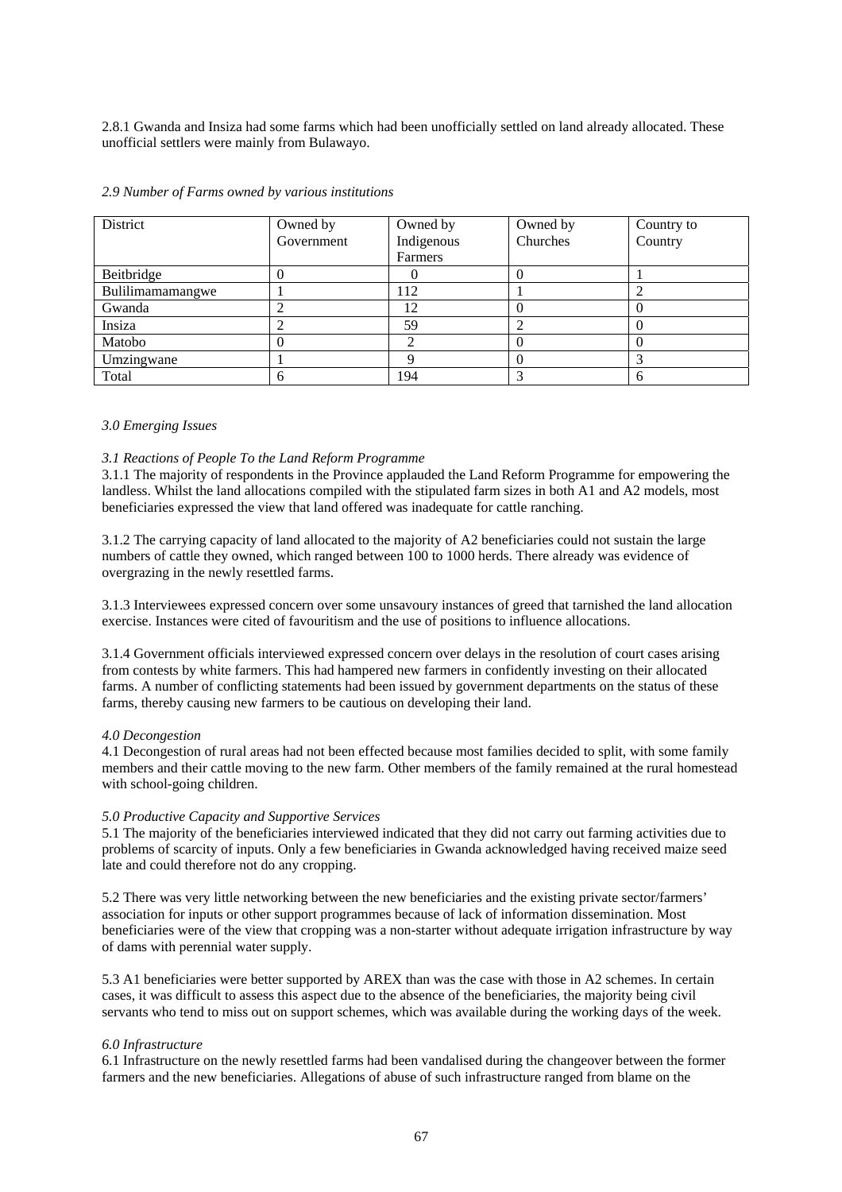2.8.1 Gwanda and Insiza had some farms which had been unofficially settled on land already allocated. These unofficial settlers were mainly from Bulawayo.

| District         | Owned by<br>Government | Owned by<br>Indigenous | Owned by<br>Churches | Country to<br>Country |
|------------------|------------------------|------------------------|----------------------|-----------------------|
|                  |                        | Farmers                |                      |                       |
| Beitbridge       |                        |                        | 0                    |                       |
| Bulilimamamangwe |                        | 112                    |                      |                       |
| Gwanda           |                        | 12                     |                      |                       |
| Insiza           |                        | 59                     |                      |                       |
| Matobo           |                        |                        |                      |                       |
| Umzingwane       |                        |                        |                      |                       |
| Total            |                        | 194                    |                      | 6                     |

#### *2.9 Number of Farms owned by various institutions*

# *3.0 Emerging Issues*

# *3.1 Reactions of People To the Land Reform Programme*

3.1.1 The majority of respondents in the Province applauded the Land Reform Programme for empowering the landless. Whilst the land allocations compiled with the stipulated farm sizes in both A1 and A2 models, most beneficiaries expressed the view that land offered was inadequate for cattle ranching.

3.1.2 The carrying capacity of land allocated to the majority of A2 beneficiaries could not sustain the large numbers of cattle they owned, which ranged between 100 to 1000 herds. There already was evidence of overgrazing in the newly resettled farms.

3.1.3 Interviewees expressed concern over some unsavoury instances of greed that tarnished the land allocation exercise. Instances were cited of favouritism and the use of positions to influence allocations.

3.1.4 Government officials interviewed expressed concern over delays in the resolution of court cases arising from contests by white farmers. This had hampered new farmers in confidently investing on their allocated farms. A number of conflicting statements had been issued by government departments on the status of these farms, thereby causing new farmers to be cautious on developing their land.

#### *4.0 Decongestion*

4.1 Decongestion of rural areas had not been effected because most families decided to split, with some family members and their cattle moving to the new farm. Other members of the family remained at the rural homestead with school-going children.

#### *5.0 Productive Capacity and Supportive Services*

5.1 The majority of the beneficiaries interviewed indicated that they did not carry out farming activities due to problems of scarcity of inputs. Only a few beneficiaries in Gwanda acknowledged having received maize seed late and could therefore not do any cropping.

5.2 There was very little networking between the new beneficiaries and the existing private sector/farmers' association for inputs or other support programmes because of lack of information dissemination. Most beneficiaries were of the view that cropping was a non-starter without adequate irrigation infrastructure by way of dams with perennial water supply.

5.3 A1 beneficiaries were better supported by AREX than was the case with those in A2 schemes. In certain cases, it was difficult to assess this aspect due to the absence of the beneficiaries, the majority being civil servants who tend to miss out on support schemes, which was available during the working days of the week.

# *6.0 Infrastructure*

6.1 Infrastructure on the newly resettled farms had been vandalised during the changeover between the former farmers and the new beneficiaries. Allegations of abuse of such infrastructure ranged from blame on the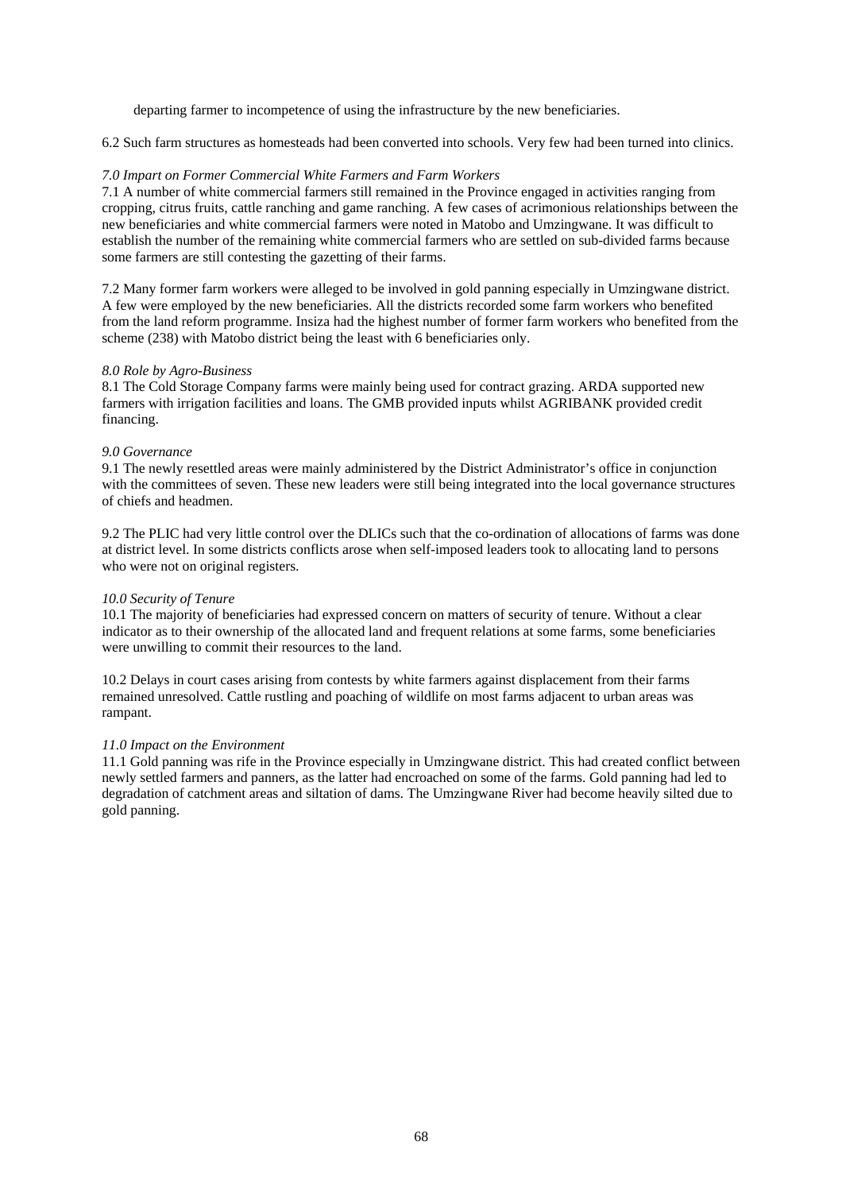departing farmer to incompetence of using the infrastructure by the new beneficiaries.

6.2 Such farm structures as homesteads had been converted into schools. Very few had been turned into clinics.

# *7.0 Impart on Former Commercial White Farmers and Farm Workers*

7.1 A number of white commercial farmers still remained in the Province engaged in activities ranging from cropping, citrus fruits, cattle ranching and game ranching. A few cases of acrimonious relationships between the new beneficiaries and white commercial farmers were noted in Matobo and Umzingwane. It was difficult to establish the number of the remaining white commercial farmers who are settled on sub-divided farms because some farmers are still contesting the gazetting of their farms.

7.2 Many former farm workers were alleged to be involved in gold panning especially in Umzingwane district. A few were employed by the new beneficiaries. All the districts recorded some farm workers who benefited from the land reform programme. Insiza had the highest number of former farm workers who benefited from the scheme (238) with Matobo district being the least with 6 beneficiaries only.

# *8.0 Role by Agro-Business*

8.1 The Cold Storage Company farms were mainly being used for contract grazing. ARDA supported new farmers with irrigation facilities and loans. The GMB provided inputs whilst AGRIBANK provided credit financing.

# *9.0 Governance*

9.1 The newly resettled areas were mainly administered by the District Administrator's office in conjunction with the committees of seven. These new leaders were still being integrated into the local governance structures of chiefs and headmen.

9.2 The PLIC had very little control over the DLICs such that the co-ordination of allocations of farms was done at district level. In some districts conflicts arose when self-imposed leaders took to allocating land to persons who were not on original registers.

# *10.0 Security of Tenure*

10.1 The majority of beneficiaries had expressed concern on matters of security of tenure. Without a clear indicator as to their ownership of the allocated land and frequent relations at some farms, some beneficiaries were unwilling to commit their resources to the land.

10.2 Delays in court cases arising from contests by white farmers against displacement from their farms remained unresolved. Cattle rustling and poaching of wildlife on most farms adjacent to urban areas was rampant.

# *11.0 Impact on the Environment*

11.1 Gold panning was rife in the Province especially in Umzingwane district. This had created conflict between newly settled farmers and panners, as the latter had encroached on some of the farms. Gold panning had led to degradation of catchment areas and siltation of dams. The Umzingwane River had become heavily silted due to gold panning.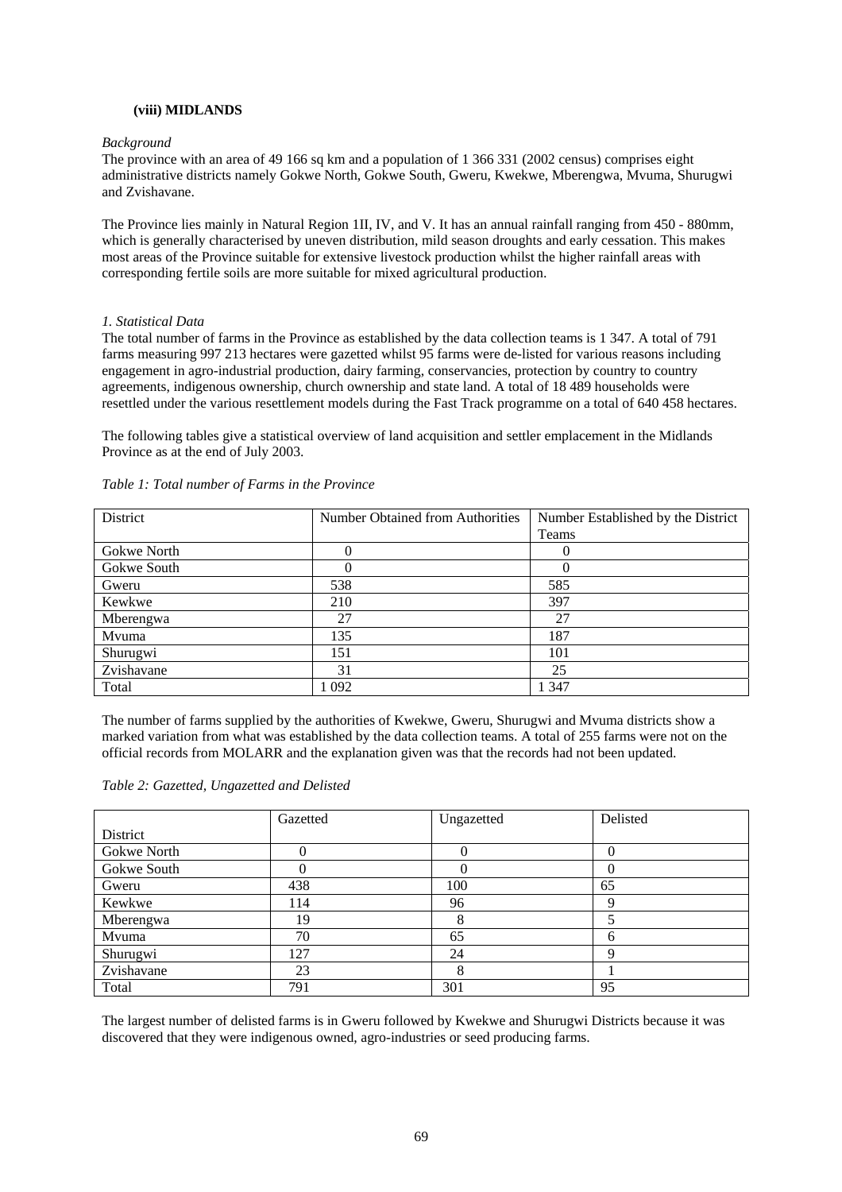# **(viii) MIDLANDS**

#### *Background*

The province with an area of 49 166 sq km and a population of 1 366 331 (2002 census) comprises eight administrative districts namely Gokwe North, Gokwe South, Gweru, Kwekwe, Mberengwa, Mvuma, Shurugwi and Zvishavane.

The Province lies mainly in Natural Region 1II, IV, and V. It has an annual rainfall ranging from 450 - 880mm, which is generally characterised by uneven distribution, mild season droughts and early cessation. This makes most areas of the Province suitable for extensive livestock production whilst the higher rainfall areas with corresponding fertile soils are more suitable for mixed agricultural production.

#### *1. Statistical Data*

The total number of farms in the Province as established by the data collection teams is 1 347. A total of 791 farms measuring 997 213 hectares were gazetted whilst 95 farms were de-listed for various reasons including engagement in agro-industrial production, dairy farming, conservancies, protection by country to country agreements, indigenous ownership, church ownership and state land. A total of 18 489 households were resettled under the various resettlement models during the Fast Track programme on a total of 640 458 hectares.

The following tables give a statistical overview of land acquisition and settler emplacement in the Midlands Province as at the end of July 2003.

| District    | Number Obtained from Authorities | Number Established by the District |
|-------------|----------------------------------|------------------------------------|
|             |                                  | Teams                              |
| Gokwe North |                                  | O                                  |
| Gokwe South |                                  |                                    |
| Gweru       | 538                              | 585                                |
| Kewkwe      | 210                              | 397                                |
| Mberengwa   | 27                               | 27                                 |
| Mvuma       | 135                              | 187                                |
| Shurugwi    | 151                              | 101                                |
| Zvishavane  | 31                               | 25                                 |
| Total       | 1 0 9 2                          | 1347                               |

#### *Table 1: Total number of Farms in the Province*

The number of farms supplied by the authorities of Kwekwe, Gweru, Shurugwi and Mvuma districts show a marked variation from what was established by the data collection teams. A total of 255 farms were not on the official records from MOLARR and the explanation given was that the records had not been updated.

|             | Gazetted | Ungazetted | Delisted |
|-------------|----------|------------|----------|
| District    |          |            |          |
| Gokwe North |          | 0          | 0        |
| Gokwe South |          |            |          |
| Gweru       | 438      | 100        | 65       |
| Kewkwe      | 114      | 96         | Q        |
| Mberengwa   | 19       |            |          |
| Mvuma       | 70       | 65         | h        |
| Shurugwi    | 127      | 24         | റ        |
| Zvishavane  | 23       | 8          |          |
| Total       | 791      | 301        | 95       |

The largest number of delisted farms is in Gweru followed by Kwekwe and Shurugwi Districts because it was discovered that they were indigenous owned, agro-industries or seed producing farms.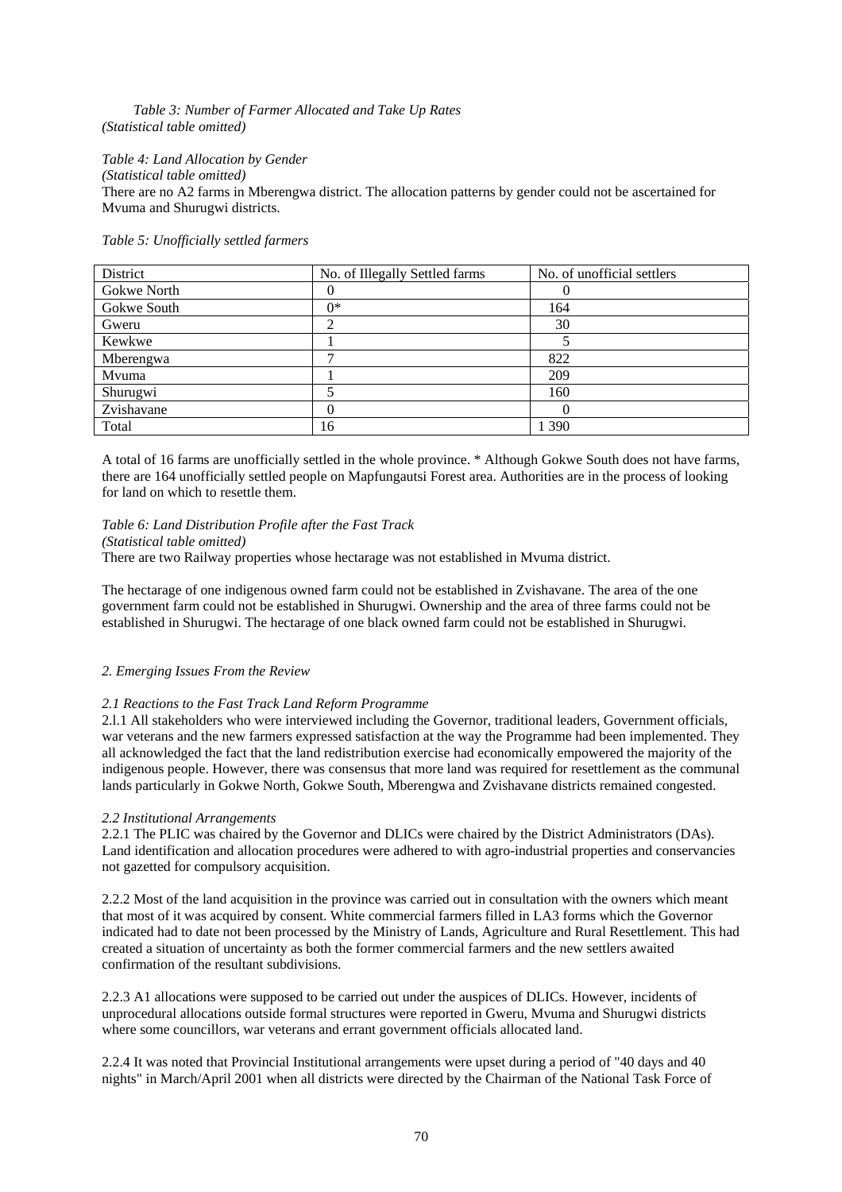# *Table 3: Number of Farmer Allocated and Take Up Rates (Statistical table omitted)*

# *Table 4: Land Allocation by Gender*

*(Statistical table omitted)* There are no A2 farms in Mberengwa district. The allocation patterns by gender could not be ascertained for Mvuma and Shurugwi districts.

# *Table 5: Unofficially settled farmers*

| District    | No. of Illegally Settled farms | No. of unofficial settlers |
|-------------|--------------------------------|----------------------------|
| Gokwe North |                                |                            |
| Gokwe South | ∩*                             | 164                        |
| Gweru       |                                | 30                         |
| Kewkwe      |                                |                            |
| Mberengwa   |                                | 822                        |
| Mvuma       |                                | 209                        |
| Shurugwi    |                                | 160                        |
| Zvishavane  | 0                              |                            |
| Total       | 16                             | l 390                      |

A total of 16 farms are unofficially settled in the whole province. \* Although Gokwe South does not have farms, there are 164 unofficially settled people on Mapfungautsi Forest area. Authorities are in the process of looking for land on which to resettle them.

# *Table 6: Land Distribution Profile after the Fast Track*

# *(Statistical table omitted)*

There are two Railway properties whose hectarage was not established in Mvuma district.

The hectarage of one indigenous owned farm could not be established in Zvishavane. The area of the one government farm could not be established in Shurugwi. Ownership and the area of three farms could not be established in Shurugwi. The hectarage of one black owned farm could not be established in Shurugwi.

# *2. Emerging Issues From the Review*

# *2.1 Reactions to the Fast Track Land Reform Programme*

2.l.1 All stakeholders who were interviewed including the Governor, traditional leaders, Government officials, war veterans and the new farmers expressed satisfaction at the way the Programme had been implemented. They all acknowledged the fact that the land redistribution exercise had economically empowered the majority of the indigenous people. However, there was consensus that more land was required for resettlement as the communal lands particularly in Gokwe North, Gokwe South, Mberengwa and Zvishavane districts remained congested.

# *2.2 Institutional Arrangements*

2.2.1 The PLIC was chaired by the Governor and DLICs were chaired by the District Administrators (DAs). Land identification and allocation procedures were adhered to with agro-industrial properties and conservancies not gazetted for compulsory acquisition.

2.2.2 Most of the land acquisition in the province was carried out in consultation with the owners which meant that most of it was acquired by consent. White commercial farmers filled in LA3 forms which the Governor indicated had to date not been processed by the Ministry of Lands, Agriculture and Rural Resettlement. This had created a situation of uncertainty as both the former commercial farmers and the new settlers awaited confirmation of the resultant subdivisions.

2.2.3 A1 allocations were supposed to be carried out under the auspices of DLICs. However, incidents of unprocedural allocations outside formal structures were reported in Gweru, Mvuma and Shurugwi districts where some councillors, war veterans and errant government officials allocated land.

2.2.4 It was noted that Provincial Institutional arrangements were upset during a period of "40 days and 40 nights" in March/April 2001 when all districts were directed by the Chairman of the National Task Force of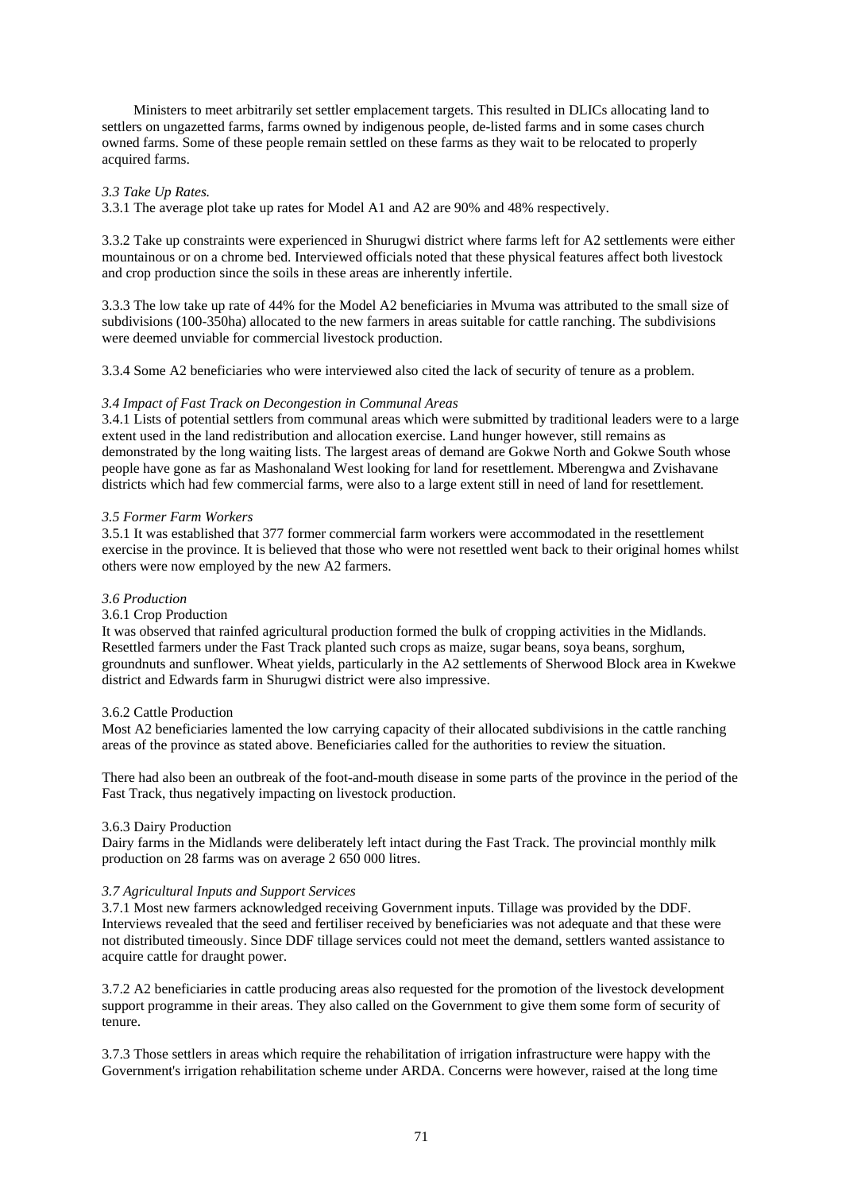Ministers to meet arbitrarily set settler emplacement targets. This resulted in DLICs allocating land to settlers on ungazetted farms, farms owned by indigenous people, de-listed farms and in some cases church owned farms. Some of these people remain settled on these farms as they wait to be relocated to properly acquired farms.

# *3.3 Take Up Rates.*

3.3.1 The average plot take up rates for Model A1 and A2 are 90% and 48% respectively.

3.3.2 Take up constraints were experienced in Shurugwi district where farms left for A2 settlements were either mountainous or on a chrome bed. Interviewed officials noted that these physical features affect both livestock and crop production since the soils in these areas are inherently infertile.

3.3.3 The low take up rate of 44% for the Model A2 beneficiaries in Mvuma was attributed to the small size of subdivisions (100-350ha) allocated to the new farmers in areas suitable for cattle ranching. The subdivisions were deemed unviable for commercial livestock production.

3.3.4 Some A2 beneficiaries who were interviewed also cited the lack of security of tenure as a problem.

#### *3.4 Impact of Fast Track on Decongestion in Communal Areas*

3.4.1 Lists of potential settlers from communal areas which were submitted by traditional leaders were to a large extent used in the land redistribution and allocation exercise. Land hunger however, still remains as demonstrated by the long waiting lists. The largest areas of demand are Gokwe North and Gokwe South whose people have gone as far as Mashonaland West looking for land for resettlement. Mberengwa and Zvishavane districts which had few commercial farms, were also to a large extent still in need of land for resettlement.

## *3.5 Former Farm Workers*

3.5.1 It was established that 377 former commercial farm workers were accommodated in the resettlement exercise in the province. It is believed that those who were not resettled went back to their original homes whilst others were now employed by the new A2 farmers.

# *3.6 Production*

# 3.6.1 Crop Production

It was observed that rainfed agricultural production formed the bulk of cropping activities in the Midlands. Resettled farmers under the Fast Track planted such crops as maize, sugar beans, soya beans, sorghum, groundnuts and sunflower. Wheat yields, particularly in the A2 settlements of Sherwood Block area in Kwekwe district and Edwards farm in Shurugwi district were also impressive.

#### 3.6.2 Cattle Production

Most A2 beneficiaries lamented the low carrying capacity of their allocated subdivisions in the cattle ranching areas of the province as stated above. Beneficiaries called for the authorities to review the situation.

There had also been an outbreak of the foot-and-mouth disease in some parts of the province in the period of the Fast Track, thus negatively impacting on livestock production.

# 3.6.3 Dairy Production

Dairy farms in the Midlands were deliberately left intact during the Fast Track. The provincial monthly milk production on 28 farms was on average 2 650 000 litres.

# *3.7 Agricultural Inputs and Support Services*

3.7.1 Most new farmers acknowledged receiving Government inputs. Tillage was provided by the DDF. Interviews revealed that the seed and fertiliser received by beneficiaries was not adequate and that these were not distributed timeously. Since DDF tillage services could not meet the demand, settlers wanted assistance to acquire cattle for draught power.

3.7.2 A2 beneficiaries in cattle producing areas also requested for the promotion of the livestock development support programme in their areas. They also called on the Government to give them some form of security of tenure.

3.7.3 Those settlers in areas which require the rehabilitation of irrigation infrastructure were happy with the Government's irrigation rehabilitation scheme under ARDA. Concerns were however, raised at the long time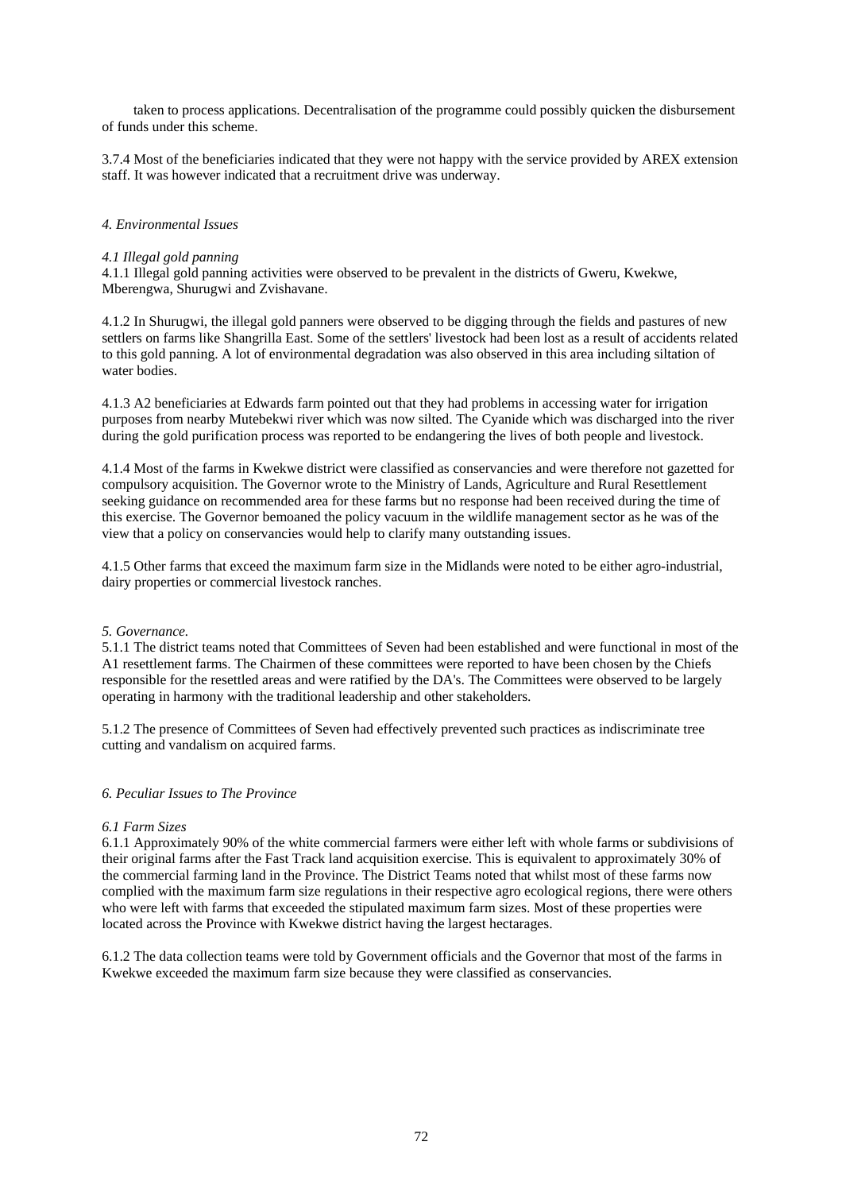taken to process applications. Decentralisation of the programme could possibly quicken the disbursement of funds under this scheme.

3.7.4 Most of the beneficiaries indicated that they were not happy with the service provided by AREX extension staff. It was however indicated that a recruitment drive was underway.

## *4. Environmental Issues*

#### *4.1 Illegal gold panning*

4.1.1 Illegal gold panning activities were observed to be prevalent in the districts of Gweru, Kwekwe, Mberengwa, Shurugwi and Zvishavane.

4.1.2 In Shurugwi, the illegal gold panners were observed to be digging through the fields and pastures of new settlers on farms like Shangrilla East. Some of the settlers' livestock had been lost as a result of accidents related to this gold panning. A lot of environmental degradation was also observed in this area including siltation of water bodies.

4.1.3 A2 beneficiaries at Edwards farm pointed out that they had problems in accessing water for irrigation purposes from nearby Mutebekwi river which was now silted. The Cyanide which was discharged into the river during the gold purification process was reported to be endangering the lives of both people and livestock.

4.1.4 Most of the farms in Kwekwe district were classified as conservancies and were therefore not gazetted for compulsory acquisition. The Governor wrote to the Ministry of Lands, Agriculture and Rural Resettlement seeking guidance on recommended area for these farms but no response had been received during the time of this exercise. The Governor bemoaned the policy vacuum in the wildlife management sector as he was of the view that a policy on conservancies would help to clarify many outstanding issues.

4.1.5 Other farms that exceed the maximum farm size in the Midlands were noted to be either agro-industrial, dairy properties or commercial livestock ranches.

## *5. Governance.*

5.1.1 The district teams noted that Committees of Seven had been established and were functional in most of the A1 resettlement farms. The Chairmen of these committees were reported to have been chosen by the Chiefs responsible for the resettled areas and were ratified by the DA's. The Committees were observed to be largely operating in harmony with the traditional leadership and other stakeholders.

5.1.2 The presence of Committees of Seven had effectively prevented such practices as indiscriminate tree cutting and vandalism on acquired farms.

#### *6. Peculiar Issues to The Province*

#### *6.1 Farm Sizes*

6.1.1 Approximately 90% of the white commercial farmers were either left with whole farms or subdivisions of their original farms after the Fast Track land acquisition exercise. This is equivalent to approximately 30% of the commercial farming land in the Province. The District Teams noted that whilst most of these farms now complied with the maximum farm size regulations in their respective agro ecological regions, there were others who were left with farms that exceeded the stipulated maximum farm sizes. Most of these properties were located across the Province with Kwekwe district having the largest hectarages.

6.1.2 The data collection teams were told by Government officials and the Governor that most of the farms in Kwekwe exceeded the maximum farm size because they were classified as conservancies.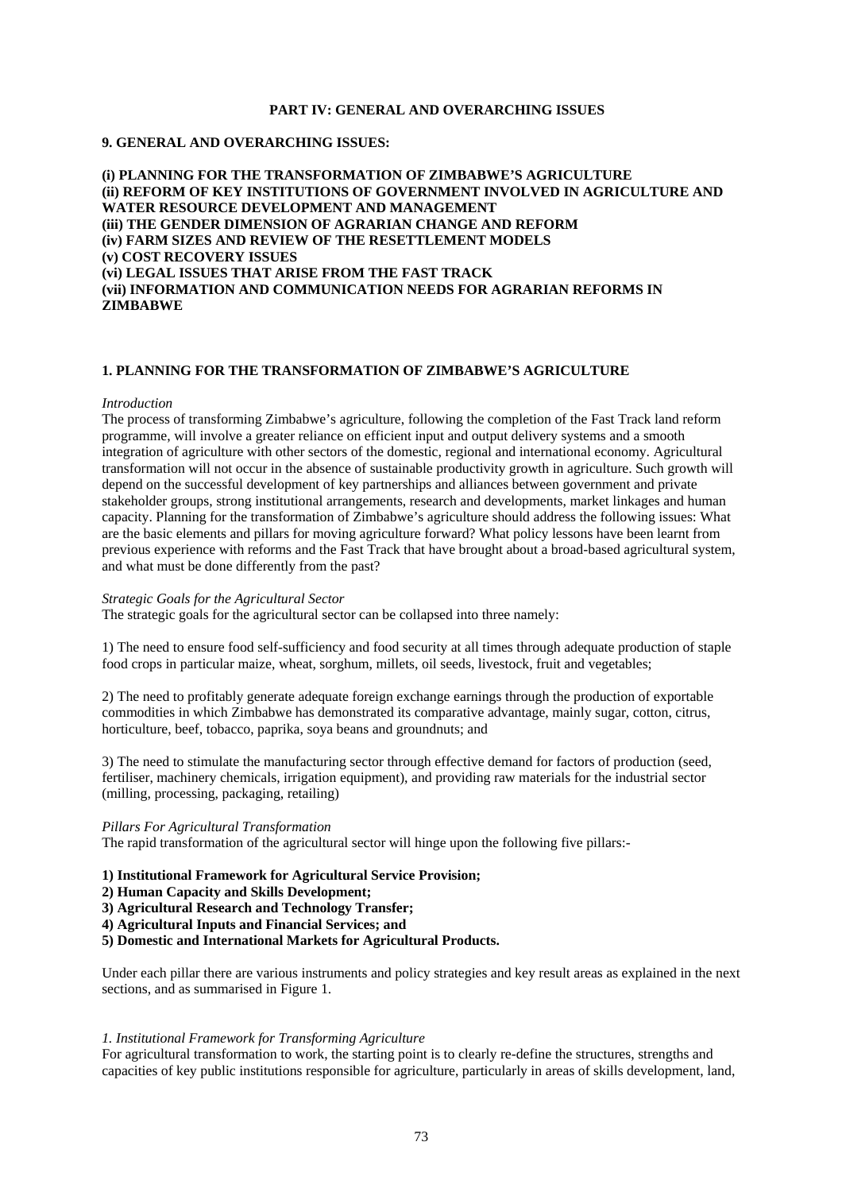# **PART IV: GENERAL AND OVERARCHING ISSUES**

# **9. GENERAL AND OVERARCHING ISSUES:**

**(i) PLANNING FOR THE TRANSFORMATION OF ZIMBABWE'S AGRICULTURE (ii) REFORM OF KEY INSTITUTIONS OF GOVERNMENT INVOLVED IN AGRICULTURE AND WATER RESOURCE DEVELOPMENT AND MANAGEMENT (iii) THE GENDER DIMENSION OF AGRARIAN CHANGE AND REFORM (iv) FARM SIZES AND REVIEW OF THE RESETTLEMENT MODELS (v) COST RECOVERY ISSUES (vi) LEGAL ISSUES THAT ARISE FROM THE FAST TRACK (vii) INFORMATION AND COMMUNICATION NEEDS FOR AGRARIAN REFORMS IN ZIMBABWE** 

### **1. PLANNING FOR THE TRANSFORMATION OF ZIMBABWE'S AGRICULTURE**

#### *Introduction*

The process of transforming Zimbabwe's agriculture, following the completion of the Fast Track land reform programme, will involve a greater reliance on efficient input and output delivery systems and a smooth integration of agriculture with other sectors of the domestic, regional and international economy. Agricultural transformation will not occur in the absence of sustainable productivity growth in agriculture. Such growth will depend on the successful development of key partnerships and alliances between government and private stakeholder groups, strong institutional arrangements, research and developments, market linkages and human capacity. Planning for the transformation of Zimbabwe's agriculture should address the following issues: What are the basic elements and pillars for moving agriculture forward? What policy lessons have been learnt from previous experience with reforms and the Fast Track that have brought about a broad-based agricultural system, and what must be done differently from the past?

### *Strategic Goals for the Agricultural Sector*

The strategic goals for the agricultural sector can be collapsed into three namely:

1) The need to ensure food self-sufficiency and food security at all times through adequate production of staple food crops in particular maize, wheat, sorghum, millets, oil seeds, livestock, fruit and vegetables;

2) The need to profitably generate adequate foreign exchange earnings through the production of exportable commodities in which Zimbabwe has demonstrated its comparative advantage, mainly sugar, cotton, citrus, horticulture, beef, tobacco, paprika, soya beans and groundnuts; and

3) The need to stimulate the manufacturing sector through effective demand for factors of production (seed, fertiliser, machinery chemicals, irrigation equipment), and providing raw materials for the industrial sector (milling, processing, packaging, retailing)

### *Pillars For Agricultural Transformation*

The rapid transformation of the agricultural sector will hinge upon the following five pillars:-

# **1) Institutional Framework for Agricultural Service Provision;**

- **2) Human Capacity and Skills Development;**
- **3) Agricultural Research and Technology Transfer;**
- **4) Agricultural Inputs and Financial Services; and**
- **5) Domestic and International Markets for Agricultural Products.**

Under each pillar there are various instruments and policy strategies and key result areas as explained in the next sections, and as summarised in Figure 1.

#### *1. Institutional Framework for Transforming Agriculture*

For agricultural transformation to work, the starting point is to clearly re-define the structures, strengths and capacities of key public institutions responsible for agriculture, particularly in areas of skills development, land,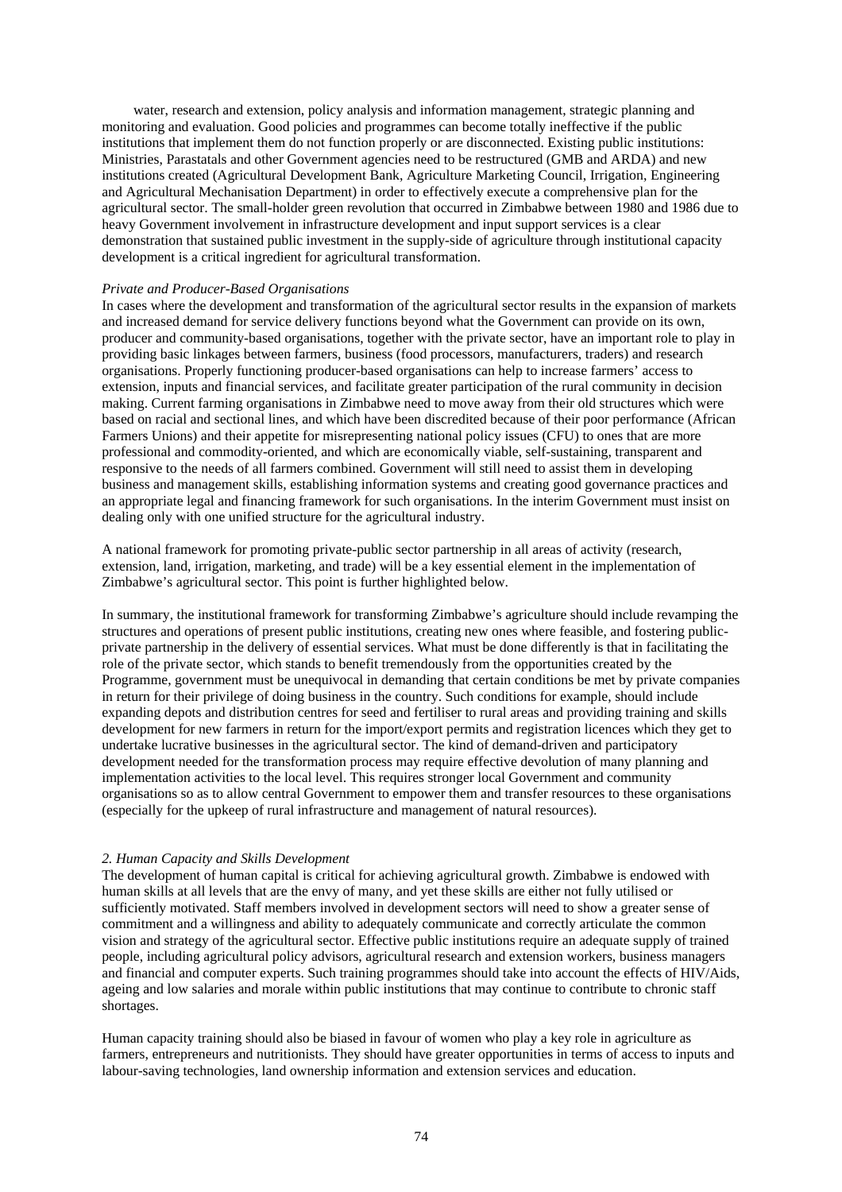water, research and extension, policy analysis and information management, strategic planning and monitoring and evaluation. Good policies and programmes can become totally ineffective if the public institutions that implement them do not function properly or are disconnected. Existing public institutions: Ministries, Parastatals and other Government agencies need to be restructured (GMB and ARDA) and new institutions created (Agricultural Development Bank, Agriculture Marketing Council, Irrigation, Engineering and Agricultural Mechanisation Department) in order to effectively execute a comprehensive plan for the agricultural sector. The small-holder green revolution that occurred in Zimbabwe between 1980 and 1986 due to heavy Government involvement in infrastructure development and input support services is a clear demonstration that sustained public investment in the supply-side of agriculture through institutional capacity development is a critical ingredient for agricultural transformation.

### *Private and Producer-Based Organisations*

In cases where the development and transformation of the agricultural sector results in the expansion of markets and increased demand for service delivery functions beyond what the Government can provide on its own, producer and community-based organisations, together with the private sector, have an important role to play in providing basic linkages between farmers, business (food processors, manufacturers, traders) and research organisations. Properly functioning producer-based organisations can help to increase farmers' access to extension, inputs and financial services, and facilitate greater participation of the rural community in decision making. Current farming organisations in Zimbabwe need to move away from their old structures which were based on racial and sectional lines, and which have been discredited because of their poor performance (African Farmers Unions) and their appetite for misrepresenting national policy issues (CFU) to ones that are more professional and commodity-oriented, and which are economically viable, self-sustaining, transparent and responsive to the needs of all farmers combined. Government will still need to assist them in developing business and management skills, establishing information systems and creating good governance practices and an appropriate legal and financing framework for such organisations. In the interim Government must insist on dealing only with one unified structure for the agricultural industry.

A national framework for promoting private-public sector partnership in all areas of activity (research, extension, land, irrigation, marketing, and trade) will be a key essential element in the implementation of Zimbabwe's agricultural sector. This point is further highlighted below.

In summary, the institutional framework for transforming Zimbabwe's agriculture should include revamping the structures and operations of present public institutions, creating new ones where feasible, and fostering publicprivate partnership in the delivery of essential services. What must be done differently is that in facilitating the role of the private sector, which stands to benefit tremendously from the opportunities created by the Programme, government must be unequivocal in demanding that certain conditions be met by private companies in return for their privilege of doing business in the country. Such conditions for example, should include expanding depots and distribution centres for seed and fertiliser to rural areas and providing training and skills development for new farmers in return for the import/export permits and registration licences which they get to undertake lucrative businesses in the agricultural sector. The kind of demand-driven and participatory development needed for the transformation process may require effective devolution of many planning and implementation activities to the local level. This requires stronger local Government and community organisations so as to allow central Government to empower them and transfer resources to these organisations (especially for the upkeep of rural infrastructure and management of natural resources).

#### *2. Human Capacity and Skills Development*

The development of human capital is critical for achieving agricultural growth. Zimbabwe is endowed with human skills at all levels that are the envy of many, and yet these skills are either not fully utilised or sufficiently motivated. Staff members involved in development sectors will need to show a greater sense of commitment and a willingness and ability to adequately communicate and correctly articulate the common vision and strategy of the agricultural sector. Effective public institutions require an adequate supply of trained people, including agricultural policy advisors, agricultural research and extension workers, business managers and financial and computer experts. Such training programmes should take into account the effects of HIV/Aids, ageing and low salaries and morale within public institutions that may continue to contribute to chronic staff shortages.

Human capacity training should also be biased in favour of women who play a key role in agriculture as farmers, entrepreneurs and nutritionists. They should have greater opportunities in terms of access to inputs and labour-saving technologies, land ownership information and extension services and education.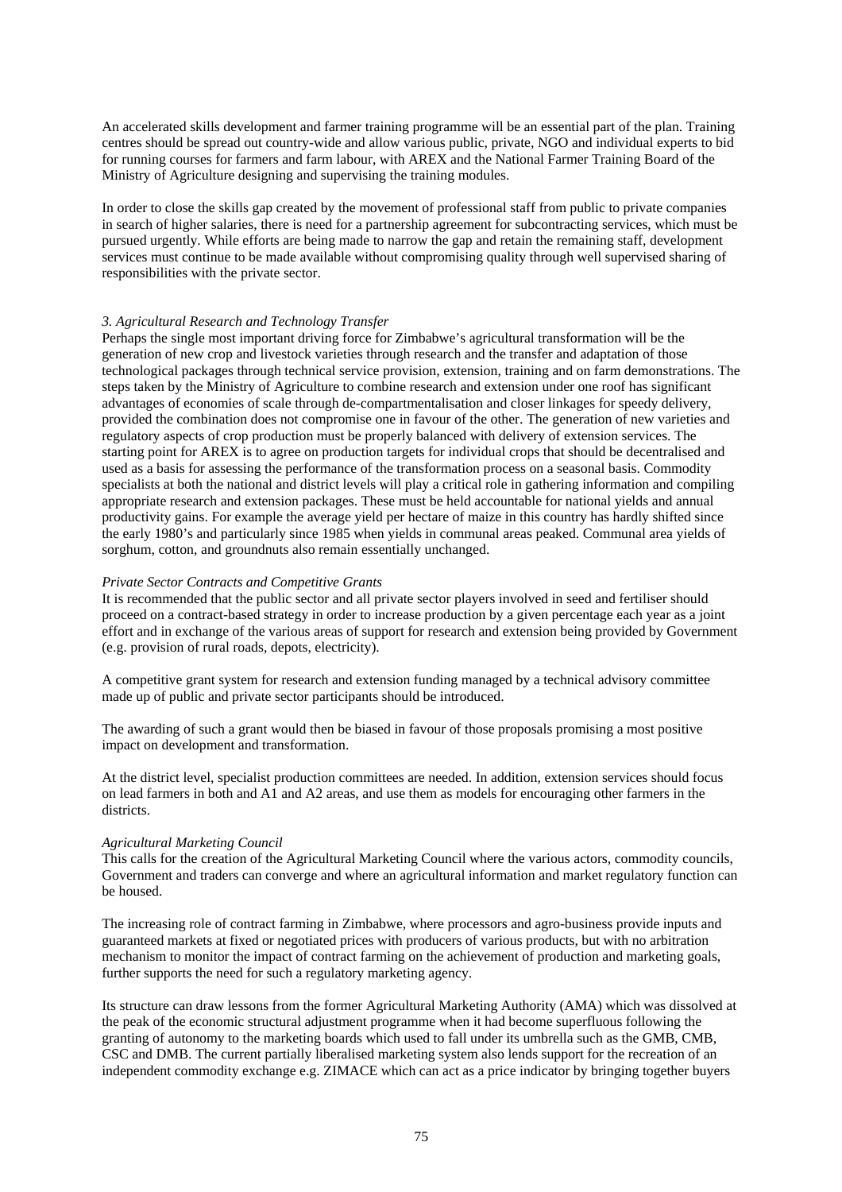An accelerated skills development and farmer training programme will be an essential part of the plan. Training centres should be spread out country-wide and allow various public, private, NGO and individual experts to bid for running courses for farmers and farm labour, with AREX and the National Farmer Training Board of the Ministry of Agriculture designing and supervising the training modules.

In order to close the skills gap created by the movement of professional staff from public to private companies in search of higher salaries, there is need for a partnership agreement for subcontracting services, which must be pursued urgently. While efforts are being made to narrow the gap and retain the remaining staff, development services must continue to be made available without compromising quality through well supervised sharing of responsibilities with the private sector.

### *3. Agricultural Research and Technology Transfer*

Perhaps the single most important driving force for Zimbabwe's agricultural transformation will be the generation of new crop and livestock varieties through research and the transfer and adaptation of those technological packages through technical service provision, extension, training and on farm demonstrations. The steps taken by the Ministry of Agriculture to combine research and extension under one roof has significant advantages of economies of scale through de-compartmentalisation and closer linkages for speedy delivery, provided the combination does not compromise one in favour of the other. The generation of new varieties and regulatory aspects of crop production must be properly balanced with delivery of extension services. The starting point for AREX is to agree on production targets for individual crops that should be decentralised and used as a basis for assessing the performance of the transformation process on a seasonal basis. Commodity specialists at both the national and district levels will play a critical role in gathering information and compiling appropriate research and extension packages. These must be held accountable for national yields and annual productivity gains. For example the average yield per hectare of maize in this country has hardly shifted since the early 1980's and particularly since 1985 when yields in communal areas peaked. Communal area yields of sorghum, cotton, and groundnuts also remain essentially unchanged.

### *Private Sector Contracts and Competitive Grants*

It is recommended that the public sector and all private sector players involved in seed and fertiliser should proceed on a contract-based strategy in order to increase production by a given percentage each year as a joint effort and in exchange of the various areas of support for research and extension being provided by Government (e.g. provision of rural roads, depots, electricity).

A competitive grant system for research and extension funding managed by a technical advisory committee made up of public and private sector participants should be introduced.

The awarding of such a grant would then be biased in favour of those proposals promising a most positive impact on development and transformation.

At the district level, specialist production committees are needed. In addition, extension services should focus on lead farmers in both and A1 and A2 areas, and use them as models for encouraging other farmers in the districts.

# *Agricultural Marketing Council*

This calls for the creation of the Agricultural Marketing Council where the various actors, commodity councils, Government and traders can converge and where an agricultural information and market regulatory function can be housed.

The increasing role of contract farming in Zimbabwe, where processors and agro-business provide inputs and guaranteed markets at fixed or negotiated prices with producers of various products, but with no arbitration mechanism to monitor the impact of contract farming on the achievement of production and marketing goals, further supports the need for such a regulatory marketing agency.

Its structure can draw lessons from the former Agricultural Marketing Authority (AMA) which was dissolved at the peak of the economic structural adjustment programme when it had become superfluous following the granting of autonomy to the marketing boards which used to fall under its umbrella such as the GMB, CMB, CSC and DMB. The current partially liberalised marketing system also lends support for the recreation of an independent commodity exchange e.g. ZIMACE which can act as a price indicator by bringing together buyers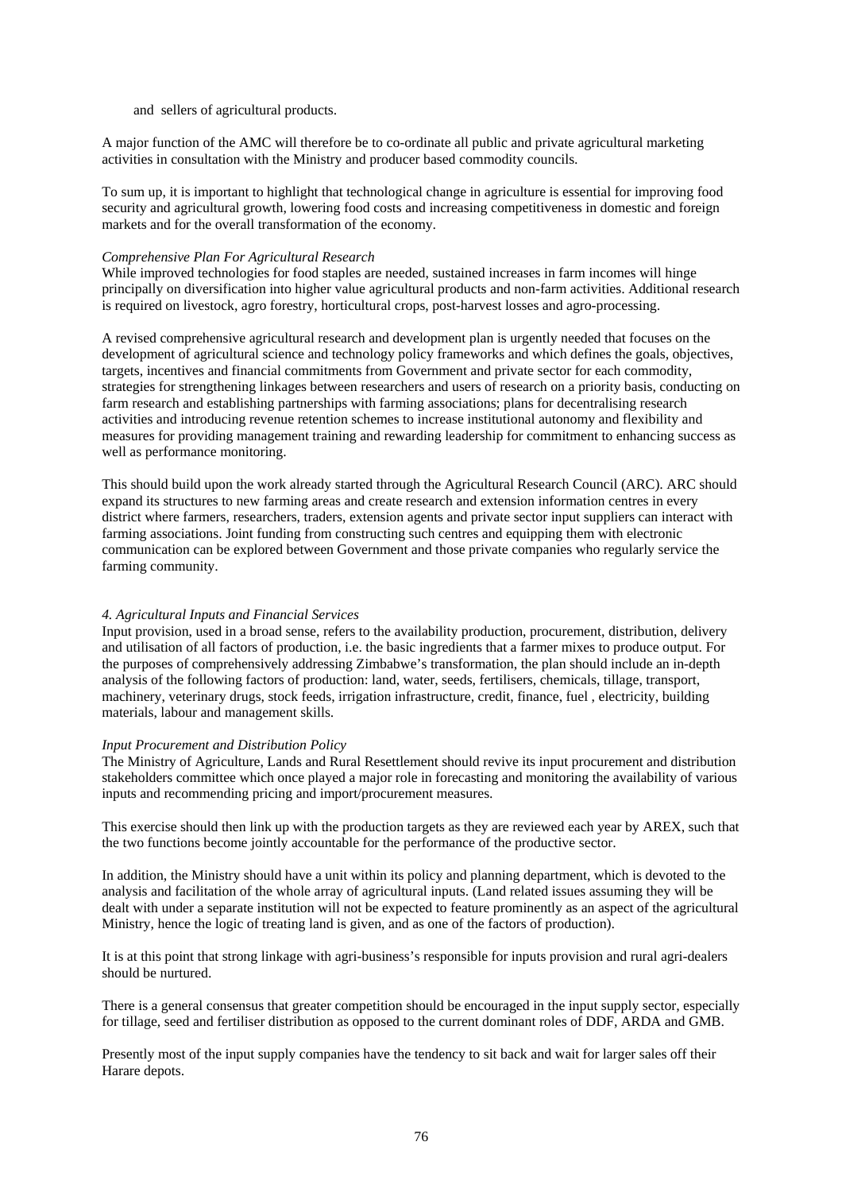and sellers of agricultural products.

A major function of the AMC will therefore be to co-ordinate all public and private agricultural marketing activities in consultation with the Ministry and producer based commodity councils.

To sum up, it is important to highlight that technological change in agriculture is essential for improving food security and agricultural growth, lowering food costs and increasing competitiveness in domestic and foreign markets and for the overall transformation of the economy.

### *Comprehensive Plan For Agricultural Research*

While improved technologies for food staples are needed, sustained increases in farm incomes will hinge principally on diversification into higher value agricultural products and non-farm activities. Additional research is required on livestock, agro forestry, horticultural crops, post-harvest losses and agro-processing.

A revised comprehensive agricultural research and development plan is urgently needed that focuses on the development of agricultural science and technology policy frameworks and which defines the goals, objectives, targets, incentives and financial commitments from Government and private sector for each commodity, strategies for strengthening linkages between researchers and users of research on a priority basis, conducting on farm research and establishing partnerships with farming associations; plans for decentralising research activities and introducing revenue retention schemes to increase institutional autonomy and flexibility and measures for providing management training and rewarding leadership for commitment to enhancing success as well as performance monitoring.

This should build upon the work already started through the Agricultural Research Council (ARC). ARC should expand its structures to new farming areas and create research and extension information centres in every district where farmers, researchers, traders, extension agents and private sector input suppliers can interact with farming associations. Joint funding from constructing such centres and equipping them with electronic communication can be explored between Government and those private companies who regularly service the farming community.

# *4. Agricultural Inputs and Financial Services*

Input provision, used in a broad sense, refers to the availability production, procurement, distribution, delivery and utilisation of all factors of production, i.e. the basic ingredients that a farmer mixes to produce output. For the purposes of comprehensively addressing Zimbabwe's transformation, the plan should include an in-depth analysis of the following factors of production: land, water, seeds, fertilisers, chemicals, tillage, transport, machinery, veterinary drugs, stock feeds, irrigation infrastructure, credit, finance, fuel , electricity, building materials, labour and management skills.

### *Input Procurement and Distribution Policy*

The Ministry of Agriculture, Lands and Rural Resettlement should revive its input procurement and distribution stakeholders committee which once played a major role in forecasting and monitoring the availability of various inputs and recommending pricing and import/procurement measures.

This exercise should then link up with the production targets as they are reviewed each year by AREX, such that the two functions become jointly accountable for the performance of the productive sector.

In addition, the Ministry should have a unit within its policy and planning department, which is devoted to the analysis and facilitation of the whole array of agricultural inputs. (Land related issues assuming they will be dealt with under a separate institution will not be expected to feature prominently as an aspect of the agricultural Ministry, hence the logic of treating land is given, and as one of the factors of production).

It is at this point that strong linkage with agri-business's responsible for inputs provision and rural agri-dealers should be nurtured.

There is a general consensus that greater competition should be encouraged in the input supply sector, especially for tillage, seed and fertiliser distribution as opposed to the current dominant roles of DDF, ARDA and GMB.

Presently most of the input supply companies have the tendency to sit back and wait for larger sales off their Harare depots.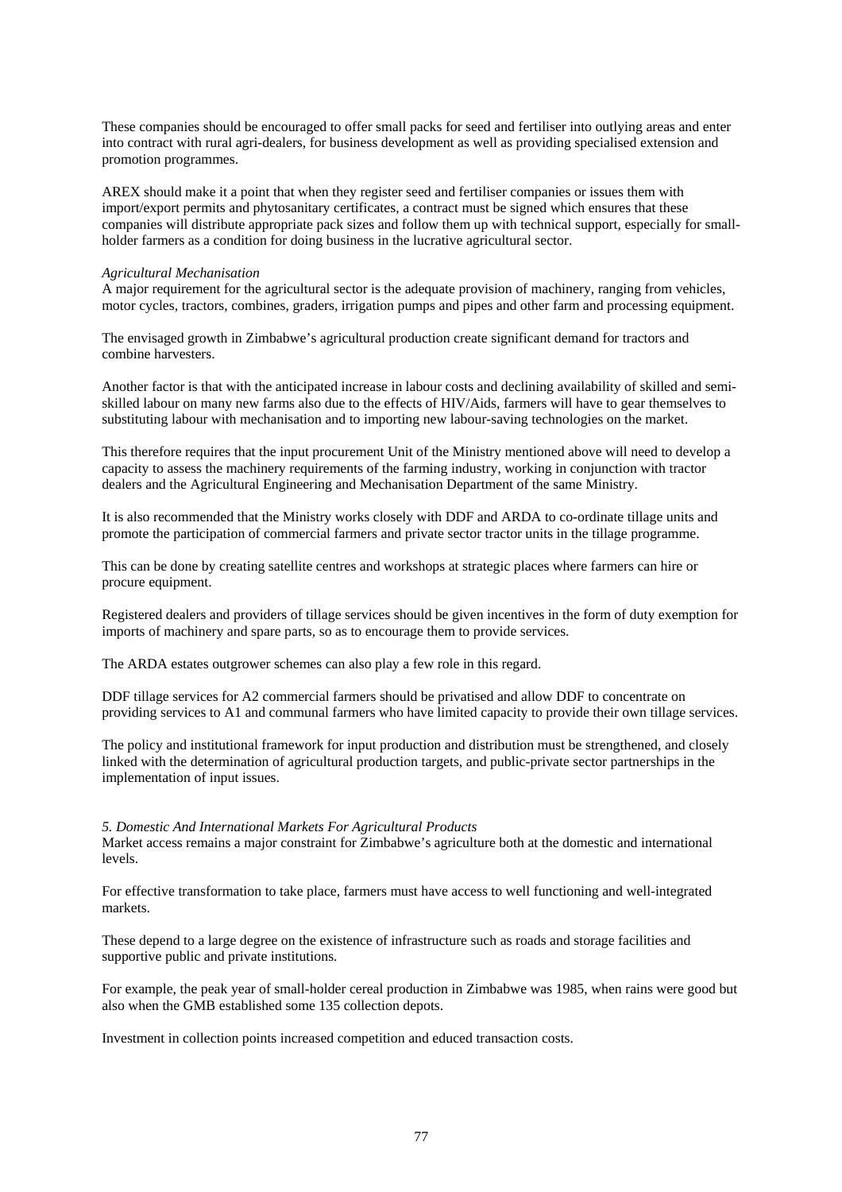These companies should be encouraged to offer small packs for seed and fertiliser into outlying areas and enter into contract with rural agri-dealers, for business development as well as providing specialised extension and promotion programmes.

AREX should make it a point that when they register seed and fertiliser companies or issues them with import/export permits and phytosanitary certificates, a contract must be signed which ensures that these companies will distribute appropriate pack sizes and follow them up with technical support, especially for smallholder farmers as a condition for doing business in the lucrative agricultural sector.

### *Agricultural Mechanisation*

A major requirement for the agricultural sector is the adequate provision of machinery, ranging from vehicles, motor cycles, tractors, combines, graders, irrigation pumps and pipes and other farm and processing equipment.

The envisaged growth in Zimbabwe's agricultural production create significant demand for tractors and combine harvesters.

Another factor is that with the anticipated increase in labour costs and declining availability of skilled and semiskilled labour on many new farms also due to the effects of HIV/Aids, farmers will have to gear themselves to substituting labour with mechanisation and to importing new labour-saving technologies on the market.

This therefore requires that the input procurement Unit of the Ministry mentioned above will need to develop a capacity to assess the machinery requirements of the farming industry, working in conjunction with tractor dealers and the Agricultural Engineering and Mechanisation Department of the same Ministry.

It is also recommended that the Ministry works closely with DDF and ARDA to co-ordinate tillage units and promote the participation of commercial farmers and private sector tractor units in the tillage programme.

This can be done by creating satellite centres and workshops at strategic places where farmers can hire or procure equipment.

Registered dealers and providers of tillage services should be given incentives in the form of duty exemption for imports of machinery and spare parts, so as to encourage them to provide services.

The ARDA estates outgrower schemes can also play a few role in this regard.

DDF tillage services for A2 commercial farmers should be privatised and allow DDF to concentrate on providing services to A1 and communal farmers who have limited capacity to provide their own tillage services.

The policy and institutional framework for input production and distribution must be strengthened, and closely linked with the determination of agricultural production targets, and public-private sector partnerships in the implementation of input issues.

### *5. Domestic And International Markets For Agricultural Products*

Market access remains a major constraint for Zimbabwe's agriculture both at the domestic and international levels.

For effective transformation to take place, farmers must have access to well functioning and well-integrated markets.

These depend to a large degree on the existence of infrastructure such as roads and storage facilities and supportive public and private institutions.

For example, the peak year of small-holder cereal production in Zimbabwe was 1985, when rains were good but also when the GMB established some 135 collection depots.

Investment in collection points increased competition and educed transaction costs.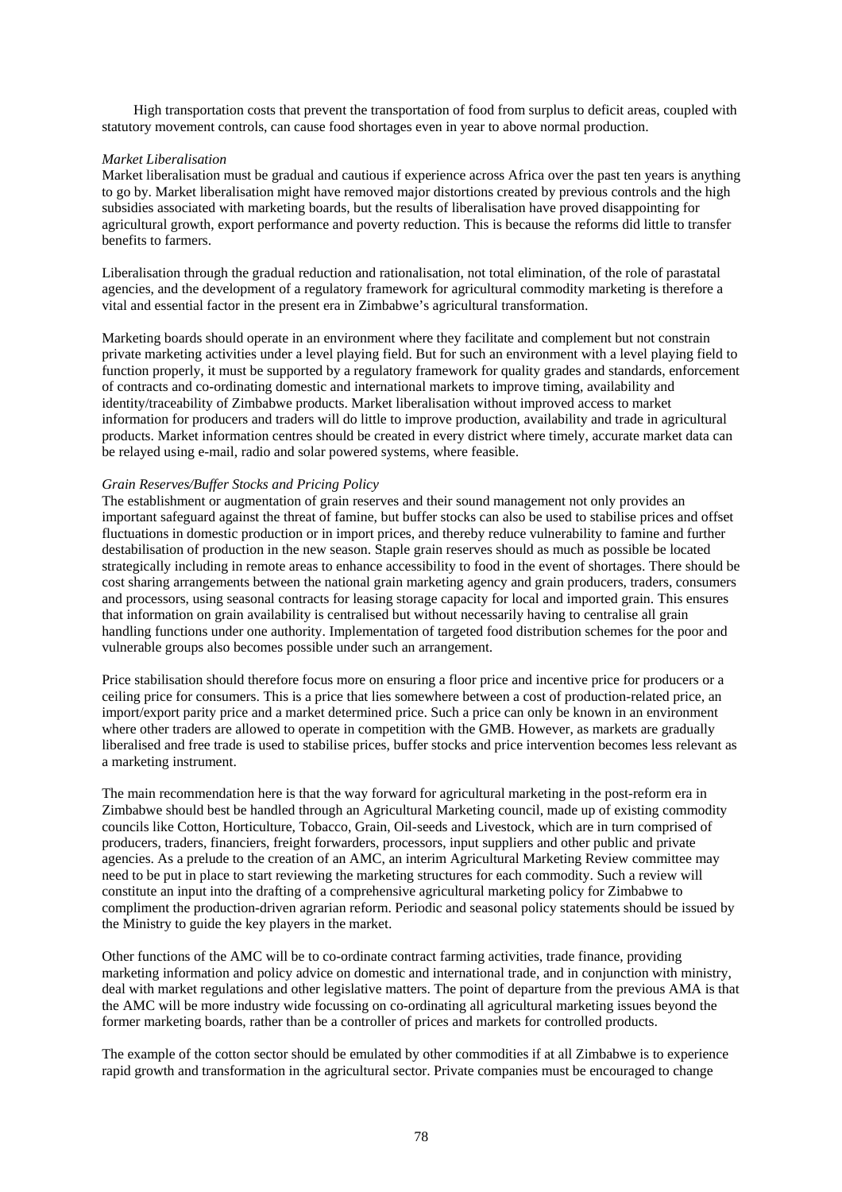High transportation costs that prevent the transportation of food from surplus to deficit areas, coupled with statutory movement controls, can cause food shortages even in year to above normal production.

### *Market Liberalisation*

Market liberalisation must be gradual and cautious if experience across Africa over the past ten years is anything to go by. Market liberalisation might have removed major distortions created by previous controls and the high subsidies associated with marketing boards, but the results of liberalisation have proved disappointing for agricultural growth, export performance and poverty reduction. This is because the reforms did little to transfer benefits to farmers.

Liberalisation through the gradual reduction and rationalisation, not total elimination, of the role of parastatal agencies, and the development of a regulatory framework for agricultural commodity marketing is therefore a vital and essential factor in the present era in Zimbabwe's agricultural transformation.

Marketing boards should operate in an environment where they facilitate and complement but not constrain private marketing activities under a level playing field. But for such an environment with a level playing field to function properly, it must be supported by a regulatory framework for quality grades and standards, enforcement of contracts and co-ordinating domestic and international markets to improve timing, availability and identity/traceability of Zimbabwe products. Market liberalisation without improved access to market information for producers and traders will do little to improve production, availability and trade in agricultural products. Market information centres should be created in every district where timely, accurate market data can be relayed using e-mail, radio and solar powered systems, where feasible.

### *Grain Reserves/Buffer Stocks and Pricing Policy*

The establishment or augmentation of grain reserves and their sound management not only provides an important safeguard against the threat of famine, but buffer stocks can also be used to stabilise prices and offset fluctuations in domestic production or in import prices, and thereby reduce vulnerability to famine and further destabilisation of production in the new season. Staple grain reserves should as much as possible be located strategically including in remote areas to enhance accessibility to food in the event of shortages. There should be cost sharing arrangements between the national grain marketing agency and grain producers, traders, consumers and processors, using seasonal contracts for leasing storage capacity for local and imported grain. This ensures that information on grain availability is centralised but without necessarily having to centralise all grain handling functions under one authority. Implementation of targeted food distribution schemes for the poor and vulnerable groups also becomes possible under such an arrangement.

Price stabilisation should therefore focus more on ensuring a floor price and incentive price for producers or a ceiling price for consumers. This is a price that lies somewhere between a cost of production-related price, an import/export parity price and a market determined price. Such a price can only be known in an environment where other traders are allowed to operate in competition with the GMB. However, as markets are gradually liberalised and free trade is used to stabilise prices, buffer stocks and price intervention becomes less relevant as a marketing instrument.

The main recommendation here is that the way forward for agricultural marketing in the post-reform era in Zimbabwe should best be handled through an Agricultural Marketing council, made up of existing commodity councils like Cotton, Horticulture, Tobacco, Grain, Oil-seeds and Livestock, which are in turn comprised of producers, traders, financiers, freight forwarders, processors, input suppliers and other public and private agencies. As a prelude to the creation of an AMC, an interim Agricultural Marketing Review committee may need to be put in place to start reviewing the marketing structures for each commodity. Such a review will constitute an input into the drafting of a comprehensive agricultural marketing policy for Zimbabwe to compliment the production-driven agrarian reform. Periodic and seasonal policy statements should be issued by the Ministry to guide the key players in the market.

Other functions of the AMC will be to co-ordinate contract farming activities, trade finance, providing marketing information and policy advice on domestic and international trade, and in conjunction with ministry, deal with market regulations and other legislative matters. The point of departure from the previous AMA is that the AMC will be more industry wide focussing on co-ordinating all agricultural marketing issues beyond the former marketing boards, rather than be a controller of prices and markets for controlled products.

The example of the cotton sector should be emulated by other commodities if at all Zimbabwe is to experience rapid growth and transformation in the agricultural sector. Private companies must be encouraged to change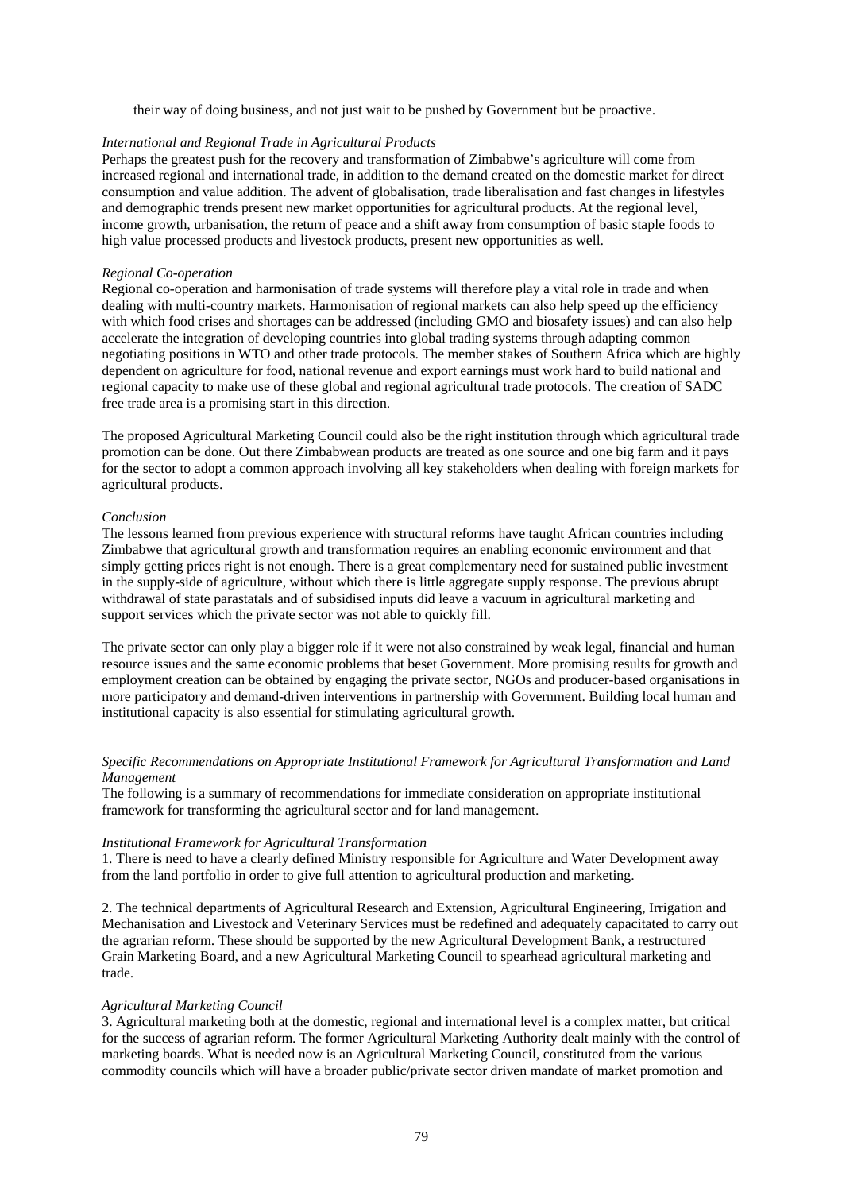their way of doing business, and not just wait to be pushed by Government but be proactive.

### *International and Regional Trade in Agricultural Products*

Perhaps the greatest push for the recovery and transformation of Zimbabwe's agriculture will come from increased regional and international trade, in addition to the demand created on the domestic market for direct consumption and value addition. The advent of globalisation, trade liberalisation and fast changes in lifestyles and demographic trends present new market opportunities for agricultural products. At the regional level, income growth, urbanisation, the return of peace and a shift away from consumption of basic staple foods to high value processed products and livestock products, present new opportunities as well.

#### *Regional Co-operation*

Regional co-operation and harmonisation of trade systems will therefore play a vital role in trade and when dealing with multi-country markets. Harmonisation of regional markets can also help speed up the efficiency with which food crises and shortages can be addressed (including GMO and biosafety issues) and can also help accelerate the integration of developing countries into global trading systems through adapting common negotiating positions in WTO and other trade protocols. The member stakes of Southern Africa which are highly dependent on agriculture for food, national revenue and export earnings must work hard to build national and regional capacity to make use of these global and regional agricultural trade protocols. The creation of SADC free trade area is a promising start in this direction.

The proposed Agricultural Marketing Council could also be the right institution through which agricultural trade promotion can be done. Out there Zimbabwean products are treated as one source and one big farm and it pays for the sector to adopt a common approach involving all key stakeholders when dealing with foreign markets for agricultural products.

#### *Conclusion*

The lessons learned from previous experience with structural reforms have taught African countries including Zimbabwe that agricultural growth and transformation requires an enabling economic environment and that simply getting prices right is not enough. There is a great complementary need for sustained public investment in the supply-side of agriculture, without which there is little aggregate supply response. The previous abrupt withdrawal of state parastatals and of subsidised inputs did leave a vacuum in agricultural marketing and support services which the private sector was not able to quickly fill.

The private sector can only play a bigger role if it were not also constrained by weak legal, financial and human resource issues and the same economic problems that beset Government. More promising results for growth and employment creation can be obtained by engaging the private sector, NGOs and producer-based organisations in more participatory and demand-driven interventions in partnership with Government. Building local human and institutional capacity is also essential for stimulating agricultural growth.

# *Specific Recommendations on Appropriate Institutional Framework for Agricultural Transformation and Land Management*

The following is a summary of recommendations for immediate consideration on appropriate institutional framework for transforming the agricultural sector and for land management.

# *Institutional Framework for Agricultural Transformation*

1. There is need to have a clearly defined Ministry responsible for Agriculture and Water Development away from the land portfolio in order to give full attention to agricultural production and marketing.

2. The technical departments of Agricultural Research and Extension, Agricultural Engineering, Irrigation and Mechanisation and Livestock and Veterinary Services must be redefined and adequately capacitated to carry out the agrarian reform. These should be supported by the new Agricultural Development Bank, a restructured Grain Marketing Board, and a new Agricultural Marketing Council to spearhead agricultural marketing and trade.

#### *Agricultural Marketing Council*

3. Agricultural marketing both at the domestic, regional and international level is a complex matter, but critical for the success of agrarian reform. The former Agricultural Marketing Authority dealt mainly with the control of marketing boards. What is needed now is an Agricultural Marketing Council, constituted from the various commodity councils which will have a broader public/private sector driven mandate of market promotion and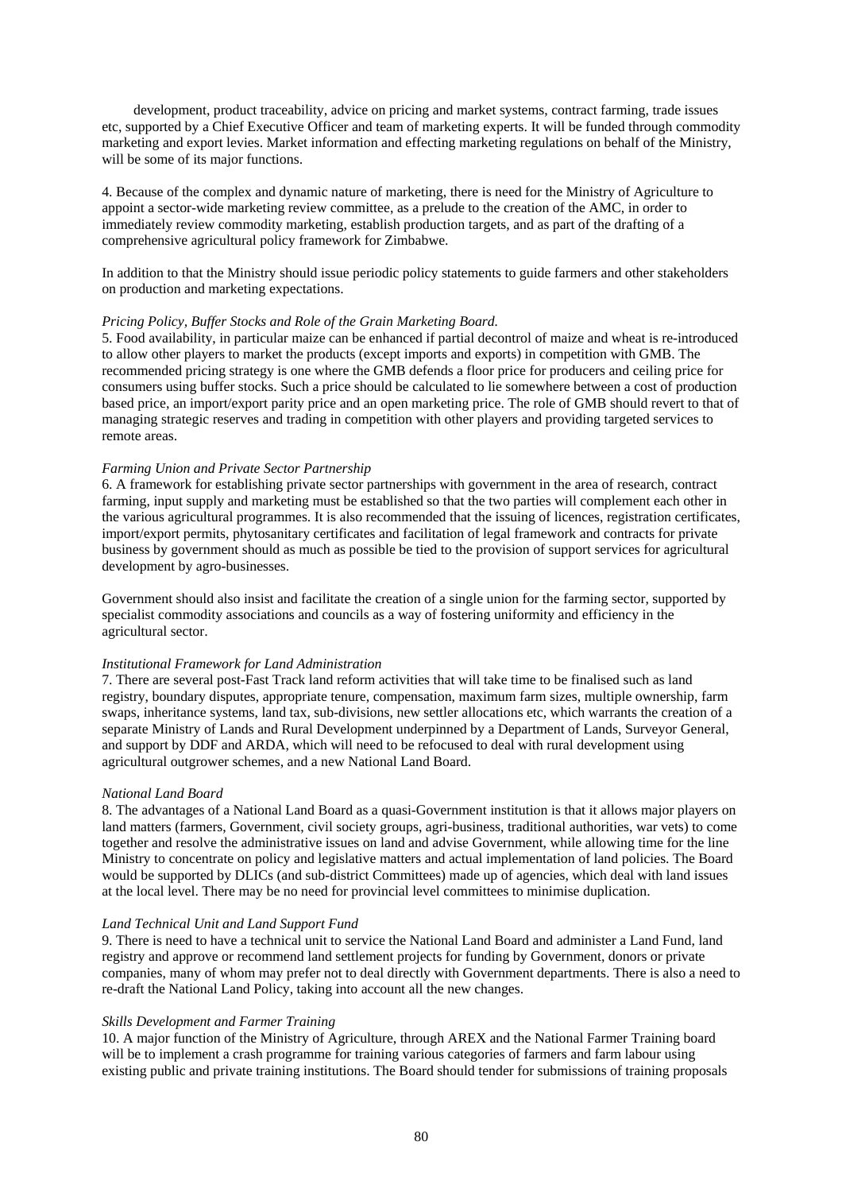development, product traceability, advice on pricing and market systems, contract farming, trade issues etc, supported by a Chief Executive Officer and team of marketing experts. It will be funded through commodity marketing and export levies. Market information and effecting marketing regulations on behalf of the Ministry, will be some of its major functions.

4. Because of the complex and dynamic nature of marketing, there is need for the Ministry of Agriculture to appoint a sector-wide marketing review committee, as a prelude to the creation of the AMC, in order to immediately review commodity marketing, establish production targets, and as part of the drafting of a comprehensive agricultural policy framework for Zimbabwe.

In addition to that the Ministry should issue periodic policy statements to guide farmers and other stakeholders on production and marketing expectations.

### *Pricing Policy, Buffer Stocks and Role of the Grain Marketing Board.*

5. Food availability, in particular maize can be enhanced if partial decontrol of maize and wheat is re-introduced to allow other players to market the products (except imports and exports) in competition with GMB. The recommended pricing strategy is one where the GMB defends a floor price for producers and ceiling price for consumers using buffer stocks. Such a price should be calculated to lie somewhere between a cost of production based price, an import/export parity price and an open marketing price. The role of GMB should revert to that of managing strategic reserves and trading in competition with other players and providing targeted services to remote areas.

### *Farming Union and Private Sector Partnership*

6. A framework for establishing private sector partnerships with government in the area of research, contract farming, input supply and marketing must be established so that the two parties will complement each other in the various agricultural programmes. It is also recommended that the issuing of licences, registration certificates, import/export permits, phytosanitary certificates and facilitation of legal framework and contracts for private business by government should as much as possible be tied to the provision of support services for agricultural development by agro-businesses.

Government should also insist and facilitate the creation of a single union for the farming sector, supported by specialist commodity associations and councils as a way of fostering uniformity and efficiency in the agricultural sector.

### *Institutional Framework for Land Administration*

7. There are several post-Fast Track land reform activities that will take time to be finalised such as land registry, boundary disputes, appropriate tenure, compensation, maximum farm sizes, multiple ownership, farm swaps, inheritance systems, land tax, sub-divisions, new settler allocations etc, which warrants the creation of a separate Ministry of Lands and Rural Development underpinned by a Department of Lands, Surveyor General, and support by DDF and ARDA, which will need to be refocused to deal with rural development using agricultural outgrower schemes, and a new National Land Board.

### *National Land Board*

8. The advantages of a National Land Board as a quasi-Government institution is that it allows major players on land matters (farmers, Government, civil society groups, agri-business, traditional authorities, war vets) to come together and resolve the administrative issues on land and advise Government, while allowing time for the line Ministry to concentrate on policy and legislative matters and actual implementation of land policies. The Board would be supported by DLICs (and sub-district Committees) made up of agencies, which deal with land issues at the local level. There may be no need for provincial level committees to minimise duplication.

### *Land Technical Unit and Land Support Fund*

9. There is need to have a technical unit to service the National Land Board and administer a Land Fund, land registry and approve or recommend land settlement projects for funding by Government, donors or private companies, many of whom may prefer not to deal directly with Government departments. There is also a need to re-draft the National Land Policy, taking into account all the new changes.

# *Skills Development and Farmer Training*

10. A major function of the Ministry of Agriculture, through AREX and the National Farmer Training board will be to implement a crash programme for training various categories of farmers and farm labour using existing public and private training institutions. The Board should tender for submissions of training proposals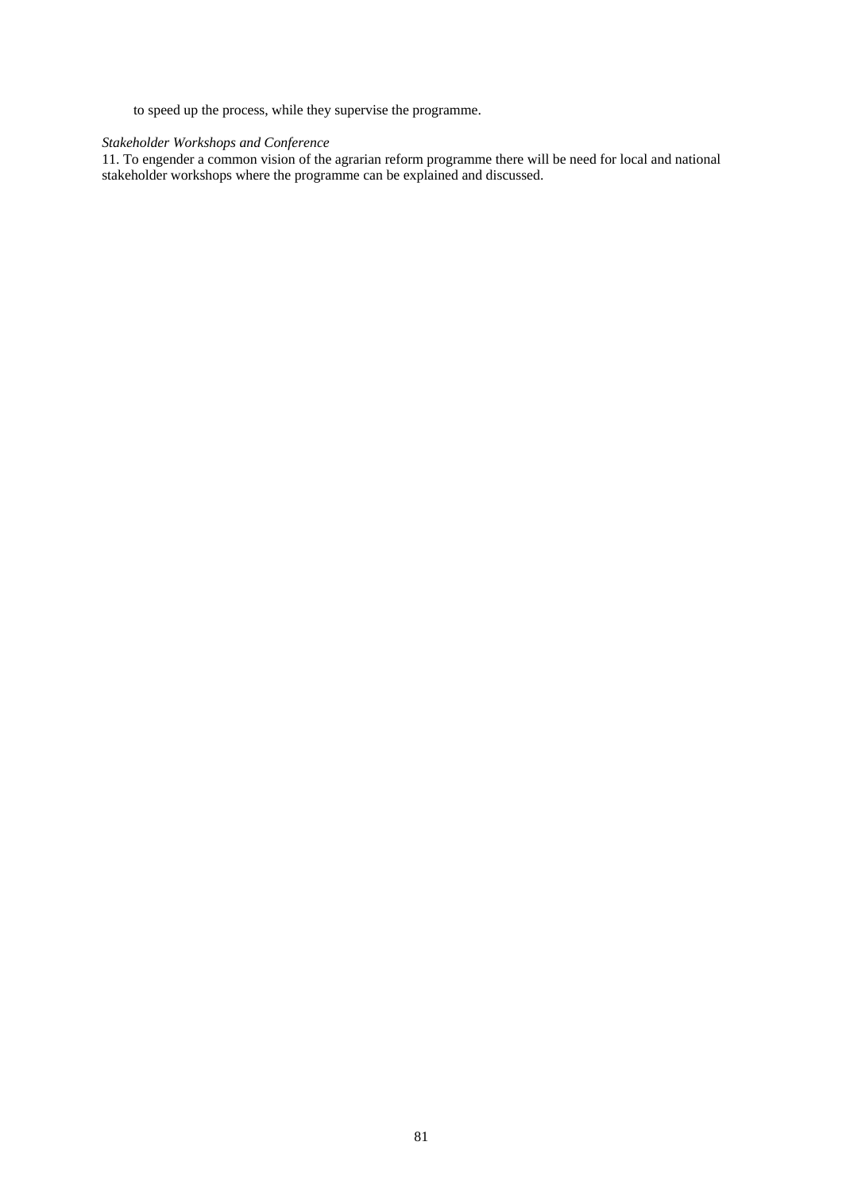to speed up the process, while they supervise the programme.

# *Stakeholder Workshops and Conference*

11. To engender a common vision of the agrarian reform programme there will be need for local and national stakeholder workshops where the programme can be explained and discussed.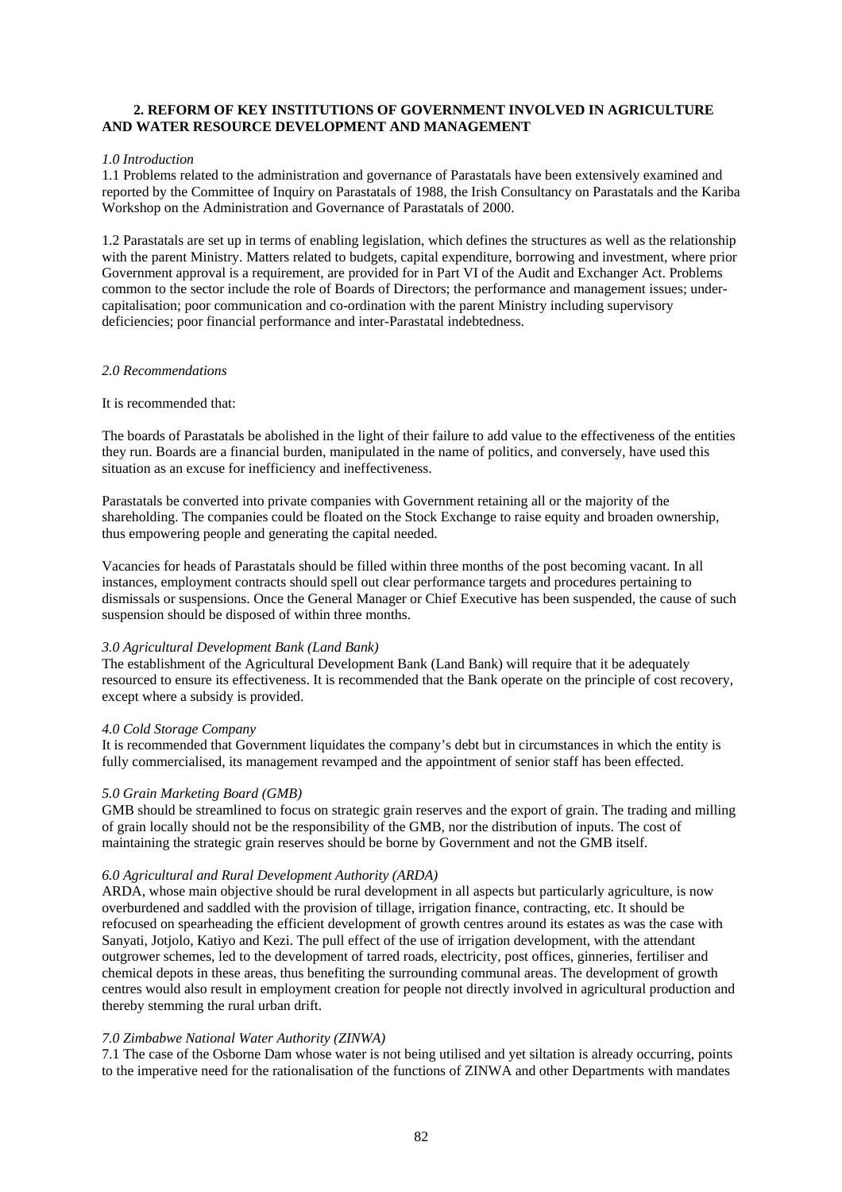# **2. REFORM OF KEY INSTITUTIONS OF GOVERNMENT INVOLVED IN AGRICULTURE AND WATER RESOURCE DEVELOPMENT AND MANAGEMENT**

### *1.0 Introduction*

1.1 Problems related to the administration and governance of Parastatals have been extensively examined and reported by the Committee of Inquiry on Parastatals of 1988, the Irish Consultancy on Parastatals and the Kariba Workshop on the Administration and Governance of Parastatals of 2000.

1.2 Parastatals are set up in terms of enabling legislation, which defines the structures as well as the relationship with the parent Ministry. Matters related to budgets, capital expenditure, borrowing and investment, where prior Government approval is a requirement, are provided for in Part VI of the Audit and Exchanger Act. Problems common to the sector include the role of Boards of Directors; the performance and management issues; undercapitalisation; poor communication and co-ordination with the parent Ministry including supervisory deficiencies; poor financial performance and inter-Parastatal indebtedness.

### *2.0 Recommendations*

# It is recommended that:

The boards of Parastatals be abolished in the light of their failure to add value to the effectiveness of the entities they run. Boards are a financial burden, manipulated in the name of politics, and conversely, have used this situation as an excuse for inefficiency and ineffectiveness.

Parastatals be converted into private companies with Government retaining all or the majority of the shareholding. The companies could be floated on the Stock Exchange to raise equity and broaden ownership, thus empowering people and generating the capital needed.

Vacancies for heads of Parastatals should be filled within three months of the post becoming vacant. In all instances, employment contracts should spell out clear performance targets and procedures pertaining to dismissals or suspensions. Once the General Manager or Chief Executive has been suspended, the cause of such suspension should be disposed of within three months.

### *3.0 Agricultural Development Bank (Land Bank)*

The establishment of the Agricultural Development Bank (Land Bank) will require that it be adequately resourced to ensure its effectiveness. It is recommended that the Bank operate on the principle of cost recovery, except where a subsidy is provided.

### *4.0 Cold Storage Company*

It is recommended that Government liquidates the company's debt but in circumstances in which the entity is fully commercialised, its management revamped and the appointment of senior staff has been effected.

### *5.0 Grain Marketing Board (GMB)*

GMB should be streamlined to focus on strategic grain reserves and the export of grain. The trading and milling of grain locally should not be the responsibility of the GMB, nor the distribution of inputs. The cost of maintaining the strategic grain reserves should be borne by Government and not the GMB itself.

### *6.0 Agricultural and Rural Development Authority (ARDA)*

ARDA, whose main objective should be rural development in all aspects but particularly agriculture, is now overburdened and saddled with the provision of tillage, irrigation finance, contracting, etc. It should be refocused on spearheading the efficient development of growth centres around its estates as was the case with Sanyati, Jotjolo, Katiyo and Kezi. The pull effect of the use of irrigation development, with the attendant outgrower schemes, led to the development of tarred roads, electricity, post offices, ginneries, fertiliser and chemical depots in these areas, thus benefiting the surrounding communal areas. The development of growth centres would also result in employment creation for people not directly involved in agricultural production and thereby stemming the rural urban drift.

# *7.0 Zimbabwe National Water Authority (ZINWA)*

7.1 The case of the Osborne Dam whose water is not being utilised and yet siltation is already occurring, points to the imperative need for the rationalisation of the functions of ZINWA and other Departments with mandates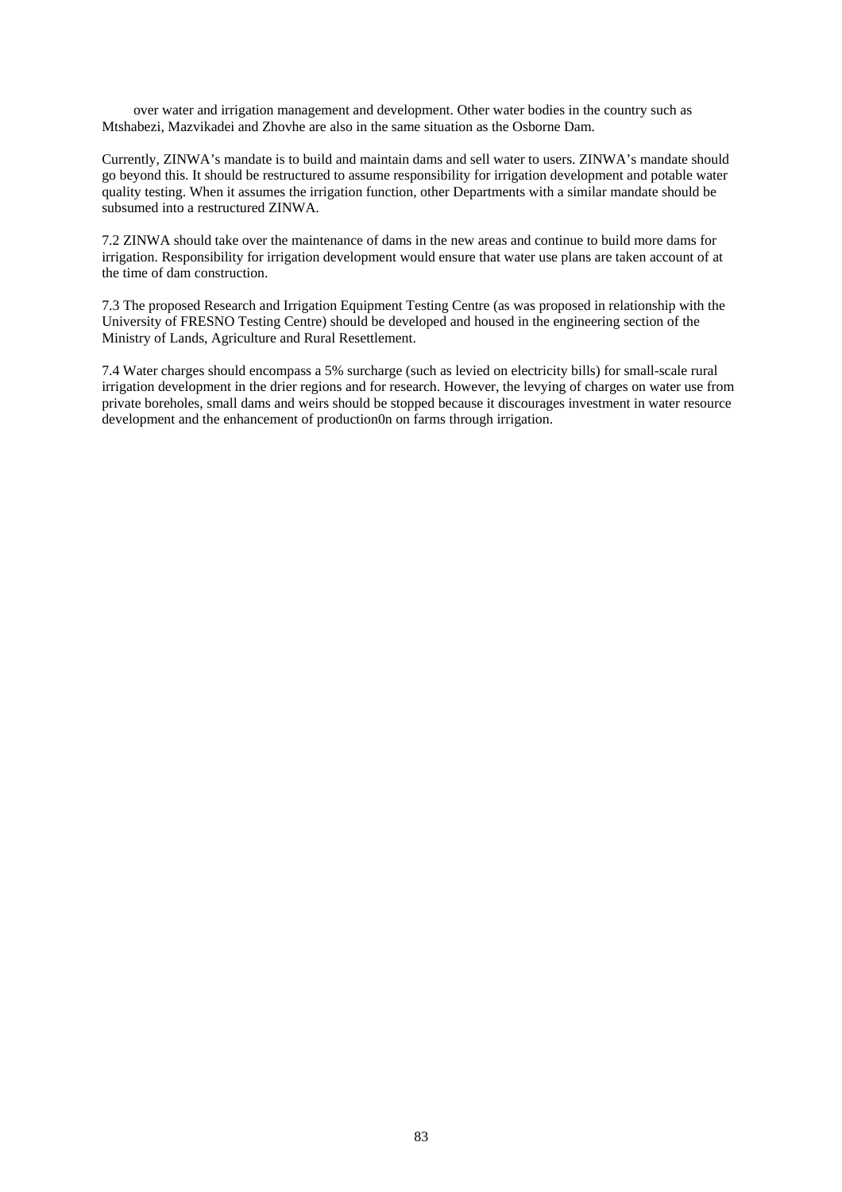over water and irrigation management and development. Other water bodies in the country such as Mtshabezi, Mazvikadei and Zhovhe are also in the same situation as the Osborne Dam.

Currently, ZINWA's mandate is to build and maintain dams and sell water to users. ZINWA's mandate should go beyond this. It should be restructured to assume responsibility for irrigation development and potable water quality testing. When it assumes the irrigation function, other Departments with a similar mandate should be subsumed into a restructured ZINWA.

7.2 ZINWA should take over the maintenance of dams in the new areas and continue to build more dams for irrigation. Responsibility for irrigation development would ensure that water use plans are taken account of at the time of dam construction.

7.3 The proposed Research and Irrigation Equipment Testing Centre (as was proposed in relationship with the University of FRESNO Testing Centre) should be developed and housed in the engineering section of the Ministry of Lands, Agriculture and Rural Resettlement.

7.4 Water charges should encompass a 5% surcharge (such as levied on electricity bills) for small-scale rural irrigation development in the drier regions and for research. However, the levying of charges on water use from private boreholes, small dams and weirs should be stopped because it discourages investment in water resource development and the enhancement of production0n on farms through irrigation.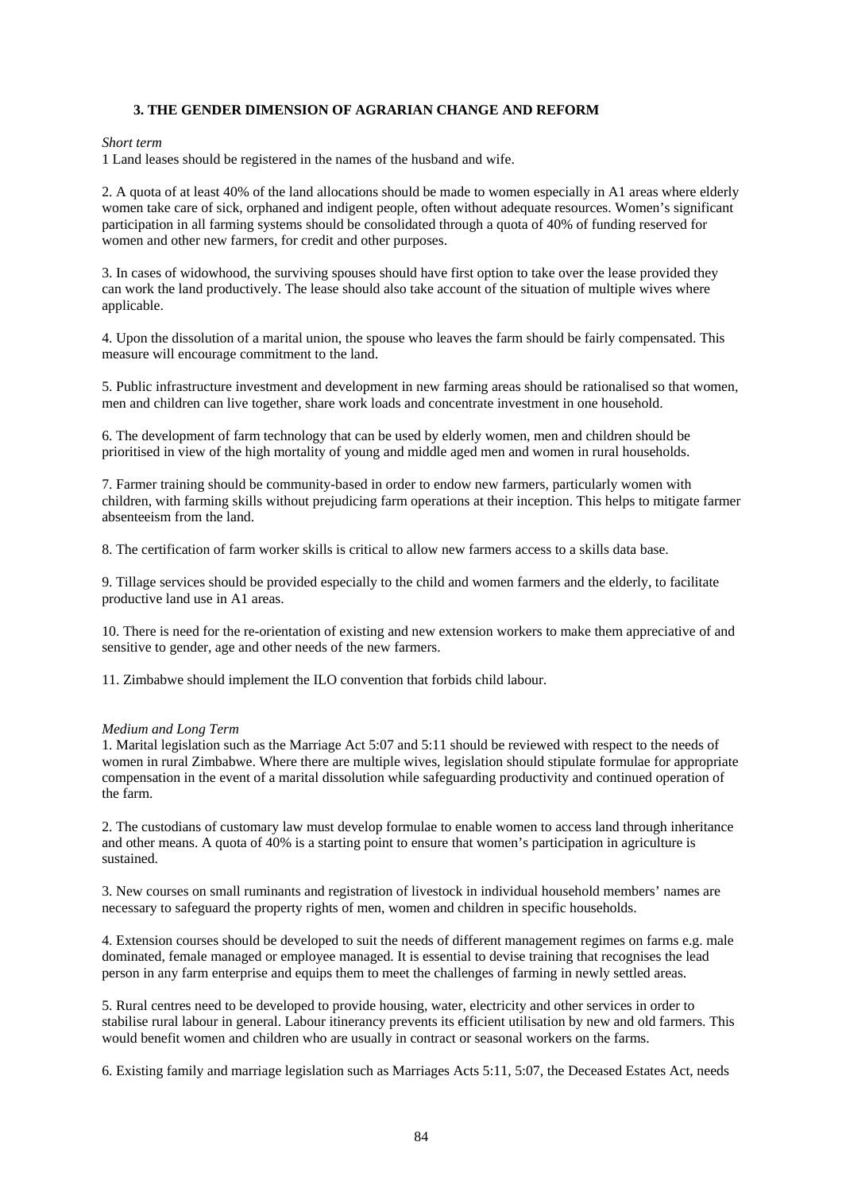# **3. THE GENDER DIMENSION OF AGRARIAN CHANGE AND REFORM**

#### *Short term*

1 Land leases should be registered in the names of the husband and wife.

2. A quota of at least 40% of the land allocations should be made to women especially in A1 areas where elderly women take care of sick, orphaned and indigent people, often without adequate resources. Women's significant participation in all farming systems should be consolidated through a quota of 40% of funding reserved for women and other new farmers, for credit and other purposes.

3. In cases of widowhood, the surviving spouses should have first option to take over the lease provided they can work the land productively. The lease should also take account of the situation of multiple wives where applicable.

4. Upon the dissolution of a marital union, the spouse who leaves the farm should be fairly compensated. This measure will encourage commitment to the land.

5. Public infrastructure investment and development in new farming areas should be rationalised so that women, men and children can live together, share work loads and concentrate investment in one household.

6. The development of farm technology that can be used by elderly women, men and children should be prioritised in view of the high mortality of young and middle aged men and women in rural households.

7. Farmer training should be community-based in order to endow new farmers, particularly women with children, with farming skills without prejudicing farm operations at their inception. This helps to mitigate farmer absenteeism from the land.

8. The certification of farm worker skills is critical to allow new farmers access to a skills data base.

9. Tillage services should be provided especially to the child and women farmers and the elderly, to facilitate productive land use in A1 areas.

10. There is need for the re-orientation of existing and new extension workers to make them appreciative of and sensitive to gender, age and other needs of the new farmers.

11. Zimbabwe should implement the ILO convention that forbids child labour.

### *Medium and Long Term*

1. Marital legislation such as the Marriage Act 5:07 and 5:11 should be reviewed with respect to the needs of women in rural Zimbabwe. Where there are multiple wives, legislation should stipulate formulae for appropriate compensation in the event of a marital dissolution while safeguarding productivity and continued operation of the farm.

2. The custodians of customary law must develop formulae to enable women to access land through inheritance and other means. A quota of 40% is a starting point to ensure that women's participation in agriculture is sustained.

3. New courses on small ruminants and registration of livestock in individual household members' names are necessary to safeguard the property rights of men, women and children in specific households.

4. Extension courses should be developed to suit the needs of different management regimes on farms e.g. male dominated, female managed or employee managed. It is essential to devise training that recognises the lead person in any farm enterprise and equips them to meet the challenges of farming in newly settled areas.

5. Rural centres need to be developed to provide housing, water, electricity and other services in order to stabilise rural labour in general. Labour itinerancy prevents its efficient utilisation by new and old farmers. This would benefit women and children who are usually in contract or seasonal workers on the farms.

6. Existing family and marriage legislation such as Marriages Acts 5:11, 5:07, the Deceased Estates Act, needs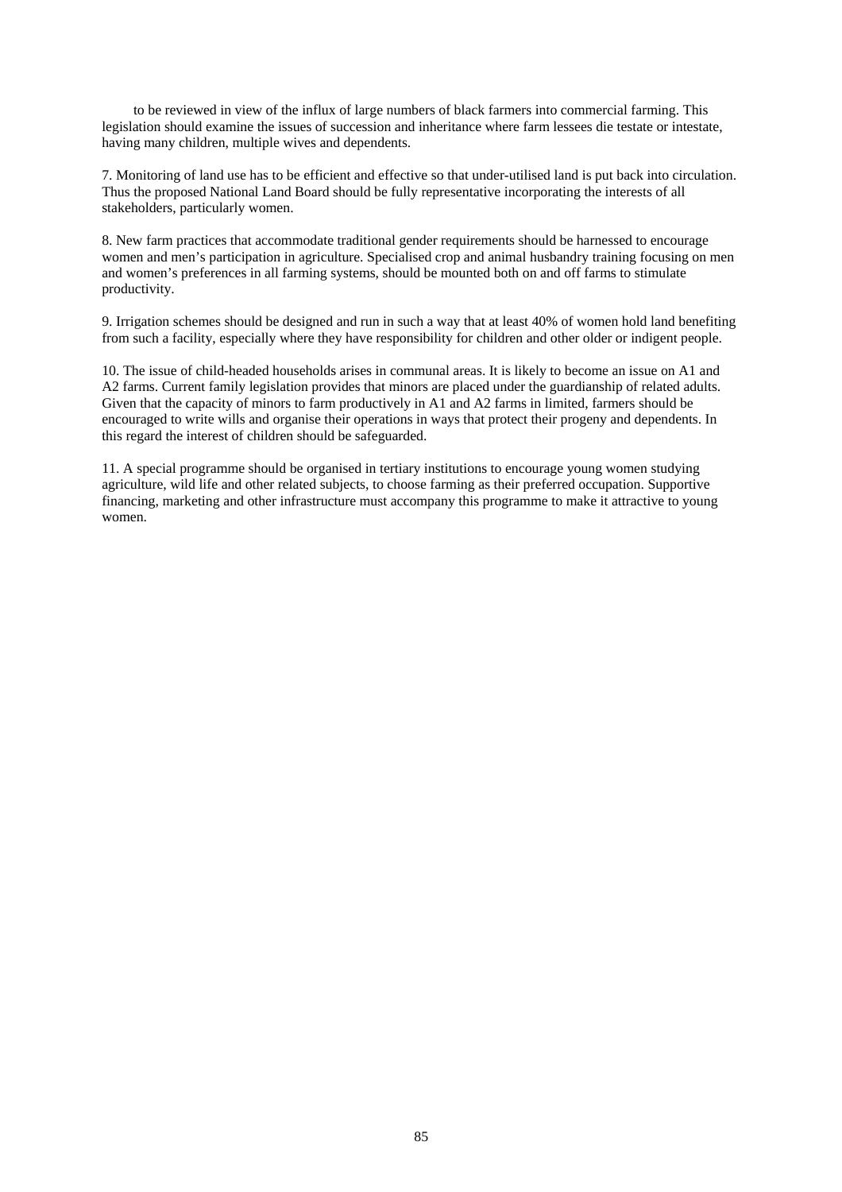to be reviewed in view of the influx of large numbers of black farmers into commercial farming. This legislation should examine the issues of succession and inheritance where farm lessees die testate or intestate, having many children, multiple wives and dependents.

7. Monitoring of land use has to be efficient and effective so that under-utilised land is put back into circulation. Thus the proposed National Land Board should be fully representative incorporating the interests of all stakeholders, particularly women.

8. New farm practices that accommodate traditional gender requirements should be harnessed to encourage women and men's participation in agriculture. Specialised crop and animal husbandry training focusing on men and women's preferences in all farming systems, should be mounted both on and off farms to stimulate productivity.

9. Irrigation schemes should be designed and run in such a way that at least 40% of women hold land benefiting from such a facility, especially where they have responsibility for children and other older or indigent people.

10. The issue of child-headed households arises in communal areas. It is likely to become an issue on A1 and A2 farms. Current family legislation provides that minors are placed under the guardianship of related adults. Given that the capacity of minors to farm productively in A1 and A2 farms in limited, farmers should be encouraged to write wills and organise their operations in ways that protect their progeny and dependents. In this regard the interest of children should be safeguarded.

11. A special programme should be organised in tertiary institutions to encourage young women studying agriculture, wild life and other related subjects, to choose farming as their preferred occupation. Supportive financing, marketing and other infrastructure must accompany this programme to make it attractive to young women.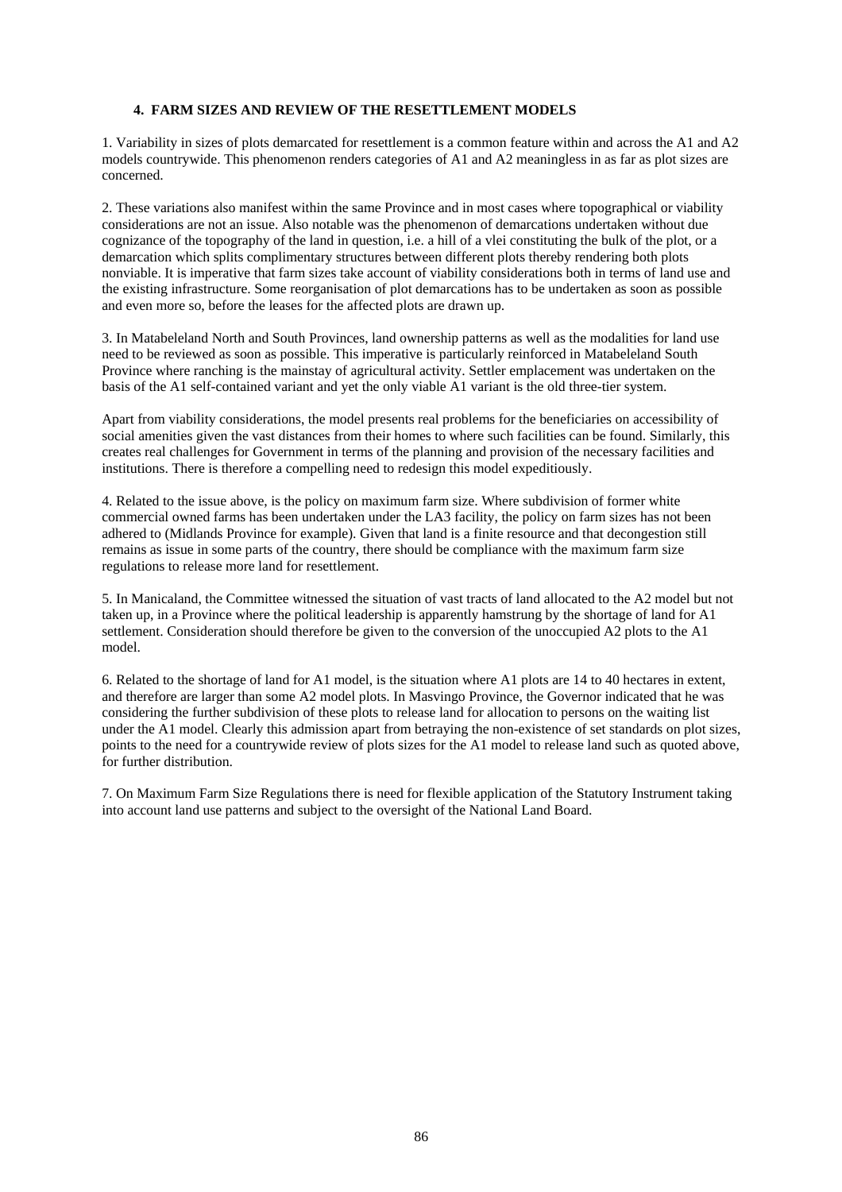# **4. FARM SIZES AND REVIEW OF THE RESETTLEMENT MODELS**

1. Variability in sizes of plots demarcated for resettlement is a common feature within and across the A1 and A2 models countrywide. This phenomenon renders categories of A1 and A2 meaningless in as far as plot sizes are concerned.

2. These variations also manifest within the same Province and in most cases where topographical or viability considerations are not an issue. Also notable was the phenomenon of demarcations undertaken without due cognizance of the topography of the land in question, i.e. a hill of a vlei constituting the bulk of the plot, or a demarcation which splits complimentary structures between different plots thereby rendering both plots nonviable. It is imperative that farm sizes take account of viability considerations both in terms of land use and the existing infrastructure. Some reorganisation of plot demarcations has to be undertaken as soon as possible and even more so, before the leases for the affected plots are drawn up.

3. In Matabeleland North and South Provinces, land ownership patterns as well as the modalities for land use need to be reviewed as soon as possible. This imperative is particularly reinforced in Matabeleland South Province where ranching is the mainstay of agricultural activity. Settler emplacement was undertaken on the basis of the A1 self-contained variant and yet the only viable A1 variant is the old three-tier system.

Apart from viability considerations, the model presents real problems for the beneficiaries on accessibility of social amenities given the vast distances from their homes to where such facilities can be found. Similarly, this creates real challenges for Government in terms of the planning and provision of the necessary facilities and institutions. There is therefore a compelling need to redesign this model expeditiously.

4. Related to the issue above, is the policy on maximum farm size. Where subdivision of former white commercial owned farms has been undertaken under the LA3 facility, the policy on farm sizes has not been adhered to (Midlands Province for example). Given that land is a finite resource and that decongestion still remains as issue in some parts of the country, there should be compliance with the maximum farm size regulations to release more land for resettlement.

5. In Manicaland, the Committee witnessed the situation of vast tracts of land allocated to the A2 model but not taken up, in a Province where the political leadership is apparently hamstrung by the shortage of land for A1 settlement. Consideration should therefore be given to the conversion of the unoccupied A2 plots to the A1 model.

6. Related to the shortage of land for A1 model, is the situation where A1 plots are 14 to 40 hectares in extent, and therefore are larger than some A2 model plots. In Masvingo Province, the Governor indicated that he was considering the further subdivision of these plots to release land for allocation to persons on the waiting list under the A1 model. Clearly this admission apart from betraying the non-existence of set standards on plot sizes, points to the need for a countrywide review of plots sizes for the A1 model to release land such as quoted above, for further distribution.

7. On Maximum Farm Size Regulations there is need for flexible application of the Statutory Instrument taking into account land use patterns and subject to the oversight of the National Land Board.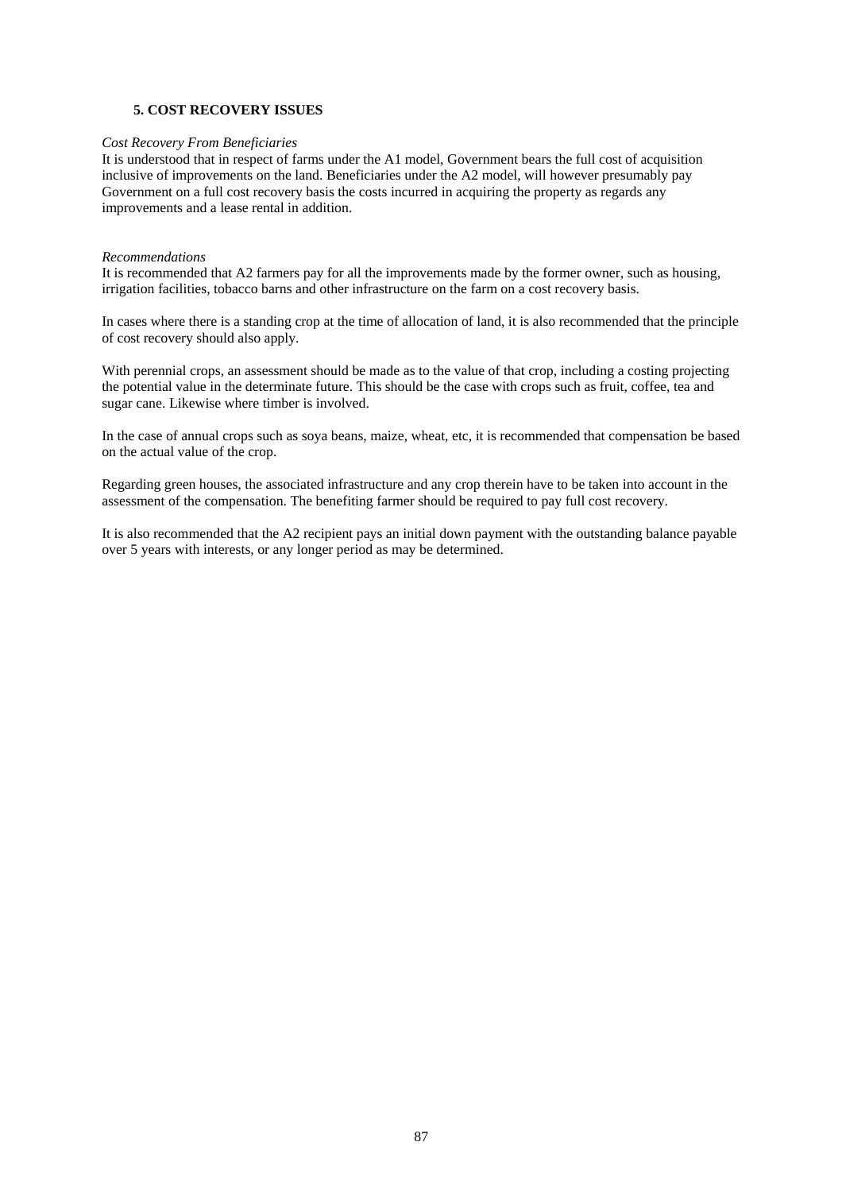# **5. COST RECOVERY ISSUES**

### *Cost Recovery From Beneficiaries*

It is understood that in respect of farms under the A1 model, Government bears the full cost of acquisition inclusive of improvements on the land. Beneficiaries under the A2 model, will however presumably pay Government on a full cost recovery basis the costs incurred in acquiring the property as regards any improvements and a lease rental in addition.

#### *Recommendations*

It is recommended that A2 farmers pay for all the improvements made by the former owner, such as housing, irrigation facilities, tobacco barns and other infrastructure on the farm on a cost recovery basis.

In cases where there is a standing crop at the time of allocation of land, it is also recommended that the principle of cost recovery should also apply.

With perennial crops, an assessment should be made as to the value of that crop, including a costing projecting the potential value in the determinate future. This should be the case with crops such as fruit, coffee, tea and sugar cane. Likewise where timber is involved.

In the case of annual crops such as soya beans, maize, wheat, etc, it is recommended that compensation be based on the actual value of the crop.

Regarding green houses, the associated infrastructure and any crop therein have to be taken into account in the assessment of the compensation. The benefiting farmer should be required to pay full cost recovery.

It is also recommended that the A2 recipient pays an initial down payment with the outstanding balance payable over 5 years with interests, or any longer period as may be determined.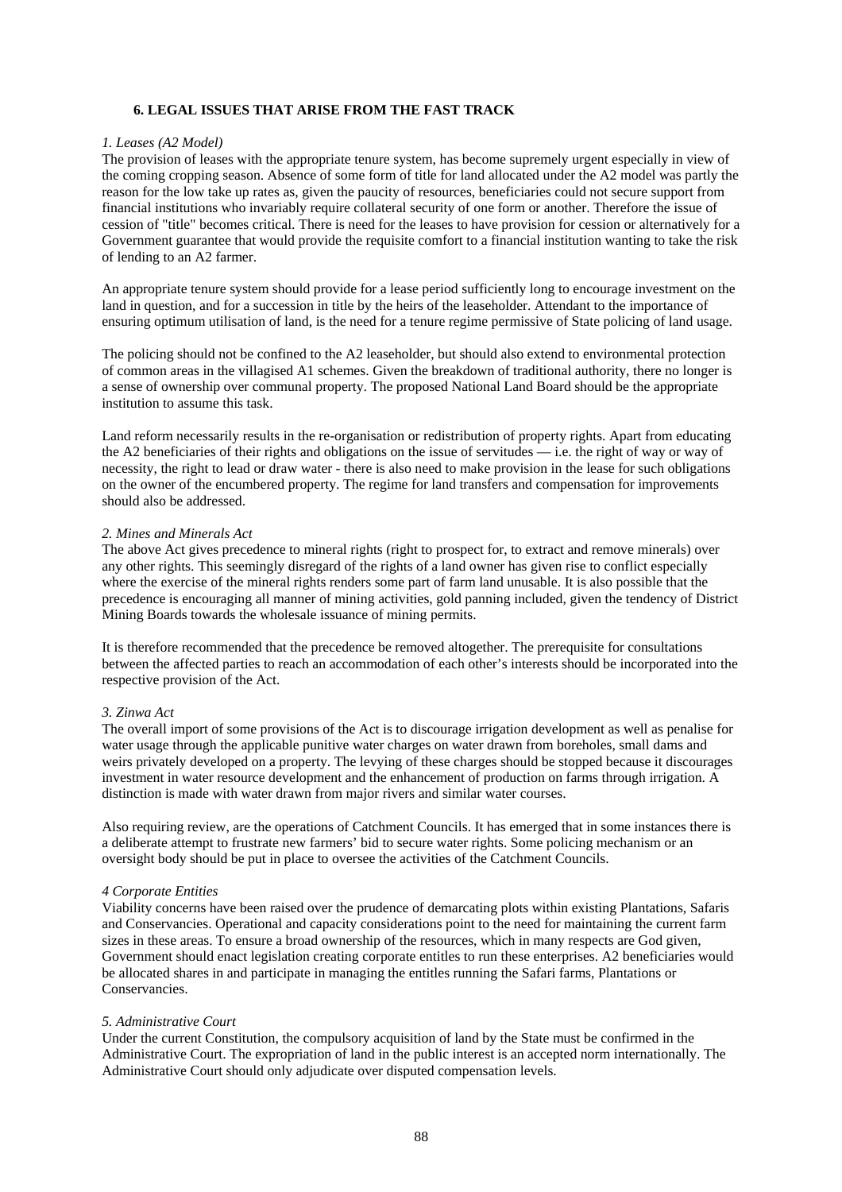# **6. LEGAL ISSUES THAT ARISE FROM THE FAST TRACK**

### *1. Leases (A2 Model)*

The provision of leases with the appropriate tenure system, has become supremely urgent especially in view of the coming cropping season. Absence of some form of title for land allocated under the A2 model was partly the reason for the low take up rates as, given the paucity of resources, beneficiaries could not secure support from financial institutions who invariably require collateral security of one form or another. Therefore the issue of cession of "title" becomes critical. There is need for the leases to have provision for cession or alternatively for a Government guarantee that would provide the requisite comfort to a financial institution wanting to take the risk of lending to an A2 farmer.

An appropriate tenure system should provide for a lease period sufficiently long to encourage investment on the land in question, and for a succession in title by the heirs of the leaseholder. Attendant to the importance of ensuring optimum utilisation of land, is the need for a tenure regime permissive of State policing of land usage.

The policing should not be confined to the A2 leaseholder, but should also extend to environmental protection of common areas in the villagised A1 schemes. Given the breakdown of traditional authority, there no longer is a sense of ownership over communal property. The proposed National Land Board should be the appropriate institution to assume this task.

Land reform necessarily results in the re-organisation or redistribution of property rights. Apart from educating the A2 beneficiaries of their rights and obligations on the issue of servitudes — i.e. the right of way or way of necessity, the right to lead or draw water - there is also need to make provision in the lease for such obligations on the owner of the encumbered property. The regime for land transfers and compensation for improvements should also be addressed.

# *2. Mines and Minerals Act*

The above Act gives precedence to mineral rights (right to prospect for, to extract and remove minerals) over any other rights. This seemingly disregard of the rights of a land owner has given rise to conflict especially where the exercise of the mineral rights renders some part of farm land unusable. It is also possible that the precedence is encouraging all manner of mining activities, gold panning included, given the tendency of District Mining Boards towards the wholesale issuance of mining permits.

It is therefore recommended that the precedence be removed altogether. The prerequisite for consultations between the affected parties to reach an accommodation of each other's interests should be incorporated into the respective provision of the Act.

### *3. Zinwa Act*

The overall import of some provisions of the Act is to discourage irrigation development as well as penalise for water usage through the applicable punitive water charges on water drawn from boreholes, small dams and weirs privately developed on a property. The levying of these charges should be stopped because it discourages investment in water resource development and the enhancement of production on farms through irrigation. A distinction is made with water drawn from major rivers and similar water courses.

Also requiring review, are the operations of Catchment Councils. It has emerged that in some instances there is a deliberate attempt to frustrate new farmers' bid to secure water rights. Some policing mechanism or an oversight body should be put in place to oversee the activities of the Catchment Councils.

### *4 Corporate Entities*

Viability concerns have been raised over the prudence of demarcating plots within existing Plantations, Safaris and Conservancies. Operational and capacity considerations point to the need for maintaining the current farm sizes in these areas. To ensure a broad ownership of the resources, which in many respects are God given, Government should enact legislation creating corporate entitles to run these enterprises. A2 beneficiaries would be allocated shares in and participate in managing the entitles running the Safari farms, Plantations or Conservancies.

### *5. Administrative Court*

Under the current Constitution, the compulsory acquisition of land by the State must be confirmed in the Administrative Court. The expropriation of land in the public interest is an accepted norm internationally. The Administrative Court should only adjudicate over disputed compensation levels.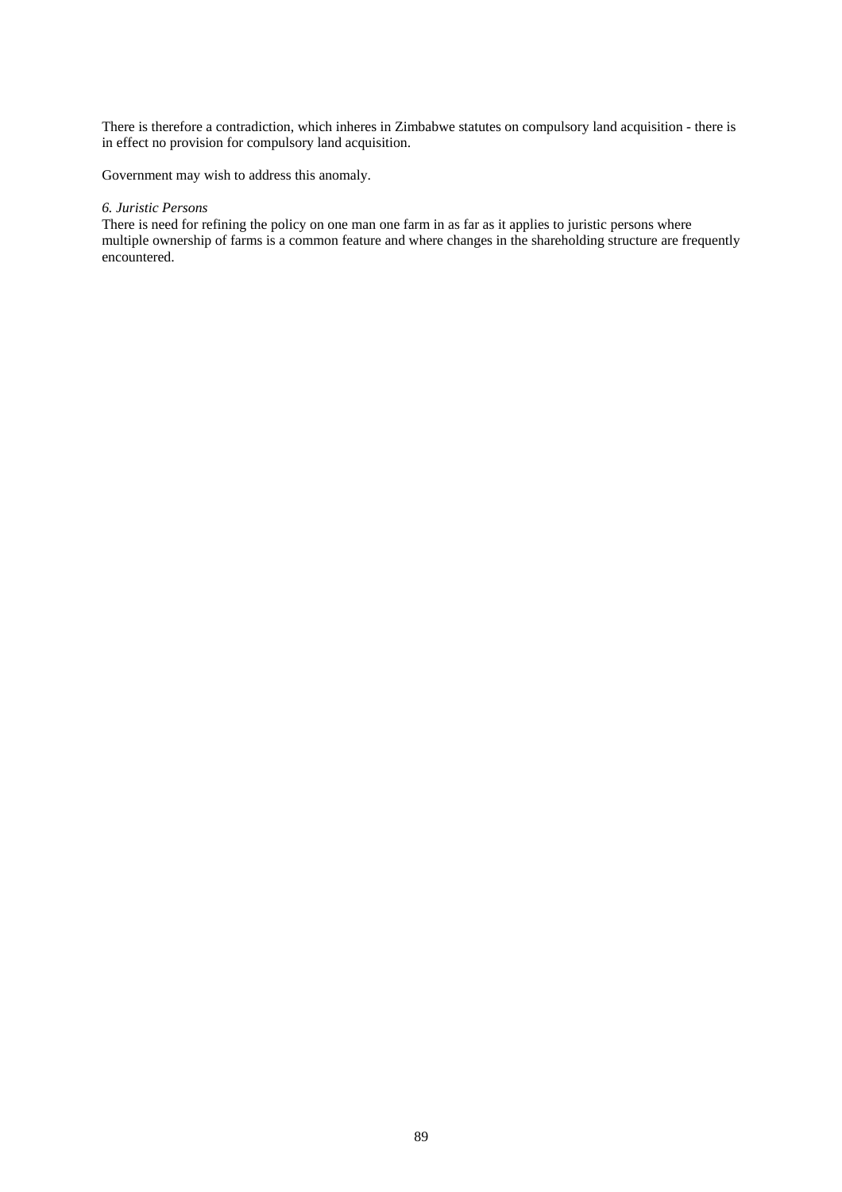There is therefore a contradiction, which inheres in Zimbabwe statutes on compulsory land acquisition - there is in effect no provision for compulsory land acquisition.

Government may wish to address this anomaly.

# *6. Juristic Persons*

There is need for refining the policy on one man one farm in as far as it applies to juristic persons where multiple ownership of farms is a common feature and where changes in the shareholding structure are frequently encountered.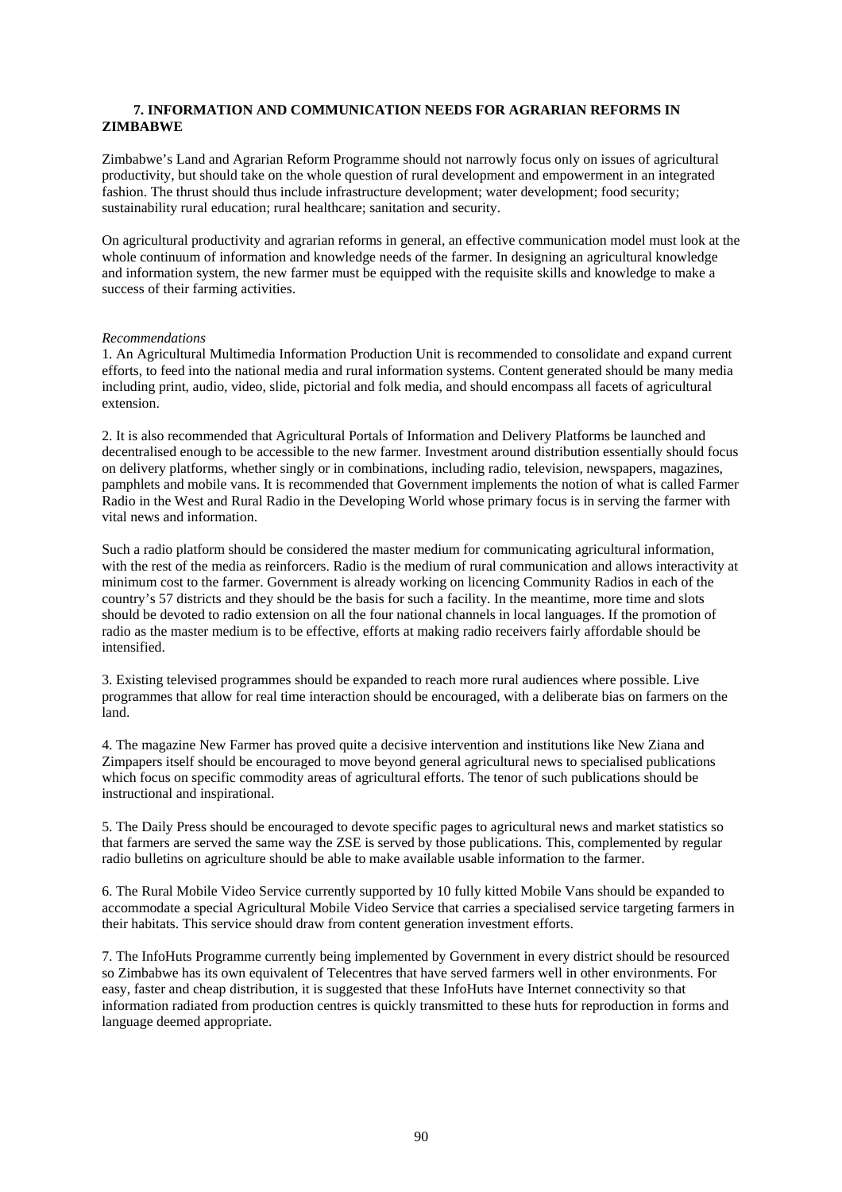# **7. INFORMATION AND COMMUNICATION NEEDS FOR AGRARIAN REFORMS IN ZIMBABWE**

Zimbabwe's Land and Agrarian Reform Programme should not narrowly focus only on issues of agricultural productivity, but should take on the whole question of rural development and empowerment in an integrated fashion. The thrust should thus include infrastructure development; water development; food security; sustainability rural education; rural healthcare; sanitation and security.

On agricultural productivity and agrarian reforms in general, an effective communication model must look at the whole continuum of information and knowledge needs of the farmer. In designing an agricultural knowledge and information system, the new farmer must be equipped with the requisite skills and knowledge to make a success of their farming activities.

### *Recommendations*

1. An Agricultural Multimedia Information Production Unit is recommended to consolidate and expand current efforts, to feed into the national media and rural information systems. Content generated should be many media including print, audio, video, slide, pictorial and folk media, and should encompass all facets of agricultural extension.

2. It is also recommended that Agricultural Portals of Information and Delivery Platforms be launched and decentralised enough to be accessible to the new farmer. Investment around distribution essentially should focus on delivery platforms, whether singly or in combinations, including radio, television, newspapers, magazines, pamphlets and mobile vans. It is recommended that Government implements the notion of what is called Farmer Radio in the West and Rural Radio in the Developing World whose primary focus is in serving the farmer with vital news and information.

Such a radio platform should be considered the master medium for communicating agricultural information, with the rest of the media as reinforcers. Radio is the medium of rural communication and allows interactivity at minimum cost to the farmer. Government is already working on licencing Community Radios in each of the country's 57 districts and they should be the basis for such a facility. In the meantime, more time and slots should be devoted to radio extension on all the four national channels in local languages. If the promotion of radio as the master medium is to be effective, efforts at making radio receivers fairly affordable should be intensified.

3. Existing televised programmes should be expanded to reach more rural audiences where possible. Live programmes that allow for real time interaction should be encouraged, with a deliberate bias on farmers on the land.

4. The magazine New Farmer has proved quite a decisive intervention and institutions like New Ziana and Zimpapers itself should be encouraged to move beyond general agricultural news to specialised publications which focus on specific commodity areas of agricultural efforts. The tenor of such publications should be instructional and inspirational.

5. The Daily Press should be encouraged to devote specific pages to agricultural news and market statistics so that farmers are served the same way the ZSE is served by those publications. This, complemented by regular radio bulletins on agriculture should be able to make available usable information to the farmer.

6. The Rural Mobile Video Service currently supported by 10 fully kitted Mobile Vans should be expanded to accommodate a special Agricultural Mobile Video Service that carries a specialised service targeting farmers in their habitats. This service should draw from content generation investment efforts.

7. The InfoHuts Programme currently being implemented by Government in every district should be resourced so Zimbabwe has its own equivalent of Telecentres that have served farmers well in other environments. For easy, faster and cheap distribution, it is suggested that these InfoHuts have Internet connectivity so that information radiated from production centres is quickly transmitted to these huts for reproduction in forms and language deemed appropriate.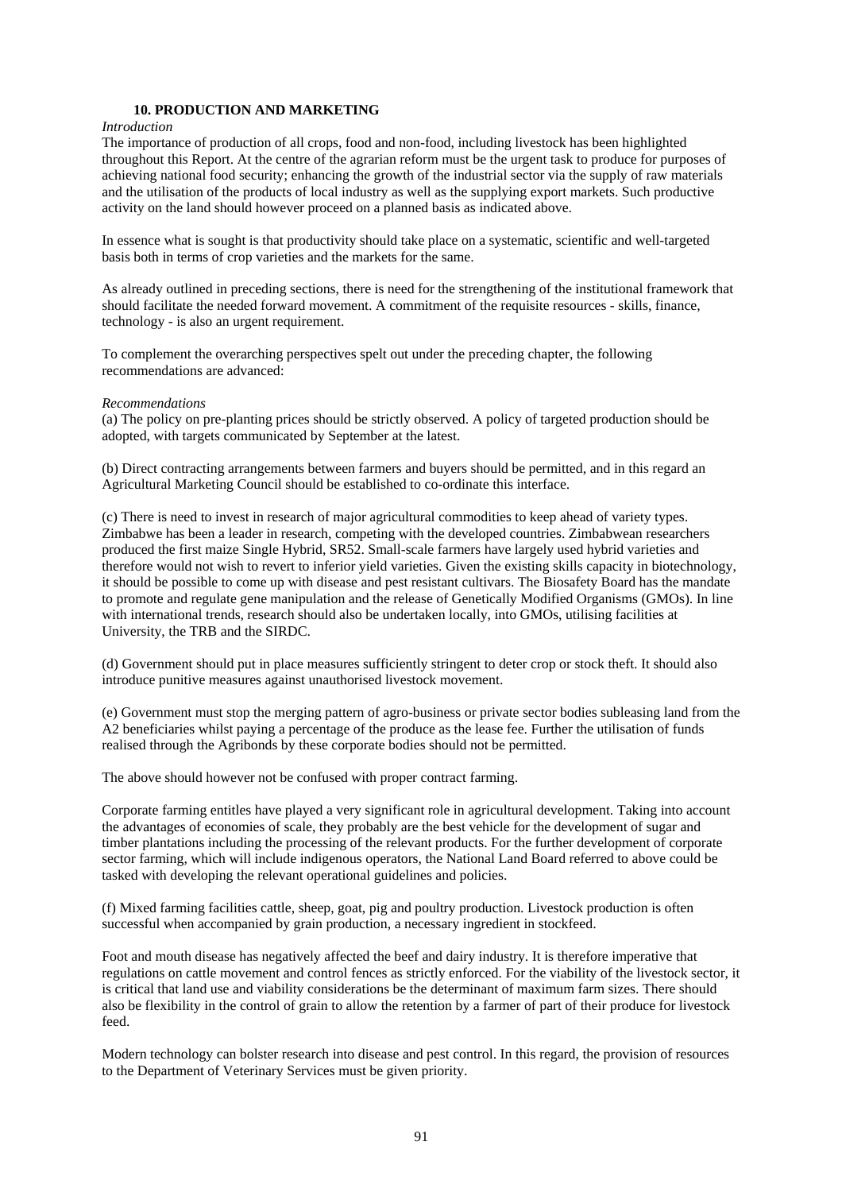# **10. PRODUCTION AND MARKETING**

#### *Introduction*

The importance of production of all crops, food and non-food, including livestock has been highlighted throughout this Report. At the centre of the agrarian reform must be the urgent task to produce for purposes of achieving national food security; enhancing the growth of the industrial sector via the supply of raw materials and the utilisation of the products of local industry as well as the supplying export markets. Such productive activity on the land should however proceed on a planned basis as indicated above.

In essence what is sought is that productivity should take place on a systematic, scientific and well-targeted basis both in terms of crop varieties and the markets for the same.

As already outlined in preceding sections, there is need for the strengthening of the institutional framework that should facilitate the needed forward movement. A commitment of the requisite resources - skills, finance, technology - is also an urgent requirement.

To complement the overarching perspectives spelt out under the preceding chapter, the following recommendations are advanced:

### *Recommendations*

(a) The policy on pre-planting prices should be strictly observed. A policy of targeted production should be adopted, with targets communicated by September at the latest.

(b) Direct contracting arrangements between farmers and buyers should be permitted, and in this regard an Agricultural Marketing Council should be established to co-ordinate this interface.

(c) There is need to invest in research of major agricultural commodities to keep ahead of variety types. Zimbabwe has been a leader in research, competing with the developed countries. Zimbabwean researchers produced the first maize Single Hybrid, SR52. Small-scale farmers have largely used hybrid varieties and therefore would not wish to revert to inferior yield varieties. Given the existing skills capacity in biotechnology, it should be possible to come up with disease and pest resistant cultivars. The Biosafety Board has the mandate to promote and regulate gene manipulation and the release of Genetically Modified Organisms (GMOs). In line with international trends, research should also be undertaken locally, into GMOs, utilising facilities at University, the TRB and the SIRDC.

(d) Government should put in place measures sufficiently stringent to deter crop or stock theft. It should also introduce punitive measures against unauthorised livestock movement.

(e) Government must stop the merging pattern of agro-business or private sector bodies subleasing land from the A2 beneficiaries whilst paying a percentage of the produce as the lease fee. Further the utilisation of funds realised through the Agribonds by these corporate bodies should not be permitted.

The above should however not be confused with proper contract farming.

Corporate farming entitles have played a very significant role in agricultural development. Taking into account the advantages of economies of scale, they probably are the best vehicle for the development of sugar and timber plantations including the processing of the relevant products. For the further development of corporate sector farming, which will include indigenous operators, the National Land Board referred to above could be tasked with developing the relevant operational guidelines and policies.

(f) Mixed farming facilities cattle, sheep, goat, pig and poultry production. Livestock production is often successful when accompanied by grain production, a necessary ingredient in stockfeed.

Foot and mouth disease has negatively affected the beef and dairy industry. It is therefore imperative that regulations on cattle movement and control fences as strictly enforced. For the viability of the livestock sector, it is critical that land use and viability considerations be the determinant of maximum farm sizes. There should also be flexibility in the control of grain to allow the retention by a farmer of part of their produce for livestock feed.

Modern technology can bolster research into disease and pest control. In this regard, the provision of resources to the Department of Veterinary Services must be given priority.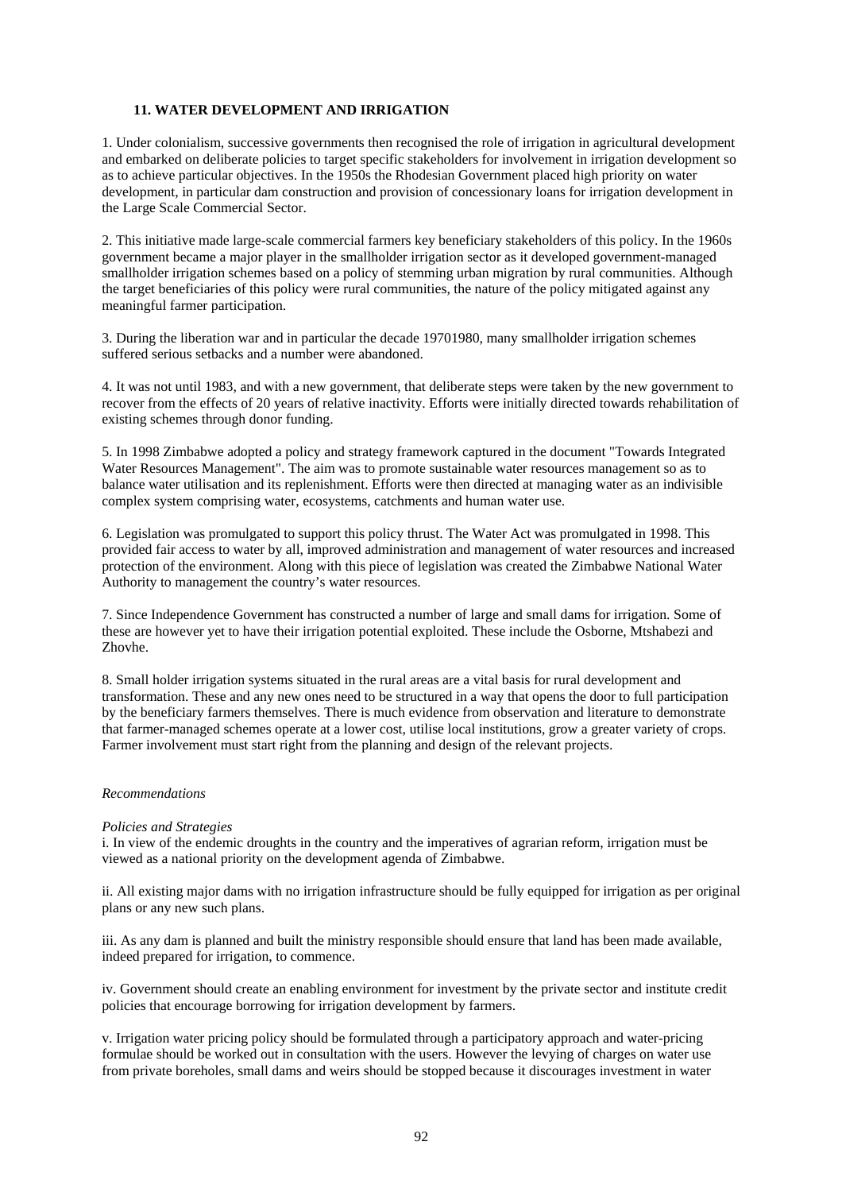# **11. WATER DEVELOPMENT AND IRRIGATION**

1. Under colonialism, successive governments then recognised the role of irrigation in agricultural development and embarked on deliberate policies to target specific stakeholders for involvement in irrigation development so as to achieve particular objectives. In the 1950s the Rhodesian Government placed high priority on water development, in particular dam construction and provision of concessionary loans for irrigation development in the Large Scale Commercial Sector.

2. This initiative made large-scale commercial farmers key beneficiary stakeholders of this policy. In the 1960s government became a major player in the smallholder irrigation sector as it developed government-managed smallholder irrigation schemes based on a policy of stemming urban migration by rural communities. Although the target beneficiaries of this policy were rural communities, the nature of the policy mitigated against any meaningful farmer participation.

3. During the liberation war and in particular the decade 19701980, many smallholder irrigation schemes suffered serious setbacks and a number were abandoned.

4. It was not until 1983, and with a new government, that deliberate steps were taken by the new government to recover from the effects of 20 years of relative inactivity. Efforts were initially directed towards rehabilitation of existing schemes through donor funding.

5. In 1998 Zimbabwe adopted a policy and strategy framework captured in the document "Towards Integrated Water Resources Management". The aim was to promote sustainable water resources management so as to balance water utilisation and its replenishment. Efforts were then directed at managing water as an indivisible complex system comprising water, ecosystems, catchments and human water use.

6. Legislation was promulgated to support this policy thrust. The Water Act was promulgated in 1998. This provided fair access to water by all, improved administration and management of water resources and increased protection of the environment. Along with this piece of legislation was created the Zimbabwe National Water Authority to management the country's water resources.

7. Since Independence Government has constructed a number of large and small dams for irrigation. Some of these are however yet to have their irrigation potential exploited. These include the Osborne, Mtshabezi and Zhovhe.

8. Small holder irrigation systems situated in the rural areas are a vital basis for rural development and transformation. These and any new ones need to be structured in a way that opens the door to full participation by the beneficiary farmers themselves. There is much evidence from observation and literature to demonstrate that farmer-managed schemes operate at a lower cost, utilise local institutions, grow a greater variety of crops. Farmer involvement must start right from the planning and design of the relevant projects.

### *Recommendations*

### *Policies and Strategies*

i. In view of the endemic droughts in the country and the imperatives of agrarian reform, irrigation must be viewed as a national priority on the development agenda of Zimbabwe.

ii. All existing major dams with no irrigation infrastructure should be fully equipped for irrigation as per original plans or any new such plans.

iii. As any dam is planned and built the ministry responsible should ensure that land has been made available, indeed prepared for irrigation, to commence.

iv. Government should create an enabling environment for investment by the private sector and institute credit policies that encourage borrowing for irrigation development by farmers.

v. Irrigation water pricing policy should be formulated through a participatory approach and water-pricing formulae should be worked out in consultation with the users. However the levying of charges on water use from private boreholes, small dams and weirs should be stopped because it discourages investment in water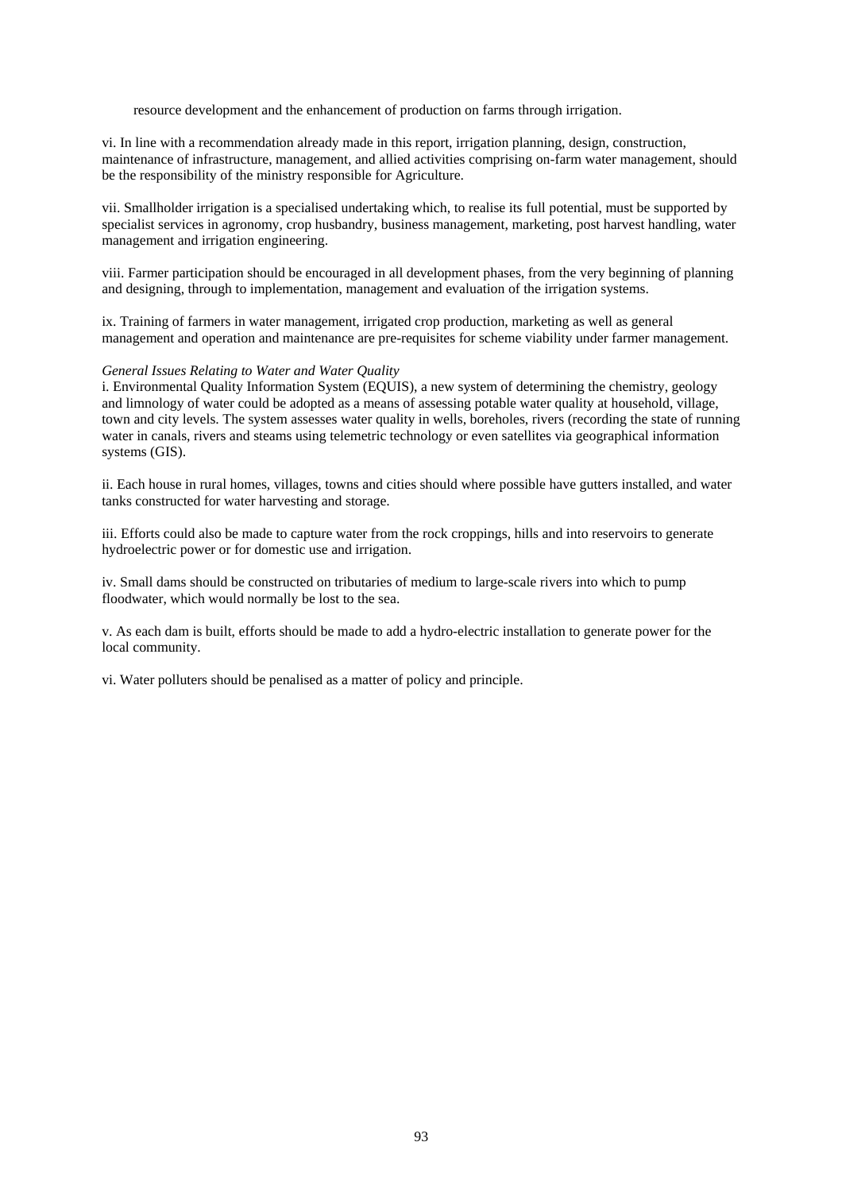resource development and the enhancement of production on farms through irrigation.

vi. In line with a recommendation already made in this report, irrigation planning, design, construction, maintenance of infrastructure, management, and allied activities comprising on-farm water management, should be the responsibility of the ministry responsible for Agriculture.

vii. Smallholder irrigation is a specialised undertaking which, to realise its full potential, must be supported by specialist services in agronomy, crop husbandry, business management, marketing, post harvest handling, water management and irrigation engineering.

viii. Farmer participation should be encouraged in all development phases, from the very beginning of planning and designing, through to implementation, management and evaluation of the irrigation systems.

ix. Training of farmers in water management, irrigated crop production, marketing as well as general management and operation and maintenance are pre-requisites for scheme viability under farmer management.

### *General Issues Relating to Water and Water Quality*

i. Environmental Quality Information System (EQUIS), a new system of determining the chemistry, geology and limnology of water could be adopted as a means of assessing potable water quality at household, village, town and city levels. The system assesses water quality in wells, boreholes, rivers (recording the state of running water in canals, rivers and steams using telemetric technology or even satellites via geographical information systems (GIS).

ii. Each house in rural homes, villages, towns and cities should where possible have gutters installed, and water tanks constructed for water harvesting and storage.

iii. Efforts could also be made to capture water from the rock croppings, hills and into reservoirs to generate hydroelectric power or for domestic use and irrigation.

iv. Small dams should be constructed on tributaries of medium to large-scale rivers into which to pump floodwater, which would normally be lost to the sea.

v. As each dam is built, efforts should be made to add a hydro-electric installation to generate power for the local community.

vi. Water polluters should be penalised as a matter of policy and principle.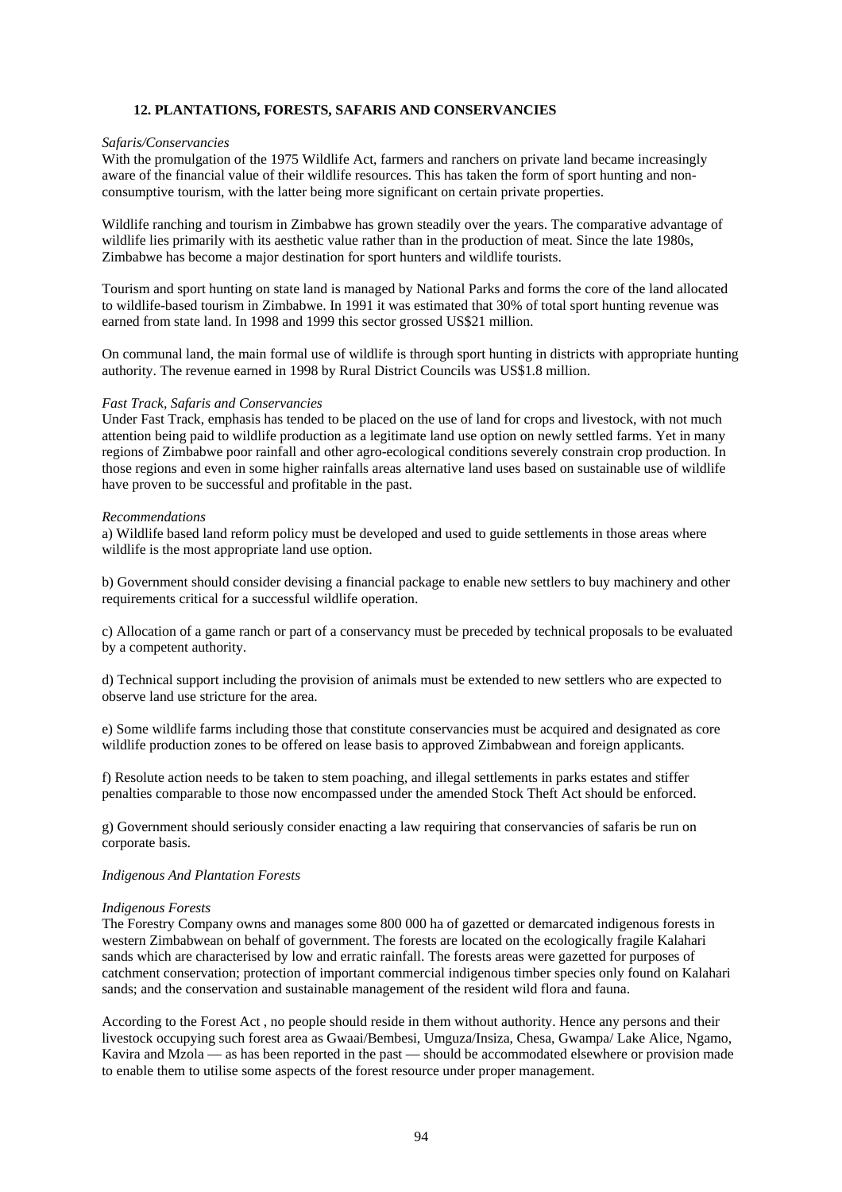# **12. PLANTATIONS, FORESTS, SAFARIS AND CONSERVANCIES**

### *Safaris/Conservancies*

With the promulgation of the 1975 Wildlife Act, farmers and ranchers on private land became increasingly aware of the financial value of their wildlife resources. This has taken the form of sport hunting and nonconsumptive tourism, with the latter being more significant on certain private properties.

Wildlife ranching and tourism in Zimbabwe has grown steadily over the years. The comparative advantage of wildlife lies primarily with its aesthetic value rather than in the production of meat. Since the late 1980s, Zimbabwe has become a major destination for sport hunters and wildlife tourists.

Tourism and sport hunting on state land is managed by National Parks and forms the core of the land allocated to wildlife-based tourism in Zimbabwe. In 1991 it was estimated that 30% of total sport hunting revenue was earned from state land. In 1998 and 1999 this sector grossed US\$21 million.

On communal land, the main formal use of wildlife is through sport hunting in districts with appropriate hunting authority. The revenue earned in 1998 by Rural District Councils was US\$1.8 million.

### *Fast Track, Safaris and Conservancies*

Under Fast Track, emphasis has tended to be placed on the use of land for crops and livestock, with not much attention being paid to wildlife production as a legitimate land use option on newly settled farms. Yet in many regions of Zimbabwe poor rainfall and other agro-ecological conditions severely constrain crop production. In those regions and even in some higher rainfalls areas alternative land uses based on sustainable use of wildlife have proven to be successful and profitable in the past.

### *Recommendations*

a) Wildlife based land reform policy must be developed and used to guide settlements in those areas where wildlife is the most appropriate land use option.

b) Government should consider devising a financial package to enable new settlers to buy machinery and other requirements critical for a successful wildlife operation.

c) Allocation of a game ranch or part of a conservancy must be preceded by technical proposals to be evaluated by a competent authority.

d) Technical support including the provision of animals must be extended to new settlers who are expected to observe land use stricture for the area.

e) Some wildlife farms including those that constitute conservancies must be acquired and designated as core wildlife production zones to be offered on lease basis to approved Zimbabwean and foreign applicants.

f) Resolute action needs to be taken to stem poaching, and illegal settlements in parks estates and stiffer penalties comparable to those now encompassed under the amended Stock Theft Act should be enforced.

g) Government should seriously consider enacting a law requiring that conservancies of safaris be run on corporate basis.

## *Indigenous And Plantation Forests*

#### *Indigenous Forests*

The Forestry Company owns and manages some 800 000 ha of gazetted or demarcated indigenous forests in western Zimbabwean on behalf of government. The forests are located on the ecologically fragile Kalahari sands which are characterised by low and erratic rainfall. The forests areas were gazetted for purposes of catchment conservation; protection of important commercial indigenous timber species only found on Kalahari sands; and the conservation and sustainable management of the resident wild flora and fauna.

According to the Forest Act , no people should reside in them without authority. Hence any persons and their livestock occupying such forest area as Gwaai/Bembesi, Umguza/Insiza, Chesa, Gwampa/ Lake Alice, Ngamo, Kavira and Mzola — as has been reported in the past — should be accommodated elsewhere or provision made to enable them to utilise some aspects of the forest resource under proper management.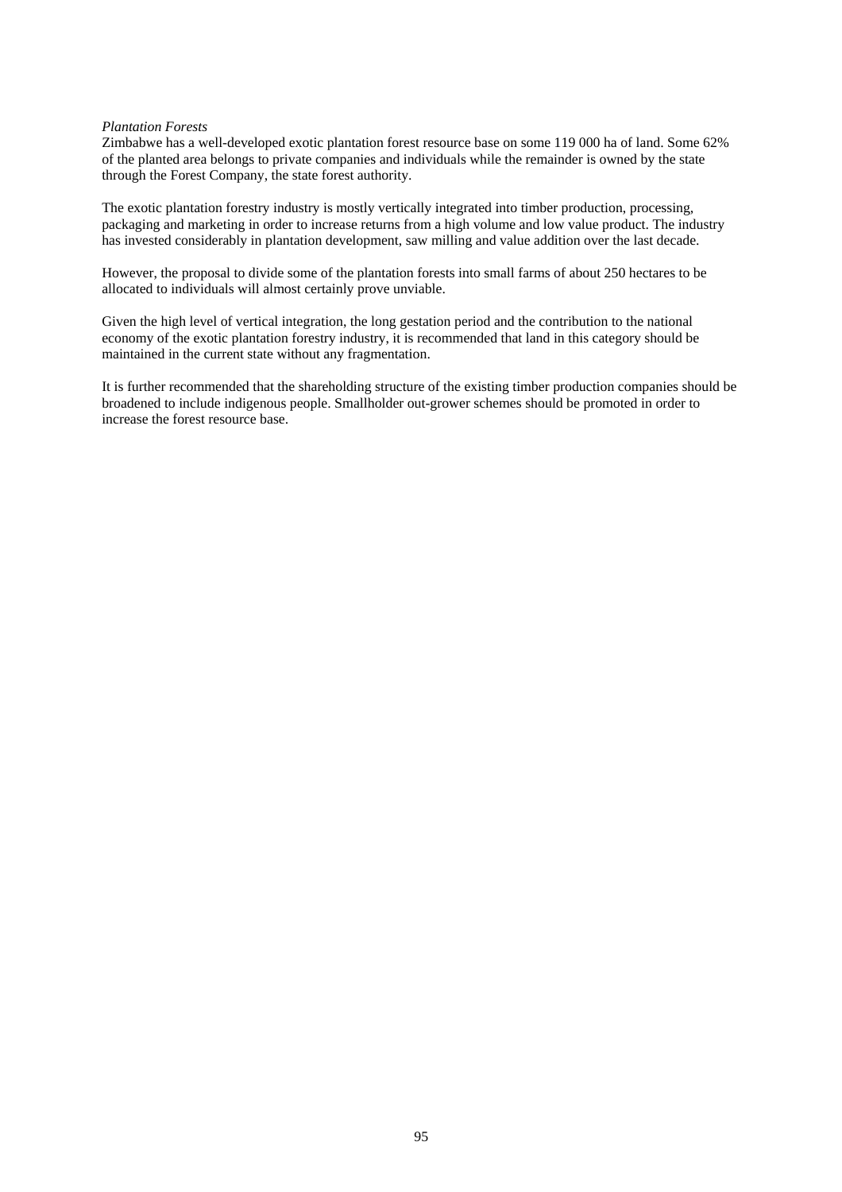### *Plantation Forests*

Zimbabwe has a well-developed exotic plantation forest resource base on some 119 000 ha of land. Some 62% of the planted area belongs to private companies and individuals while the remainder is owned by the state through the Forest Company, the state forest authority.

The exotic plantation forestry industry is mostly vertically integrated into timber production, processing, packaging and marketing in order to increase returns from a high volume and low value product. The industry has invested considerably in plantation development, saw milling and value addition over the last decade.

However, the proposal to divide some of the plantation forests into small farms of about 250 hectares to be allocated to individuals will almost certainly prove unviable.

Given the high level of vertical integration, the long gestation period and the contribution to the national economy of the exotic plantation forestry industry, it is recommended that land in this category should be maintained in the current state without any fragmentation.

It is further recommended that the shareholding structure of the existing timber production companies should be broadened to include indigenous people. Smallholder out-grower schemes should be promoted in order to increase the forest resource base.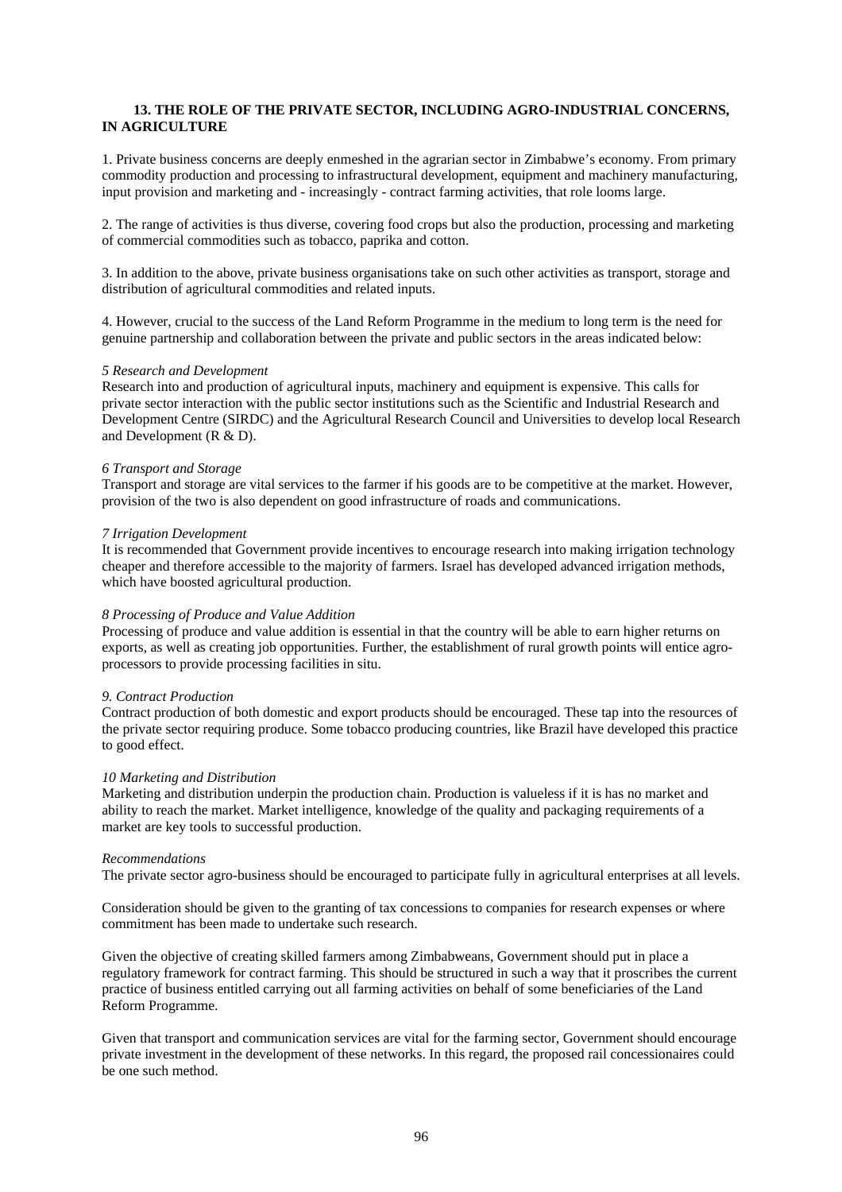# **13. THE ROLE OF THE PRIVATE SECTOR, INCLUDING AGRO-INDUSTRIAL CONCERNS, IN AGRICULTURE**

1. Private business concerns are deeply enmeshed in the agrarian sector in Zimbabwe's economy. From primary commodity production and processing to infrastructural development, equipment and machinery manufacturing, input provision and marketing and - increasingly - contract farming activities, that role looms large.

2. The range of activities is thus diverse, covering food crops but also the production, processing and marketing of commercial commodities such as tobacco, paprika and cotton.

3. In addition to the above, private business organisations take on such other activities as transport, storage and distribution of agricultural commodities and related inputs.

4. However, crucial to the success of the Land Reform Programme in the medium to long term is the need for genuine partnership and collaboration between the private and public sectors in the areas indicated below:

### *5 Research and Development*

Research into and production of agricultural inputs, machinery and equipment is expensive. This calls for private sector interaction with the public sector institutions such as the Scientific and Industrial Research and Development Centre (SIRDC) and the Agricultural Research Council and Universities to develop local Research and Development ( $R & D$ ).

#### *6 Transport and Storage*

Transport and storage are vital services to the farmer if his goods are to be competitive at the market. However, provision of the two is also dependent on good infrastructure of roads and communications.

### *7 Irrigation Development*

It is recommended that Government provide incentives to encourage research into making irrigation technology cheaper and therefore accessible to the majority of farmers. Israel has developed advanced irrigation methods, which have boosted agricultural production.

### *8 Processing of Produce and Value Addition*

Processing of produce and value addition is essential in that the country will be able to earn higher returns on exports, as well as creating job opportunities. Further, the establishment of rural growth points will entice agroprocessors to provide processing facilities in situ.

#### *9. Contract Production*

Contract production of both domestic and export products should be encouraged. These tap into the resources of the private sector requiring produce. Some tobacco producing countries, like Brazil have developed this practice to good effect.

#### *10 Marketing and Distribution*

Marketing and distribution underpin the production chain. Production is valueless if it is has no market and ability to reach the market. Market intelligence, knowledge of the quality and packaging requirements of a market are key tools to successful production.

#### *Recommendations*

The private sector agro-business should be encouraged to participate fully in agricultural enterprises at all levels.

Consideration should be given to the granting of tax concessions to companies for research expenses or where commitment has been made to undertake such research.

Given the objective of creating skilled farmers among Zimbabweans, Government should put in place a regulatory framework for contract farming. This should be structured in such a way that it proscribes the current practice of business entitled carrying out all farming activities on behalf of some beneficiaries of the Land Reform Programme.

Given that transport and communication services are vital for the farming sector, Government should encourage private investment in the development of these networks. In this regard, the proposed rail concessionaires could be one such method.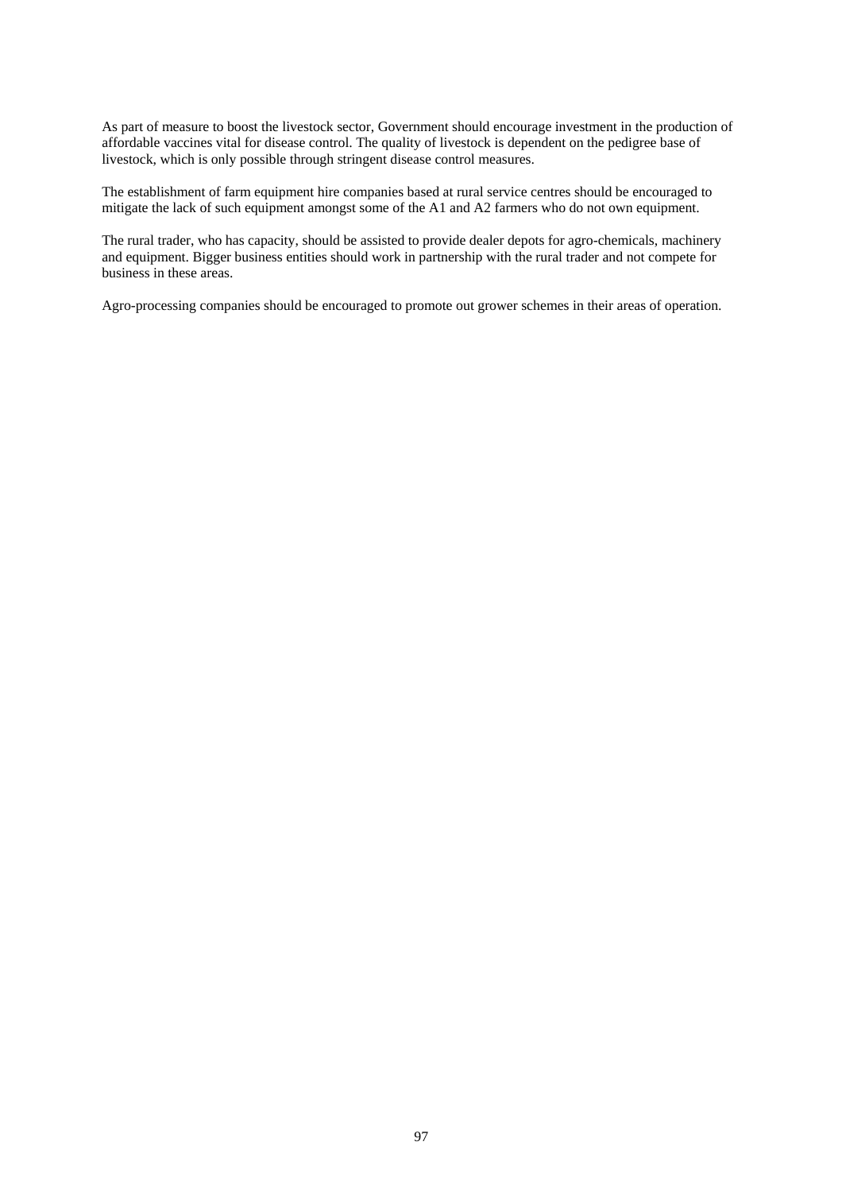As part of measure to boost the livestock sector, Government should encourage investment in the production of affordable vaccines vital for disease control. The quality of livestock is dependent on the pedigree base of livestock, which is only possible through stringent disease control measures.

The establishment of farm equipment hire companies based at rural service centres should be encouraged to mitigate the lack of such equipment amongst some of the A1 and A2 farmers who do not own equipment.

The rural trader, who has capacity, should be assisted to provide dealer depots for agro-chemicals, machinery and equipment. Bigger business entities should work in partnership with the rural trader and not compete for business in these areas.

Agro-processing companies should be encouraged to promote out grower schemes in their areas of operation.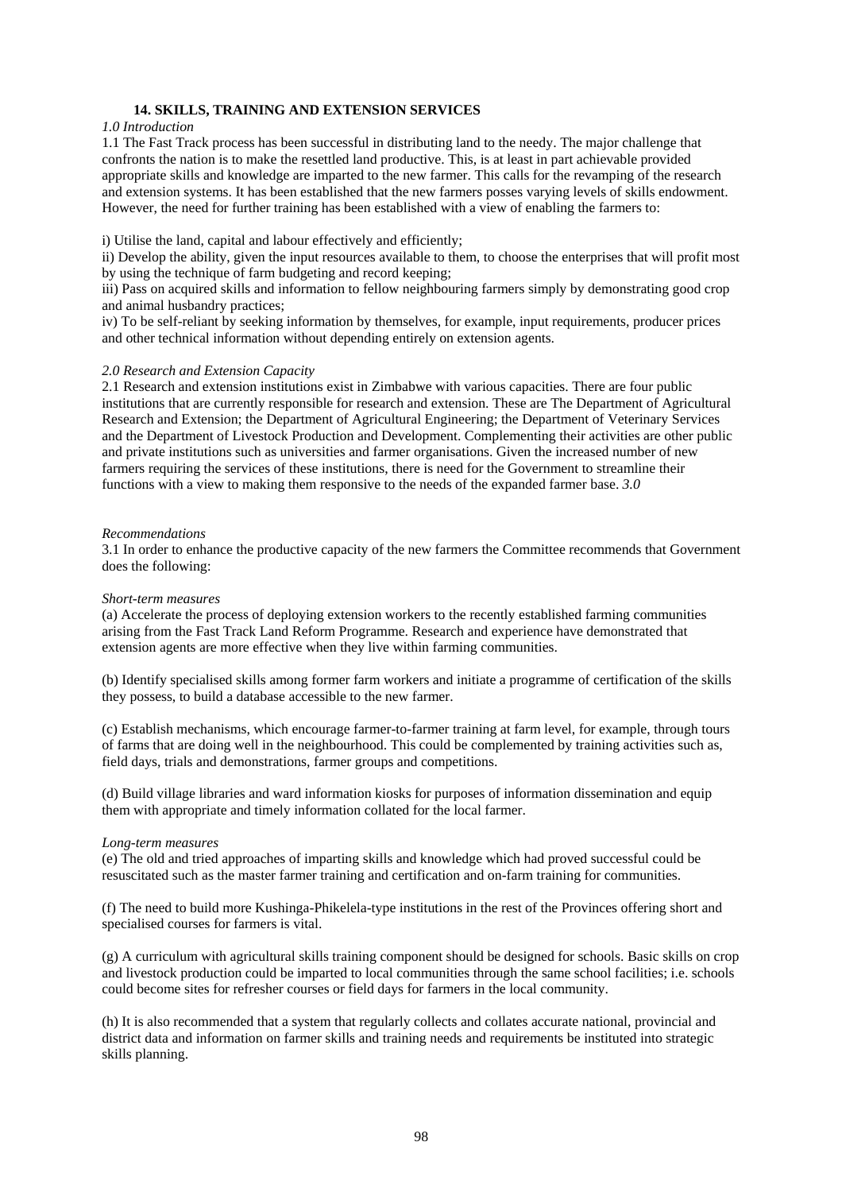# **14. SKILLS, TRAINING AND EXTENSION SERVICES**

### *1.0 Introduction*

1.1 The Fast Track process has been successful in distributing land to the needy. The major challenge that confronts the nation is to make the resettled land productive. This, is at least in part achievable provided appropriate skills and knowledge are imparted to the new farmer. This calls for the revamping of the research and extension systems. It has been established that the new farmers posses varying levels of skills endowment. However, the need for further training has been established with a view of enabling the farmers to:

i) Utilise the land, capital and labour effectively and efficiently;

ii) Develop the ability, given the input resources available to them, to choose the enterprises that will profit most by using the technique of farm budgeting and record keeping;

iii) Pass on acquired skills and information to fellow neighbouring farmers simply by demonstrating good crop and animal husbandry practices;

iv) To be self-reliant by seeking information by themselves, for example, input requirements, producer prices and other technical information without depending entirely on extension agents.

# *2.0 Research and Extension Capacity*

2.1 Research and extension institutions exist in Zimbabwe with various capacities. There are four public institutions that are currently responsible for research and extension. These are The Department of Agricultural Research and Extension; the Department of Agricultural Engineering; the Department of Veterinary Services and the Department of Livestock Production and Development. Complementing their activities are other public and private institutions such as universities and farmer organisations. Given the increased number of new farmers requiring the services of these institutions, there is need for the Government to streamline their functions with a view to making them responsive to the needs of the expanded farmer base. *3.0* 

### *Recommendations*

3.1 In order to enhance the productive capacity of the new farmers the Committee recommends that Government does the following:

### *Short-term measures*

(a) Accelerate the process of deploying extension workers to the recently established farming communities arising from the Fast Track Land Reform Programme. Research and experience have demonstrated that extension agents are more effective when they live within farming communities.

(b) Identify specialised skills among former farm workers and initiate a programme of certification of the skills they possess, to build a database accessible to the new farmer.

(c) Establish mechanisms, which encourage farmer-to-farmer training at farm level, for example, through tours of farms that are doing well in the neighbourhood. This could be complemented by training activities such as, field days, trials and demonstrations, farmer groups and competitions.

(d) Build village libraries and ward information kiosks for purposes of information dissemination and equip them with appropriate and timely information collated for the local farmer.

### *Long-term measures*

(e) The old and tried approaches of imparting skills and knowledge which had proved successful could be resuscitated such as the master farmer training and certification and on-farm training for communities.

(f) The need to build more Kushinga-Phikelela-type institutions in the rest of the Provinces offering short and specialised courses for farmers is vital.

(g) A curriculum with agricultural skills training component should be designed for schools. Basic skills on crop and livestock production could be imparted to local communities through the same school facilities; i.e. schools could become sites for refresher courses or field days for farmers in the local community.

(h) It is also recommended that a system that regularly collects and collates accurate national, provincial and district data and information on farmer skills and training needs and requirements be instituted into strategic skills planning.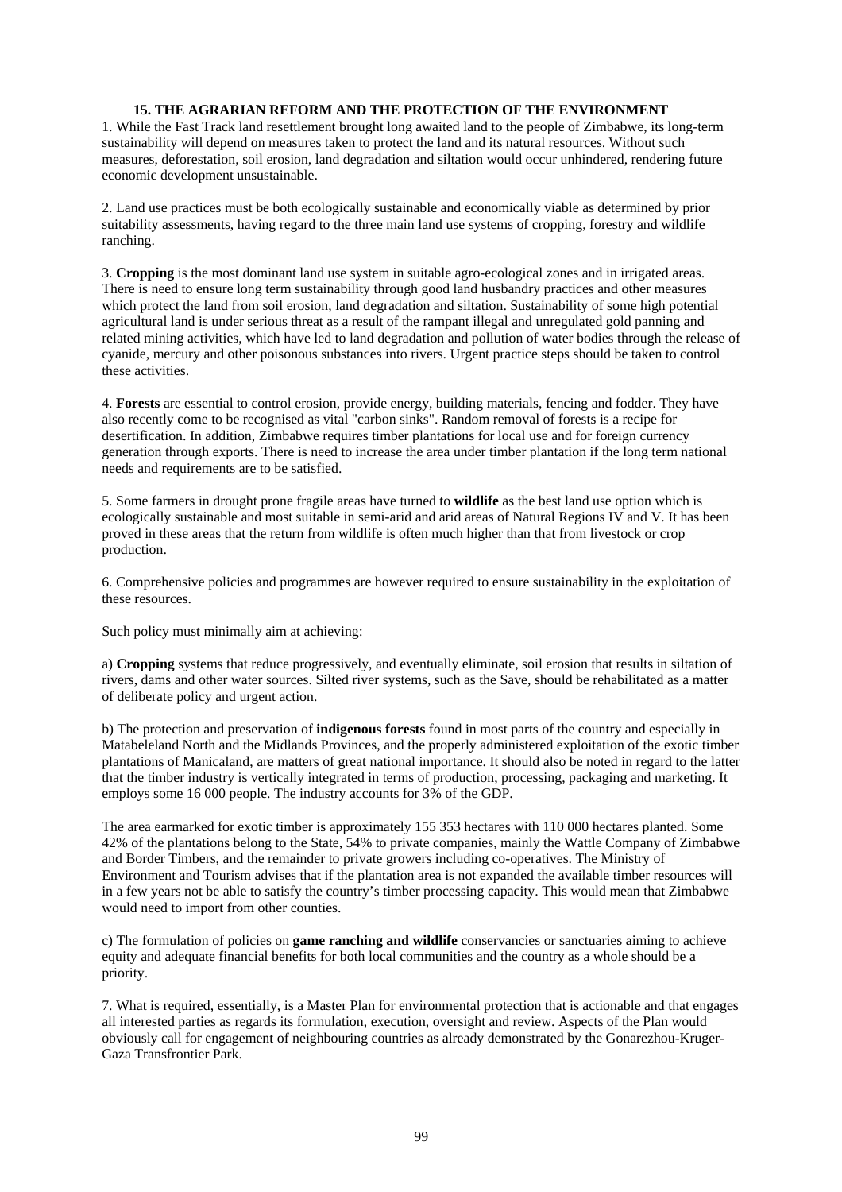# **15. THE AGRARIAN REFORM AND THE PROTECTION OF THE ENVIRONMENT**

1. While the Fast Track land resettlement brought long awaited land to the people of Zimbabwe, its long-term sustainability will depend on measures taken to protect the land and its natural resources. Without such measures, deforestation, soil erosion, land degradation and siltation would occur unhindered, rendering future economic development unsustainable.

2. Land use practices must be both ecologically sustainable and economically viable as determined by prior suitability assessments, having regard to the three main land use systems of cropping, forestry and wildlife ranching.

3. **Cropping** is the most dominant land use system in suitable agro-ecological zones and in irrigated areas. There is need to ensure long term sustainability through good land husbandry practices and other measures which protect the land from soil erosion, land degradation and siltation. Sustainability of some high potential agricultural land is under serious threat as a result of the rampant illegal and unregulated gold panning and related mining activities, which have led to land degradation and pollution of water bodies through the release of cyanide, mercury and other poisonous substances into rivers. Urgent practice steps should be taken to control these activities.

4. **Forests** are essential to control erosion, provide energy, building materials, fencing and fodder. They have also recently come to be recognised as vital "carbon sinks". Random removal of forests is a recipe for desertification. In addition, Zimbabwe requires timber plantations for local use and for foreign currency generation through exports. There is need to increase the area under timber plantation if the long term national needs and requirements are to be satisfied.

5. Some farmers in drought prone fragile areas have turned to **wildlife** as the best land use option which is ecologically sustainable and most suitable in semi-arid and arid areas of Natural Regions IV and V. It has been proved in these areas that the return from wildlife is often much higher than that from livestock or crop production.

6. Comprehensive policies and programmes are however required to ensure sustainability in the exploitation of these resources.

Such policy must minimally aim at achieving:

a) **Cropping** systems that reduce progressively, and eventually eliminate, soil erosion that results in siltation of rivers, dams and other water sources. Silted river systems, such as the Save, should be rehabilitated as a matter of deliberate policy and urgent action.

b) The protection and preservation of **indigenous forests** found in most parts of the country and especially in Matabeleland North and the Midlands Provinces, and the properly administered exploitation of the exotic timber plantations of Manicaland, are matters of great national importance. It should also be noted in regard to the latter that the timber industry is vertically integrated in terms of production, processing, packaging and marketing. It employs some 16 000 people. The industry accounts for 3% of the GDP.

The area earmarked for exotic timber is approximately 155 353 hectares with 110 000 hectares planted. Some 42% of the plantations belong to the State, 54% to private companies, mainly the Wattle Company of Zimbabwe and Border Timbers, and the remainder to private growers including co-operatives. The Ministry of Environment and Tourism advises that if the plantation area is not expanded the available timber resources will in a few years not be able to satisfy the country's timber processing capacity. This would mean that Zimbabwe would need to import from other counties.

c) The formulation of policies on **game ranching and wildlife** conservancies or sanctuaries aiming to achieve equity and adequate financial benefits for both local communities and the country as a whole should be a priority.

7. What is required, essentially, is a Master Plan for environmental protection that is actionable and that engages all interested parties as regards its formulation, execution, oversight and review. Aspects of the Plan would obviously call for engagement of neighbouring countries as already demonstrated by the Gonarezhou-Kruger-Gaza Transfrontier Park.